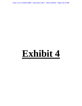Case 1:13-cv-03675-WBH Document 108-4 Filed 12/30/16 Page 125 of 586

# **Exhibit 4**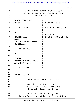|                |                        | Page 1                                     |
|----------------|------------------------|--------------------------------------------|
| $\mathbf{1}$   |                        | IN THE UNITED STATES DISTRICT COURT        |
|                |                        | FOR THE NORTHERN DISTRICT OF GEORGIA       |
| $\overline{a}$ |                        | ATLANTA DIVISION                           |
| $\mathbf{3}$   |                        |                                            |
|                | UNITED STATES OF       |                                            |
| 4              | AMERICA,               | Deposition of:                             |
|                |                        |                                            |
| 5              | Plaintiff,             | AMY K. EICHNER, PH.D.                      |
|                |                        |                                            |
| 6              | VS.                    |                                            |
|                |                        | Civil No.                                  |
| 7              | UNDETERMINED           | $1:13-cv-13675-WBH-JCF$                    |
|                | QUANTITIES OF          |                                            |
| 8              | 1,3-DIMETHYLAMYLAMINE  |                                            |
|                | HCL (DMAA),            |                                            |
| 9              |                        |                                            |
|                | Defendant,             |                                            |
| 10             |                        |                                            |
|                | <b>AND</b>             |                                            |
| 11             |                        |                                            |
|                | HI-TECH                |                                            |
| 12             | PHARMACEUTICALS, INC., |                                            |
|                | and JARED WHEAT,       |                                            |
| 13             |                        |                                            |
|                | Claimants.             |                                            |
| 14             |                        |                                            |
| 15             |                        |                                            |
| 16             | Job No. 116738         |                                            |
| 17             |                        |                                            |
| 18             |                        | December 14, 2016 * 9:12 a.m.              |
| 19             |                        |                                            |
| 20             |                        | Location: Kirton & McConkie                |
| 21             |                        | 36 S. State Street, Suite 1900             |
| 22             |                        | Salt Lake City, Utah 84111                 |
| 23             |                        |                                            |
| 24             |                        | Reporter: Ann Fleming, RPR                 |
| 25             |                        | Notary Public in and for the State of Utah |

Case 1:13-cv-03675-WBH Document 108-4 Filed 12/30/16 Page 126 of 586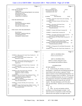# Case 1:13-cv-03675-WBH Document 108-4 Filed 12/30/16 Page 127 of 586

| Page 2                                                                                                                                                                                                                                                                                                                                                                                                                                                                                                                                                                                                                                                                                                                                                                                            | Page 3                                                                                                                                                                                                                                                                                                                                                                                                                                                                                                                                                                                                                                                                                                                                                                                                                                                                                                                                                                                                                                                          |
|---------------------------------------------------------------------------------------------------------------------------------------------------------------------------------------------------------------------------------------------------------------------------------------------------------------------------------------------------------------------------------------------------------------------------------------------------------------------------------------------------------------------------------------------------------------------------------------------------------------------------------------------------------------------------------------------------------------------------------------------------------------------------------------------------|-----------------------------------------------------------------------------------------------------------------------------------------------------------------------------------------------------------------------------------------------------------------------------------------------------------------------------------------------------------------------------------------------------------------------------------------------------------------------------------------------------------------------------------------------------------------------------------------------------------------------------------------------------------------------------------------------------------------------------------------------------------------------------------------------------------------------------------------------------------------------------------------------------------------------------------------------------------------------------------------------------------------------------------------------------------------|
| $\mathbf{1}$<br><b>APPEARANCES</b><br>$\sqrt{2}$<br>FOR THE PLAINTIFF:<br>3<br>Claude Scott<br>UNITED STATES DEPARTMENT OF JUSTICE<br>4<br>450 5th Street, N.W.                                                                                                                                                                                                                                                                                                                                                                                                                                                                                                                                                                                                                                   | $1\,$<br>INDEX<br>$\,2$<br>AMY K. EICHNER, PH.D.<br>PAGE<br>$\mathsf 3$<br>Examination by Mr. Marck<br>5<br>$\bf{4}$<br>Examination by Mr. Scott<br>165<br>5<br>6                                                                                                                                                                                                                                                                                                                                                                                                                                                                                                                                                                                                                                                                                                                                                                                                                                                                                               |
| Washington, DC 20530<br>(Appearing via telephone)<br>5<br>6<br>7<br>FOR THE DEFENDANT:<br>8<br>David Marck<br>9<br><b>EPSTEIN BECKER &amp; GREEN</b><br>One Gateway Center<br>10<br>Newark, New Jersey 07102<br>11<br>12<br>FOR USADA AND THE DEPONENT:<br>13<br>Kevin Koons<br>14<br>KROGER, GARDIS & REGAS<br>111 Monument Circle<br>15<br>Indianapolis, Indiana 46204<br>16<br>17<br>18<br>19<br>20<br>21<br>22<br>23<br>24<br>25                                                                                                                                                                                                                                                                                                                                                              | $\overline{7}$<br>EXHIBITS<br>8<br><b>NUMBER</b><br><b>DESCRIPTION</b><br>PAGE<br>9<br>EXHIBIT 1 April 2011 Email Chain and Consulting<br>65<br>10<br>Agreement<br>11<br>EXHIBIT 2 November-October 2010 Email Chain,<br>73<br>NDI's<br>12<br>EXHIBIT 3 December 2010 Email Chain,<br>82<br>13<br>Methylhexaneamine<br>14<br>EXHIBIT 4 December 2010 Email Chain,<br>87<br>Methylhexaneamine<br>15<br>EXHIBIT 5 October 2010 Email, Geranium Oil<br>91<br>16<br>EXHIBIT 6 Undated Email, Geranium Oil<br>92<br>17<br>EXHIBIT 7 November 2010 Email, Follow-Up From<br>94<br>18<br>Geranium Oil Testing Conversation<br>19<br>EXHIBIT 8 January 2011 Email Chain, Geranium Oil<br>97<br>Project<br>20<br>EXHIBIT 9 March-April 2011 Email Chain, Update<br>100<br>21<br>on Pelargonium and Preliminary Report<br>22<br>EXHIBIT 10 October 2010-April 2011 Email Chain,<br>102<br>Methylhexaneamine and NDIs<br>23<br>EXHIBIT 11 Pelargonium Oil and Methyl Hexaneamine<br>108<br>24<br>Article<br>25<br>EXHIBIT 12 May-June 2011 Email Chain, Numbers for<br>113 |
| Page 4                                                                                                                                                                                                                                                                                                                                                                                                                                                                                                                                                                                                                                                                                                                                                                                            | Page 5                                                                                                                                                                                                                                                                                                                                                                                                                                                                                                                                                                                                                                                                                                                                                                                                                                                                                                                                                                                                                                                          |
| $\mathbf{1}$<br>EXHIBIT 13 May-June 2011 Email Chain, Numbers for<br>123<br>2<br>Jack3d Distribution<br>3<br>EXHIBIT 14 January 2012 Email, Forthane Once<br>125<br>Marketed as a Drug<br>4<br>EXHIBIT 15 January 2012 Email Chain, From Jim at<br>127<br>5<br>FRL re Dr. Oz Show Air Date-Dangerous<br>Supplements<br>6<br>EXHIBIT 16 February 2012 Email Chain, Commercial<br>129<br>7<br>Geranium Oils                                                                                                                                                                                                                                                                                                                                                                                         | $\mathbf{1}$<br>AMY K. EICHNER, PH.D.<br>2<br><b>PROCEEDINGS</b><br>3<br>4<br>AMY K. EICHNER, PH.D.,<br>5<br>called as a witness, being first sworn,<br>6<br>was examined and testified as follows:<br>7<br>8<br><b>EXAMINATION</b>                                                                                                                                                                                                                                                                                                                                                                                                                                                                                                                                                                                                                                                                                                                                                                                                                             |
| 8<br>137<br>EXHIBIT 17 April 2012 Email Chain, FDA Warning<br>Letter<br>9<br>141<br>EXHIBIT 18 May 2012 Email Chain, Stimulant<br>10<br>Marketed as "Natural" in Sports<br>Supplement Actually of Synthetic<br>11<br>Origin<br>12<br>EXHIBIT 19 May 2012 Email Chain, Embargoed Paper<br>145<br>13<br>153<br>EXHIBIT 20 Research Article 1,3 DMAA in<br>Supplements and Geranium Products:<br>14<br>Natural or Synthetic?<br>15<br>EXHIBIT 21 May 2012 Email Chain, Zhang, et al.,<br>158<br>Drug Test Analysis (2012)<br>16<br>159<br>EXHIBIT 22 October 2010-May 2011 Email Chain,<br>17<br><b>NDIs</b><br>18<br>EXHIBIT 23 August 2012 Email Chain, DMAA Analysis 161<br>19<br>EXHIBIT 24 February-March 2013 Email Chain,<br>161<br>Nrococlaurine Project<br>20<br>21<br>22<br>23<br>24<br>25 | 9<br>BY MR. MARCK:<br>10<br>Q. Good morning, Dr. Eichner, my name is<br>11<br>David Marck. I represent Hi-Tech Pharmaceuticals and<br>12<br>Jared Wheat in the case that is captioned "United<br>13<br>States of America versus Undetermined Quantities" of a<br>$1\,4$<br>chemical I'm going to refer to as DMAA. You may also<br>$15$<br>know it as methylhexaneamine, but even if I'm going to<br>16<br>be quoting from a document, I'm probably going to be<br>17<br>using DMAA because it's easier for me, you, the<br>$1\,8$<br>reporter. The other defendants are Hi-Tech, like I<br>19<br>said, and Jared Wheat. And have you ever been deposed<br>20<br>before?<br>21<br>A. No.<br>22<br>Okay. So you're not familiar with the<br>О.<br>23<br>procedure, so we'll go through it in detail. I will<br>24<br>need oral answers, not gestures or nods of the head,<br>25<br>otherwise the court reporter can't figure out what                                                                                                                            |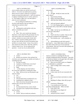|          | Page 6                                                    | Page 7                                                        |
|----------|-----------------------------------------------------------|---------------------------------------------------------------|
| 1        | AMY K. EICHNER, PH.D.                                     | $\mathbf{1}$<br>AMY K. EICHNER, PH.D.                         |
| 2        | you're actually trying to say and the record won't        | $\sqrt{2}$<br>instructions?                                   |
| 3        | reflect it. If you have not understood my question,       | 3<br>Yes.<br>А.                                               |
| $\bf{4}$ | please ask me to repeat it; otherwise, I'm going to       | $\overline{4}$<br>All right. Would you state your full<br>Q.  |
| 5        | assume you heard and understood it. And if you need me    | 5<br>name, please?                                            |
| 6        | to rephrase something because it's unclear, please do     | 6<br>Amy Kristine Eichner.<br>А.                              |
| 7        | so. I'll be happy to figure out a way that makes it       | $\overline{7}$<br>What's your home address?<br>Q.             |
| 8        | easier for you to understand.                             | 8<br>3050 East Deer Hollow Drive in Sandy,<br>А.              |
| 9        | Are you taking any medication or anything                 | 9<br>Utah.                                                    |
| 10       | else that would interfere with your ability to            | 10<br>And your business address?<br>Q.                        |
| 11       | understand my questions today?                            | 11<br>A. U.S. Anti-Doping Agency, and that is 5555            |
| 12       | A. No.                                                    | 12<br>Tech Center Drive, Suite 200 in Colorado Springs,       |
| 13       | Anything that would interfere with your<br>Q <sub>r</sub> | 13<br>Colorado.                                               |
| 14       | ability to remember past events?                          | 14<br>Q. Right. Just for my own edification, do               |
| 15       | A. No.                                                    | 15<br>you ever go to that office?                             |
| 16       | Q. Okay. Now, your counsel may interpose                  | 16<br>Yes.<br>A.                                              |
| 17       | objections, as will counsel for the government, but you   | 17<br>Q. Wasn't sure how it worked. Did you meet              |
| 18       | must answer unless you're instructed not to by your       | 18<br>with anyone to prepare for this deposition.             |
| 19       | counsel. Anytime you want to take a break, that's         | 19<br>A. Not in person, just -- well, yesterday we            |
| 20       | fine. If there's a question pending, please just let      | 20<br>met.                                                    |
| 21       | me know and I ask that you answer the question fully      | 21<br>And anything you said with counsel, I<br>O.             |
| 22       | and then we can take a break. I mean, if you need to      | 22<br>don't need to -- sorry, didn't mean to talk over you,   |
| 23       | take a break every half an hour, that's fine, whatever,   | 23<br>but I don't need to hear any of your protected          |
| 24       | it doesn't matter to me. Do you understood the            | 24<br>conversations. But you've not met with anybody else     |
| 25       | questions -- excuse me, do you understand the             | 25<br>besides your attorneys?                                 |
|          |                                                           |                                                               |
|          |                                                           |                                                               |
|          | Page 8                                                    | Page 9                                                        |
| 1        |                                                           |                                                               |
| 2        | AMY K. EICHNER, PH.D.                                     | 1<br>AMY K. EICHNER, PH.D.<br>2                               |
| 3        | A. Correct.                                               | sources or treatises or anything like that, any<br>3          |
| 4        | Q. Besides your attorneys, does anybody else              | scientific background kind of documents. I just tried<br>4    |
| 5        | even know you're appearing, say, besides your family or   | to refresh my memory on the paper that is the subject<br>5    |
| 6        | something like that?                                      | of this, the 2012 ElSohly paper?<br>6                         |
| 7        | A. Not that I'm aware.                                    | Q. Have you ever been a party to a litigation<br>7            |
| 8        | Q. Anybody at USADA know you're here?                     | or as a defendant or a plaintiff?<br>8                        |
| 9        | A. So I know Dr. Bowers is aware --<br>Q.                 | A. Only in college when I went to small<br>9<br>claims court. |
| 10       | Right.<br>-- of the subpoena, but I don't believe<br>А.   | 10<br>That's fine.<br>Q.                                      |
| 11       | he's aware that a deposition is taking place today.       | 11<br>Does that count?<br>А.                                  |
| 12       | Q. Okay. Did you review any documents to get              | 12<br>It does count, but I'm not concerned with<br>Q.         |
| 13       | ready for today?                                          | 13<br>that stuff.                                             |
| 14       | Yes.<br>А.                                                | 14<br>Okay.<br>А.                                             |
| 15       | Such as?<br>Q.                                            | 15<br>Have you ever been convicted of a crime?<br>Q.          |
| 16       | The documents that we produced for you.<br>А.             | 16<br>A.<br>No.                                               |
| 17       | Anything else in addition to that?<br>Q.                  | 17<br>Speaking of college, where did you go to<br>Q.          |
| 18       | There were always documents that were not<br>А.           | 18<br>college?                                                |
| 19       | related to this case that were reviewed.                  | 19<br>University of Minnesota.<br>А.                          |
| 20       | Q.<br>Okay.                                               | 20<br>I was actually just in Saint Paul<br>Q.                 |
| 21       | We determined that they weren't related.<br>А.            | 21<br>yesterday transferring here. When was that?             |
| 22       | You mean to do a responsive/non-responsive<br>Q.          | 22<br>From 1993 to '96.<br>А.                                 |
| 23       | check on them?                                            | 23<br>And what was your degree in?<br>Q.                      |
| 24       | A. Correct.                                               | 24<br>Psychology.<br>А.                                       |
| 25       | Gotcha. Did you consult any reference<br>Q.               | 25<br>And did you have a minor?<br>Q.                         |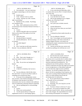|          | Page 10                                                                                     |                         | Page 11                                                                                                   |
|----------|---------------------------------------------------------------------------------------------|-------------------------|-----------------------------------------------------------------------------------------------------------|
| 1        | AMY K. EICHNER, PH.D.                                                                       | $\mathbf{1}$            | AMY K. EICHNER, PH.D.                                                                                     |
| 2        | A. Not technically. I was one credit short                                                  | $\overline{\mathbf{c}}$ | A. It was a post-doctoral fellowship, which                                                               |
| 3        | of a degree in physiology as well, but it doesn't                                           | 3                       | is common after you do a Ph.D. It's kind of like the                                                      |
| 4        | count.                                                                                      | $\overline{4}$          | next career step.                                                                                         |
| 5        | Q. Double major?                                                                            | 5                       | Q. How long did that take?                                                                                |
| 6        | Yeah. It doesn't count as a minor.<br>А.                                                    | 6                       | I was only there for one year.<br>А.                                                                      |
| 7        | Gotcha. And that was a BS, I assume,<br>O.                                                  | $\sqrt{ }$              | Did you get anything as far as a degree,<br>Q.                                                            |
| 8        | right, in psychology?                                                                       | 8                       | certificate, any of that kind of stuff?                                                                   |
| 9        | A. Bachelor of Arts, actually. Psychology                                                   | 9                       | It's just a job.<br>А.                                                                                    |
| 10       | was considered a BA.                                                                        | 10                      | Just a job to put on further research,<br>Q <sub>1</sub>                                                  |
| 11       | Q. Okay. And I understand you have a Ph.D.                                                  | 11                      | right?                                                                                                    |
| 12       | in neuroscience from Australian National University; is                                     | 12                      | Uh-huh (affirmative).<br>А.                                                                               |
| 13       | that correct?                                                                               | 13                      | What was the focus when you were there?<br>Q <sub>1</sub>                                                 |
| 14       | A. Correct.                                                                                 | 14                      | At Harvard?<br>A.                                                                                         |
| 15       | Q. And how long did it take you to get that?                                                | 15                      | Yes.<br>Q.                                                                                                |
| 16       | What was the scope of the studies as far as the                                             | 16                      | A. I continued my thesis studies basically on                                                             |
| 17       | timeline was?                                                                               | 17                      | the retina.                                                                                               |
| 18       | A. About four years.                                                                        | 18                      | Q. Can you elaborate a little bit?                                                                        |
| 19       | Q. Was that all done in Australia?                                                          | 19                      | Sure. So my degree was focused mainly on<br>А.                                                            |
| 20       | A. Uh-huh (affirmative). All of it was done                                                 | 20                      | physical processing, so the retina is basically an                                                        |
| 21       | in Australia.                                                                               | 21                      | analog to digital converter, so my thesis was                                                             |
| 22       | Q. Any other degrees?                                                                       | 22                      | evaluating the synaptic transmission between the layers                                                   |
| 23       | A. No.                                                                                      | 23                      | of neurons in the retina.                                                                                 |
| 24       | Q. Now, I note that you did some research at                                                | 24                      | Q. And do you feel that your current work                                                                 |
| 25       | Harvard. Can you elaborate a little bit?                                                    | 25                      | actually has anything to do with that now or no?                                                          |
|          | Page 12                                                                                     |                         | Page 13                                                                                                   |
|          |                                                                                             |                         |                                                                                                           |
| 1        |                                                                                             | 1                       | AMY K. EICHNER, PH.D.                                                                                     |
| 2        | AMY K. EICHNER, PH.D.<br>A. No.                                                             | 2                       | Q. And what does that actually consist of?                                                                |
| 3        | Okay. That's what I thought, too. I<br>Q.                                                   | 3                       | A. I have varied roles in the organization.                                                               |
| 4        | wasn't sure maybe I missed a connection.                                                    | 4                       | My primary role is to provide advice to athletes about                                                    |
| 5        | A. No.                                                                                      | 5                       | whether a substance is prohibited or not. Basically I                                                     |
| 6        | Okay. Do you have any background in<br>Q.                                                   | 6                       | help them understand the prohibited list. The                                                             |
| 7        | botany?                                                                                     | $\boldsymbol{7}$        | prohibited list that WADA publishes is filled with                                                        |
| 8        | No.<br>А.                                                                                   | 8                       | chemical compounds and names that might not be familiar                                                   |
| 9        | Chemistry?<br>Q.                                                                            | 9                       | to your average person, so I help athletes understand                                                     |
| 10       | A little bit in chemistry, but I am not a<br>А.                                             | 10                      | how and where they might encounter prohibited                                                             |
| 11       | chemist.                                                                                    | 11                      | substances. So I do this by talking to them on the                                                        |
| 12       | Q. Can you elaborate a little bit like where                                                | 12                      | phone; I do this by responding to email inquiries; and                                                    |
| 13       | that came from? Is it part of your Ph.D. studies or                                         | 13                      | I also assist in running Global Drug Reference Online,                                                    |
| 14       | something you've learned since then?                                                        | 14                      | which is an online database that provides the                                                             |
| 15       | A. It was part of my undergraduate courses                                                  | 15                      | anti-doping status for medications.                                                                       |
| 16       | and, you know, some chemical principles and principles                                      | 16                      | Q. Do you speak directly with the athletes?                                                               |
| 17       | of chemistry come into play in my field of                                                  | 17                      | They actually call you on the phone?                                                                      |
| 18       | neuroscience, but I am not a chemist in the traditional                                     | 18                      | Sometimes, yes.<br>A.                                                                                     |
| 19       | sense of synthesizing, analyzing chemical compounds.                                        | 19                      | Interesting. Now, how long have you had<br>Q.                                                             |
| 20       | Q. Like not spending time in a lab and things                                               | 20                      | this role at USADA?                                                                                       |
| 21       | like that?                                                                                  | 21                      | A. You know, I'd have to check my CV, but a                                                               |
| 22       | Correct.<br>А.                                                                              | 22                      | couple years. So my title has changed since 2009.                                                         |
| 23       | What's your current position?<br>Q.                                                         | 23                      | That's when I joined USADA. But my overall position                                                       |
| 24<br>25 | I am the special advisor on drugs and<br>А.<br>supplements for the U.S. Anti-Doping Agency. | 24<br>25                | hasn't really changed. My responsibilities have always<br>been assisting with therapeutic use exemptions, |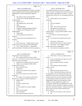|                  | Page 14                                                   |                                                                                                                     | Page 15 |
|------------------|-----------------------------------------------------------|---------------------------------------------------------------------------------------------------------------------|---------|
| $\mathbf{1}$     | AMY K. EICHNER, PH.D.                                     | $\mathbf{1}$<br>AMY K. EICHNER, PH.D.                                                                               |         |
| 2                | assisting on Global Drug Reference Online, providing      | 2<br>in an auditory laboratory, which was a mouthful.                                                               |         |
| 3                | advice to athletes about how they should interpret the    | 3<br>Again, you know, focusing on the neuroscience of the                                                           |         |
| 4                | prohibited list, how the prohibited list applies to       | 4<br>sensory system, and I believe I was there -- I would                                                           |         |
| 5                | them.                                                     | 5<br>honestly have to check my CV, but probably about five                                                          |         |
| 6                | How did you come to join USADA?<br>Q.                     | 6<br>years.                                                                                                         |         |
| 7                | We moved to Colorado Springs and I took up<br>А.          | $\sqrt{ }$<br>Q.<br>Quick question, were you born in                                                                |         |
| 8                | a position there.                                         | 8<br>Australia?                                                                                                     |         |
| 9                | Q. Who is "we"?                                           | 9<br>А.<br>No.                                                                                                      |         |
| 10               | My husband and I, and our kids.<br>А.                     | 10<br>Was your husband?<br>Q <sub>1</sub>                                                                           |         |
| 11               | Okay.<br>Q.                                               | 11<br>Yes.<br>A <sub>1</sub>                                                                                        |         |
| 12               | We brought them.<br>A.                                    | 12<br>Okay. Just wasn't sure why the --<br>Q.                                                                       |         |
| 13               | I figured. Jobs before joining USADA?<br>Q.               | 13<br>My husband is Australian, yes.<br>A.                                                                          |         |
| 14               | A partial year at Therapeutic Goods<br>А.                 | 14<br>All right. I won't go too far into<br>O.                                                                      |         |
| 15               | Administration.                                           | 15<br>personal things. I was just a little confused. Who is                                                         |         |
| 16               | What's that?<br>Q.                                        | 16<br>Larry Bowers?                                                                                                 |         |
| 17               | A. It's the equivalent of the FDA in                      | 17<br>A. Dr. Bowers is the Chief Scientist for                                                                      |         |
| 18               | Australia.                                                | 18<br>USADA.                                                                                                        |         |
| 19               | Q. And was that your job directly prior to                | 19<br>Q. Do you know how long he's been in that                                                                     |         |
| 20               | USADA?                                                    | 20<br>role?                                                                                                         |         |
| 21               | A. Yes.                                                   | 21<br>I don't know. Many years.<br>А.                                                                               |         |
| 22               | Q. Do you have any -- besides when you were               | 22<br>What does that mean, by "chief scientist"?<br>Q.                                                              |         |
| 23               | at Harvard, do you ever do any other fellowships?         | 23<br>A. He was the -- he was highest ranking                                                                       |         |
| 24               | A. Yes. So after Harvard, I -- my husband                 | 24<br>member of the Science Department.                                                                             |         |
| 25               | and I moved back to Australia and I took up a position    | 25<br>Q. Do you know his training or what the                                                                       |         |
|                  | Page 16                                                   |                                                                                                                     | Page 17 |
|                  |                                                           |                                                                                                                     |         |
| 1                | AMY K. EICHNER, PH.D.                                     | $\mathbf 1$<br>AMY K. EICHNER, PH.D.                                                                                |         |
| $\boldsymbol{2}$ | background is of his training at all?                     | $\overline{2}$<br>A. I don't know. He was my superior prior to                                                      |         |
| 3                | A. He's a chemist and I know he ran a lab for             | 3<br>my role.                                                                                                       |         |
| 4                | many years. And I know he was involved in anti-doping     | 4<br>So he was obviously your superior as well?<br>Q.                                                               |         |
| 5                | before the existence of WADA.                             | 5<br>(Witness nods head.)<br>А.                                                                                     |         |
| 6                | Q. And how old is USADA itself, do you know?              | 6<br>Do you consider yourself a scientist?<br>Q.                                                                    |         |
| 7                | A. I believe it was founded in 2000 or 2001,              | 7<br>Yes.<br>A.                                                                                                     |         |
| 8                | but please don't quote me.                                | 8<br>You're familiar with the scientific<br>Q.                                                                      |         |
| 9                | She is, but don't worry.<br>Q.                            | 9<br>method, correct?                                                                                               |         |
| 10               | I understand.<br>A.                                       | 10<br>A. Yes.                                                                                                       |         |
| 11               | And do you consider him your superior?<br>Q.              | 11<br>What's the function of peer review?<br>Q.                                                                     |         |
| 12               | Absolutely.<br>А.                                         | 12<br>Yeah. So the scientific process where you<br>A.                                                               |         |
| 13               | Was he your superior in the 2010-to-2014<br>Q.            | 13<br>do experiments, you write a paper manuscript, you                                                             |         |
| 14               | timeframe?                                                | $14$<br>submit that to peer review for analysis so that other                                                       |         |
| 15               | A. By "superior" do you mean my direct boss?              | $15$<br>scientists can review your data, your logic, rationale                                                      |         |
| 16<br>17         | Because I was working in a different department.          | 16<br>for proceeding in certain ways and they can assess<br>17                                                      |         |
| 18               | Different silo?<br>Q.<br>Correct.<br>А.                   | independently whether your conclusions are valid,<br>18                                                             |         |
| 19               | For lack of a better word?<br>Q.                          | whether you have enough data to support your<br>19                                                                  |         |
| 20               | Correct.<br>A.                                            | conclusions, whether there's anything that you could<br>20                                                          |         |
| 21               | Do you consider him a mentor, though?<br>Q.               | have done or that you should do to improve your paper,<br>21<br>make your conclusions stronger. Sometimes when your |         |
| 22               | Yes.<br>A.                                                | 22<br>article is peer reviewed, it gets rejected because                                                            |         |
| 23               | Who is Travis Tygart?<br>Q.                               | 23<br>flaws are found.                                                                                              |         |
| 24               | CEO of USADA.<br>A.<br>How long has he been in that role? | 24<br>Q.<br>Have you ever served as a peer reviewer?<br>25                                                          |         |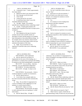|    | Page 18                                                     |                | Page 19                                                             |
|----|-------------------------------------------------------------|----------------|---------------------------------------------------------------------|
| 1  | AMY K. EICHNER, PH.D.                                       | $\mathbf 1$    | AMY K. EICHNER, PH.D.                                               |
| 2  | Q. Commonly or just -- I mean, approximately                | 2              | A. Yes, but I would like to know what you                           |
| 3  | how many times?                                             | 3              | mean by "bias."                                                     |
| 4  | A. Maybe five times in my neuroscience field.               | $\overline{4}$ | Q. We'll move on to the next question. I                            |
| 5  | Q. How long ago was the last time?                          | 5              | think we'll flush it out a little more as we go                     |
| 6  | A. I don't recall.                                          | 6              | forward. Is it common for scientists to receive                     |
| 7  | I mean, the last five, ten years?<br>Q.                     | $\sqrt{ }$     | funding for research?                                               |
| 8  | It would have been when I was at the<br>А.                  | 8              | A. Yes.                                                             |
| 9  | Australian National University.                             | 9              | Q. Is it common to receive funding from                             |
| 10 | Q. All right. Thanks. Do scientists                         | 10             | manufacturers and other companies?                                  |
| 11 | typically have a hypothesis before conducting a study?      | 11             | A. I don't know.                                                    |
| 12 | A. Usually. Usually good scientists will                    | 12             | Is it common to receive it from the<br>О.                           |
| 13 | normally have a hypothesis that they're trying to prove     | 13             | government?                                                         |
| 14 | or disprove.                                                | 14             | That has been my experience in my academic<br>А.                    |
| 15 | Q. And that's --                                            | 15             | career.                                                             |
| 16 | A. But it depends on the type of research,                  | 16             | And is it common for scientists to receive<br>Q <sub>r</sub>        |
| 17 | actually, because some scientific articles are              | 17             | funding from nonprofits or other foundations something              |
| 18 | descriptive in nature and the purpose is to establish       | 18             | like USADA?                                                         |
| 19 | basic information or facts about different things. So       | 19             | A. I don't know.                                                    |
| 20 | for example, back in my research, retinal research          | 20             | Q. Do you believe it's inappropriate for a                          |
| 21 | days, we came across many papers which were just            | 21             | source of funding of certain research to comment on                 |
| 22 | anatomical descriptions of the retina.                      | 22             | drafts of manuscripts for a peer reviewed article?                  |
| 23 | Q. Right. Do you feel like it's very                        | 23             | MR. SCOTT: Object as to form.                                       |
| 24 | important to avoid bias when you're conducting              | 24             | Q. (By Mr. Marck) You can still answer?                             |
| 25 | research?                                                   | 25             | MR. KOONS: If you understand.                                       |
|    |                                                             |                |                                                                     |
|    |                                                             |                |                                                                     |
|    | Page 20                                                     |                | Page 21                                                             |
| 1  |                                                             | $\mathbf 1$    |                                                                     |
| 2  | AMY K. EICHNER, PH.D.                                       | 2              | AMY K. EICHNER, PH.D.                                               |
| 3  | THE WITNESS: I don't understand.                            | 3              | understand. Do you believe it's inappropriate for a                 |
| 4  | Q. (By Mr. Marck) Do you believe it's                       | $\overline{4}$ | source of funding to encourage researchers to reach a               |
| 5  | inappropriate for the source of the funding, say, a         | 5              | particular result?                                                  |
| 6  | government or a company that is paying for the funding      | 6              | A. Yes.                                                             |
| 7  | to comment on the actual resulting paper or manuscript?     | 7              | MR. SCOTT: Object as to form.                                       |
| 8  | MR. SCOTT: Are you asking -- objection,                     | 8              | MR. MARCK: Claude, I'm going to turn your                           |
| 9  | compound. Are you asking before publication?                | 9              | mic down a tiny little bit, loud in here, but just keep             |
| 10 | MR. MARCK: Yes, before publication.                         | 10             | on going forward as you need to.<br>MR. SCOTT: Is that better?      |
| 11 | MR. SCOTT: All right. So object to the<br>form.             | 11             |                                                                     |
| 12 | THE WITNESS: Not necessarily. I think it                    | 12             | MR. MARCK: We're good now.<br>MR. SCOTT: I just -- she was a little |
| 13 | would just depend on a number of circumstances.             | 13             | soft spoken and I'm okay with that.                                 |
| 14 | Q. (By Mr. Marck) Such as?                                  | 14             | MR. MARCK: Thanks.                                                  |
| 15 | I can't think of any examples right now,<br>A.              | 15             | Q. (By Mr. Marck) When conducting a study, do                       |
| 16 | but I don't necessarily think that that's automatically     | 16             | you believe that a researcher should report all the                 |
| 17 | wrong.                                                      | $17\,$         | data they've obtained in any subsequent peer reviewed               |
| 18 | Okay. Do you think it's inappropriate for<br>Q <sub>r</sub> | 18             | article?                                                            |
| 19 | a source of funding to make suggestions as to the           | 19             | MR. SCOTT: Object as to form.                                       |
| 20 | methods of a certain research project?                      | 20             | THE WITNESS: Valid data, yes.                                       |
| 21 | MR. SCOTT: Object as to form.                               | 21             | (By Mr. Marck) What do you mean by "valid<br>Q.                     |
| 22 | THE WITNESS: Not necessarily, but again,                    | 22             | data"?                                                              |
| 23 | to really understand what you're getting at, I would        | 23             | Well, when do you mean by "data"?<br>А.                             |
| 24 | need context.                                               | 24             | What I mean is, I guess, results that are<br>Q.                     |
| 25 | (By Mr. Marck) Okay. All right. I<br>Q.                     | 25             | generated during a study of some sort, do you feel that             |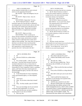|             | Page 22                                                                                                         |                         | Page 23                                                                                           |
|-------------|-----------------------------------------------------------------------------------------------------------------|-------------------------|---------------------------------------------------------------------------------------------------|
| 1           | AMY K. EICHNER, PH.D.                                                                                           | $\verb 1 $              | AMY K. EICHNER, PH.D.                                                                             |
| 2           | all that should be included either in a peer reviewed                                                           | $\overline{\mathbf{c}}$ | said, sometimes you produce data that has no meaning.                                             |
| 3           | article or in the supporting information?                                                                       | 3                       | Q. (By Mr. Marck) Would you consider it                                                           |
| $\bf 4$     | MR. KOONS: Vague and ambiguous, but you                                                                         | 4                       | breach of the scientific method for a researcher to                                               |
| 5           | can answer.                                                                                                     | 5                       | exclude from his or her article only those results                                                |
| 6           | MR. SCOTT: Object to form. Sorry for                                                                            | 6                       | inconsistent with his or her hypothesis?                                                          |
| 7           | talking over.                                                                                                   | $\overline{7}$          | MR. SCOTT: Object to the form.                                                                    |
| 8           | THE WITNESS: Repeat that? I'm sorry.                                                                            | 8                       | THE WITNESS: Repeat your question.                                                                |
| 9           | Q. (By Mr. Marck) I'll repeat it. Should                                                                        | 9                       | MR. MARCK: Can you read it back, please?                                                          |
| 10          | researchers report all of the data they've obtained in                                                          | 10                      | (The requested portion of the record was                                                          |
| 11          | any subsequent peer reviewed article, and you said what                                                         | 11                      | read by the court reporter.)                                                                      |
| 12          | type of data, and I said the type of data that may be                                                           | 12                      | THE WITNESS: Well, valid data, yes, so if                                                         |
| 13          | generated during a study. Should that be included                                                               | 13                      | you have valid data that disproves your hypothesis,                                               |
| 14          | either in the article or in supplemental material to                                                            | 14                      | then that should form part of your conclusions.                                                   |
| 15          | that?                                                                                                           | 15                      | Q. (By Mr. Marck) Would you consider it an                                                        |
| 16          | MR. SCOTT: Object as to form.                                                                                   | 16                      | act of scientific dishonesty to falsify test results in                                           |
| 17          | THE WITNESS: Well, I would say not                                                                              | 17                      | a scientific paper?                                                                               |
| 18          | always, because sometimes you generate data and you                                                             | 18                      | A. To falsify test results?                                                                       |
| 19          | don't know what it means, and you have to conduct                                                               | 19                      | Q. Yes.                                                                                           |
| 20          | further research to understand what it means and it                                                             | 20                      | A. Yes.                                                                                           |
| 21          | might not mean anything. Also, many times you generate                                                          | 21                      | Skip these, already asked these.<br>Q.                                                            |
| 22          | data that is not relevant or that is just beyond the                                                            | 22                      | Approximately how much money do you award each year for                                           |
| 23          | scope of the article, so to put in every scrap of data                                                          | 23                      | research, either in your role at USADA, do you                                                    |
| 24          | that is generated in a study oftentimes isn't                                                                   | 24                      | typically -- let me rephrase this. In your role of                                                |
| 25          | practical, first of all. And second of all, like I                                                              | 25                      | USADA, do you award research grants?                                                              |
|             |                                                                                                                 |                         |                                                                                                   |
|             | Page 24                                                                                                         |                         | Page 25                                                                                           |
| $\mathbf 1$ |                                                                                                                 | $\mathbf{1}$            |                                                                                                   |
| 2           | AMY K. EICHNER, PH.D.                                                                                           | 2                       | AMY K. EICHNER, PH.D.                                                                             |
| 3           | A. No.<br>Does the USADA do a cellular behest                                                                   | 3                       | How about in the last five years?<br>O.<br>А.                                                     |
| 4           | Q.                                                                                                              | 4                       | I believe that ElSohly article was the                                                            |
| 5           | request?                                                                                                        | 5                       | only one.<br>Q.                                                                                   |
| 6           | A. No, we don't usually -- well, see, I just                                                                    | 6                       | The only one. Okay.<br>A.                                                                         |
| 7           | don't know. I just don't know because I'm just not<br>involved in that kind of work, so I know the U.S.         | 7                       | But I do want to qualify that. That is<br>just not my role at USADA, so I can't say for           |
|             |                                                                                                                 | 8                       |                                                                                                   |
| 9           | Anti-Doping Agency is a strong supporter of the paper<br>Partnership For Clean Competition, which is a granting | 9                       | certainty.<br>Q. Okay. When was the first time you heard                                          |
| $10$        | agency, and I know that many research grants are                                                                | 10                      | of DMAA?                                                                                          |
| 11          | granted through that agency, but that is the extent of                                                          | 11                      | In my role at USADA as a drug reference<br>A.                                                     |
| 12          | my knowledge.                                                                                                   | 12                      | person.                                                                                           |
| 13          | Q. So the Partnership For Clean Competition,                                                                    | 13                      | Q. How did it come up to you in your role at                                                      |
| 14          | is that a governmental agency, or is this nonprofit,                                                            | 14                      | USADA?                                                                                            |
| 15          | quasi?                                                                                                          | 15                      | A. I don't recall the first instance, but                                                         |
| 16          | I don't know.<br>А.                                                                                             | 16                      | generally we were having a lot of positive tests,                                                 |
| 17          | Okay. Do you know where they're based?<br>Q.                                                                    | 17                      | positive anti-doping tests.                                                                       |
| 18          | A.<br>No.                                                                                                       | 18                      | And this was a concern to you why?<br>Q.                                                          |
| 19          | Q.<br>Okay. Are they actually a part of USADA                                                                   | 19                      | Because USADA takes very seriously our<br>А.                                                      |
| 20          | or just --                                                                                                      | 20                      | role in protecting clean athletes and part of the                                                 |
| 21          | A. Not to my knowledge, but I'm not involved                                                                    | 21                      | results management process, which is after an athlete                                             |
| 22          | in that part of the organization, so I can't say.                                                               | 22                      | tests positive there's a results management process,                                              |
| 23          | Q. And in the last year, you have awarded no                                                                    | 23                      | where it is determined how a substance got into the                                               |
| 24<br>25    | research grants in your role at USADA?<br>A. Not in my role.                                                    | 24<br>25                | athlete's body, into the athlete's sample. We<br>determined that many athletes were using dietary |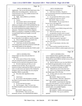|                         | Page 26                                                                                 |                  | Page 27                                                                       |
|-------------------------|-----------------------------------------------------------------------------------------|------------------|-------------------------------------------------------------------------------|
| 1                       | AMY K. EICHNER, PH.D.                                                                   | $\mathbf 1$      | AMY K. EICHNER, PH.D.                                                         |
| $\overline{\mathbf{c}}$ | supplements. That was the link that linked many of the                                  | $\sqrt{2}$       | begin testing for it or looking for it?                                       |
| 3                       | athletes that were testing positive. And that was a                                     | 3                | A. I don't know the history. My guess is                                      |
| $\overline{4}$          | concern because it was very a sudden increase in the                                    | $\bf 4$          | that it's documented somewhere in published literature,                       |
| 5                       | number of positive tests.                                                               | 5                | but I don't know that.                                                        |
| 6                       | Q. Right. And so DMAA is on WADA's                                                      | 6                | Q. It's your belief that DMAA poses a serious                                 |
| $\sqrt{ }$              | prohibited list?                                                                        | $\boldsymbol{7}$ | safety or health risk of some sort, correct?                                  |
| 8                       | A. Correct.                                                                             | 8                | MR. SCOTT: Object as to form.                                                 |
| 9                       | Q. Do you know when it went on that list?                                               | 9                | THE WITNESS: The case reports that we                                         |
| 10                      | A. I do not know when it was specifically                                               | 10               | became aware of did suggest that.                                             |
| 11                      | added as an example on the WADA prohibited list, but                                    | 11               | Q. (By Mr. Marck) What type of case reports                                   |
| 12                      | the WADA prohibited list is a non-exhaustive list, so                                   | 12               | are you referring to?                                                         |
| 13                      | the WADA prohibited list prohibits categories of                                        | 13               | A. We became aware of DMAA being used in New                                  |
| 14                      | substances. Stimulants is one of those categories.                                      | 14               | Zealand as party pills.                                                       |
| 15                      | DMAA is a stimulant, so regardless of whether or not it                                 | 15               | Q. When you you said "we," are you --                                         |
| 16                      | was specifically listed as an example, it was still                                     | 16               | A. Just generally at USADA when we started                                    |
| 17                      | prohibited.                                                                             | 17               | seeing positive tests for this DMAA, we tried to learn                        |
| 18                      | I know at some point, I don't know when,                                                | 18               | as much about this DMAA as we could.                                          |
| 19                      | but at some point, it was added as a specific example.                                  | 19               | Q. What do you mean by "party pills"?                                         |
| 20                      | Q. Prior to it being added, were people even                                            | 20               | A. Well, apparently in New Zealand, around                                    |
| 21                      | looking for it in athletes' test results?                                               | 21               | that time, there were --                                                      |
| 22                      | A. I don't know, but the fact that athletes                                             | 22               | Q. Sorry, if I may interject, what time, what                                 |
| 23                      | were testing positive, that tells me that the WADA labs                                 | 23               | date range?                                                                   |
| 24                      | were testing samples for this substance.                                                | 24               | A. I don't recall but around the time when we                                 |
| 25                      | Q. And do you have any idea why WADA would                                              | 25               | had become aware of DMAA in athlete samples and we were                       |
|                         |                                                                                         |                  |                                                                               |
|                         | Page 28                                                                                 |                  | Page 29                                                                       |
| 1                       |                                                                                         | $\mathbf 1$      |                                                                               |
| $\boldsymbol{2}$        | AMY K. EICHNER, PH.D.<br>trying to figure out what is this and where is it              | $\sqrt{2}$       | AMY K. EICHNER, PH.D.<br>is not a legitimate dietary ingredient, then I think |
| 3                       | coming from.                                                                            | 3                | dietary supplements should be compliant with the law                          |
| 4                       | Q. In the context of these in New Zealand,                                              | $\,4$            | and should not contain DMAA, but that's not my call and                       |
| 5                       | were you seeing these pop up in athletes from New                                       | 5                | that's not USADA's call.                                                      |
| 6                       | Zealand or do you mean part of the general culture?                                     | 6                | Q. (By Mr. Marck) It's your view that DMAA is                                 |
| 7                       | A. We never made any such link, so I can't                                              | 7                | not found in the geranium plant or its oils, correct?                         |
| 8                       | comment on any such link. But as a part of our                                          | 8                | A. We could not find evidence to support that                                 |
| 9                       | research in trying to understand how DMAA came on the                                   | 9                | DMAA is in geranium oil despite our efforts.                                  |
| 10                      | scene, we came across case reports in New Zealand for                                   | 10               | Q. When did you come to have that view?                                       |
| 11                      | emergency room visits of people who were using this                                     | 11               | A. Well, it was a long process that included                                  |
| 12                      | ingredient, DMAA, as party pills.                                                       | 12               | the ElSohly paper; 2012 to be clear.                                          |
| 13                      | Q. Were there other ingredients in these                                                | 13               | Q. So that's when you came to that conclusion                                 |
| 14                      | pills?                                                                                  | 14               | yourself is in 2012?                                                          |
| 15                      | A. I don't know.                                                                        | 15               | MR. SCOTT: Object as to form.                                                 |
| 16                      | Q. Do you know what led people to conclude                                              | 16               | THE WITNESS: What does "objection to                                          |
| 17                      | that DMAA was the causative factor in their admittance                                  | $17\,$           | form" mean? Can somebody please tell me?                                      |
| 18                      | to the hospital?                                                                        | 18               | MR. KOONS: It just means he's objecting                                       |
| 19                      | A. It's all in the Paul Gee papers.                                                     | 19               | to the form of his question. It can be a number of                            |
| 20                      | Paul Gee papers. Okay. Is it your view<br>Q.                                            | $20$             | different things, but you really don't need to concern                        |
| 21                      | that DMAA should be removed from the marketplace,                                       | 21               | yourself with it. It's considered legalese.                                   |
| 22                      | correct?                                                                                | 22               | THE WITNESS: Okay.                                                            |
| 23                      | MR. SCOTT: Object as to form.                                                           | 23               | MR. MARCK: Problem with the phraseology.                                      |
| 24<br>25                | THE WITNESS: That's not my view<br>necessarily, de facto. If it is determined that DMAA | 24<br>25         | MR. KOONS: The way he worded the<br>question.                                 |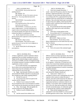# Case 1:13-cv-03675-WBH Document 108-4 Filed 12/30/16 Page 134 of 586

|                         | Page 30                                                                                                       |                | Page 31                                                                                                      |
|-------------------------|---------------------------------------------------------------------------------------------------------------|----------------|--------------------------------------------------------------------------------------------------------------|
| 1                       | AMY K. EICHNER, PH.D.                                                                                         | $\mathbf{1}$   | AMY K. EICHNER, PH.D.                                                                                        |
| 2                       | THE WITNESS: But you don't have to do                                                                         | 2              | A. I don't have enough information. I                                                                        |
| 3                       | anything about it?                                                                                            | 3              | would -- about the FDA process, about how they make                                                          |
| 4                       | MR. MARCK: No.                                                                                                | $\overline{4}$ | decisions, I appreciate that there's a lot at stake.                                                         |
| 5                       | MR. KOONS: He may if he wants to, but you                                                                     | 5              | For instance, for your clients and others and when I                                                         |
| 6                       | don't have to. You can go ahead and answer the                                                                | 6              | was working at the TGA, I appreciated the fact that                                                          |
| 7                       | question.                                                                                                     | 7              | regulators need to be careful and slow in making their                                                       |
| 8                       | THE WITNESS: Can you please read the                                                                          | 8              | decisions. But on the other hand to get to your point,                                                       |
| 9                       | question back to me?                                                                                          | 9              | in order to best serve athletes, clarity from the FDA                                                        |
| 10                      | (The requested portion of the record was                                                                      | $10$           | would be useful, would have been useful at the time and                                                      |
| 11                      | read by the court reporter.)                                                                                  | 11             | continues to be useful.                                                                                      |
| 12                      | THE WITNESS: I would say so, yes, but it                                                                      | 12             | Q. Do you feel that the FDA needs expanded                                                                   |
| 13                      | wasn't a single instance. It was the culmination of a                                                         | 13             | regulatory and/or legal tools to deal with dietary                                                           |
| 14                      | couple of years of researching and concluding in our                                                          | 14             | supplements?                                                                                                 |
| 15                      | own study the ElSohly 2012 paper that we could not find                                                       | 15             | A. I don't have a strong opinion on that.                                                                    |
| 16                      | evidence that DMAA is in germanium oil.                                                                       | 16             | Q. Do you believe the U.S. Government has                                                                    |
| 17                      | Q. (By Mr. Marck) So far have you been                                                                        | $17$           | effective regulations to protect consumers from unsafe                                                       |
| 18                      | pleased with the FDA's approach to removing DMAA from                                                         | $18\,$         | dietary supplements?                                                                                         |
| 19                      | the marketplace?                                                                                              | 19             | MR. SCOTT: Object as to form.                                                                                |
| 20                      | MR. SCOTT: Object to form.                                                                                    | 20             | THE WITNESS: The fact that so many                                                                           |
| 21                      | THE WITNESS: That's kind of a weird                                                                           | 21             | dietary supplements are on the market that may not be                                                        |
| 22                      | question because it's not my role to cast a judgment on                                                       | 22             | legal is a concern.                                                                                          |
| 23                      | what the FDA does.                                                                                            | 23             | Q. (By Mr. Marck) What do you mean by "may                                                                   |
| 24                      | Q. (By Mr. Marck) But I'm still asking what                                                                   | 24             | not be legal"?                                                                                               |
| 25                      | your opinion is.                                                                                              | 25             | A. Well, we're aware of the continued supply                                                                 |
|                         | Page 32                                                                                                       |                | Page 33                                                                                                      |
| $\mathbf 1$             | AMY K. EICHNER, PH.D.                                                                                         | $\mathbf{1}$   | AMY K. EICHNER, PH.D.                                                                                        |
| 2                       | of dietary supplements, products marketed as dietary                                                          | 2              | DMAA's natural occurring in geraniums, that research                                                         |
| 3                       | supplements but are actually something else such as                                                           |                |                                                                                                              |
|                         |                                                                                                               | 3              | doesn't have anything to do with athletic performance,                                                       |
| $\overline{\mathbf{4}}$ | illegal steroids, selected antigen receptor modulators,                                                       | 4              | does it?                                                                                                     |
| 5                       | also known as SARMs, and other investigational drugs                                                          | 5              | A. Well, if it turns out that geranium oil --                                                                |
| 6                       | are included sometimes in products marketed as dietary                                                        | 6              | let me rephrase. At that time, if it turned out in the                                                       |
| 7                       | supplements, so that's a concern.                                                                             | 7              | course of our research that methylhexaneamine was                                                            |
| 8                       | So we would obviously as an organization,                                                                     | 8              | present in geranium oil, then that is relevant because                                                       |
| 9                       | like for there to be an enforcement body that can                                                             | 9              | any athlete taking geranium oil would be consuming a                                                         |
| 10                      | remove those from the marketplace, but we also                                                                | 10             | prohibited substance.                                                                                        |
| 11                      | understand that it's not an easy task.                                                                        | 11             | Q. Who selected the researchers and labs? Or                                                                 |
| 12                      | Q. Right. And obviously USADA we've talked                                                                    | 12             | who selected Dr. ElSohly I should say?                                                                       |
| 13                      | about funded the ElSohly study that we just discussed.                                                        | 13             | A. I don't recall. I believe we -- I                                                                         |
| 14                      | Has it funded any other studies regarding DMAA?                                                               | 14             | remember Dr. Bowers and I contemplating who has the                                                          |
| 15                      | A. Not that I'm aware of.                                                                                     | 15             | expertise in this country to conduct this type of                                                            |
| 16                      | Do you know how much was spent on the<br>Q.                                                                   | 16             | research, and I don't recall exactly how Dr. Khan was                                                        |
| 17<br>18                | research with Dr. ElSohly?                                                                                    | 17<br>18       | selected, but I know that a number of people in our                                                          |
| 19                      | A. I believe it was a contract for 25,000,                                                                    | 19             | organization had been to conferences where he was                                                            |
| 20                      | but you should have that in your documents to confirm<br>and I would trust the documents more than my memory. | 20             | speaking. So our initial, when we initially reached<br>out, it was to Dr. Khan and he pulled in Dr. ElSohly, |
| 21                      | Q. Okay. Fair enough. Who put together the                                                                    | 21             | and after several discussions, we collectively agreed                                                        |
| 22                      | research proposal for the ElSohly study?                                                                      | 22             | as a group that this would be a good collaboration.                                                          |
| 23                      | A. I believe it was Dr. ElSohly and Dr.                                                                       | 23             | Q. Where did the funding come from? I                                                                        |
| 24<br>25                | Bowers.<br>And the research into whether or not                                                               | 24<br>25       | understand it came from USADA in a sense you had a<br>\$25,000 agreement with Dr. Khan. Does all of that     |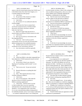|        | Page 34                                                                                          |                  | Page 35                                                                                          |
|--------|--------------------------------------------------------------------------------------------------|------------------|--------------------------------------------------------------------------------------------------|
| 1      | AMY K. EICHNER, PH.D.                                                                            | 1                | AMY K. EICHNER, PH.D.                                                                            |
| 2      | money or does the research grant money that USADA uses,                                          | $\boldsymbol{2}$ | revolved around, you know, where is this coming from,                                            |
| 3      | is that federal money that comes from Congress, or is                                            | 3                | why are athletes testing positive, what can we do to                                             |
| 4      | it outside funding from other groups?                                                            | $\overline{4}$   | protect athletes from accidentally ingesting this                                                |
| 5      | A. I don't know.                                                                                 | 5                | ingredient, or deliberately for that matter.                                                     |
| 6      | Q. Do you know if this research was subject                                                      | 6                | Q. Was he aware of your and Dr. Bowers'                                                          |
| 7      | to any sort of Congressional oversight?                                                          | 7                | efforts to figure out the derivation of DMAA?                                                    |
| 8      | A. I don't know.                                                                                 | 8                | A. He was aware that we were trying to                                                           |
| 9      | Q. Do you know if it was authorized under the                                                    | 9                | determine if we could detect DMAA in geranium oil.                                               |
| 10     | <b>USADA</b> budget?                                                                             | 10               | Q. Was he at all involved in choosing the                                                        |
| 11     | A. I don't know but I have to assume that it                                                     | 11               | researchers that you ended up working with?                                                      |
| 12     | was because normal processes at USADA include                                                    | 12               | A. Not that I'm aware.                                                                           |
| 13     | discussions with finance, that there's sufficient                                                | 13               | Q. Do you know if USADA has statutory                                                            |
| 14     | funds, but I don't know.                                                                         | 14               | authority to engage in scientific research involving                                             |
| 15     | Q. Did Travis Tygart make the decision to                                                        | 15               | dietary supplement ingredients?                                                                  |
| 16     | research DMAA and allocate USADA resources for that?                                             | 16               | A. I don't know.                                                                                 |
| 17     | A. I don't know.                                                                                 | 17               | To the best of your knowledge, has anyone<br>Q.                                                  |
| 18     | Q. Have you ever had any conversations with                                                      | 18               | at the FDA ever requested USADA's involvement or                                                 |
| 19     | him regarding DMAA?                                                                              | 19               | assistance in the area of dietary supplement                                                     |
| 20     | A. Yeah, sure. I don't recall any specific                                                       | 20               | regulation?                                                                                      |
| 21     | conversations, but he was aware and concerned about                                              | 21               | A. No.                                                                                           |
| 22     | athletes testing positive from methylhexaneamine.                                                | 22               | To the best of your knowledge, has anyone<br>O.                                                  |
| 23     | Q. And that's pretty much the extent of your                                                     | 23               | at the FDA ever requested USADA's involvement in the                                             |
| 24     | recollection of your conversations with him?                                                     | 24               | testing of geranium or to determine whether it contains                                          |
| 25     | A. Any conversations would have generally                                                        | 25               | DMAA?                                                                                            |
|        |                                                                                                  |                  |                                                                                                  |
|        |                                                                                                  |                  |                                                                                                  |
|        | Page 36                                                                                          |                  | Page 37                                                                                          |
| 1      | AMY K. EICHNER, PH.D.                                                                            | 1                | AMY K. EICHNER, PH.D.                                                                            |
| 2      | A. No.                                                                                           | 2                | because that has an impact on how we advise athletes                                             |
| 3      | Aside from DMAA, what other compounds have<br>Q.                                                 | 3                | and how we educate them.                                                                         |
| 4      | been subjected to USADA-sponsored research activity?                                             | $\overline{4}$   | It was important for us to understand if                                                         |
| 5<br>6 | A. I don't know.                                                                                 | 5                | it, if DMAA is in geranium oil, then that expands our                                            |
| 7      | Q. Do you know if there's any criteria for                                                       | 6<br>7           | education. We need to tell athletes you can't use                                                |
|        | figuring out if something would be tested? Let me                                                |                  | geranium oil either. And there are a lot of products                                             |
| 8<br>9 | rephrase.                                                                                        | 8<br>9           | that do contain geranium oil. There's different oils                                             |
| 10     | That's not my role. I'm just not involved<br>А.                                                  | 10               | that you can put on your skin; there's things overseas                                           |
| 11     | $in \ldots$                                                                                      | 11               | like cough medications that contain geranium oil. So                                             |
| 12     | Research allocation or anything like that?<br>Q.                                                 | 12               | there was just a general feeling that we needed to                                               |
| 13     | Correct.<br>А.                                                                                   | 13               | understand if it was in geranium oil because if it is,                                           |
| 14     | Okay. Who made the decision to focus<br>Q.                                                       | 14               | then geranium oil possesses a risk to athletes.                                                  |
| 15     | <b>USADA's attention to DMAA?</b>                                                                | 15               | Q. Was there like an either informal working                                                     |
| 16     | A. I don't know.                                                                                 | 16               | group or formal working group regarding DMAA?                                                    |
| 17     | Sorry, let me backtrack. Who made the<br>Q.<br>decision to focus on USADA's attention to         | 17               | A. Not really.                                                                                   |
| 18     |                                                                                                  | 18               | Q. Have you engaged in any -- let me rephrase                                                    |
| 19     | DMAA-containing supplements?                                                                     | 19               | this. Have you ever spoken at a conference regarding                                             |
| 20     | A. I don't know. And the reason I say that<br>is I don't recollect that it was ever a particular | 20               | DMAA or presented at a conference regarding DMAA?<br>A. Probably, but I would have to consult my |
| 21     | individual that said or dictated that this is what we                                            | 21               | CV to work out which presentations, but I have been to                                           |
| 22     | should do. As an organization, like I said earlier,                                              | 22               | conferences before and I also speak to athletes on any                                           |
| 23     | it's we were concerned about athletes testing positive                                           | 23               | prohibited substance, so                                                                         |
| 24     | for methylhexaneamine, and we were trying to understand                                          | 24               | Q. Would USADA fund your appearance at those                                                     |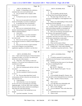|                | Page 38                                                                                                        |                | Page 39                                                                                         |
|----------------|----------------------------------------------------------------------------------------------------------------|----------------|-------------------------------------------------------------------------------------------------|
| 1              | AMY K. EICHNER, PH.D.                                                                                          | $\mathbf{1}$   | AMY K. EICHNER, PH.D.                                                                           |
| 2              | A. Possibly. Or depending on the conference,                                                                   | $\sqrt{2}$     | DMAA?                                                                                           |
| 3              | sometimes they cover travel and hotel and                                                                      | 3              | A. No.                                                                                          |
| 4              | Q. Are you familiar with a company called                                                                      | $\overline{4}$ | Q. Are you familiar with the lawsuit                                                            |
| 5              | Chromodex?                                                                                                     | 5              | involving Army Private Michael Sparling?                                                        |
| 6              | A. I've heard the name, but I am not familiar                                                                  | 6              | A. The name rings a bell, but I was -- I'm                                                      |
| 7              | with $\ldots$                                                                                                  | 7              | not aware of the litigation or what happened in the                                             |
| 8              | Q. Have you ever personally had contact with                                                                   | 8              | litigation.                                                                                     |
| 9              | anyone at Chromodex, its owners or employees?                                                                  | 9              | Q. What's your understanding of what actually                                                   |
| 10             | A. It's possible that I have, but honestly I                                                                   | 10             | happened to Private Sparling?                                                                   |
| 11             | just don't, I just don't know, I can't put a name to                                                           | 11             | A. From my recollection, he was a soldier who                                                   |
| 12             | the company.                                                                                                   | 12             | was -- he died, I believe, and it was attributed at the                                         |
| 13             | Q. Have you ever communicated with any                                                                         | 13             | time by the military partially to consumption of                                                |
| 14             | attorneys representing persons alleged to be injured by                                                        | 14             | methylhexaneamine, if my memory serves me.                                                      |
| 15             | DMAA-containing products?                                                                                      | 15             | Q. Have you ever had any conversations with                                                     |
| 16             | A. I don't know.                                                                                               | 16             | the attorneys who represented his family?                                                       |
| 17             | Q. You don't know or you don't remember?                                                                       | 17             | A. I don't recall, but it's possible because                                                    |
| 18             | A. I don't remember. I mean, it's possible,                                                                    | 18             | I remember, and I don't even know what year this was,                                           |
| 19             | but I don't recall.                                                                                            | 19             | but his mom contacted me at some point.                                                         |
| 20             | Q. Have you ever served as a paid consultant                                                                   | 20             | Q. Right. And did you speak with her?                                                           |
| 21             | to any attorneys involved in a DMAA-related litigation?                                                        | 21             | A. I think so, yes.                                                                             |
| 22             | A. No.                                                                                                         | 22             | O. What were the nature of those                                                                |
| 23<br>24       | Q. Have you ever served as a paid consultant                                                                   | 23<br>24       | communications, do you remember, telephone, email?                                              |
| 25             | to any kind of litigation concerning dietary<br>supplements regardless of whether or not they have             | 25             | A. Probably both. I don't really remember<br>clearly. I would have to go back and review. Those |
|                |                                                                                                                |                |                                                                                                 |
|                |                                                                                                                |                |                                                                                                 |
|                | Page 40                                                                                                        |                | Page 41                                                                                         |
| $1\,$          |                                                                                                                | $\mathbf{1}$   |                                                                                                 |
| 2              | AMY K. EICHNER, PH.D.                                                                                          | $\sqrt{2}$     | AMY K. EICHNER, PH.D.                                                                           |
| 3              | were -- I don't recall reviewing any of those documents<br>to prepare for today, so, I'm sorry, my memory just | 3              | Q. If $-$<br>A. I would be surprised if it turned out that                                      |
| $\overline{4}$ | doesn't serve me in this instance.                                                                             | 4              | I reached out to her because I wasn't involved in the                                           |
| 5              | Q. That's fine. Your memory is what your                                                                       | 5              | initial, you know.                                                                              |
| 6              | memory is. Do you have any recollection as to who                                                              | 6              | Q. Would she have been aware of you through                                                     |
| 7              | reached out to who?                                                                                            | 7              | the press or something like that?                                                               |
| 8              | I don't remember.<br>А.                                                                                        | 8              | You know --<br>А.                                                                               |
| 9              | Have you communicated with her in the last<br>Q.                                                               | 9              | MR. SCOTT: Objection.                                                                           |
| 10             | two years?                                                                                                     | 10             | (By Mr. Marck) You're good. You can<br>Q.                                                       |
| 11             | A. No, I don't believe so, no.                                                                                 | 11             | answer.                                                                                         |
| 12             | Was she considered a friend at any point,<br>Q <sub>r</sub>                                                    | 12             | To form again?<br>А.                                                                            |
| 13             | or was it --                                                                                                   | 13             | Yes.<br>Q.                                                                                      |
| 14             | A. No. The one salient detail that I recall                                                                    | 14             | It was probably through Dr. Deuster, who<br>А.                                                  |
| 15             | in discussions with her is that she was obviously very                                                         | 15             | was and still is at the Uniformed Services University.                                          |
| 16             | upset about her son.                                                                                           | 16             | Right. And this is Patricia Deuster,<br>Q.                                                      |
| 17             | Q. Understandable.                                                                                             | 17             | right?                                                                                          |
| 18             | A. And at that time, it was very important                                                                     | 18             | That's correct.<br>А.                                                                           |
| 19             | for her to be active in preventing any such thing                                                              | 19             | Let's talk about your relationship with<br>Q.                                                   |
| 20             | happening again. So for her, that's what I remember                                                            | 20             | her a little bit. How do you know her?                                                          |
| 21             | the most is that she really wanted to do something to                                                          | 21<br>22       | She's a work colleague.<br>А.                                                                   |
| 22             | help make the world safer basically.                                                                           | 23             | Can you elaborate? Start with where does<br>Q.                                                  |
| 23<br>24       | Q. Do you know if she reached out to you                                                                       | 24             | she work?<br>А.                                                                                 |
| 25             | though?<br>A. I just don't remember. I'm sorry.                                                                | 25             | Uniformed Services University.<br>Where is that?<br>Q.                                          |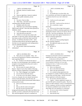|                  | Page 42                                                                                                        | Page 43                                                             |
|------------------|----------------------------------------------------------------------------------------------------------------|---------------------------------------------------------------------|
| $\mathbf{1}$     | AMY K. EICHNER, PH.D.                                                                                          | 1<br>AMY K. EICHNER, PH.D.                                          |
| 2                | Bethesda, America's medical school.<br>А.                                                                      | 2<br>No.<br>А.                                                      |
| 3                | Yes.<br>Q.                                                                                                     | 3<br>Okay.<br>Q.                                                    |
| 4                | $So -$<br>A.                                                                                                   | 4<br>It's possible that it was Dave Ellis, who<br>A.                |
| 5                | Stop you right there, America's medical<br>Q.                                                                  | 5<br>was a nutritionist, and I believe he might have been at        |
| 6                | school, is that a public institution, private                                                                  | 6<br>a conference that she was at, but I really don't               |
| 7                | institution?                                                                                                   | 7<br>recall.                                                        |
| 8                | A. I'm sorry, I have no idea.                                                                                  | 8<br>Q. Could you say his name again?                               |
| 9                | That's okay. And when was your last<br>Q.                                                                      | 9<br>A. Dave Ellis.                                                 |
| 10               | communication with Miss Deuster?                                                                               | 10<br>Q. Dave Ellis. Could you tell me who he is?                   |
| 11               | A. Probably earlier this week.                                                                                 | 11<br>A. He's a nutritionist, a sports                              |
| 12               | What have your conversations regarding<br>Q.                                                                   | 12<br>nutritionist.                                                 |
| 13               | DMAA been with her? Have they been typically by                                                                | 13<br>Q. Did you ever discuss legal claims against                  |
| 14               | telephone, email?                                                                                              | 14<br>manufacturers of DMAA-containing supplements with her,        |
| 15               | A. A lot via telephone and some via email.                                                                     | 15<br>meaning Ms. Deuster? Did you ever discuss, did you --         |
| 16               | And when did you meet her?<br>Q.                                                                               | 16<br>strike that. Start from the beginning. Have you ever          |
| 17               | A. I believe we were put into contact with                                                                     | 17<br>discussed any legal claims against manufacturers of           |
| 18               | each other or came into contact with each other could                                                          | 18<br>DMAA-containing supplements?                                  |
| 19               | have been as early as 2010, but I don't recall 100                                                             | 19<br>A. Legal claims?                                              |
| 20               | percent. It could have also been in 2011. And I                                                                | 20<br>Q. Did you ever discuss pending litigation                    |
| 21               | recall discussing with her she had put together the                                                            | 21<br>like Mr. Sparling's litigation?                               |
| 22               | fact that we as an organization were seeing positive                                                           | 22<br>A. She might have made me aware of the                        |
| 23               | tests for methylhexaneamine.                                                                                   | 23<br>pending litigation.                                           |
| 24               | Q. Do you know where she learned that                                                                          | 24<br>Q. But that's it?                                             |
| 25               | information?                                                                                                   | 25<br>Yeah.<br>А.                                                   |
|                  | Page 44                                                                                                        | Page 45                                                             |
| $\mathbf{1}$     | AMY K. EICHNER, PH.D.                                                                                          | $\mathbf{1}$<br>AMY K. EICHNER, PH.D.                               |
| $\boldsymbol{2}$ | Q. That's all you can remember. Okay. Are                                                                      | 2<br>learnings up to that point on the laws around dietary          |
| 3                | you aware the Department of Defense commissioned a                                                             | 3<br>supplements like what is a dietary supplement.                 |
| $\bf 4$          |                                                                                                                |                                                                     |
|                  | study regarding DMAA?                                                                                          | $\overline{4}$<br>At that time in 2010 and 2011, I                  |
| 5                | A. No. Actually if you told me the name of                                                                     | 5<br>personally and as an organization, USADA, did not have         |
| 6                | the study or an outcoming paper, then I probably would                                                         | 6<br>a lot of expertise in that area, so it was a big               |
| 7                | recognize it, but using the terms that you've used, it                                                         | 7<br>learning curve for us. So that was my primary                  |
| 8                | doesn't ring a bell for me.                                                                                    | 8<br>contribution to those articles.                                |
| 9                | Q. Are you aware of a report called Case                                                                       | 9<br>Who is Lori Bestervelt?<br>Q.                                  |
| 10               | Reports: Death of Active Duty Soldiers Following                                                               | 10<br>She is at the NSF International.<br>A.                        |
| 11               | Injection of Dietary Supplements Containing DMAA?                                                              | 11<br>What is the NSF International?<br>Q.                          |
| 12               | A. Yes. That is language I can recognize.                                                                      | 12<br>It is a standard setting organization that<br>А.              |
| 13               | Can you tell me about that article?<br>Q.                                                                      | 13<br>sets standards for a number of different products such        |
| 14               | A. It was one or two case reports, I believe                                                                   | 14<br>as water filters and other things. And they also had a        |
| 15               | it was two, of people who were injured, had adverse                                                            | 15<br>dietary supplement certification program.                     |
| 16               | events of some description, and at the time, the                                                               | 16<br>Q. Do you know what that consists of?                         |
| 17               | researchers and the medical professionals linked DMAA                                                          | 17<br>Vaguely. A dietary supplement company can<br>А.               |
| 18               | to those adverse events.                                                                                       | 18<br>go to the NSF and be evaluated for quality. They do an        |
| 19               | Q. Were you involved in the actual study?                                                                      | 19<br>analysis of GMP compliance, which is Good Manufacturing       |
| 20               | A.<br>No.                                                                                                      | 20<br>Practice compliance, and they test dietary supplements        |
| 21               | Did you edit the results in the paper?<br>Q.                                                                   | $2\sqrt{1}$<br>for substances prohibited in sport and they do a few |
| 22               | My role was just to provide some<br>А.                                                                         | 22<br>other things, but it all culminates in a certification.       |
| 23               | background information on like where was DMAA first                                                            | 23<br>Q. Are you in contact with her frequently?                    |
| 24<br>25         | used like, you know, produced by Eli Lilly back in the<br>'40s, nasal decongestant, and just to contribute our | 24<br>Not currently, no.<br>А.<br>25<br>When did that stop?<br>Q.   |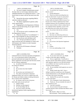|                  | Page 46                                                           |                  | Page 47                                                 |
|------------------|-------------------------------------------------------------------|------------------|---------------------------------------------------------|
| $\mathbf{1}$     | AMY K. EICHNER, PH.D.                                             | $\mathbf 1$      | AMY K. EICHNER, PH.D.                                   |
| 2                | A. We were in regular communication around                        | $\sqrt{2}$       | Q. You said that's the Consumer Protection              |
| 3                | the time when we were trying to determine where                   | 3                | Branch, correct?                                        |
| 4                | methylhexaneamine was coming from and it's -- I just              | $\overline{4}$   | A. Uh-huh (affirmative).                                |
| 5                | haven't been in contact with her that much since that             | 5                | Q. What do you believe providing these test             |
| 6                | time.                                                             | 6                | results for what reason? As part of a prosecution?      |
| 7                | Beyond the discussions regarding DMAA,<br>O.                      | $\sqrt{ }$       | A. No, just general information. So if we --            |
| 8                | what else would you discuss?                                      | 8                | in other studies not related to DMAA, but just if we    |
| 9                | A. Oh, dietary supplements in general, safety                     | 9                | become aware of dietary supplements that contain        |
| 10               | issues, general topics.                                           | $10$             | prohibited substances that are prohibited in sport and  |
| 11               | Q. Hopping back to the Department of Defense                      | $1\,1$           | we have reason to believe or there's evidence that it's |
| 12               | study we were just discussing, do you agree with the              | 12               | not a legitimate dietary ingredient, we have in the     |
| 13               | report's conclusions?                                             | 13               | past shared those tests results with Jill Furmann.      |
| 14               |                                                                   | 14               |                                                         |
| 15               | Yes.<br>A.                                                        | $15$             | Q. Do you know what she does with those                 |
| 16               | Do you do any work in coordination with<br>O.                     | 16               | results?                                                |
| 17               | the Department of Justice?                                        | 17               | No, I don't. I don't.<br>А.                             |
|                  | A. What do you mean by "in coordination"? I                       |                  | Have they ever followed up with you to<br>Q.            |
| 18               | guess it kind of depends on what you mean by that.                | 18               | have someone from either yourself or someone from USADA |
| 19               | Do you do any work with them at all?<br>Q.                        | 19               | serve as an expert witness in a case?                   |
| 20               | A. Yes. We have provided test results to                          | 20               | A. No.                                                  |
| 21               | them in the past and I am sometimes in contact with               | 21               | Do you know what Operation Supplement<br>Q.             |
| 22               | Jill Furmann, who I believe is in the Consumer                    | 22               | Safety is?                                              |
| 23               | Protection Branch.                                                | 23               | Yes.<br>А.                                              |
| 24               | Did you say Jill Furmann or Herman?<br>Q.                         | 24               | Explain.<br>Q.                                          |
| 25               | Furmann.<br>A.                                                    | 25               | It is to my understanding, it is the<br>А.              |
|                  |                                                                   |                  |                                                         |
|                  |                                                                   |                  |                                                         |
|                  | Page 48                                                           |                  | Page 49                                                 |
| 1                | AMY K. EICHNER, PH.D.                                             | $\,1$            | AMY K. EICHNER, PH.D.                                   |
| $\boldsymbol{2}$ | Uniformed Services University equivalent of Supplement            | $\sqrt{2}$       | So you never reach out to, say, Health<br>Q.            |
| 3                | 411. It is an educational website to help military                | $\mathsf 3$      | Canada or some other agency regarding --                |
| $\,4$            | personnel understand and navigate the risks around                | $\overline{4}$   | A. Not on a regular basis. I recall early in            |
| 5                | dietary supplements and make good safe decisions around           | 5                | the piece with the whole DMAA question, reaching out to |
| 6                | the use of dietary supplements.                                   | $\epsilon$       | other regulatory agencies to see what their position    |
| 7                | Q. So similar to the hotline that you manage                      | $\boldsymbol{7}$ | was on DMAA, but I don't recall the outcome, the        |
| 8                | for USADA for athletes?                                           | 8                | outcomes of those inquiries.                            |
| 9                | A. Yes.                                                           | 9                | Q. Do you remember which agencies you were in           |
| 10               | Do you know how that's funded?<br>Q.                              | 10               | contact with?                                           |
| 11               | No.<br>А.                                                         | 11               | A. Health Canada rings a bell. I have a                 |
| 12               | Do you have any involvement in it?<br>Q.                          | 12               | feeling I would have reached out to the Therapeutic     |
| 13               | A. Not a direct involvement in Operation                          | 13               | Goods Administration as well; although I don't recall   |
| 14               | Supplement Safety, but I work on a regular basis with             | 14               | receiving a clear answer from them.                     |
| 15               | Dr. Deuster and Andrea Lindsey in sharing information             | 15               | Q. And the TPA you said is the Australian               |
| 16               | that is useful for their stakeholders.                            | 16               | version of the FDA?                                     |
| 17               | Q. Dr. Deuster, and I'm sorry, the person                         | 17               | A. TGA, Therapeutic Goods Administration.               |
| 18               | who's other name you just said was?                               | 18               | Q. Thank you. Do you remember the nature of             |
| 19               | A. Andrea Lindsey.                                                | 19               | their responses to you?                                 |
| 20               | Did they run that program?<br>Q.                                  | 20               | A. I just don't remember.                               |
| 21               | To my knowledge, they do.<br>А.                                   | 21               | Q. Are you aware of any peer reviewed                   |
| 22               | Are you in contact with other<br>Q.                               | 22               | scientific literature which concludes that DMAA causes  |
| 23               |                                                                   | 23               | liver toxicity?                                         |
| 24               | international regulatory bodies regarding dietary<br>supplements? | 24               | MR. SCOTT: Object as to form.                           |
| 25               | No.<br>А.                                                         | 25               | THE WITNESS: There's probably papers out                |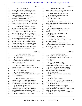|          | Page 50                                                                                     | Page 51                                                                            |
|----------|---------------------------------------------------------------------------------------------|------------------------------------------------------------------------------------|
| 1        | AMY K. EICHNER, PH.D.                                                                       | 1<br>AMY K. EICHNER, PH.D.                                                         |
| 2        | there that have established that. I just don't know.                                        | $\overline{\mathbf{c}}$<br>through would be to do a literature search and evaluate |
| 3        | Q. (By Mr. Marck) Can you identify any peer                                                 | 3<br>a number of abstracts to see whether                                          |
| 4        | reviewed scientific literature which concludes that                                         | $\overline{4}$<br>Q. Right. But off the top of your head --                        |
| 5        | DMAA causes liver injury in humans?                                                         | 5<br>A. Off the top of my head, I mean I just                                      |
| 6        | MR. SCOTT: I'm sorry, could you repeat                                                      | 6<br>don't recall sufficiently to                                                  |
| 7        | the question? I lost the last part of it.                                                   | $\overline{7}$<br>Q. That's a fine answer.                                         |
| 8        | Q. (By Mr. Marck) Sure, no problem. Can you                                                 | 8<br>Okay.<br>A.                                                                   |
| 9        | identify any peer reviewed scientific literature which                                      | 9<br>Q. Don't mean to put words in your mouth. I                                   |
| 10       | concludes that DMAA causes liver injury in humans?                                          | 10<br>just wanted to know if you know right now whether or                         |
| 11       | MR. SCOTT: Object as to form.                                                               | 11<br>not X, Y, Z exists.                                                          |
| 12       | THE WITNESS: I don't recall, but if you                                                     | 12<br>A. Sure.                                                                     |
| 13       | put me in front of a computer, I know how to do the                                         | 13<br>Q. Speaking of the Eliason article, the DOD                                  |
| 14       | search to determine whether there is literature.                                            | 14<br>article you've been referring to, was that peer                              |
| 15       | Q. (By Mr. Marck) Okay. I believe you. Can                                                  | 15<br>reviewed?                                                                    |
| 16       | you identify any peer reviewed scientific literature                                        | 16<br>A. I believe so. What journal is it in?                                      |
| 17       | which concludes that DMAA causes heat stroke in humans?                                     | 17<br>Military Medicine?                                                           |
| 18       | A. I recall that heat stroke was a part of                                                  | 18<br>Q. No, this actually says no med.                                            |
| 19       | the case reports if that's correct, the Eliason paper.                                      | 19<br>A. Yeah, I believe that is a peer reviewed                                   |
| 20       | I seem to recall that there, there may be literature                                        | 20<br>journal, but the best way to verify that is to consult                       |
| 21       | out there, but again, to really answer your question,                                       | the journal web page.<br>21                                                        |
| 22       | if your question is, not to put words in your mouth,                                        | 22<br>Q. Can you identify any peer reviewed                                        |
| 23       | but if your question is, is there evidence, valid                                           | 23<br>scientific literature which concludes that DMAA impairs                      |
| 24       | evidence that it causes liver damage or heat stroke,                                        | 24<br>human thermoregulation in any way?                                           |
| 25       | things like that, then the process that I would go                                          | 25<br>A. Again, my process --                                                      |
|          |                                                                                             |                                                                                    |
|          | Page 52                                                                                     | Page 53                                                                            |
| 1        |                                                                                             | $\mathbf{1}$<br>AMY K. EICHNER, PH.D.                                              |
| 2        | AMY K. EICHNER, PH.D.<br>If it's the same answer, you can say --<br>Q.                      | $\overline{\mathbf{c}}$<br>Really I would have to go through a process.            |
| 3        | Same answer.<br>А.                                                                          | 3<br>Q. Have you ever been in contact with the FDA                                 |
| 4        | Can you identify any peer reviewed<br>Q.                                                    | $\overline{4}$<br>or its employees?                                                |
| 5        | scientific literature which concludes that DMAA causes                                      | 5<br>A. Yes.                                                                       |
| 6        | rhabdomyolysis in humans?                                                                   | When was your first contact?<br>6<br>O.                                            |
| 7        | A. Same answer.                                                                             | 7<br>A. I don't recall, but it would have been                                     |
| 8        | Q. Can you identify any peer reviewed                                                       | 8<br>sometime after 2009 when I took up my job at USADA.                           |
| 9        | scientific literature which concludes that DMAA causes                                      | 9<br>Q. And when you are in contact with them,                                     |
| 10       | heart attacks in humans?                                                                    | 10<br>what's the nature of those communications? Is it                             |
| 11       | A. Again, same answer.                                                                      | 11<br>typically telephone, email, write a letter?                                  |
| 12       | Can you identify any peer reviewed<br>Q.                                                    | 12<br>A. Typically email.                                                          |
| 13       | scientific literature which concludes that DMAA causes                                      | 13<br>Do you know an individual named Daniel<br>Q.                                 |
| 14       | cardiac dysrhythmia?                                                                        | 14<br>Fabricant?                                                                   |
| $15\,$   | A. Same answer.                                                                             | 15<br>A. Yes, I do.                                                                |
| 16       | Q. Can you identify any peer reviewed                                                       | 16<br>When did you meet him?<br>O.                                                 |
| 17       | scientific literature which describes a confirmed                                           | 17<br>When did I meet him? I met him originally<br>А.                              |
| 18       | biological mechanism of action through which                                                | 18<br>when he was a part of the Natural Products Association.                      |
| 19       | DMAA-containing supplements cause harm in humans?                                           | 19<br>What's the NPA?<br>Q.                                                        |
| 20       | A. Repeat your question, please.                                                            | 20<br>It's a trade association for, I believe,<br>А.                               |
| 21       | Can you identify any peer reviewed<br>Q.                                                    | 21<br>retailers of dietary supplements, but to find the                            |
| 22       | scientific literature which describes a confirmed                                           | 22<br>actual answer, I would need to consult the NPA website                       |
| 23       | biological mechanism of action through which                                                | 23<br>to find out who exactly they represent.                                      |
| 24<br>25 | DMAA-containing supplements cause harm in humans?<br>A. No, I'm not aware, but same answer. | 24<br>Q. Do you know what his role was at NPA when<br>25<br>you met him?           |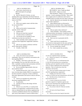|          | Page 54                                                                                                            |                                                                      | Page 55 |
|----------|--------------------------------------------------------------------------------------------------------------------|----------------------------------------------------------------------|---------|
| 1        | AMY K. EICHNER, PH.D.                                                                                              | $\mathbf{1}$<br>AMY K. EICHNER, PH.D.                                |         |
| 2        | A. I don't know what his title was.                                                                                | 2<br>MR. MARCK: Sorry, Claude, go ahead.                             |         |
| 3        | (Brief interruption for package)                                                                                   | 3<br>MR. SCOTT: Object as to form.                                   |         |
| 4        | (Break)                                                                                                            | 4<br>THE WITNESS: I believe I can answer that                        |         |
| 5        | Q. (By Mr. Marck) Dr. Eichner, we were                                                                             | 5<br>question. I recall a meeting at Ole Miss. They would            |         |
| 6        | speaking about your relationship with Daniel Fabricant                                                             | 6<br>host a regular series of conferences and I seem to              |         |
| 7        | while he was at NPA. Did you also know him during his                                                              | $\sqrt{ }$<br>remember that he was there one year when I went there. |         |
| 8        | tenure at the FDA?                                                                                                 | 8<br>Q. (By Mr. Marck) Do you remember the subject                   |         |
| 9        | A. Yes.                                                                                                            | 9<br>matter of that conference?                                      |         |
| 10       | Were you in regular contact with him when<br>Q <sub>r</sub>                                                        | 10<br>A. Many different topics are discussed at                      |         |
| 11       | he was with the FDA?                                                                                               | 11<br>those conferences, but there's often a large botanical         |         |
| 12       | Yes.<br>Α.                                                                                                         | 12<br>component because Ole Miss is known for its botanical          |         |
| 13       | What was the mode of communication<br>O.                                                                           | 13<br>expertise.                                                     |         |
| 14       | typically with Dr. Fabricant?                                                                                      | 14<br>Q. Did you speak at that conference?                           |         |
| 15       | A. Usually email.                                                                                                  | 15<br>A. I don't remember. I have spoken as those                    |         |
| 16       | Did you ever meet him in person?<br>Q.                                                                             | 16<br>conferences before, but honestly, I would have to look         |         |
| 17       | I would see him at conferences.<br>А.                                                                              | 17<br>back at my presentation record to see if I spoke at any        |         |
| 18       | Can you give me an example of some<br>O.                                                                           | 18<br>particular conference.                                         |         |
| 19       | conferences you may have met him at?                                                                               | 19<br>Q. Have you ever co-presented with Dr.                         |         |
| 20       | A. I don't remember which conferences, but it                                                                      | 20<br>Fabricant?                                                     |         |
| 21       | could have been SupplySide, SupplySide Conference                                                                  | 21<br>A. I don't recall, but it's possible that --                   |         |
| 22       | Series.                                                                                                            | 22<br>I've served on certain panels over the years and he may        |         |
| 23       | Did you ever attend a conference with him<br>Q <sub>r</sub>                                                        | 23<br>have been on one, but I don't recall a particular one.         |         |
| 24       | and Dr. Khan and Dr. ElSohly?                                                                                      | 24<br>Q. Do you consider him a friend?                               |         |
| 25       | A. Actually, I think I did.                                                                                        | 25<br>A. No. I don't consider him an enemy.                          |         |
|          |                                                                                                                    |                                                                      |         |
|          | Page 56                                                                                                            |                                                                      | Page 57 |
| 1        |                                                                                                                    | $\mathbf{1}$<br>AMY K. EICHNER, PH.D.                                |         |
| 2        | AMY K. EICHNER, PH.D.<br>Q. I know, the extent of your personal                                                    | $\sqrt{2}$<br>was also not a legitimate dietary ingredient.          |         |
| 3        | relationship. Have you ever had any conversations with                                                             | $\mathsf 3$<br>Q. What do you mean by "not a legitimate              |         |
| 4        | him regarding DMAA?                                                                                                | $\bf 4$<br>dietary ingredient"?                                      |         |
| 5        | A. Probably. And I know at the time, and I                                                                         | 5<br>A. Well, so the way we would determine that                     |         |
| 6        | don't remember if he was at the NPA at this time or the                                                            | 6<br>is if the FDA had issued previous warning letters               |         |
| 7        | FDA. I probably would have had conversations with him                                                              | $\sqrt{ }$<br>regarding a particular ingredient and then we became   |         |
| 8        | in both of his roles regarding DMAA.                                                                               | 8<br>aware of a dietary supplements that contained that              |         |
| 9        | Do you remember approximately what year<br>Q.                                                                      | 9<br>ingredient. Then we would always share that                     |         |
| 10       | that would have been?                                                                                              | 10<br>information with the FDA.                                      |         |
| 11       | Anytime between 2011, 2012, 2013. You<br>А.                                                                        | 11<br>Q. Were you USADA's primary point of contact                   |         |
| 12       | know, the issue about whether DMAA is in geranium oil                                                              | 12<br>with FDA regarding dietary supplements?                        |         |
| 13       | has been around for a long time, so there would have                                                               | 13<br>A. Probably, but I don't know if other                         |         |
| 14       | been many opportunities and reasons to discuss with him                                                            | 14<br>members of USADA also had communications with the FDA.         |         |
| 15       | or others.                                                                                                         | 15<br>Q. But did you have a formal role as a                         |         |
| 16       | Q. And do you remember the content of the                                                                          | 16<br>liaison between the two?                                       |         |
| 17       | discussions regarding DMAA at all?                                                                                 | 17<br>A. It wasn't a formal role, but USADA                          |         |
| 18       | A. No particulars.                                                                                                 | 18<br>generally is supportive of regulatory agencies and             |         |
| 19       | And did you discuss other things with him<br>Q.                                                                    | 19<br>where we have information that could help the FDA or<br>$20\,$ |         |
| 20<br>21 | besides DMAA?                                                                                                      | any regulatory agency, then we share that.<br>$2\sqrt{1}$            |         |
| 22       | A. When he was at the FDA, we would provide                                                                        | Q. Do you know where Dr. Fabricant currently<br>22                   |         |
| 23       | USADA as an organization, would provide test results                                                               | works?<br>23<br>A. He's back at the Natural Products                 |         |
| 24       | when we obtained them for any dietary supplement that                                                              | 24<br>Association.                                                   |         |
| 25       | contained a prohibited substance that was prohibited in<br>sport, and we had evidence or reason to believe that it | 25<br>Q. And do you know how long he's been back                     |         |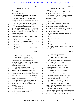|          | Page 58                                                 |                         | Page 59                                                                                  |
|----------|---------------------------------------------------------|-------------------------|------------------------------------------------------------------------------------------|
| 1        | AMY K. EICHNER, PH.D.                                   | $1\,$                   | AMY K. EICHNER, PH.D.                                                                    |
| 2        | there?                                                  | $\overline{a}$          | cleared it up.                                                                           |
| 3        | A. I don't remember his exact transition                | 3                       | A. But to confirm what those initials stand                                              |
| 4        | date, but it's been a while.                            | $\overline{4}$          | for, we would need to consult the website.                                               |
| 5        | Q. Have you been in contact with him since              | 5                       | Q. Gotcha. Do you know what the relationship                                             |
| 6        | he's been back at NPA?                                  | 6                       | currently is between USADA and the FDA's Dietary                                         |
| 7        | A. I don't think so, but it's possible that I           | $\boldsymbol{7}$        | Supplements Office?                                                                      |
| 8        | emailed him, but I don't recall any particulars of why  | 8                       | A. I'm not aware of any particular --                                                    |
| 9        | I would.                                                | 9                       | Ongoing relationship?<br>Q.                                                              |
| 10       | Q. So in his role at NPA, you can't think of            | 10                      | Ongoing relationship, other than the fact<br>A.                                          |
| 11       | why you would actually be in contact with him there?    | 11                      | that as we come across dietary supplements that we                                       |
| 12       | A. Well, I can generally say that since we              | 12                      | believe or have reason to believe that contain                                           |
| 13       | published our paper, the 2012 article, and then shortly | 13                      | ingredients that are not legitimate dietary ingredients                                  |
| 14       | thereafter, I think maybe 2012, 2013, we just haven't   | 14                      | and where we have knowledge that could be useful, then                                   |
| 15       | had a lot of dealings with the trade associations, with | 15                      | we share that with the FDA.                                                              |
| 16       | any trade association.                                  | 16                      | Q. And do you make recommendations as to                                                 |
| 17       | So you know, I do maybe once or twice a                 | 17                      | policy?                                                                                  |
| 18       | year have an email to or from CRN or AHPA or it could   | 18                      | A. No.                                                                                   |
| 19       | even be the MPA.                                        | 19                      | Do you recommend certain enforcement<br>Q.                                               |
| 20       | Q. Can you explain who CRN is?                          | 20                      | actions?                                                                                 |
| 21       | A. Council For Responsible Nutrition and AHPA           | 21                      | No.<br>А.                                                                                |
| 22       | is American Herbal Products Association, I think.       | 22                      | And recommend any regulatory actions?<br>Q.                                              |
| 23       | Q. AHPA?                                                | 23<br>24                | А.<br>No.                                                                                |
| 24<br>25 | A. AHPA.                                                | 25                      | Q. Were any formal meetings held with the FDA                                            |
|          | I thought you were saying OPPA, so glad we<br>Q.        |                         | regarding DMAA?                                                                          |
|          | Page 60                                                 |                         | Page 61                                                                                  |
| 1        | AMY K. EICHNER, PH.D.                                   | 1                       | AMY K. EICHNER, PH.D.                                                                    |
| 2        | MR. SCOTT: Object as to form.                           | $\overline{\mathbf{c}}$ | Q. Do you know that for sure?                                                            |
| 3        | THE WITNESS: Formal meetings.                           | 3                       | A. I don't. I'm not aware of any such                                                    |
| 4        | Q. (By Mr. Marck) I'll describe that as like            | 4                       | funding.                                                                                 |
| 5        | a teleconference where the subject matter was           | 5                       | Q. Did the FDA provide any financial support                                             |
| 6        | determined to be DMAA or an in-person meeting where     | 6                       | for USADA activities regarding DMAA?                                                     |
| 7        | people from USADA, including yourself, and someone from | 7                       | A. Not that I'm aware.                                                                   |
| 8        | FDA met to discuss DMAA.                                | 8                       | Q. Have you ever heard of the Natural                                                    |
| 9        | MR. SCOTT: Same objection.                              | 9                       | Products Research Center at the University of                                            |
| 10       | THE WITNESS: I don't recall any such                    | 10                      | Mississippi?                                                                             |
| 11       | meetings. Like I said, if I was at a conference with    | 11                      | A. Possibly, but is that Phytochemical?                                                  |
| 12       | Dan Fabricant or other members of the FDA, then I would | 12                      | Q. It's not.                                                                             |
| 13       | take that occasion to talk about USADA's concerns about | 13                      | Okay. So that name doesn't ring a bell to<br>А.                                          |
| 14       | DMAA, but I don't recall any specific formal meetings   | 14                      | me as a specific entity that I had any dealings with,                                    |
| 15       | where we met to discuss whether or not it was a legal   | 15<br>16                | but I could easily, if ElSohly is a part of that, then,                                  |
| 16       | ingredient or something like that.                      | 17                      | I'm having dealings with that.                                                           |
| 17       | Q. When you would run into Dan Fabricant at,            |                         | Q. I gotcha. Do you know if USADA's ever                                                 |
| 18<br>19 | say, a conference, whether it be SupplySide or down at  | 18<br>19                | actually provided any funding to the Center?                                             |
| 20       | Ole Miss, would you consider your activities like       | 20                      | A. I don't know. Aside from the \$25,000                                                 |
| 21       | lobbying?<br>MR. SCOTT: Object as to form.              | 21                      | contract, which I believe was \$25,000, the contract<br>with ElSohly's and Khan's group. |
| 22       | THE WITNESS: No.                                        | 22                      | Q. And in order to expedite things, I'll say                                             |
| 23       | Q. (By Mr. Marck) Did FDA provide any                   | 23                      | "Ole Miss" because you know what I'm talking about and                                   |
| 24       | financial support for USADA activities?                 | 24                      | we're referring to the University of Mississippi, but                                    |
| 25       | A. No.                                                  | 25                      | we'll just make things a little bit quicker, especially                                  |
|          |                                                         |                         |                                                                                          |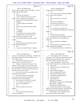# Case 1:13-cv-03675-WBH Document 108-4 Filed 12/30/16 Page 142 of 586

|          | Page 62                                                              |                | Page 63                                                                       |
|----------|----------------------------------------------------------------------|----------------|-------------------------------------------------------------------------------|
| 1        | AMY K. EICHNER, PH.D.                                                | $1\,$          | AMY K. EICHNER, PH.D.                                                         |
| 2        | when we get to exhibits, we'll say "Ole Miss." Are you               | 2              | an expert witness in this litigation?                                         |
| 3        | familiar with Dr. Ikhlas Khan?                                       | 3              | A. Yes.                                                                       |
| 4        | A. Yes.                                                              | 4              | Q. Do you know where Dr. Khan gets funding                                    |
| 5        | Q. When did you meet him?                                            | 5              | for his various research projects?                                            |
| 6        | A. I don't recall the first time, but I would                        | 6              | No.<br>A.                                                                     |
| 7        | guess it was at a conference that I attended.                        | 7              | Do you respect him as a scientist?<br>Q.                                      |
| 8        | Q. Did you meet him through Daniel Eichner?                          | 8              | A.<br>Yes.                                                                    |
| 9        | A. Possibly.                                                         | 9              | Do you trust his judgment?<br>Q <sub>r</sub>                                  |
| 10       | Q. Is Daniel Eichner your husband?                                   | 10             | I don't have any reason not to.<br>А.                                         |
| 11       | Yes.<br>А.                                                           | 11             | Q. Do you consider him a person with                                          |
| 12       | And do you consider Dr. Khan a friend?<br>Q.                         | 12             | integrity?                                                                    |
| 13       | A. No.                                                               | 13             | A. Yes. I don't have any reason not to.                                       |
| 14       | A colleague?<br>Q.                                                   | 14             | Are you familiar with Mahmoud, Dr. Mahmoud<br>0.                              |
| 15       | A colleague.<br>А.                                                   | 15             | ElSohly?                                                                      |
| 16       | Q. How often are you in contact with him?                            | 16             | Yes.<br>A.                                                                    |
| 17       | Aside from this, our 2012 article, and<br>A.                         | 17             | And when did you meet him?<br>Q <sub>r</sub>                                  |
| 18       | occasional contact at conferences, rarely.                           | 18             | A. I would have met him through Dr. Khan and                                  |
| 19       | Just rarely like maybe once every couple<br>Q.                       | 19             | I don't recall the first time. It was probably at a                           |
| 20       | months?                                                              | 20             | conference.                                                                   |
| 21       | A. Not even.                                                         | 21             | Do you consider him a colleague?<br>Q.                                        |
| 22       | Q. Have you had any conversations with Dr.                           | 22             | A. Yes.                                                                       |
| 23       | Khan regarding this litigation?                                      | 23             | Have you had any conversations with Dr.<br>O.                                 |
| 24<br>25 | A. No.                                                               | 24<br>25       | ElSohly regarding this litigation?                                            |
|          | Are you aware that Dr. Khan is serving as<br>Q.                      |                | A. He was required to disclose to USADA the                                   |
|          | Page 64                                                              |                | Page 65                                                                       |
| 1        | AMY K. EICHNER, PH.D.                                                | $1\,$          | AMY K. EICHNER, PH.D.                                                         |
| 2        | existence of a Subpoena many months ago. And following               | 2              | A. Yes, but again, I, when I refer to my                                      |
| 3        | his disclosure that he had received a Subpoena, we've                | 3              | colleagues, I don't really know what business entities                        |
| 4        | had no further contact.                                              | $\overline{4}$ | they represent at any particular time. I just know                            |
| 5        | Q. When he disclosed that service of the                             | 5              | them as Dr. ElSohly, Dr. Khan and et cetera.                                  |
| 6        | Subpoena on him, what did USADA do?                                  | 6              | Q. I guess you probably -- strike that. Do                                    |
| 7        | A. Nothing. We asked about the nature of the                         | 7              | you know if Dr. Khan has an ownership interest in PSI?                        |
| 8        | Subpoena. This is outside of my area because I don't                 | 8              | I don't know.<br>А.                                                           |
| 9        | know what happened behind the scenes, but I believe we               | 9              | And do you know if Dr. ElSohly does?<br>Q.                                    |
| 10       | received a copy of it so that we could understand what               | 10             | I don't know.<br>А.                                                           |
| 11       | documents would involve USADA.                                       | 11             | Q.<br>Who is Johncie Wingard?                                                 |
| 12       | Q. Do you know why he was compelled to share                         | 12             | She is an employee of USADA.<br>А.                                            |
| 13       | the Subpoena with USADA?                                             | 13             | Do you know what her role is?<br>Q.                                           |
| 14       | A. I don't know for sure, but I think there                          | 14             | She helps the Legal Department.<br>А.                                         |
| 15       | was a clause in our contract that we asked for                       | 15             | Is she an attorney?<br>Q.                                                     |
| 16       | notification in the event of a Subpoena.                             | 16             | I don't believe so.<br>А.                                                     |
|          |                                                                      |                |                                                                               |
| 17       | Q. Do you respect Dr. ElSohly as a scientist?                        | 17             | (Exhibit 1 was marked)                                                        |
| 18       | A. Yes. I don't have any reason not to.                              | 18             | MR. MARCK: Claude, this is ElSohly 3480.                                      |
| 19       | Do you trust his judgment?<br>Q.                                     | 19             | MR. SCOTT: Exhibit 1?                                                         |
| 20       | Yes.<br>А.                                                           | 20             | MR. MARCK: Exhibit Eichner 1                                                  |
| 21       | And you consider him a person of<br>Q.                               | 21             | (By Mr. Marck) Doctor, if you could just<br>Q.                                |
| 22       | integrity?                                                           | 22             | please review the entire document. I don't think you                          |
| 23       | A. Yes.                                                              | 23             | need to read every line in detail, but that's fine.                           |
| 24<br>25 | Are you familiar with Phytochemical<br>Q.<br>Services, Incorporated? | 24<br>25       | MR. KOONS: Are you going to ask her<br>questions about what's in the content? |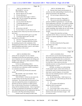|              | Page 66                                                                                         | Page 67                                                                                 |  |
|--------------|-------------------------------------------------------------------------------------------------|-----------------------------------------------------------------------------------------|--|
| 1            | AMY K. EICHNER, PH.D.                                                                           | $\mathbf{1}$<br>AMY K. EICHNER, PH.D.                                                   |  |
| 2            | MR. MARCK: I am, yes.                                                                           | $\overline{\mathbf{c}}$<br>Q. Beyond what's listed in the document, do                  |  |
| 3            | THE WITNESS: Okay.                                                                              | 3<br>you have any other understanding of what the role was                              |  |
| 4            | Q. (By Mr. Marck) Are you ready?                                                                | $\overline{4}$<br>going to be pursuant to the agreement?                                |  |
| 5            | A. Uh-huh (affirmative).                                                                        | 5<br>A. We were trying to replicate the Ping                                            |  |
| 6            | Can you please flip to page 3, which is<br>Q.                                                   | 6<br>study.                                                                             |  |
| 7            | ElSohly 3482. Do you recognize this agreement?                                                  | 7<br>What do you mean by "Ping study"?<br>Q <sub>r</sub>                                |  |
| 8            | A. Uh-huh (affirmative).                                                                        | 8<br>This was an article that established the<br>A.                                     |  |
| 9            | Can you read me the title of it?<br>Q.                                                          | 9<br>presence of DMAA in geranium oil. It was the only                                  |  |
| 10           | "Consulting Agreement."<br>А.                                                                   | 10<br>known publication at that time. We wanted to validate                             |  |
| 11           | Did you negotiate this agreement?<br>Q.                                                         | 11<br>it by basically performing the study all over again as                            |  |
| 12           | No.<br>А.                                                                                       | 12<br>is common in scientific research. So when one lab                                 |  |
| 13           | Do you know who did?<br>Q <sub>r</sub>                                                          | 13<br>reports something, when another lab can verify and get                            |  |
| 14           | No, but I believe it was Dr. Bowers and<br>А.                                                   | 14<br>the same result, then the conclusions are much                                    |  |
| 15           | Dr. ElSohly and Dr. Khan may have been involved, but I                                          | 15<br>stronger.                                                                         |  |
| 16           | don't know.                                                                                     | 16<br>Q. Going to this study that was being                                             |  |
| 17           | Q. How much did USADA agree to pay PSI?                                                         | 17<br>negotiated with Dr. Khan, or excuse me, with PSI, did                             |  |
| 18           | "Consultant shall be paid a one-time<br>А.                                                      | 18<br>you have an opinion regarding the validity of the Ping                            |  |
| 19           | consultant fee of \$25,000."                                                                    | 19<br>study?                                                                            |  |
| 20           | And what was USADA paying PSI to do?<br>Q.                                                      | 20<br>Yes.<br>А.                                                                        |  |
| 21           | "Services. Consultant shall assist USADA<br>А.                                                  | 21<br>Which was?<br>Q.                                                                  |  |
| 22           | by consulting research on the constituents of the                                               | 22<br>We did not think that the Ping study's<br>А.                                      |  |
| 23           | Pelargonium graveolens extract. PSI will identify and                                           | conclusions were valid.<br>23                                                           |  |
| 24           | obtain Pelargonium graveolens, extract it, and conduct                                          | 24<br>Why?<br>Q <sub>1</sub>                                                            |  |
| 25           | mass spectrometry on the extract."                                                              | 25<br>There were a number of reasons. I want to<br>А.                                   |  |
|              |                                                                                                 |                                                                                         |  |
|              | Page 68                                                                                         | Page 69                                                                                 |  |
| $\mathbf{1}$ | AMY K. EICHNER, PH.D.                                                                           | 1<br>AMY K. EICHNER, PH.D.                                                              |  |
| 2            | preface this by saying that I am not a chemist                                                  | 2<br>sense at that time was the amount that Ping reported,                              |  |
| 3            | reminding everyone that mass spectrometry is not my                                             | 3<br>the amount of methylhexaneamine did not add up to the                              |  |
| 4            | area of expertise, but I can summarize the feelings and                                         | $\overline{4}$<br>amount of methylhexaneamine that was detected in                      |  |
| 5            | thoughts of the larger group, which consisted of Khan,                                          | 5<br>dietary supplements. The numbers just didn't add up.                               |  |
| 6            | ElSohly and Dr. Bowers.                                                                         | 6<br>So at that time, it didn't make any sense that                                     |  |
| 7            | So first my understanding is that a                                                             | 7<br>methylhexaneamine was being obtained from geranium oil                             |  |
| 8            | library match, which is what the Ping paper relied on,                                          | 8<br>if this Ping paper was correct.                                                    |  |
| 9            | is not the best way to determine whether something is                                           | 9<br>And lastly, according to my understandings                                         |  |
| 10           | in, is present in an extract.                                                                   | 10<br>of other people's reports, amines stink and they are                              |  |
| 11           | Q. Did USADA pay PSI the full contracted                                                        | 11<br>acrid and they smell very bad and geranium oil on the                             |  |
| 12           | amount?                                                                                         | 12<br>other hand, is used for fragrance, so it just didn't                              |  |
| 13           | MR. KOONS: She wasn't finished. "First."                                                        | 13<br>make sense that methylhexaneamine could be a major                                |  |
| 14           | I think there's more coming.                                                                    | 14<br>constituent of geranium oil.                                                      |  |
| 15           | THE WITNESS: So that was one reason why                                                         | 15<br>Q. (By Mr. Marck) Okay. I didn't mean to cut                                      |  |
| 16           | we didn't believe that the Ping study had valid                                                 | 16<br>you off, but thank you. Did USADA pay PSI the full                                |  |
| 17           | conclusions. The second reason was because the Ping                                             | 17<br>contracted amount?                                                                |  |
| 18           | study also reported the presence of amphetamine in                                              | 18<br>Yes.<br>A.                                                                        |  |
| 19           | geranium oil and our experience in athlete positive                                             | 19<br>Do you believe PSI fulfilled its<br>O.                                            |  |
| 20           | tests, we did not detect the presence of amphetamine                                            | 20<br>obligations under the agreement?                                                  |  |
| 21           | along with the methylhexaneamine. And so if geranium                                            | 21<br>As far as I'm aware.<br>А.                                                        |  |
| 22           | oil, what was purported to be geranium oil contained                                            | 22<br>Can you flip to page 1 of this, which is<br>Q.                                    |  |
| 23           | only methylhexaneamine but not amphetamine, then that                                           | 23<br>back to ElSohly 3480, and can you please turn your                                |  |
| 24<br>25     | also points to this Ping article being erroneous.<br>Another reason why things just didn't make | 24<br>attention to the email at the bottom of page 1. Did<br>25<br>you send this email? |  |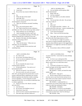# Case 1:13-cv-03675-WBH Document 108-4 Filed 12/30/16 Page 144 of 586

|          | Page 70                                                          | Page 71                                                                     |
|----------|------------------------------------------------------------------|-----------------------------------------------------------------------------|
| 1        | AMY K. EICHNER, PH.D.                                            | $\mathbf{1}$<br>AMY K. EICHNER, PH.D.                                       |
| 2        | I must have.<br>А.                                               | $\boldsymbol{2}$<br>Q. Are you familiar with the group called               |
| 3        | Do you have any reason to believe that you<br>Q.                 | 3<br><b>AOAC</b> International?                                             |
| 4        | didn't?                                                          | 4<br>Rings a bell, but<br>А.                                                |
| 5        | No.<br>А.                                                        | 5<br>Are you a member?<br>O.                                                |
| 6        | What's the date of this email?<br>Q.                             | 6<br>No, I don't think so, not unless someone<br>А.                         |
| 7        | April 20th, 2011.<br>А.                                          | 7<br>signed me up.                                                          |
| 8        | Q. Can you read the second line of the email,                    | 8<br>Q. You can put that to the side. Do you know                           |
| 9        | second sentence, excuse me?                                      | 9<br>who Gary Coody is?                                                     |
| 10       | "Here you will find an executed Consulting<br>А.                 | 10<br>A. Yes.                                                               |
| 11       | Agreement."                                                      | 11<br>Q. Who is he?                                                         |
| 12       | Q. Sorry, the second sentence after?                             | 12<br>A. He worked at the FDA. I believe -- he                              |
| 13       | A. Oh, "I had so much fun at your conference,                    | 13<br>worked at the FDA at the time. I seem to remember that                |
| 14       | and Ikhlas your 'show me the money tag' really worked."          | 14<br>he has since retired, but I don't recall.                             |
| 15       | Q. What conference are you referring to?                         | 15<br>Q. I can't answer the question.                                       |
| 16       | A. I don't remember, but since I said "your                      | 16<br>A. Okay. I have to do all the answering                               |
| 17       | conference," I was probably referring to Ole Miss, the           | 17<br>then.                                                                 |
| 18       | botanical thing that they would have every year.                 | 18<br>That's right. But you have no more memory<br>O.                       |
| 19       | Q. Because of the dates, this likely happened                    | 19<br>about him other than being someone at FDA?                            |
| 20       | sometime in the spring of 2011?                                  | 20<br>A. So I met him on a couple of occasions. I                           |
| 21       | A. Probably.                                                     | 21<br>know that we would occasionally email him with<br>22                  |
| 22<br>23 | "Show me the money." What were you<br>Q.                         | questions about different aspects of the logged dietary<br>23               |
| 24       | referring to, do you remember?                                   | supplements or we might have sent him test reports at<br>24                 |
| 25       | A. I don't remember, but he must have said<br>something funny.   | some point.<br>25<br>Q. Do you know where at FDA he worked?                 |
|          |                                                                  |                                                                             |
|          |                                                                  |                                                                             |
|          | Page 72                                                          | Page 73                                                                     |
| 1        | AMY K. EICHNER, PH.D.                                            | $\mathbf{1}$<br>AMY K. EICHNER, PH.D.                                       |
| 2        | A. No, I don't recall.                                           | $\boldsymbol{2}$<br>was also at the FDA. I never had very many dealings     |
| 3        | Do you know who Robert Moore is?<br>Q.                           | 3<br>with him.                                                              |
| 4        | Yes, he was also an employee of the FDA.<br>А.                   | 4<br>Q. Is it fair to say so during late 2010,                              |
| 5        | Do you know his role?<br>Q.                                      | 5<br>early 2011, you were reaching out to Gary Coody, Robert                |
| 6        | No.<br>А.                                                        | 6<br>Moore, maybe Dan Levy about these issues?                              |
| 7        | Do you remember the nature of your<br>Q.                         | 7<br>A. Sure.                                                               |
| 8        | communications with him?                                         | 8<br>Q. I will mark as Eichner two a series of                              |
| 9        | A. Uh-huh (affirmative). Very early on as I                      | 9<br>emails that begin with the Bates stamp GOV 7409.                       |
| 10       | had mentioned earlier.                                           | 10<br>(Exhibit 2 was marked)                                                |
| 11       | Q. What do you mean by "very early on"?                          | $11\,$<br>MR. MARCK: Claude, you heard the stamp                            |
| 12       | A. Oh, in my world, very early on is around                      | 12<br>number, right?                                                        |
| 13       | 2010, 2011, just that general time period when we were           | 13<br>MR. SCOTT: Yeah, got it.<br>14                                        |
| 14       | trying to understand dietary supplements laws and the            | Q. (By Mr. Marck) These are email chains so                                 |
| 15<br>16 | different regulations that determine whether something           | 15<br>you may want to start from the back and just let me<br>16             |
| 17       | can be an ingredient. I recall writing him an email              | know when you've had a chance to peruse it front to<br>17                   |
| 18       | inquiring from the FDA, can you help me understand what          | back, excuse me, back to front.<br>18                                       |
| 19       | is a dietary supplement.                                         | MR. MARCK: I understand this is a<br>19                                     |
| 20       | Q. And do you know if Dr. Moore's currently<br>still at the FDA? | cumbersome way to look at these emails, but I figure do<br>20               |
| 21       | A. I just don't know.                                            | it this way rather than marking 40 of them.<br>21<br>MR. KOONS: Absolutely. |
| 22       | Do you know who Kathleen Lewis is?<br>Q.                         | 22<br>MR. MARCK: So we'll try to go through it                              |
| 23       | Name doesn't ring a bell.<br>А.                                  | 23<br>methodically so no one is confused, but let me know if                |
| 24       | And do you know someone named Daniel Levy?<br>Q.                 | 24<br>at any point you don't know what I'm referring to.                    |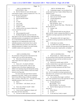# Case 1:13-cv-03675-WBH Document 108-4 Filed 12/30/16 Page 145 of 586

|    | Page 74                                                 |                | Page 75                                                 |
|----|---------------------------------------------------------|----------------|---------------------------------------------------------|
| 1  | AMY K. EICHNER, PH.D.                                   | 1              | AMY K. EICHNER, PH.D.                                   |
| 2  | THE WITNESS: Okay                                       | 2              | Q. Continuing on page 4, can you please focus           |
| 3  | Q. (By Mr. Marck) Let's start with the email            | 3              | on the email from Gary Coody to Robert Moore and        |
| 4  | at the bottom of page 4, which is marked GOV 7413. Do   | 4              | Kathleen Lewis?                                         |
| 5  | you see the one I'm referring to?                       | 5              | A. Uh-huh (affirmative).                                |
| 6  | A. Uh-huh (affirmative).                                | 6              | Q. Have you ever seen this email?                       |
| 7  | Q. Did you send this email?                             | 7              | A. Uh-huh (affirmative).                                |
| 8  | A. Yes.                                                 | 8              | Q. Is that "yes"?                                       |
| 9  | Q. To who?                                              | 9              | MR. KOONS: "Yes" or "no."                               |
| 10 | A. Gary Coody.                                          | 10             | THE WITNESS: Sorry.                                     |
| 11 | And the date?<br>Q.                                     | 11             | Q. (By Mr. Marck) That's okay. What date was            |
| 12 | A. October 11, 2010.                                    | 12             | this email sent on?                                     |
| 13 | And do you have any reason to believe this<br>Q.        | 13             | October 11th.<br>A.                                     |
| 14 | is not an email that you sent?                          | 14             | 2010.<br>A.                                             |
| 15 | A. No.                                                  | 15             | Q. At the time this email was sent, did you             |
| 16 | What prompted this email?<br>Q <sub>r</sub>             | 16             | agree with Mr. Coody's comment that DMAA is, quote,     |
| 17 | A. Reading through this, must have been the             | 17             | "naturally-occurring in geranium and other flower       |
| 18 | time when we were very first trying to understand why   | 18             | oils"?                                                  |
| 19 | methylhexaneamine was popping up in anti-doping tests.  | 19             | A. The question is did I, do I agree that it            |
| 20 | So as I had mentioned before, this was just very        | 20             | is naturally-occurring in geranium and other flower     |
| 21 | important for us to understand the source of the        | 21             | oils?                                                   |
| 22 | methylhexaneamine so that he knew how to advise         | 22             | At the time it was written.<br>O.                       |
| 23 | athletes whether they just need to steer clear from     | 23             | So I didn't know and we didn't know at<br>А.            |
| 24 | methylhexaneamine or whether it was more broadly        | 24             | USADA. We were aware of the Ping study at that time     |
| 25 | available in plants such as geranium oil.               | 25             | and for the reasons that I stated earlier, we doubted   |
|    | Page 76                                                 |                | Page 77                                                 |
| 1  | AMY K. EICHNER, PH.D.                                   | $\mathbf{1}$   | AMY K. EICHNER, PH.D.                                   |
| 2  | the conclusions of that particular study based on the   | 2              | A. Me personally, no. I believe there could             |
| 3  | evidence, but it was still an open question.            | 3              | be some backstory that he had other involvements with   |
| 4  | Q. When did you become aware of the Ping                | $\overline{4}$ | anti-doping in the past, but that was before my time    |
| 5  | study if these dates here might give you some           | 5              | and I just don't know.                                  |
| 6  | reference?                                              | 6              | Q. And do you currently agree with Mr.                  |
| 7  | A. Yeah, it all -- I'm afraid it all blends             | 7              | Coody's comment that we just spoke about, quote, "the   |
| 8  | into one, but if I recall correctly, when we were       | 8              | naturally-occurring," that DMAA is, quote,              |
| 9  | looking at some of the dietary supplements that         | 9              | "naturally-occurring in geranium and other flower       |
| 10 | athletes were reporting using and subsequently testing  | 10             | oils"?                                                  |
| 11 | positive, review of those websites at least one of them | 11             | Well, we could not find evidence that it<br>А.          |
| 12 | referred to the Ping study.                             | 12             | was. So if it is naturally occurring in geranium and    |
| 13 | For some reason the name Patrick Arnold is              | 13             | other flower oils, we haven't seen evidence that brings |
| 14 | popping up in my head. I think we were evaluating a     | $1\,4$         | us to the same conclusion.                              |
| 15 | bunch of just different blogs of different companies    | 15             | Q. Can you please flip to page 2, and that is           |
| 16 | about, you know, where they were -- why they were using | 16             | GOV 7410, and please focus on the email that Dr. Moore  |
| 17 | methylhexaneamine, what it was, et cetera.              | $17\,$         | sent to you. Have you seen this email?                  |
| 18 | Q. Who's $-$                                            | 18             | A. Uh-huh (affirmative).                                |
| 19 | And I believe -- well, Patrick, were you<br>А.          | 19             | MR. KOONS: "Yes"?                                       |
| 20 | $\overline{\phantom{m}}$                                | 20             | THE WITNESS: Yes, I'm sorry.                            |
| 21 | Yeah, who is Patrick Arnold? I didn't<br>Q.             | 21             | Q. (By Mr. Marck) Again just for the record,            |
| 22 | mean to cut you off though.                             | 22             | who sent it?                                            |
| 23 | A. I know he had a supplement company and               | 23             | Robert Moore.<br>А.                                     |
| 24 | that's about all I know about him.                      | 24             | To who?<br>Q.                                           |
| 25 | You have no other experience with him?<br>Q.            | 25             | To me and Gary Coody is copied.<br>А.                   |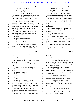|          | Page 78                                                        | Page 79                                                                                                   |  |
|----------|----------------------------------------------------------------|-----------------------------------------------------------------------------------------------------------|--|
| 1        | AMY K. EICHNER, PH.D.                                          | $1\,$<br>AMY K. EICHNER, PH.D.                                                                            |  |
| 2        | Q. And the date, please?                                       | $\sqrt{2}$<br>your understanding of these concepts prior to Dr.                                           |  |
| 3        | October 13th, 2010.<br>A.                                      | 3<br>Moore's email?                                                                                       |  |
| 4        | And this email continues on to the<br>O.                       | $\overline{4}$<br>A. That's a hard question to answer because I                                           |  |
| 5        | following page. Can you flip to the top of page 3 and          | 5<br>was in such a learning stage at that time. I had read                                                |  |
| 6        | there's a comment by Dr. Moore that DMAA is, quote,            | $\epsilon$<br>the FDA web page about dietary ingredients and dietary                                      |  |
| 7        | "found in many plants." At the time that you heard             | $\sqrt{ }$<br>supplements, but it's one thing to read regulation and                                      |  |
| 8        | this, did you agree with it?                                   | $\,8\,$<br>it's another thing to understand how it's applied. So                                          |  |
| 9        | A. Well, this was intriguing. I wanted to                      | $\,9$<br>I just had no idea about how it's transferred to like                                            |  |
| 10       | know more about which plants methylhexaneamine was             | $10$<br>application.                                                                                      |  |
| 11       | found in because this is very important for how we             | 11<br>Q. Dr. Moore's responses to you helped fill                                                         |  |
| 12       | advise athletes. So up to this point, we hadn't found          | 12<br>in some blanks?                                                                                     |  |
| 13       | any evidence that it was in plants, so it was very             | 13<br>A. Well, it must have. And if you want me to                                                        |  |
| 14       | important for us to follow up on this.                         | 14<br>read in great detail, then I maybe could point out some                                             |  |
| 15       | Q. Speaking of following up, can we flip to                    | 15<br>examples.                                                                                           |  |
| 16       | page 1. There's an email at the bottom of the page.            | 16<br>Q. We don't need to go there.                                                                       |  |
| 17       | Who sent that email?                                           | 17<br>Okay.<br>А.                                                                                         |  |
| 18       | A. I did.                                                      | Otherwise we'll be here 'til tomorrow.<br>18<br>Q <sub>r</sub>                                            |  |
| 19       | And who did you send it to?<br>Q.                              | 19<br>Now the way these emails are set up, Dr. Moore seemed                                               |  |
| 20       | Robert Moore.<br>А.                                            | 20<br>to have put in some comments directly into your email                                               |  |
| 21       | And the date please?<br>Q.                                     | 21<br>and do you see his comment at the bottom of the page                                                |  |
| 22       | October 13th, 2010.<br>A.                                      | 22<br>that DMAA is found in the oil of many geraniums?                                                    |  |
| 23       | You state that Dr. Moore's descriptions<br>Q.                  | 23<br>A. It is found in the oil of many geraniums,                                                        |  |
| 24       | below, referring to his previous email, "help me to            | 24<br>yes.                                                                                                |  |
| 25       | understand dietary ingredients and NDIs." What was             | 25<br>Do you know why Dr. Moore took that<br>Q.                                                           |  |
|          |                                                                |                                                                                                           |  |
|          | Page 80                                                        | Page 81                                                                                                   |  |
| 1        |                                                                | 1<br>AMY K. EICHNER, PH.D.                                                                                |  |
| 2        | AMY K. EICHNER, PH.D.<br>position?                             | $\sqrt{2}$<br>Dr. Bowers?                                                                                 |  |
| 3        | A. No.                                                         | 3<br>A. Yeah.                                                                                             |  |
| 4        | MR. SCOTT: Object as to form.                                  | Q. Solely the two of you?<br>4                                                                            |  |
| 5        | Q. (By Mr. Marck) Do you know the FDA's basis                  | 5<br>A. I think so. You know, there are other                                                             |  |
| 6        | for that position at this point in time?                       | 6<br>people at USADA that may have weighed in at some point,                                              |  |
| 7        | A. At this point in time, no. In this email                    | 7<br>but the majority of my communications and discussing                                                 |  |
| 8        | chain, no.                                                     | 8<br>all this was with Dr. Bowers.                                                                        |  |
| 9        | Q. Closer to the top of the page there's an                    | 9<br>Q. You make a statement that, "Who at the FDA                                                        |  |
| 10       | email on November 29th from you to Dr. Moore. Do you           | 10<br>is in charge of NDIs? I'd like to know more about this                                              |  |
| 11       | see that one?                                                  | 11<br>process, and be sure that an NDI for methylhexaneamine                                              |  |
| 12       | A. Uh-huh (affirmative).                                       | 12<br>doesn't on go unscrutinized." What did you mean by                                                  |  |
| 13       | And did you send this email?<br>Q.                             | 13<br>"unscrutinized"?                                                                                    |  |
| 14       | Yes.<br>А.                                                     | 14<br>A. Well, presumably there's a process in                                                            |  |
| 15       | And sent it to Dr. Moore, correct?<br>Q.                       | 15<br>place where any new dietary ingredient is evaluated                                                 |  |
| 16       | Yes.<br>А.                                                     | 16<br>carefully and if we had information about its safety,                                               |  |
| 17       | Q <sub>r</sub><br>What was the purpose of your email?          | 17<br>then we would like to provide that information.                                                     |  |
| 18       | Well, I can say here, "I'd like to know<br>А.                  | 18<br>Q. Meaning if it was part of a notice or                                                            |  |
| 19       | more about this process," referring to NDIs, which is          | 19<br>comment period, you wanted to be sure your voice was                                                |  |
| 20       | the process for establishing a new dietary ingredient.         | 20<br>heard?                                                                                              |  |
| 21       | And at this time, I also revealed that, "We have reason        | 21<br>A. Yes.                                                                                             |  |
| 22       | to argue that methylhexaneamine in fact is not in              | 22<br>Q. I don't want to put words in your mouth                                                          |  |
| 23       | geranium oil," and this is based on our evaluation of          | 23<br>but make sure I understood. The top email refers to                                                 |  |
| 24<br>25 | the Ping paper.<br>Q. When you say "our," do you mean your and | 24<br>someone named Dr. Daniel Levy. Do you remember if you<br>25<br>actually did end up speaking to him? |  |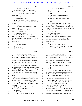|                | Page 82                                                                                             |                     | Page 83                                                                                                        |
|----------------|-----------------------------------------------------------------------------------------------------|---------------------|----------------------------------------------------------------------------------------------------------------|
|                |                                                                                                     |                     |                                                                                                                |
| 1              | AMY K. EICHNER, PH.D.                                                                               | $\mathbf{1}$        | AMY K. EICHNER, PH.D.                                                                                          |
| 2              | A. I probably did, but I don't recall him, I                                                        | $\overline{a}$      | Yes.<br>А.                                                                                                     |
| 3              | don't recall any particular conversations with him.                                                 | 3                   | And you copied Robert Moore?<br>Q <sub>r</sub>                                                                 |
| 4              | Q. You can put that one to the side now.                                                            | $\overline{4}$<br>5 | A.<br>Yes.                                                                                                     |
| 5<br>6         | Thank you.                                                                                          | 6                   | And the date is December 1st, 2010?<br>Q <sub>r</sub>                                                          |
| 7              | (Exhibit 3 was marked)                                                                              | 7                   | A.<br>Yes.                                                                                                     |
| 8              | (Attorneys conferring)                                                                              | 8                   | O.<br>Any reason to believe this email is not                                                                  |
| 9              | Q. (By Mr. Marck) USADA 7072, it's pretty                                                           | 9                   | authentic?<br>A. No.                                                                                           |
| 10             | much the continuation of the previous email string that<br>we had.                                  | 10                  | Q. In the second paragraph, you say, "We are                                                                   |
| 11             | A. Okay.                                                                                            | 11                  | conducting," I'm sorry, strike that. First paragraph,                                                          |
| 12             | You may be ready, but let's give Claude a<br>O.                                                     | 12                  | you state, "I have a feeling someone will be submitting                                                        |
| 13             | minute. Thank you?                                                                                  | 13                  | an NDI for methylhexaneamine." Why did you have that                                                           |
| 14             | MR. MARCK: And, Claude, let us know when                                                            | $1\,4$              | feeling?                                                                                                       |
| 15             | you've had a chance to get it.                                                                      | 15                  | A. I don't know.                                                                                               |
| 16             | MR. SCOTT: Okay.                                                                                    | 16                  | Q. No recollection at all?                                                                                     |
| 17             | Q. (By Mr. Marck) Dr. Eichner, if you could                                                         | 17                  | A. No. Probably because if it's a lucrative                                                                    |
| 18             | look at the email that starts right at the bottom of                                                | 18                  | or valuable ingredient, then the dietary supplement                                                            |
| 19             | the page. It says, "From Amy Eichner." Do you see                                                   | 19                  | industry, it would behoove them to go along with                                                               |
| 20             | that, follow all the way down to the bottom, goes on to                                             | $20$                | regulations that require the notification of new                                                               |
| 21             | the next page?                                                                                      | 21                  | dietary ingredients.                                                                                           |
| 22             | Yes.<br>A.                                                                                          | 22                  | Q. In what instance is an NDI required?                                                                        |
| 23             | You sent this email?<br>O.                                                                          | 23                  | MR. SCOTT: Object as to form.                                                                                  |
| 24             | Yes.<br>А.                                                                                          | 24                  | THE WITNESS: My understanding is that if                                                                       |
| 25             | To Dan Levy?<br>Q.                                                                                  | 25                  | it is a dietary -- if it's something that doesn't meet                                                         |
|                |                                                                                                     |                     |                                                                                                                |
|                |                                                                                                     |                     |                                                                                                                |
|                | Page 84                                                                                             |                     | Page 85                                                                                                        |
| 1              | AMY K. EICHNER, PH.D.                                                                               | $\mathbf{1}$        | AMY K. EICHNER, PH.D.                                                                                          |
| 2              | the current definition of a dietary ingredient, so if                                               | $\boldsymbol{2}$    | definitely draw conclusions based on the limits of your                                                        |
| 3              | it's not a plant or a constituent or an amino acid or                                               | 3                   | data in your paper and your conditions absolutely, but                                                         |
| $\overline{4}$ | if it doesn't already fall into that dietary ingredient                                             | $\overline{4}$      | as with all science, there could be something else out                                                         |
| 5              | category as written, then there's still an opportunity                                              | 5                   | there. There could be some other species that we                                                               |
| 6              | for a supplement company to have a new ingredient                                                   | 6                   | didn't test or something like that. So yes, I would                                                            |
| 7              | considered.                                                                                         | 7                   | revise this.                                                                                                   |
| 8              | Q. (By Mr. Marck) And at this point in time,                                                        | 8                   | Q. (By Mr. Marck) The use of the word                                                                          |
| 9              | it's safe to say that you believed that someone thought                                             | 9                   | "definitive"?                                                                                                  |
| 10             | an NDI was going to be required because they thought it                                             | 10<br>11            | A. Yes.                                                                                                        |
| 11<br>12       | did not fall into the other bucket you just --                                                      | 12                  | This email is sent on December 1st, 2010.<br>O.                                                                |
| 13             | A. Probably. I could have come across blogs                                                         | 13                  | By that date, you had decided definitively to go with                                                          |
| 14             | of supplement companies discussions. I just don't                                                   | 14                  | the study with Dr. Khan and Dr. ElSohly?                                                                       |
| 15             | recall.                                                                                             | 15                  | A. We were in conversations at that time. I                                                                    |
| 16             | Q. And in the second paragraph, you state,                                                          | 16                  | would have to actually refer back. I'm not really good                                                         |
| 17             | "We are conducting a 'definitive' study by extracting                                               | 17                  | with dates, so I would have to refer back to the                                                               |
| 18             | the plant ourselves with Ikhlas Khan at Ole Miss."<br>What was going to make your study definitive? | 18                  | Consulting Agreement. My recollection is that there is<br>some bandwidth of time which is significant between. |
| 19             | A. That was my naive understanding of botany                                                        | 19                  | Q. Just let the record reflect that the                                                                        |
| 20             | at the time.                                                                                        | 20                  | witness is looking at Exhibit Eichner 1.                                                                       |
| 21             | Q. Okay. Do you believe there can be a                                                              | 21                  | A. Uh-huh (affirmative). So the agreement                                                                      |
| 22             | definitive answer to this question?                                                                 | 22                  | was executed in April of 2011 and, yes, you're right,                                                          |
| 23             | A. I think --                                                                                       | 23                  | so if this email is in December 1 of 2010, then we were                                                        |
| 24             | MR. SCOTT: Object to form.<br>THE WITNESS: I think that you can                                     | 24<br>25            | in conversations at that time discussing this issue,<br>but it was quite sometime before we formalized a       |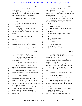|              | Page 86                                                            | Page 87                                                                                                         |
|--------------|--------------------------------------------------------------------|-----------------------------------------------------------------------------------------------------------------|
| 1            | AMY K. EICHNER, PH.D.                                              | 1<br>AMY K. EICHNER, PH.D.                                                                                      |
| 2            | research program.                                                  | $\sqrt{2}$<br>like an uphill battle"?                                                                           |
| 3            | Q. Flipping back to page 1 of this exhibit,                        | 3<br>A. I meant that getting the FDA to understand                                                              |
| 4            | which is USADA 7072, there's an email from Daniel Levy             | $\overline{4}$<br>the limitations of the Ping study may be harder than we                                       |
| 5            | dated December 1st, 2010, do you see that one?                     | 5<br>originally thought.                                                                                        |
| 6            | A. Yes.                                                            | 6<br>Q. You can put that one to the side.                                                                       |
| 7            | Q. It was sent to yourself, Dr. Eichner, and                       | $\sqrt{ }$<br>MR. MARCK: Claude, can you find USADA                                                             |
| 8            | copied Robert Moore, correct?                                      | 8<br>7070? I think it might be a little easier because it's                                                     |
| 9            | A. Yes.                                                            | 9<br>the page before it. This is going to get marked as                                                         |
| 10           | Q. Please read that. Have you reviewed that                        | 10<br>Eichner 4.                                                                                                |
| 11           | one in detail already?                                             | 11<br>(Exhibit 4 was marked)                                                                                    |
| 12           | A. Yes, I have.                                                    | 12<br>MR. SCOTT: Got it.                                                                                        |
| 13           | Q. Do you agree with Dr. Levy's statement                          | 13<br>Q. (By Mr. Marck) Dr. Eichner, take as much                                                               |
| 14           | that is, quote, "Proving a negative, i.e. that no                  | 14<br>time as you need to review it.                                                                            |
| 15           | variety ever expressed methylhexaneamine might be a                | 15<br>A. Okay.                                                                                                  |
| 16           | challenge"?                                                        | 16<br>Q. Flip to page 2, please. There's a single                                                               |
| 17           | A. Yes.                                                            | 17<br>email on this page, correct?                                                                              |
| 18           | Q. There's another email directly above it                         | 18<br>Yes.<br>А.                                                                                                |
| 19           | from yourself to what I think is Lori Bestervelt; is               | 19<br>Who sent that email?<br>Q <sub>r</sub>                                                                    |
| 20           | that correct?                                                      | 20<br>Larry Bowers.<br>А.                                                                                       |
| 21           | A. Yes.                                                            | 21<br>To who?<br>Q.                                                                                             |
| 22           | Q. What did you mean when you -- sorry, the                        | 22<br>Me.<br>А.                                                                                                 |
| 23           | date of that email is December 1st, 2010, correct?                 | 23<br>And the date please?<br>Q <sub>r</sub>                                                                    |
| 24           | A. Yes.                                                            | 24<br>December 1st, 2010.<br>А.                                                                                 |
| 25           | What did you mean when you said, "Looks<br>Q.                      | 25<br>Can you please read aloud the fourth<br>Q.                                                                |
|              |                                                                    |                                                                                                                 |
|              |                                                                    |                                                                                                                 |
|              | Page 88                                                            | Page 89                                                                                                         |
| $\mathbf{1}$ | AMY K. EICHNER, PH.D.                                              | $\mathbf{1}$<br>AMY K. EICHNER, PH.D.                                                                           |
| 2            | sentence starting with "On the other hand"?                        | $\overline{\mathbf{c}}$<br>Q. Do you know what Mr. Bowers meant by that,                                        |
| 3            | A. "On the other hand, I think they might be                       | 3<br>or Dr. Bowers I should say?                                                                                |
| 4            | held accountable for not performing a competent review             | $\overline{4}$<br>A. I don't. My guess is that working with a                                                   |
| 5            | of the literature."                                                | 5<br>regulatory agency, you want to be certain that the                                                         |
| 6            | Do you know what Dr. Bowers was referring<br>Q.                    | 6<br>statements you make are correct.                                                                           |
| 7            | to?                                                                | 7<br>Q. Can you flip back to page 1. There's an                                                                 |
| 8            | A. Based on the context of the email, I'm                          | 8<br>email about midway down the page; it starts with "On                                                       |
| 9            | assuming that he's referring to the email from Dan Levy            | 9<br>December 1, 2010." It seems to be lacking a typical                                                        |
| $10$         | that we just discussed.                                            | 10<br>email header. Do you believe this email was sent by                                                       |
| 11           | Q. And do you agree that the FDA did not                           | 11<br>you?                                                                                                      |
| 12           | conduct a competent review of the literature including             | $1\,2$<br>MR. KOONS: Is this one followed by "6:16                                                              |
| 13           | the Ping paper?                                                    | 13<br>p.m."?                                                                                                    |
| 14           | MR. SCOTT: Objection to form.                                      | 14<br>MR. MARCK: Yes, thank you.                                                                                |
| 15           | THE WITNESS: I don't know if that's what                           | 15<br>THE WITNESS: Yes, I think this was sent                                                                   |
| 16           | was stated here. At the time because of all of the                 | 16<br>by me.                                                                                                    |
| 17           | problems that I stated earlier about the Ping paper, we            | 17<br>(By Mr. Marck) I can't do the who-sent<br>Q.                                                              |
| 18           | felt that was important that the FDA also was aware of             | 18<br>routine because it's lacking here, but you really have                                                    |
| 19           | those issues. We did not know what the FDA process was             | 19<br>no reason to believe that's not an email that you sent,                                                   |
| 20           | for evaluating the literature.                                     | 20<br>correct?                                                                                                  |
| 21           | Q. (By Mr. Marck) Skipping down a little bit                       | 21<br>That is correct.<br>А.                                                                                    |
| 22           | further in the email to the second to the last                     | 22<br>Did you feel that the FDA was not being<br>Q <sub>r</sub>                                                 |
| 23           | sentence, could you read that aloud as well?                       | 23<br>responsive to your concerns?                                                                              |
| 24<br>25     | A. "I would be careful about alerting the FDA<br>people too much." | 24<br>A. I think that is going too far. At this<br>25<br>time, I didn't understand the FDA process. I was still |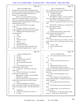|                | Page 90                                                   | Page 91                                                                                      |
|----------------|-----------------------------------------------------------|----------------------------------------------------------------------------------------------|
| $\mathbf{1}$   | AMY K. EICHNER, PH.D.                                     | $\mathbf{1}$<br>AMY K. EICHNER, PH.D.                                                        |
| 2              | learning how all of this works. I did appreciate the      | $\overline{\mathbf{c}}$<br>that's consistent with what you just said that you felt           |
| 3              | fact that any decision that the FDA makes on anything     | 3<br>like you needed to move quickly?                                                        |
| $\overline{4}$ | has an impact both on public health safety and            | $\overline{4}$<br>A. On behalf of athletes.                                                  |
| 5              | business. So I respected that.                            | 5<br>Q. Put that one to the side.                                                            |
| 6              | However, my role at USADA was and                         | 6<br>MR. MARCK: Claude, we won't be using any                                                |
| 7              | continues to be to protect athletes. And on a daily       | 7<br>of the new exhibits for a while just so you know.                                       |
| 8              | basis, I was continuing to field questions about          | 8<br>MR. SCOTT: I'll keep them up anyway, so                                                 |
| 9              | methylhexaneamine and geranium oil. So this was an        | 9<br>it won't take me so long to get through if you use some                                 |
| 10             | important puzzle to solve.                                | 10<br>more.                                                                                  |
| 11             | Q. Did you feel like this was an urgent                   | 11<br>MR. KOONS: Another hour, saying should we                                              |
| 12             | situation?                                                | $1\,2$<br>take a quick break for lunch?                                                      |
| 13             | A. On behalf of athletes, yes, because a                  | 13<br>MR. MARCK: Perfect.                                                                    |
| 14             | positive doping test can ruin the career of an athlete.   | 14<br>(Break)                                                                                |
| 15             | Q. Flipping to the email right at the top,                | 15<br>Q. (By Mr. Marck) I'd like to mark another                                             |
| 16             | who sent that one?                                        | 16<br>exhibit, which I think will be Eichner --                                              |
| 17             | A. I did.                                                 | 17<br>(Exhibit 5 was marked)                                                                 |
| 18             | To who?<br>Q.                                             | 18<br>MR. MARCK: Claude, this document is Ole                                                |
| 19             | А.<br>Larry.                                              | 19<br>Miss 9567.                                                                             |
| 20             | And the last name?<br>Q.                                  | 20<br>Q. (By Mr. Marck) Amy, Dr. Eichner, could you                                          |
| 21             | Bowers.<br>А.                                             | 21<br>please review? Sorry, I see your first name in so many                                 |
| 22             | The date, please?<br>Q.                                   | 22<br>things.                                                                                |
| 23             | December 2nd, 2010.<br>A.                                 | 23<br>It's okay. Okay.<br>А.                                                                 |
| 24             | And you state, "I guess I felt like we had<br>Q.          | 24<br>Did you send this email?<br>Q.                                                         |
| 25             | to be quick and these things take time." I guess          | 25<br>A. Yes.                                                                                |
|                |                                                           |                                                                                              |
|                |                                                           |                                                                                              |
|                | Page 92                                                   | Page 93                                                                                      |
| $\mathbf{1}$   | AMY K. EICHNER, PH.D.                                     | $\mathbf{1}$<br>AMY K. EICHNER, PH.D.                                                        |
| 2              | To who?<br>Q.                                             | 2<br>Q. Do you have any idea what date it was sent                                           |
| 3              | Dr. Khan.<br>А.                                           | 3<br>on?                                                                                     |
| 4              | And the date it was sent on?<br>Q.                        | $\overline{4}$<br>A. I don't.                                                                |
| 5              | October 13, 2010.<br>А.                                   | 5<br>Any idea why the email doesn't have a<br>Q.                                             |
| 6              | Do you remember this email?<br>Q.                         | 6<br>date?                                                                                   |
| 7              | No.<br>А.                                                 | $\overline{7}$<br>A. No.                                                                     |
| 8              | Do you believe this is your first<br>Q.                   | Approximately when it was sent?<br>8<br>Q.                                                   |
| 9              | communication with Dr. Khan?                              | 9<br>If I had to guess, and this is a guess, it<br>А.                                        |
| 10             | It appears so. The context of the email<br>А.             | 10<br>would have been around, probably around the same time                                  |
| 11             | makes sense.                                              | 11<br>as initially reaching out to him, but the truth is I                                   |
| 12             | That's all with this one. I am going to<br>Q.             | 12<br>don't know.                                                                            |
| 13             | mark Eichner 6. Please review.                            | 13<br>Q. What is the interesting project you're                                              |
| 14             | MR. MARCK: Claude, it's Ole Miss 9800.                    | 14<br>referring to?                                                                          |
| 15<br>16       | (Exhibit 6 was marked)                                    | 15<br>A. Here I reference it involves geranium oil                                           |
|                | (By Mr. Marck) If you could please review<br>Q.           | 16<br>and the claim that DMAA or methylhexaneamine is a                                      |
| 17<br>18       | that and let me know when you've had a chance.            | 17<br>natural constituent.<br>18                                                             |
| 19             | Okay.<br>А.                                               | Why would it be better discussed on the<br>Q.<br>19                                          |
| 20             | The email that begins with "Dear Dr.<br>Q.                | phone?<br>20                                                                                 |
| 21             | Khan," I think there's another one of these emails that   | Because otherwise you get very long in the<br>А.<br>21                                       |
| 22             | seems to be missing a header. Was this email sent by      | tooth.<br>22                                                                                 |
| 23             | you?<br>А.                                                | Simple enough. You can put that one to<br>Q.<br>23                                           |
| 24             | It appears so.<br>Q.                                      | the side as well.<br>24                                                                      |
| 25             | And who do you believe you sent it to?<br>Dr. Khan.<br>А. | MR. MARCK: We will mark another exhibit,<br>25<br>Eichner 7. Claude, this is Ole Miss 10794. |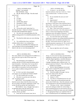|          | Page 94                                                                                                      | Page 95                                                                                                                  |
|----------|--------------------------------------------------------------------------------------------------------------|--------------------------------------------------------------------------------------------------------------------------|
| 1        | AMY K. EICHNER, PH.D.                                                                                        | $\mathbf 1$<br>AMY K. EICHNER, PH.D.                                                                                     |
| 2        | (Exhibit 7 was marked)                                                                                       | $\overline{a}$<br>A. I've been to -- yes, the Ole Miss                                                                   |
| 3        | THE WITNESS: Okay.                                                                                           | 3<br>botanical conference, that's how I refer to it. I know                                                              |
| 4        | Q. (By Mr. Marck) All right. Was this email                                                                  | $\overline{4}$<br>it has a technical name. I've been to it at least                                                      |
| 5        | sent by you?                                                                                                 | 5<br>twice.                                                                                                              |
| 6        | A. Yes.                                                                                                      | 6<br>Q. Do you remember the years you went?                                                                              |
| 7        | To who?<br>Q.                                                                                                | $7\phantom{.0}$<br>A. I don't.                                                                                           |
| 8        | Dr. Khan.<br>А.                                                                                              | 8<br>Q. Approximately?                                                                                                   |
| 9        | And the date, please?<br>Q.                                                                                  | 9<br>A. Well, it appears I went this year                                                                                |
| 10       | November 11, 2010.<br>A.                                                                                     | 10<br>upcoming, so I don't know if that would have been in                                                               |
| 11       | Do you remember this email?<br>Q.                                                                            | 11<br>2010 or 2011. And I know I went subsequently some                                                                  |
| 12       | No.<br>A.                                                                                                    | 12<br>other year, but I just don't remember.                                                                             |
| 13       | You use the words "pretty keen" to<br>О.                                                                     | 13<br>Q. Okay. I don't want to have you answer if                                                                        |
| 14       | describe the mood. I think we've kind of discussed,                                                          | 14<br>you don't know the answer. One of the sentences says,                                                              |
| 15       | but what really prompted that urgency?                                                                       | 15<br>refers to "serious issues happening in the dietary                                                                 |
| 16       | A. We were very concerned about all of the                                                                   | 16<br>supplement arena with regards to botanicals." Can you                                                              |
| 17       | athletes testing positive for methylhexaneamine at this                                                      | 17<br>elaborate on what you meant by "serious issues"?                                                                   |
| 18       | time.                                                                                                        | 18<br>A. Yes, one of the issues was that dietary                                                                         |
| 19       | Was that the whole mess you were referring<br>Q.                                                             | 19<br>supplements companies were selling methylhexaneamine in                                                            |
| 20       | $\mathrm{to}2$                                                                                               | 20<br>their products and it was labeled as geranium oil on                                                               |
| 21       | A. Yes, and the lack of any conclusive                                                                       | 21<br>the label. So the serious issue for us, again, was, is                                                             |
| 22       | evidence about where it was coming from.                                                                     | 22<br>methylhexaneamine in geranium oil. Do we need to tell                                                              |
| 23       | Q. And do you remember the conference you                                                                    | 23<br>athletes that they can't use geranium oil. That was                                                                |
| 24       | were referring to in the second paragraph? Do you                                                            | 24<br>one issue.                                                                                                         |
| 25       | think it's the one we were discussing earlier?                                                               | 25<br>Q. Stop you right there and we'll continue.                                                                        |
|          |                                                                                                              |                                                                                                                          |
|          | Page 96                                                                                                      | Page 97                                                                                                                  |
| $1\,$    |                                                                                                              | $1\,$                                                                                                                    |
| 2        | AMY K. EICHNER, PH.D.                                                                                        | AMY K. EICHNER, PH.D.<br>$\mathbf 2$                                                                                     |
| 3        | How many athletes were testing positive for DMAA in a<br>given year just to give an idea of the scope of the | always, we were aware for many years that dietary<br>3<br>supplements continue to be sold with illegal steroids          |
| 4        | issue?                                                                                                       | $\,4$<br>and other illegal ingredients, controlled substances.                                                           |
| 5        | That information is all available on<br>А.                                                                   | 5<br>Q. Thank you. I didn't mean to cut you off.                                                                         |
| 6        | websites and also in WADA annual documents and/or                                                            | 6<br>I thought I had gotten there a different route. I'm                                                                 |
| 7        | report documents. I don't know, but I can say that it                                                        | $\boldsymbol{7}$<br>going to mark now Eichner 8. This is Ole Miss 9792.                                                  |
| $\,8\,$  | was enough that it was odd. It was very odd for so                                                           | 8<br>(Exhibit 8 was marked)                                                                                              |
| 9        | many athletes to test positive for the same substance.                                                       | 9<br>(By Mr. Marck) Skipping to the second<br>Q.                                                                         |
| 10       | It was a spike in athletes testing positive that was                                                         | 10<br>page, which is marked 9793, there's an email that                                                                  |
| 11       | unusual.                                                                                                     | 11<br>begins that page. Who sent that email?                                                                             |
| 12       | Q. Is it fair to say that's what prompted                                                                    | 12<br>A. Down the middle of the page, I sent an                                                                          |
| 13       | such urgency on your behalf and USADA's behalf?                                                              | 13<br>email to Dr. Khan and Dr. Bowers.                                                                                  |
| 14       | A. Yes, that would be fair to say that.                                                                      | 14<br>And the date, please?<br>Q.                                                                                        |
| 15       | Why don't we put this one to the side as<br>Q.                                                               | 15<br>January 11, 2011.<br>А.                                                                                            |
| 16       | well. I'm going to mark --                                                                                   | 16<br>You refer to a formalized process for such<br>0.                                                                   |
| 17       | MR. SCOTT: Are you going to let her                                                                          | 17<br>research. I know that we discussed previously the                                                                  |
| 18       | finish her answer about what the serious issues that                                                         | 18<br>process that USADA does. Does this email give you any                                                              |
| 19       | she was seeing in the dietary supplements world? You                                                         | 19<br>more background on what that formalized process is?                                                                |
| 20       | cut her off and you told her she could finish it.                                                            | 20<br>A. You know, it's the -- there's a formalized                                                                      |
| 21       | MR. MARCK: Sorry, I thought I had come to                                                                    | 21<br>process for setting up vendors for various things. I                                                               |
| 22       | an agreement about what she meant by that.                                                                   | 22<br>said a formalized process for such research, but now                                                               |
| 23       | Q. (By Mr. Marck) But if you'd like to                                                                       | 23<br>having been at USADA for many years and in hindsight,                                                              |
| 24<br>25 | continue, Doctor, go ahead.<br>A. Yeah, that was one serious issue, but as                                   | 24<br>I -- the appropriate thing to say would have been we<br>25<br>have a formalized process for establishing contracts |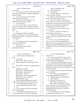|          | Page 98                                                                                           |                         | Page 99                                                                            |
|----------|---------------------------------------------------------------------------------------------------|-------------------------|------------------------------------------------------------------------------------|
| 1        | AMY K. EICHNER, PH.D.                                                                             | 1                       | AMY K. EICHNER, PH.D.                                                              |
| 2        | with vendors.                                                                                     | $\sqrt{2}$              | A. Uh-huh (affirmative).                                                           |
| 3        | Q. And why would USADA need Dr. Khan and PSI                                                      | 3                       | Q. Who sent that?                                                                  |
| 4        | to enter into a Non-Disclosure Agreement regarding the                                            | 4                       | A. I did to Dr. ElSohly, Dr. Khan and Dr.                                          |
| 5        | proposed research?                                                                                | 5                       | Bowers on January 14th, 2011.                                                      |
| 6        | A. As far as I'm aware, that's just standard                                                      | 6                       | Q. Thank you. What made you not want to test                                       |
| 7        | operating procedure for USADA.                                                                    | 7                       | commercially available geranium oils?                                              |
| 8        | Q. So these are typically obtained for any                                                        | 8                       | A. Our focus was really on authenticated                                           |
| 9        | research that they're going to be doing?                                                          | 9                       | plant material. If we felt that it was very important                              |
| 10       | That I don't know.<br>А.                                                                          | 10                      | to authenticate the plant material because we wanted to                            |
| 11       | You can turn to page 1. That's marked Ole<br>O.                                                   | 11                      | be sure that we were dealing with Pelargonium                                      |
| 12       | Miss 9792. There's an email at the bottom of the page                                             | 12                      | graveolens and not some other species.                                             |
| 13       | sent from a Dr. ElSohly to you on January 2011. Do you                                            | 13                      | Q. Did you have reason to believe that the                                         |
| 14       | agree?                                                                                            | 14                      | oils were mixed?                                                                   |
| 15       | A. Yes.                                                                                           | 15                      | A. Well, we wouldn't be in a position to                                           |
| 16       | Q. And in point number 2, Dr. ElSohly                                                             | 16                      | verify whether or not they were.                                                   |
| 17       | proposed to conduct, quote, "an abbreviated validation                                            | 17                      | Q. Do you know anything about that industry                                        |
| 18       | of the analytical method." Do you know what he means                                              | 18                      | and how the products are typically created or mixed                                |
| 19       | by "abbreviated"?                                                                                 | 19                      | together?                                                                          |
| 20       | A. No.                                                                                            | 20                      | A. Some -- well, my understanding is that                                          |
| 21       | Q. Is researching commission normally subject                                                     | 21                      | they can be, but we felt it was important that we                                  |
| 22       | to an abbreviated validation?                                                                     | 22                      | really knew what our starting material was because the                             |
| 23       | A. I don't know.                                                                                  | 23                      | Ping paper specified Pelargonium graveolens, so we                                 |
| 24       | Q. Please take a look at the email                                                                | 24                      | wanted to be sure that we were dealing with Pelargonium                            |
| 25       | immediately above that.                                                                           | 25                      | graveolens.                                                                        |
|          |                                                                                                   |                         |                                                                                    |
|          |                                                                                                   |                         |                                                                                    |
|          | Page 100                                                                                          |                         | Page 101                                                                           |
| 1        | AMY K. EICHNER, PH.D.                                                                             | $1\,$                   | AMY K. EICHNER, PH.D.                                                              |
| 2        | Are all variations of that species the<br>Q.                                                      | $\overline{\mathbf{c}}$ | information."                                                                      |
| 3        | same?                                                                                             | 3                       | Q. And can you please flip to page 6, which                                        |
| 4        | A. I don't know.                                                                                  | $\overline{4}$          | is 4351, and the heading that says "Conclusion," can                               |
| 5        | MR. SCOTT: Object to the form.                                                                    | 5                       | you please read that first paragraph?                                              |
| 6        | (By Mr. Marck) We can move on from this<br>О.                                                     | 6                       | A. "A sensitive and reliable CG/MS procedure                                       |
| 7        | one.                                                                                              | 7                       | was developed for the analysis of DMP in Pelargonium                               |
| 8        | MR. MARCK: Claude, this is marked ElSohly                                                         | 8                       | oil and leaves. None of the oils or the plant material                             |
| 9        | 4346.                                                                                             | 9                       | analyzed showed any detectable level of DMP, less than                             |
| 10       | (Exhibit 9 was marked)                                                                            | 10                      | one part per million."                                                             |
| 11       | MR. SCOTT: The numbers again?                                                                     | 11                      | Q. Do you remember receiving this information                                      |
| 12       | MR. MARCK: ElSohly 4346.                                                                          | $12$                    | from Dr. ElSohly?                                                                  |
| 13       | MR. SCOTT: Thank you                                                                              | 13                      | A. Not in particular, but absolutely there                                         |
| 14       | MR. MARCK: And it runs through 4362.                                                              | 14                      | were documents going back and forth, yes.                                          |
| 15       | MR. SCOTT: Got it. Thank you.                                                                     | 15                      | What did you think of this conclusion?<br>Q.                                       |
| 16       | THE WITNESS: Okay.                                                                                | 16                      | I just accepted it.<br>А.                                                          |
| 17       | (By Mr. Marck) Referring to the email at<br>Q.                                                    | 17<br>18                | What was your reaction to it?<br>Q.                                                |
| 18       | the top of the first page, was this email sent to you?                                            |                         | MR. SCOTT: Objection to form.                                                      |
| 19       | Yes, from Dr. ElSohly on April 6, 2011.<br>А.                                                     | 19                      | THE WITNESS: I didn't have a strong                                                |
| 20<br>21 | Do you remember receiving this email?<br>Q.                                                       | 20<br>21                | reaction either than it confirmed that what we felt                                |
| 22       | No.<br>А.                                                                                         | 22                      | that the Ping study also did not reliably detect                                   |
| 23       | Can you please read aloud the second line<br>Q.                                                   | 23                      | methylhexaneamine in geranium oil and this is                                      |
| 24       | of Dr. ElSohly's email?                                                                           | 24                      | consistent with that.                                                              |
| 25       | A. "Attached please find the results we have<br>so far and let me know if you need any additional | 25                      | Q. (By Mr. Marck) It says that Pelargonium<br>oil and leaves were tested, correct? |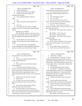|                         | Page 102                                                                                       | Page 103                                                                                                                          |
|-------------------------|------------------------------------------------------------------------------------------------|-----------------------------------------------------------------------------------------------------------------------------------|
| 1                       | AMY K. EICHNER, PH.D.                                                                          | $\mathbf{1}$<br>AMY K. EICHNER, PH.D.                                                                                             |
| 2                       | A. Uh-huh (affirmative).                                                                       | $\overline{a}$<br>conclude that this was provided to us at that time.                                                             |
| 3                       | Is there a reason that oil was added?<br>Q.                                                    | 3<br>Q. The email at the top of the chain says,                                                                                   |
| 4                       | A. I believe that was the oil that was                                                         | $\overline{4}$<br>"Attachments: DMP Preliminary Report.docx."?                                                                    |
| 5                       | extracted from the plant.                                                                      | 5<br>A. Yes.                                                                                                                      |
| 6                       | Q. Can you please flip back to the first                                                       | 6<br>Q. And "Chromatograms, pdf"?                                                                                                 |
| 7                       | page?                                                                                          | 7<br>A. Yes. Yes. Okay.                                                                                                           |
| 8                       | Yes.<br>А.                                                                                     | 8<br>So just to be clear for the record, you<br>O.                                                                                |
| 9                       | Again, what time was this email sent to<br>Q.                                                  | 9<br>have no reason to believe that's not the attachment?                                                                         |
| 10                      | you?                                                                                           | 10<br>A. No, I just wanted to understand.                                                                                         |
| 11                      | 4:31 p.m.<br>А.                                                                                | 11<br>That's fine. I want everyone to be on the<br>Q.                                                                             |
| 12                      | We can put this one to side. We might<br>O.                                                    | 12<br>same page. And then when you've had a chance to review                                                                      |
| 13                      | flip back to this one, so just keep it somewhat handy,                                         | 13<br>that one, just let me know.                                                                                                 |
| 14                      | I guess.                                                                                       | 14<br>MR. KOONS: What number did we mark this                                                                                     |
| 15                      | (Exhibit 10 was marked)                                                                        | 15<br>as?                                                                                                                         |
| 16                      | THE WITNESS: Before we move on, so do I                                                        | 16<br>MR. MARCK: That's Eichner 10.                                                                                               |
| 17                      | draw the conclusion then from your last statement that                                         | 17<br>MR. SCOTT: Document number?                                                                                                 |
| 18                      | this was attached to this particular email from 4:31                                           | 18<br>MR. MARCK: GOV 7430. Sorry, Claude, I                                                                                       |
| 19                      | p.m                                                                                            | 19<br>thought I said that.                                                                                                        |
| 20                      | (By Mr. Marck) Let me ask you that<br>Q.                                                       | 20<br>THE WITNESS: Okay.                                                                                                          |
| 21                      | question. Do you have any reason to believe that it                                            | 21<br>Q. (By Mr. Marck) And please review the email                                                                               |
| 22                      | wasn't?                                                                                        | 22<br>at the bottom of the first page. And was this email                                                                         |
| 23                      | A. I have no idea what it was attached to,                                                     | 23<br>sent by you?                                                                                                                |
| 24                      | but I'm assuming since you provided this email chain                                           | 24<br>A. Yes, to Robert Moore on April 6, 2011.                                                                                   |
| 25                      | and you've made a note of the time that I should                                               | 25<br>And this is the same Robert Moore that we<br>Q.                                                                             |
|                         | Page 104                                                                                       | Page 105                                                                                                                          |
|                         |                                                                                                |                                                                                                                                   |
| 1                       |                                                                                                | $\mathbf{1}$                                                                                                                      |
| $\overline{\mathbf{c}}$ | AMY K. EICHNER, PH.D.<br>discussed before who worked at the FDA?                               | AMY K. EICHNER, PH.D.<br>$\overline{a}$                                                                                           |
| 3                       | A. Yes.                                                                                        | A. I don't know. Possibly.<br>3                                                                                                   |
| 4                       |                                                                                                | One last question. It says that, "We have<br>O.<br>$\,4$                                                                          |
| 5                       | Q. And who you communicated with back in<br>October of 2010 timeframe?                         | conducted testing on the plants themselves and on<br>5                                                                            |
| 6                       | A. Yes.                                                                                        | commercially available geranium oils." We previously<br>$\sqrt{6}$                                                                |
| 7                       | Q. Please read the second and third sentences                                                  | discussed that. I guess the preliminary idea was not<br>$\boldsymbol{7}$<br>to test geranium oils or commercially available ones? |
| 8                       | of the email aloud.                                                                            | $\,$ 8 $\,$<br>That's correct.<br>А.                                                                                              |
| 9                       | "We have scoured the literature, and we<br>А.                                                  | 9<br>Did something change in the interim?<br>Q.                                                                                   |
| 10                      | have also conducted testing on the plants themselves                                           | 10<br>It could have. I would have to look back<br>А.                                                                              |
| 11                      | and on commercially available geranium oils. We have                                           | 11<br>at the ElSohly paper to make see if we ended testing                                                                        |
| 12                      | failed to find a shred of approximate evidence to                                              | 12<br>commercially available oils. I do know that NSF                                                                             |
| 13                      | support methylhexaneamine naturally occurs in geranium                                         | $1\,3$<br>International at that time was testing commercially                                                                     |
| 14                      | oil."                                                                                          | 14<br>available geranium oils in parallel.                                                                                        |
| 15                      | What date was this email sent on again?<br>Q.                                                  | 15<br>Q. What does the phrase "shred of evidence"                                                                                 |
| 16                      | A. April 6, 2011.                                                                              | 16<br>mean?                                                                                                                       |
| 17                      | Q. Is it safe to say you were very eager to                                                    | 17<br>A. We just could not find valid solid                                                                                       |
| 18                      | share the preliminary results of the study with the                                            | 18<br>evidence that we felt we could rely on conclusively.                                                                        |
| 19                      | FDA?                                                                                           | 19<br>Q. I mean in the sense "valid" means what?                                                                                  |
| 20                      | А.<br>We are always eager to share important                                                   | 20<br>That we were certain that the conclusions<br>А.                                                                             |
| 21                      | information about safety with the FDA.                                                         | 21<br>were accurate.                                                                                                              |
| 22                      | Q. Prior to this April 6, 2011 email, do you                                                   | 22<br>Q. Can you flip back to the previous exhibit,                                                                               |
| 23                      | believe you had any communications with Dr. Moore or                                           | 23<br>which would be Eichner 9? Do you see the email that is                                                                      |
| 24<br>25                | anyone else at the FDA since you had previously been in<br>communication with them in October? | 24<br>dated March 6, 2011 at 3:33 p.m.?<br>25<br>MR. KOONS: Which page are you on?                                                |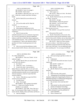# Case 1:13-cv-03675-WBH Document 108-4 Filed 12/30/16 Page 153 of 586

| $\mathbf 1$<br>1<br>AMY K. EICHNER, PH.D.<br>AMY K. EICHNER, PH.D.<br>$\sqrt{2}$<br>2<br>expecting from the FDA?<br>MR. MARCK: Sorry, it's on page 2.<br>3<br>3<br>MR. KOONS: March what?<br>A. Well, I guess we --<br>$\overline{4}$<br>MR. MARCK: March 6th, 2011, says "at 3:33<br>MR. SCOTT: Object as to form. She shared<br>4<br>5<br>p.m." I think this is another email that's missing a<br>the results with Dr. Bowers?<br>5<br>6<br>6<br>header.<br>Q. (By Mr. Marck) Excuse me, not Dr. Bowers,<br>$\boldsymbol{7}$<br>Dr. Moore. Excuse me.<br>7<br>Q. (By Mr. Marck) Do you see that one, Dr.<br>8<br>8<br>Eichner?<br>MR. SCOTT: All right.<br>9<br>9<br>THE WITNESS: Repeat the question?<br>A. Yes.<br>10<br>MR. MARCK: Can you read it back.<br>10<br>Q. Are you the sender and Dr. Khan the<br>recipient?<br>11<br>(Attorneys conferring)<br>11<br>12<br>MR. KOONS: I'm looking at Exhibit 9.<br>12<br>A. As far as I'm aware, yes.<br>Q. What important implications for the<br>13<br>13<br>That was sent at 4:31 p.m.<br>supplement industry did you think that the USADA study<br>14<br>14<br>MR. MARCK: Let's go off the record real<br>would have?<br>15<br>15<br>quick.<br>16<br>16<br>A. Well, if it turns out that<br>(Discussion off the record)<br>17<br>methylhexaneamine was not a constituent of geranium<br>17<br>Q. (By Mr. Marck) Back on the record, when<br>oil, it was not in geranium oil, then the supplement<br>18<br>you received the results from the preliminary results<br>18<br>19<br>19<br>industry would have to label their dietary supplements<br>from Dr. Khan and Dr. ElSohly, and you shared them with<br>20<br>20<br>with methylhexaneamine. They wouldn't be able to label<br>the FDA, what reaction did you expect from the FDA?<br>21<br>it as geranium oil. They're only allowed to label it<br>MR. SCOTT: Object as to form, assumes<br>21<br>22<br>22<br>geranium oil if there's actually geranium oil in the<br>facts not in evidence. I don't think you got her at<br>23<br>the moment saying she shared the results other than<br>23<br>product.<br>24<br>24<br>Q. After you received the preliminary results<br>what it says in the email. Are you implying she gave<br>that you shared with Dr. Bowers, what reaction were you<br>25<br>them something else? I'm not trying to be difficult.<br>25<br>Page 108<br>Page 109<br>$\mathbf{1}$<br>1<br>AMY K. EICHNER, PH.D.<br>AMY K. EICHNER, PH.D.<br>2<br>2<br>It's a little confused here.<br>Q. We're just trying to get him to where we<br>3<br>3<br>MR. MARCK: I hear you, Claude. Let me<br>need to be.<br>4<br>4<br>rephrase it again.<br>Understood.<br>А.<br>5<br>5<br>Q. (By Mr. Marck) After you sent that email<br>And review that and let me know if you're<br>O.<br>6<br>to the FDA to Dr. Bowers --<br>6<br>ready to go.<br>7<br>7<br>MR. SCOTT: Exhibit 11?<br>A. Mr. Moore?<br>8<br>8<br>Thank you. Sorry. I'm having a --<br>MR. KOONS: Yes.<br>Q.<br>9<br>9<br>So just to be clear, I sent an email to<br>MR. MARCK: Correct.<br>А.<br>10<br>10<br>Robert Moore on April 6th, 2011 at 3:,52 and I said,<br>(By Mr. Marck) Are you familiar with the<br>Q.<br>11<br>attached?<br>11<br>"We have failed to find a shred of evidence to support<br>12<br>12<br>A. Yes.<br>methylhexaneamine naturally occurs in geranium oil."<br>13<br>What's the title of this article?<br>13<br>And your question is, what do I expect that their<br>Q.<br>14<br>"Pelargonium Oil and Methyl Hexaneamine:<br>reaction would be?<br>А.<br>14<br>15<br>Analytical Approaches Supporting the Absence of<br>15<br>Q. Correct. What did you expect the FDA's<br>16<br>Methylhexaneamine in Authenticated Pelargonium<br>reaction to be to that email?<br>16<br>$17\,$<br>Graveolens Plant Material and Oil."<br>A. We didn't know.<br>17<br>18<br>Q. Do you know who wrote that title?<br>18<br>Okay. Fair enough.<br>Q.<br>19<br>No.<br>A.<br>19<br>MR. MARCK: This is going to be marked<br>20<br>Q.<br>What journal was this article printed in?<br>20<br>Eichner 11. I think you're familiar with this.<br>21<br>Journal of Analytical Toxicology.<br>А.<br>21<br>(Exhibit 11 was marked)<br>22<br>Do you know if this is the journal your<br>Q.<br>22<br>MR. MARCK: GOV 4346. Sorry, that was a<br>23<br>co-authors attempted to get this published in?<br>23<br>typo. It's Government 27840, Claude. It is the 2012<br>24<br>I don't remember.<br>A.<br>24<br>article with Dr. ElSohly, Khan and Eichner and Bowers.<br>25<br>Who is Waseem Gul?<br>Q.<br>25<br>A. And Gul, Murphy. | Page 106 | Page 107 |
|--------------------------------------------------------------------------------------------------------------------------------------------------------------------------------------------------------------------------------------------------------------------------------------------------------------------------------------------------------------------------------------------------------------------------------------------------------------------------------------------------------------------------------------------------------------------------------------------------------------------------------------------------------------------------------------------------------------------------------------------------------------------------------------------------------------------------------------------------------------------------------------------------------------------------------------------------------------------------------------------------------------------------------------------------------------------------------------------------------------------------------------------------------------------------------------------------------------------------------------------------------------------------------------------------------------------------------------------------------------------------------------------------------------------------------------------------------------------------------------------------------------------------------------------------------------------------------------------------------------------------------------------------------------------------------------------------------------------------------------------------------------------------------------------------------------------------------------------------------------------------------------------------------------------------------------------------------------------------------------------------------------------------------------------------------------------------------------------------------------------------------------------------------------------------------------------------------------------------------------------------------------------------------------------------------------------------------------------------------------------------------------------------------------------------------------------------------------------------------------------------------------------------------------------------------------------------------------------------------------------------------------------------------------------------------------------------------------------------------------------------------------------------------------------------------------------------------------------------------------------------------------------------------------------------------------------------------------------------------------------------------------------------------------------------------------------------------------------------------------------------------------------------------------------------------------------------------------------------------------------------------------------------------------------------------------------------------------------------------------------------------------------------------------------------------------------------------------------------------------------------------------------------------------------------------------------------------------------------------------------------------------------------------------------------------------------------------------------------------------------------------------------------------------------------------------------------------------------------------------------------------------------------------------------------------------------------------------------------------------------------------------------------------------------------------------------------------------------------------------------------------------------------------------------------------------------------------------------------------------------------------------------------------------------------------------------------------------------------------------------------------------------------------------------------------------------------------------------------------------------------------------------------------------------------------------------------------------------------------|----------|----------|
|                                                                                                                                                                                                                                                                                                                                                                                                                                                                                                                                                                                                                                                                                                                                                                                                                                                                                                                                                                                                                                                                                                                                                                                                                                                                                                                                                                                                                                                                                                                                                                                                                                                                                                                                                                                                                                                                                                                                                                                                                                                                                                                                                                                                                                                                                                                                                                                                                                                                                                                                                                                                                                                                                                                                                                                                                                                                                                                                                                                                                                                                                                                                                                                                                                                                                                                                                                                                                                                                                                                                                                                                                                                                                                                                                                                                                                                                                                                                                                                                                                                                                                                                                                                                                                                                                                                                                                                                                                                                                                                                                                                                        |          |          |
|                                                                                                                                                                                                                                                                                                                                                                                                                                                                                                                                                                                                                                                                                                                                                                                                                                                                                                                                                                                                                                                                                                                                                                                                                                                                                                                                                                                                                                                                                                                                                                                                                                                                                                                                                                                                                                                                                                                                                                                                                                                                                                                                                                                                                                                                                                                                                                                                                                                                                                                                                                                                                                                                                                                                                                                                                                                                                                                                                                                                                                                                                                                                                                                                                                                                                                                                                                                                                                                                                                                                                                                                                                                                                                                                                                                                                                                                                                                                                                                                                                                                                                                                                                                                                                                                                                                                                                                                                                                                                                                                                                                                        |          |          |
|                                                                                                                                                                                                                                                                                                                                                                                                                                                                                                                                                                                                                                                                                                                                                                                                                                                                                                                                                                                                                                                                                                                                                                                                                                                                                                                                                                                                                                                                                                                                                                                                                                                                                                                                                                                                                                                                                                                                                                                                                                                                                                                                                                                                                                                                                                                                                                                                                                                                                                                                                                                                                                                                                                                                                                                                                                                                                                                                                                                                                                                                                                                                                                                                                                                                                                                                                                                                                                                                                                                                                                                                                                                                                                                                                                                                                                                                                                                                                                                                                                                                                                                                                                                                                                                                                                                                                                                                                                                                                                                                                                                                        |          |          |
|                                                                                                                                                                                                                                                                                                                                                                                                                                                                                                                                                                                                                                                                                                                                                                                                                                                                                                                                                                                                                                                                                                                                                                                                                                                                                                                                                                                                                                                                                                                                                                                                                                                                                                                                                                                                                                                                                                                                                                                                                                                                                                                                                                                                                                                                                                                                                                                                                                                                                                                                                                                                                                                                                                                                                                                                                                                                                                                                                                                                                                                                                                                                                                                                                                                                                                                                                                                                                                                                                                                                                                                                                                                                                                                                                                                                                                                                                                                                                                                                                                                                                                                                                                                                                                                                                                                                                                                                                                                                                                                                                                                                        |          |          |
|                                                                                                                                                                                                                                                                                                                                                                                                                                                                                                                                                                                                                                                                                                                                                                                                                                                                                                                                                                                                                                                                                                                                                                                                                                                                                                                                                                                                                                                                                                                                                                                                                                                                                                                                                                                                                                                                                                                                                                                                                                                                                                                                                                                                                                                                                                                                                                                                                                                                                                                                                                                                                                                                                                                                                                                                                                                                                                                                                                                                                                                                                                                                                                                                                                                                                                                                                                                                                                                                                                                                                                                                                                                                                                                                                                                                                                                                                                                                                                                                                                                                                                                                                                                                                                                                                                                                                                                                                                                                                                                                                                                                        |          |          |
|                                                                                                                                                                                                                                                                                                                                                                                                                                                                                                                                                                                                                                                                                                                                                                                                                                                                                                                                                                                                                                                                                                                                                                                                                                                                                                                                                                                                                                                                                                                                                                                                                                                                                                                                                                                                                                                                                                                                                                                                                                                                                                                                                                                                                                                                                                                                                                                                                                                                                                                                                                                                                                                                                                                                                                                                                                                                                                                                                                                                                                                                                                                                                                                                                                                                                                                                                                                                                                                                                                                                                                                                                                                                                                                                                                                                                                                                                                                                                                                                                                                                                                                                                                                                                                                                                                                                                                                                                                                                                                                                                                                                        |          |          |
|                                                                                                                                                                                                                                                                                                                                                                                                                                                                                                                                                                                                                                                                                                                                                                                                                                                                                                                                                                                                                                                                                                                                                                                                                                                                                                                                                                                                                                                                                                                                                                                                                                                                                                                                                                                                                                                                                                                                                                                                                                                                                                                                                                                                                                                                                                                                                                                                                                                                                                                                                                                                                                                                                                                                                                                                                                                                                                                                                                                                                                                                                                                                                                                                                                                                                                                                                                                                                                                                                                                                                                                                                                                                                                                                                                                                                                                                                                                                                                                                                                                                                                                                                                                                                                                                                                                                                                                                                                                                                                                                                                                                        |          |          |
|                                                                                                                                                                                                                                                                                                                                                                                                                                                                                                                                                                                                                                                                                                                                                                                                                                                                                                                                                                                                                                                                                                                                                                                                                                                                                                                                                                                                                                                                                                                                                                                                                                                                                                                                                                                                                                                                                                                                                                                                                                                                                                                                                                                                                                                                                                                                                                                                                                                                                                                                                                                                                                                                                                                                                                                                                                                                                                                                                                                                                                                                                                                                                                                                                                                                                                                                                                                                                                                                                                                                                                                                                                                                                                                                                                                                                                                                                                                                                                                                                                                                                                                                                                                                                                                                                                                                                                                                                                                                                                                                                                                                        |          |          |
|                                                                                                                                                                                                                                                                                                                                                                                                                                                                                                                                                                                                                                                                                                                                                                                                                                                                                                                                                                                                                                                                                                                                                                                                                                                                                                                                                                                                                                                                                                                                                                                                                                                                                                                                                                                                                                                                                                                                                                                                                                                                                                                                                                                                                                                                                                                                                                                                                                                                                                                                                                                                                                                                                                                                                                                                                                                                                                                                                                                                                                                                                                                                                                                                                                                                                                                                                                                                                                                                                                                                                                                                                                                                                                                                                                                                                                                                                                                                                                                                                                                                                                                                                                                                                                                                                                                                                                                                                                                                                                                                                                                                        |          |          |
|                                                                                                                                                                                                                                                                                                                                                                                                                                                                                                                                                                                                                                                                                                                                                                                                                                                                                                                                                                                                                                                                                                                                                                                                                                                                                                                                                                                                                                                                                                                                                                                                                                                                                                                                                                                                                                                                                                                                                                                                                                                                                                                                                                                                                                                                                                                                                                                                                                                                                                                                                                                                                                                                                                                                                                                                                                                                                                                                                                                                                                                                                                                                                                                                                                                                                                                                                                                                                                                                                                                                                                                                                                                                                                                                                                                                                                                                                                                                                                                                                                                                                                                                                                                                                                                                                                                                                                                                                                                                                                                                                                                                        |          |          |
|                                                                                                                                                                                                                                                                                                                                                                                                                                                                                                                                                                                                                                                                                                                                                                                                                                                                                                                                                                                                                                                                                                                                                                                                                                                                                                                                                                                                                                                                                                                                                                                                                                                                                                                                                                                                                                                                                                                                                                                                                                                                                                                                                                                                                                                                                                                                                                                                                                                                                                                                                                                                                                                                                                                                                                                                                                                                                                                                                                                                                                                                                                                                                                                                                                                                                                                                                                                                                                                                                                                                                                                                                                                                                                                                                                                                                                                                                                                                                                                                                                                                                                                                                                                                                                                                                                                                                                                                                                                                                                                                                                                                        |          |          |
|                                                                                                                                                                                                                                                                                                                                                                                                                                                                                                                                                                                                                                                                                                                                                                                                                                                                                                                                                                                                                                                                                                                                                                                                                                                                                                                                                                                                                                                                                                                                                                                                                                                                                                                                                                                                                                                                                                                                                                                                                                                                                                                                                                                                                                                                                                                                                                                                                                                                                                                                                                                                                                                                                                                                                                                                                                                                                                                                                                                                                                                                                                                                                                                                                                                                                                                                                                                                                                                                                                                                                                                                                                                                                                                                                                                                                                                                                                                                                                                                                                                                                                                                                                                                                                                                                                                                                                                                                                                                                                                                                                                                        |          |          |
|                                                                                                                                                                                                                                                                                                                                                                                                                                                                                                                                                                                                                                                                                                                                                                                                                                                                                                                                                                                                                                                                                                                                                                                                                                                                                                                                                                                                                                                                                                                                                                                                                                                                                                                                                                                                                                                                                                                                                                                                                                                                                                                                                                                                                                                                                                                                                                                                                                                                                                                                                                                                                                                                                                                                                                                                                                                                                                                                                                                                                                                                                                                                                                                                                                                                                                                                                                                                                                                                                                                                                                                                                                                                                                                                                                                                                                                                                                                                                                                                                                                                                                                                                                                                                                                                                                                                                                                                                                                                                                                                                                                                        |          |          |
|                                                                                                                                                                                                                                                                                                                                                                                                                                                                                                                                                                                                                                                                                                                                                                                                                                                                                                                                                                                                                                                                                                                                                                                                                                                                                                                                                                                                                                                                                                                                                                                                                                                                                                                                                                                                                                                                                                                                                                                                                                                                                                                                                                                                                                                                                                                                                                                                                                                                                                                                                                                                                                                                                                                                                                                                                                                                                                                                                                                                                                                                                                                                                                                                                                                                                                                                                                                                                                                                                                                                                                                                                                                                                                                                                                                                                                                                                                                                                                                                                                                                                                                                                                                                                                                                                                                                                                                                                                                                                                                                                                                                        |          |          |
|                                                                                                                                                                                                                                                                                                                                                                                                                                                                                                                                                                                                                                                                                                                                                                                                                                                                                                                                                                                                                                                                                                                                                                                                                                                                                                                                                                                                                                                                                                                                                                                                                                                                                                                                                                                                                                                                                                                                                                                                                                                                                                                                                                                                                                                                                                                                                                                                                                                                                                                                                                                                                                                                                                                                                                                                                                                                                                                                                                                                                                                                                                                                                                                                                                                                                                                                                                                                                                                                                                                                                                                                                                                                                                                                                                                                                                                                                                                                                                                                                                                                                                                                                                                                                                                                                                                                                                                                                                                                                                                                                                                                        |          |          |
|                                                                                                                                                                                                                                                                                                                                                                                                                                                                                                                                                                                                                                                                                                                                                                                                                                                                                                                                                                                                                                                                                                                                                                                                                                                                                                                                                                                                                                                                                                                                                                                                                                                                                                                                                                                                                                                                                                                                                                                                                                                                                                                                                                                                                                                                                                                                                                                                                                                                                                                                                                                                                                                                                                                                                                                                                                                                                                                                                                                                                                                                                                                                                                                                                                                                                                                                                                                                                                                                                                                                                                                                                                                                                                                                                                                                                                                                                                                                                                                                                                                                                                                                                                                                                                                                                                                                                                                                                                                                                                                                                                                                        |          |          |
|                                                                                                                                                                                                                                                                                                                                                                                                                                                                                                                                                                                                                                                                                                                                                                                                                                                                                                                                                                                                                                                                                                                                                                                                                                                                                                                                                                                                                                                                                                                                                                                                                                                                                                                                                                                                                                                                                                                                                                                                                                                                                                                                                                                                                                                                                                                                                                                                                                                                                                                                                                                                                                                                                                                                                                                                                                                                                                                                                                                                                                                                                                                                                                                                                                                                                                                                                                                                                                                                                                                                                                                                                                                                                                                                                                                                                                                                                                                                                                                                                                                                                                                                                                                                                                                                                                                                                                                                                                                                                                                                                                                                        |          |          |
|                                                                                                                                                                                                                                                                                                                                                                                                                                                                                                                                                                                                                                                                                                                                                                                                                                                                                                                                                                                                                                                                                                                                                                                                                                                                                                                                                                                                                                                                                                                                                                                                                                                                                                                                                                                                                                                                                                                                                                                                                                                                                                                                                                                                                                                                                                                                                                                                                                                                                                                                                                                                                                                                                                                                                                                                                                                                                                                                                                                                                                                                                                                                                                                                                                                                                                                                                                                                                                                                                                                                                                                                                                                                                                                                                                                                                                                                                                                                                                                                                                                                                                                                                                                                                                                                                                                                                                                                                                                                                                                                                                                                        |          |          |
|                                                                                                                                                                                                                                                                                                                                                                                                                                                                                                                                                                                                                                                                                                                                                                                                                                                                                                                                                                                                                                                                                                                                                                                                                                                                                                                                                                                                                                                                                                                                                                                                                                                                                                                                                                                                                                                                                                                                                                                                                                                                                                                                                                                                                                                                                                                                                                                                                                                                                                                                                                                                                                                                                                                                                                                                                                                                                                                                                                                                                                                                                                                                                                                                                                                                                                                                                                                                                                                                                                                                                                                                                                                                                                                                                                                                                                                                                                                                                                                                                                                                                                                                                                                                                                                                                                                                                                                                                                                                                                                                                                                                        |          |          |
|                                                                                                                                                                                                                                                                                                                                                                                                                                                                                                                                                                                                                                                                                                                                                                                                                                                                                                                                                                                                                                                                                                                                                                                                                                                                                                                                                                                                                                                                                                                                                                                                                                                                                                                                                                                                                                                                                                                                                                                                                                                                                                                                                                                                                                                                                                                                                                                                                                                                                                                                                                                                                                                                                                                                                                                                                                                                                                                                                                                                                                                                                                                                                                                                                                                                                                                                                                                                                                                                                                                                                                                                                                                                                                                                                                                                                                                                                                                                                                                                                                                                                                                                                                                                                                                                                                                                                                                                                                                                                                                                                                                                        |          |          |
|                                                                                                                                                                                                                                                                                                                                                                                                                                                                                                                                                                                                                                                                                                                                                                                                                                                                                                                                                                                                                                                                                                                                                                                                                                                                                                                                                                                                                                                                                                                                                                                                                                                                                                                                                                                                                                                                                                                                                                                                                                                                                                                                                                                                                                                                                                                                                                                                                                                                                                                                                                                                                                                                                                                                                                                                                                                                                                                                                                                                                                                                                                                                                                                                                                                                                                                                                                                                                                                                                                                                                                                                                                                                                                                                                                                                                                                                                                                                                                                                                                                                                                                                                                                                                                                                                                                                                                                                                                                                                                                                                                                                        |          |          |
|                                                                                                                                                                                                                                                                                                                                                                                                                                                                                                                                                                                                                                                                                                                                                                                                                                                                                                                                                                                                                                                                                                                                                                                                                                                                                                                                                                                                                                                                                                                                                                                                                                                                                                                                                                                                                                                                                                                                                                                                                                                                                                                                                                                                                                                                                                                                                                                                                                                                                                                                                                                                                                                                                                                                                                                                                                                                                                                                                                                                                                                                                                                                                                                                                                                                                                                                                                                                                                                                                                                                                                                                                                                                                                                                                                                                                                                                                                                                                                                                                                                                                                                                                                                                                                                                                                                                                                                                                                                                                                                                                                                                        |          |          |
|                                                                                                                                                                                                                                                                                                                                                                                                                                                                                                                                                                                                                                                                                                                                                                                                                                                                                                                                                                                                                                                                                                                                                                                                                                                                                                                                                                                                                                                                                                                                                                                                                                                                                                                                                                                                                                                                                                                                                                                                                                                                                                                                                                                                                                                                                                                                                                                                                                                                                                                                                                                                                                                                                                                                                                                                                                                                                                                                                                                                                                                                                                                                                                                                                                                                                                                                                                                                                                                                                                                                                                                                                                                                                                                                                                                                                                                                                                                                                                                                                                                                                                                                                                                                                                                                                                                                                                                                                                                                                                                                                                                                        |          |          |
|                                                                                                                                                                                                                                                                                                                                                                                                                                                                                                                                                                                                                                                                                                                                                                                                                                                                                                                                                                                                                                                                                                                                                                                                                                                                                                                                                                                                                                                                                                                                                                                                                                                                                                                                                                                                                                                                                                                                                                                                                                                                                                                                                                                                                                                                                                                                                                                                                                                                                                                                                                                                                                                                                                                                                                                                                                                                                                                                                                                                                                                                                                                                                                                                                                                                                                                                                                                                                                                                                                                                                                                                                                                                                                                                                                                                                                                                                                                                                                                                                                                                                                                                                                                                                                                                                                                                                                                                                                                                                                                                                                                                        |          |          |
|                                                                                                                                                                                                                                                                                                                                                                                                                                                                                                                                                                                                                                                                                                                                                                                                                                                                                                                                                                                                                                                                                                                                                                                                                                                                                                                                                                                                                                                                                                                                                                                                                                                                                                                                                                                                                                                                                                                                                                                                                                                                                                                                                                                                                                                                                                                                                                                                                                                                                                                                                                                                                                                                                                                                                                                                                                                                                                                                                                                                                                                                                                                                                                                                                                                                                                                                                                                                                                                                                                                                                                                                                                                                                                                                                                                                                                                                                                                                                                                                                                                                                                                                                                                                                                                                                                                                                                                                                                                                                                                                                                                                        |          |          |
|                                                                                                                                                                                                                                                                                                                                                                                                                                                                                                                                                                                                                                                                                                                                                                                                                                                                                                                                                                                                                                                                                                                                                                                                                                                                                                                                                                                                                                                                                                                                                                                                                                                                                                                                                                                                                                                                                                                                                                                                                                                                                                                                                                                                                                                                                                                                                                                                                                                                                                                                                                                                                                                                                                                                                                                                                                                                                                                                                                                                                                                                                                                                                                                                                                                                                                                                                                                                                                                                                                                                                                                                                                                                                                                                                                                                                                                                                                                                                                                                                                                                                                                                                                                                                                                                                                                                                                                                                                                                                                                                                                                                        |          |          |
|                                                                                                                                                                                                                                                                                                                                                                                                                                                                                                                                                                                                                                                                                                                                                                                                                                                                                                                                                                                                                                                                                                                                                                                                                                                                                                                                                                                                                                                                                                                                                                                                                                                                                                                                                                                                                                                                                                                                                                                                                                                                                                                                                                                                                                                                                                                                                                                                                                                                                                                                                                                                                                                                                                                                                                                                                                                                                                                                                                                                                                                                                                                                                                                                                                                                                                                                                                                                                                                                                                                                                                                                                                                                                                                                                                                                                                                                                                                                                                                                                                                                                                                                                                                                                                                                                                                                                                                                                                                                                                                                                                                                        |          |          |
|                                                                                                                                                                                                                                                                                                                                                                                                                                                                                                                                                                                                                                                                                                                                                                                                                                                                                                                                                                                                                                                                                                                                                                                                                                                                                                                                                                                                                                                                                                                                                                                                                                                                                                                                                                                                                                                                                                                                                                                                                                                                                                                                                                                                                                                                                                                                                                                                                                                                                                                                                                                                                                                                                                                                                                                                                                                                                                                                                                                                                                                                                                                                                                                                                                                                                                                                                                                                                                                                                                                                                                                                                                                                                                                                                                                                                                                                                                                                                                                                                                                                                                                                                                                                                                                                                                                                                                                                                                                                                                                                                                                                        |          |          |
|                                                                                                                                                                                                                                                                                                                                                                                                                                                                                                                                                                                                                                                                                                                                                                                                                                                                                                                                                                                                                                                                                                                                                                                                                                                                                                                                                                                                                                                                                                                                                                                                                                                                                                                                                                                                                                                                                                                                                                                                                                                                                                                                                                                                                                                                                                                                                                                                                                                                                                                                                                                                                                                                                                                                                                                                                                                                                                                                                                                                                                                                                                                                                                                                                                                                                                                                                                                                                                                                                                                                                                                                                                                                                                                                                                                                                                                                                                                                                                                                                                                                                                                                                                                                                                                                                                                                                                                                                                                                                                                                                                                                        |          |          |
|                                                                                                                                                                                                                                                                                                                                                                                                                                                                                                                                                                                                                                                                                                                                                                                                                                                                                                                                                                                                                                                                                                                                                                                                                                                                                                                                                                                                                                                                                                                                                                                                                                                                                                                                                                                                                                                                                                                                                                                                                                                                                                                                                                                                                                                                                                                                                                                                                                                                                                                                                                                                                                                                                                                                                                                                                                                                                                                                                                                                                                                                                                                                                                                                                                                                                                                                                                                                                                                                                                                                                                                                                                                                                                                                                                                                                                                                                                                                                                                                                                                                                                                                                                                                                                                                                                                                                                                                                                                                                                                                                                                                        |          |          |
|                                                                                                                                                                                                                                                                                                                                                                                                                                                                                                                                                                                                                                                                                                                                                                                                                                                                                                                                                                                                                                                                                                                                                                                                                                                                                                                                                                                                                                                                                                                                                                                                                                                                                                                                                                                                                                                                                                                                                                                                                                                                                                                                                                                                                                                                                                                                                                                                                                                                                                                                                                                                                                                                                                                                                                                                                                                                                                                                                                                                                                                                                                                                                                                                                                                                                                                                                                                                                                                                                                                                                                                                                                                                                                                                                                                                                                                                                                                                                                                                                                                                                                                                                                                                                                                                                                                                                                                                                                                                                                                                                                                                        |          |          |
|                                                                                                                                                                                                                                                                                                                                                                                                                                                                                                                                                                                                                                                                                                                                                                                                                                                                                                                                                                                                                                                                                                                                                                                                                                                                                                                                                                                                                                                                                                                                                                                                                                                                                                                                                                                                                                                                                                                                                                                                                                                                                                                                                                                                                                                                                                                                                                                                                                                                                                                                                                                                                                                                                                                                                                                                                                                                                                                                                                                                                                                                                                                                                                                                                                                                                                                                                                                                                                                                                                                                                                                                                                                                                                                                                                                                                                                                                                                                                                                                                                                                                                                                                                                                                                                                                                                                                                                                                                                                                                                                                                                                        |          |          |
|                                                                                                                                                                                                                                                                                                                                                                                                                                                                                                                                                                                                                                                                                                                                                                                                                                                                                                                                                                                                                                                                                                                                                                                                                                                                                                                                                                                                                                                                                                                                                                                                                                                                                                                                                                                                                                                                                                                                                                                                                                                                                                                                                                                                                                                                                                                                                                                                                                                                                                                                                                                                                                                                                                                                                                                                                                                                                                                                                                                                                                                                                                                                                                                                                                                                                                                                                                                                                                                                                                                                                                                                                                                                                                                                                                                                                                                                                                                                                                                                                                                                                                                                                                                                                                                                                                                                                                                                                                                                                                                                                                                                        |          |          |
|                                                                                                                                                                                                                                                                                                                                                                                                                                                                                                                                                                                                                                                                                                                                                                                                                                                                                                                                                                                                                                                                                                                                                                                                                                                                                                                                                                                                                                                                                                                                                                                                                                                                                                                                                                                                                                                                                                                                                                                                                                                                                                                                                                                                                                                                                                                                                                                                                                                                                                                                                                                                                                                                                                                                                                                                                                                                                                                                                                                                                                                                                                                                                                                                                                                                                                                                                                                                                                                                                                                                                                                                                                                                                                                                                                                                                                                                                                                                                                                                                                                                                                                                                                                                                                                                                                                                                                                                                                                                                                                                                                                                        |          |          |
|                                                                                                                                                                                                                                                                                                                                                                                                                                                                                                                                                                                                                                                                                                                                                                                                                                                                                                                                                                                                                                                                                                                                                                                                                                                                                                                                                                                                                                                                                                                                                                                                                                                                                                                                                                                                                                                                                                                                                                                                                                                                                                                                                                                                                                                                                                                                                                                                                                                                                                                                                                                                                                                                                                                                                                                                                                                                                                                                                                                                                                                                                                                                                                                                                                                                                                                                                                                                                                                                                                                                                                                                                                                                                                                                                                                                                                                                                                                                                                                                                                                                                                                                                                                                                                                                                                                                                                                                                                                                                                                                                                                                        |          |          |
|                                                                                                                                                                                                                                                                                                                                                                                                                                                                                                                                                                                                                                                                                                                                                                                                                                                                                                                                                                                                                                                                                                                                                                                                                                                                                                                                                                                                                                                                                                                                                                                                                                                                                                                                                                                                                                                                                                                                                                                                                                                                                                                                                                                                                                                                                                                                                                                                                                                                                                                                                                                                                                                                                                                                                                                                                                                                                                                                                                                                                                                                                                                                                                                                                                                                                                                                                                                                                                                                                                                                                                                                                                                                                                                                                                                                                                                                                                                                                                                                                                                                                                                                                                                                                                                                                                                                                                                                                                                                                                                                                                                                        |          |          |
|                                                                                                                                                                                                                                                                                                                                                                                                                                                                                                                                                                                                                                                                                                                                                                                                                                                                                                                                                                                                                                                                                                                                                                                                                                                                                                                                                                                                                                                                                                                                                                                                                                                                                                                                                                                                                                                                                                                                                                                                                                                                                                                                                                                                                                                                                                                                                                                                                                                                                                                                                                                                                                                                                                                                                                                                                                                                                                                                                                                                                                                                                                                                                                                                                                                                                                                                                                                                                                                                                                                                                                                                                                                                                                                                                                                                                                                                                                                                                                                                                                                                                                                                                                                                                                                                                                                                                                                                                                                                                                                                                                                                        |          |          |
|                                                                                                                                                                                                                                                                                                                                                                                                                                                                                                                                                                                                                                                                                                                                                                                                                                                                                                                                                                                                                                                                                                                                                                                                                                                                                                                                                                                                                                                                                                                                                                                                                                                                                                                                                                                                                                                                                                                                                                                                                                                                                                                                                                                                                                                                                                                                                                                                                                                                                                                                                                                                                                                                                                                                                                                                                                                                                                                                                                                                                                                                                                                                                                                                                                                                                                                                                                                                                                                                                                                                                                                                                                                                                                                                                                                                                                                                                                                                                                                                                                                                                                                                                                                                                                                                                                                                                                                                                                                                                                                                                                                                        |          |          |
|                                                                                                                                                                                                                                                                                                                                                                                                                                                                                                                                                                                                                                                                                                                                                                                                                                                                                                                                                                                                                                                                                                                                                                                                                                                                                                                                                                                                                                                                                                                                                                                                                                                                                                                                                                                                                                                                                                                                                                                                                                                                                                                                                                                                                                                                                                                                                                                                                                                                                                                                                                                                                                                                                                                                                                                                                                                                                                                                                                                                                                                                                                                                                                                                                                                                                                                                                                                                                                                                                                                                                                                                                                                                                                                                                                                                                                                                                                                                                                                                                                                                                                                                                                                                                                                                                                                                                                                                                                                                                                                                                                                                        |          |          |
|                                                                                                                                                                                                                                                                                                                                                                                                                                                                                                                                                                                                                                                                                                                                                                                                                                                                                                                                                                                                                                                                                                                                                                                                                                                                                                                                                                                                                                                                                                                                                                                                                                                                                                                                                                                                                                                                                                                                                                                                                                                                                                                                                                                                                                                                                                                                                                                                                                                                                                                                                                                                                                                                                                                                                                                                                                                                                                                                                                                                                                                                                                                                                                                                                                                                                                                                                                                                                                                                                                                                                                                                                                                                                                                                                                                                                                                                                                                                                                                                                                                                                                                                                                                                                                                                                                                                                                                                                                                                                                                                                                                                        |          |          |
|                                                                                                                                                                                                                                                                                                                                                                                                                                                                                                                                                                                                                                                                                                                                                                                                                                                                                                                                                                                                                                                                                                                                                                                                                                                                                                                                                                                                                                                                                                                                                                                                                                                                                                                                                                                                                                                                                                                                                                                                                                                                                                                                                                                                                                                                                                                                                                                                                                                                                                                                                                                                                                                                                                                                                                                                                                                                                                                                                                                                                                                                                                                                                                                                                                                                                                                                                                                                                                                                                                                                                                                                                                                                                                                                                                                                                                                                                                                                                                                                                                                                                                                                                                                                                                                                                                                                                                                                                                                                                                                                                                                                        |          |          |
|                                                                                                                                                                                                                                                                                                                                                                                                                                                                                                                                                                                                                                                                                                                                                                                                                                                                                                                                                                                                                                                                                                                                                                                                                                                                                                                                                                                                                                                                                                                                                                                                                                                                                                                                                                                                                                                                                                                                                                                                                                                                                                                                                                                                                                                                                                                                                                                                                                                                                                                                                                                                                                                                                                                                                                                                                                                                                                                                                                                                                                                                                                                                                                                                                                                                                                                                                                                                                                                                                                                                                                                                                                                                                                                                                                                                                                                                                                                                                                                                                                                                                                                                                                                                                                                                                                                                                                                                                                                                                                                                                                                                        |          |          |
|                                                                                                                                                                                                                                                                                                                                                                                                                                                                                                                                                                                                                                                                                                                                                                                                                                                                                                                                                                                                                                                                                                                                                                                                                                                                                                                                                                                                                                                                                                                                                                                                                                                                                                                                                                                                                                                                                                                                                                                                                                                                                                                                                                                                                                                                                                                                                                                                                                                                                                                                                                                                                                                                                                                                                                                                                                                                                                                                                                                                                                                                                                                                                                                                                                                                                                                                                                                                                                                                                                                                                                                                                                                                                                                                                                                                                                                                                                                                                                                                                                                                                                                                                                                                                                                                                                                                                                                                                                                                                                                                                                                                        |          |          |
|                                                                                                                                                                                                                                                                                                                                                                                                                                                                                                                                                                                                                                                                                                                                                                                                                                                                                                                                                                                                                                                                                                                                                                                                                                                                                                                                                                                                                                                                                                                                                                                                                                                                                                                                                                                                                                                                                                                                                                                                                                                                                                                                                                                                                                                                                                                                                                                                                                                                                                                                                                                                                                                                                                                                                                                                                                                                                                                                                                                                                                                                                                                                                                                                                                                                                                                                                                                                                                                                                                                                                                                                                                                                                                                                                                                                                                                                                                                                                                                                                                                                                                                                                                                                                                                                                                                                                                                                                                                                                                                                                                                                        |          |          |
|                                                                                                                                                                                                                                                                                                                                                                                                                                                                                                                                                                                                                                                                                                                                                                                                                                                                                                                                                                                                                                                                                                                                                                                                                                                                                                                                                                                                                                                                                                                                                                                                                                                                                                                                                                                                                                                                                                                                                                                                                                                                                                                                                                                                                                                                                                                                                                                                                                                                                                                                                                                                                                                                                                                                                                                                                                                                                                                                                                                                                                                                                                                                                                                                                                                                                                                                                                                                                                                                                                                                                                                                                                                                                                                                                                                                                                                                                                                                                                                                                                                                                                                                                                                                                                                                                                                                                                                                                                                                                                                                                                                                        |          |          |
|                                                                                                                                                                                                                                                                                                                                                                                                                                                                                                                                                                                                                                                                                                                                                                                                                                                                                                                                                                                                                                                                                                                                                                                                                                                                                                                                                                                                                                                                                                                                                                                                                                                                                                                                                                                                                                                                                                                                                                                                                                                                                                                                                                                                                                                                                                                                                                                                                                                                                                                                                                                                                                                                                                                                                                                                                                                                                                                                                                                                                                                                                                                                                                                                                                                                                                                                                                                                                                                                                                                                                                                                                                                                                                                                                                                                                                                                                                                                                                                                                                                                                                                                                                                                                                                                                                                                                                                                                                                                                                                                                                                                        |          |          |
|                                                                                                                                                                                                                                                                                                                                                                                                                                                                                                                                                                                                                                                                                                                                                                                                                                                                                                                                                                                                                                                                                                                                                                                                                                                                                                                                                                                                                                                                                                                                                                                                                                                                                                                                                                                                                                                                                                                                                                                                                                                                                                                                                                                                                                                                                                                                                                                                                                                                                                                                                                                                                                                                                                                                                                                                                                                                                                                                                                                                                                                                                                                                                                                                                                                                                                                                                                                                                                                                                                                                                                                                                                                                                                                                                                                                                                                                                                                                                                                                                                                                                                                                                                                                                                                                                                                                                                                                                                                                                                                                                                                                        |          |          |
|                                                                                                                                                                                                                                                                                                                                                                                                                                                                                                                                                                                                                                                                                                                                                                                                                                                                                                                                                                                                                                                                                                                                                                                                                                                                                                                                                                                                                                                                                                                                                                                                                                                                                                                                                                                                                                                                                                                                                                                                                                                                                                                                                                                                                                                                                                                                                                                                                                                                                                                                                                                                                                                                                                                                                                                                                                                                                                                                                                                                                                                                                                                                                                                                                                                                                                                                                                                                                                                                                                                                                                                                                                                                                                                                                                                                                                                                                                                                                                                                                                                                                                                                                                                                                                                                                                                                                                                                                                                                                                                                                                                                        |          |          |
|                                                                                                                                                                                                                                                                                                                                                                                                                                                                                                                                                                                                                                                                                                                                                                                                                                                                                                                                                                                                                                                                                                                                                                                                                                                                                                                                                                                                                                                                                                                                                                                                                                                                                                                                                                                                                                                                                                                                                                                                                                                                                                                                                                                                                                                                                                                                                                                                                                                                                                                                                                                                                                                                                                                                                                                                                                                                                                                                                                                                                                                                                                                                                                                                                                                                                                                                                                                                                                                                                                                                                                                                                                                                                                                                                                                                                                                                                                                                                                                                                                                                                                                                                                                                                                                                                                                                                                                                                                                                                                                                                                                                        |          |          |
|                                                                                                                                                                                                                                                                                                                                                                                                                                                                                                                                                                                                                                                                                                                                                                                                                                                                                                                                                                                                                                                                                                                                                                                                                                                                                                                                                                                                                                                                                                                                                                                                                                                                                                                                                                                                                                                                                                                                                                                                                                                                                                                                                                                                                                                                                                                                                                                                                                                                                                                                                                                                                                                                                                                                                                                                                                                                                                                                                                                                                                                                                                                                                                                                                                                                                                                                                                                                                                                                                                                                                                                                                                                                                                                                                                                                                                                                                                                                                                                                                                                                                                                                                                                                                                                                                                                                                                                                                                                                                                                                                                                                        |          |          |
|                                                                                                                                                                                                                                                                                                                                                                                                                                                                                                                                                                                                                                                                                                                                                                                                                                                                                                                                                                                                                                                                                                                                                                                                                                                                                                                                                                                                                                                                                                                                                                                                                                                                                                                                                                                                                                                                                                                                                                                                                                                                                                                                                                                                                                                                                                                                                                                                                                                                                                                                                                                                                                                                                                                                                                                                                                                                                                                                                                                                                                                                                                                                                                                                                                                                                                                                                                                                                                                                                                                                                                                                                                                                                                                                                                                                                                                                                                                                                                                                                                                                                                                                                                                                                                                                                                                                                                                                                                                                                                                                                                                                        |          |          |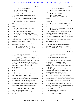# Case 1:13-cv-03675-WBH Document 108-4 Filed 12/30/16 Page 154 of 586

|          | Page 110                                                                                             |                         | Page 111                                               |
|----------|------------------------------------------------------------------------------------------------------|-------------------------|--------------------------------------------------------|
| 1        | AMY K. EICHNER, PH.D.                                                                                | $\mathbf{1}$            | AMY K. EICHNER, PH.D.                                  |
| 2        | A. A colleague of ElSohly.                                                                           | $\overline{\mathbf{c}}$ | MR. MARCK: I'm not going to use those                  |
| 3        | Q. Have you ever met him in person?                                                                  | 3                       | pages so                                               |
| 4        | A. I don't think so.                                                                                 | 4                       | MR. SCOTT: Okay, 854.                                  |
| 5        | Q. Have you ever communicated with him                                                               | 5                       | MR. MARCK: Correct.                                    |
| 6        | directly?                                                                                            | 6                       | MR. SCOTT: So the exhibit is not                       |
| 7        | A. Probably during this time when we were                                                            | 7                       | complete?                                              |
| 8        | writing the manuscript.                                                                              | 8                       | MR. MARCK: Are you objecting to it being               |
| 9        | Q. Do you know what his role was in the                                                              | 9                       | not complete?                                          |
| 10       | study?                                                                                               | 10                      | MR. SCOTT: I'm asking a question because               |
| 11       | I don't know. I believe he was an<br>А.                                                              | 11                      | I'm not exactly sure what's been marked to go in right |
| 12       | analyst.                                                                                             | 12                      | now.                                                   |
| 13       | And do you know Kareem ElSohly?<br>Q.                                                                | 13                      | MR. MARCK: I marked 27840 through 27854.               |
| 14       | A. No.                                                                                               | 14                      | MR. SCOTT: Okay.                                       |
| 15       | Q. Do you know Timothy Murphy?                                                                       | 15                      | Q. (By Mr. Marck) And you can go ahead and             |
| 16       | A. I don't know any of the other authors                                                             | 16                      | please read the Acknowledgments out loud.              |
| 17       | aside from I only know Dr. Khan, Mahmoud ElSohly and                                                 | 17                      | A. "This project was supported in part by the          |
| 18       | Dr. Bowers.                                                                                          | 18                      | U.S. Anti-Doping Agency, Colorado Springs, Colorado,   |
| 19       | Q. Can you please flip to the last page,                                                             | 19                      | $U.S.A.$ "                                             |
| 20       | which is marked GOV 2784. I'm sorry, 27854. Can you                                                  | 20                      | Q. Do you know what portion of the funding             |
| 21       | read the Acknowledgments out loud?                                                                   | 21                      | was not provided by USADA?                             |
| 22       | MR. SCOTT: 854, okay. I thought you said                                                             | 22                      | A. No.                                                 |
| 23       | "the last page." I'm sorry.                                                                          | 23                      | Q. And could you please flip to the previous           |
| 24       | MR. KOONS: That is the last page.                                                                    | 24                      | page, which is page 14 of the article, Bates stamped   |
| 25       | MR. SCOTT: The one I've got is 27864.                                                                | 25                      | Government 27853. From the Conclusion section, please  |
|          |                                                                                                      |                         |                                                        |
|          | Page 112                                                                                             |                         | Page 113                                               |
| 1        |                                                                                                      | 1                       |                                                        |
| 2        | AMY K. EICHNER, PH.D.                                                                                | $\overline{a}$          | AMY K. EICHNER, PH.D.<br>A. No.                        |
| 3        | read the second sentence beginning with "none of."                                                   | 3                       | Q <sub>r</sub>                                         |
| 4        | A. "None of the analyzed oils or the plant<br>material (young and mature, fresh and dried leaves and | $\,4$                   | Do you know where the testing was<br>performed?        |
| 5        | stems) showed any detectable level of MHA," less than,                                               | 5                       | A. As far as I am aware, it was all performed          |
| 6        | in parentheses, (less than 0.1 parts per million by                                                  | 6                       | at Ole Miss at the PSI, but I don't know.              |
| 7        | GC-MS, less than 2.5 parts per billion by LC-MS-MS and                                               | $\overline{7}$          | Q. Did you ever visit PSI or Dr. Khan or               |
| 8        | 10 parts per billion by the high resolution                                                          | 8                       | ElSohly's labs while the study was being conducted?    |
| 9        | LC-QTOF-MS)."                                                                                        | 9                       | A. No.                                                 |
| 10       | Q. Do you have any idea who wrote that                                                               | 10                      | During the course of the time that the<br>Q.           |
| 11       | sentence?                                                                                            | 11                      | study was being conducted, how often were you in       |
| 12       | A. No.                                                                                               | 12                      | contact with Drs. Khan and Dr. ElSohly?                |
| 13       | Who did the preliminary drafting of this<br>Q.                                                       | 13                      | A. It's hard to say. I feel like for a large           |
| 14       | paper? Sorry primary, not preliminary.                                                               | 14                      | part of the study we just let them get on with their   |
| 15       | A. My understanding is ElSohly and Khan's                                                            | $15$                    | work and we didn't have a lot of communications. I     |
| 16       | group drafted the results and methods. They may have                                                 | 16                      | remember there were a couple of email correspondences  |
| 17       | also drafted other areas, but I know that my role in                                                 | 17                      | and phone conferences, but I don't know exactly how    |
| 18       | this article was drafting parts of the introduction and                                              | $18\,$                  | often.                                                 |
| 19       | providing context in the dietary supplements industry                                                | 19                      | Q. Who is Edward -- I'm going to screw this            |
| 20       | like, you know, how something becomes a dietary                                                      | 20                      | name up -- Wyszumiala? Does that ring a bell for you?  |
| 21       | supplements.                                                                                         | 21                      | That was a pretty good pronunciation.<br>А.            |
| 22       | So I don't recall who did the first draft                                                            | 22                      | Okay.<br>Q.                                            |
| 23       | that we then called this is the first draft.                                                         | 23                      | I know him. He was at the NSF<br>А.                    |
| 24<br>25 | Q. Gotcha. Were you involved in the actual<br>testing at all?                                        | 24<br>25                | International at that time.<br>(Exhibit 12 was marked) |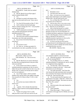# Case 1:13-cv-03675-WBH Document 108-4 Filed 12/30/16 Page 155 of 586

|          | Page 114                                                                                            |                  | Page 115                                                                            |
|----------|-----------------------------------------------------------------------------------------------------|------------------|-------------------------------------------------------------------------------------|
| $1\,$    | AMY K. EICHNER, PH.D.                                                                               | $\mathbf{1}$     | AMY K. EICHNER, PH.D.                                                               |
| 2        | MR. MARCK: Claude, these are marked                                                                 | $\boldsymbol{2}$ | $don't \ldots$                                                                      |
| 3        | ElSohly 4318.                                                                                       | 3                | Remember it now?<br>O.                                                              |
| 4        | Q. (By Mr. Marck) Can you flip to page 3,                                                           | $\overline{4}$   | A. I just don't know labs very well.                                                |
| 5        | which is marked ElSohly 4320?                                                                       | 5                | Q. Okay. Let's move up to your responsive                                           |
| 6        | A. Yes.                                                                                             | 6                | email, which I think begins on the middle of page 3,                                |
| 7        | And there's an email at the bottom of the<br>0.                                                     | $\boldsymbol{7}$ | ElSohly 4320. Was this email sent by you?                                           |
| 8        | page and was this email sent by you? Sorry, sent to                                                 | 8                | A. Yes, on Friday May 27th at 2011 to Ed                                            |
| 9        | you?                                                                                                | 9                | Wyszumiala and Lori Bestervelt.                                                     |
| 10       | A. Yes, from Ed Wyszumiala on May 27, 2011.                                                         | 10               | Q. And you state a line, or you wrote, excuse                                       |
| 11       | Q. And it continues onto the fourth page.                                                           | 11               | me, "If you say something enough, lies become the                                   |
| 12       | There's a sentence starting with "FYI." Can you please                                              | 12               | truth." What lies are you referring to?                                             |
| 13       | read that into the record?                                                                          | 13               | A. Well, at that time because we couldn't                                           |
| 14       | A. "AHPA mentioned to me that they talked                                                           | 14               | find any evidence that methylhexaneamine was in                                     |
| 15       | with a lab that tested geranium and found                                                           | 15               | geranium oil and in our view the Ping paper was                                     |
| 16       | methylhexaneamine in it."                                                                           | 16               | invalidated and dietary supplements companies continued                             |
| 17       | Q. And what is AHPA again?                                                                          | 17               | to refer to the Ping paper, at least on websites and in                             |
| 18       | That must be the American Herbal Products<br>А.                                                     | 18               | blogs as valid data for the presence of                                             |
| 19       | Association, one of the trade associations.                                                         | 19               | methylhexaneamine in geranium oil, that was the                                     |
| 20       | Q. Do you know the lab that Edward was                                                              | 20               | misinformation that I was referring to.                                             |
| 21       | referring to?                                                                                       | 21               | Q. Is it fair to say that your first reaction                                       |
| 22       | A. No.                                                                                              | 22               | to being informed of a lab finding results contrary to                              |
| 23       | Q. Do you know it now?                                                                              | 23               | the ones that you and Dr. ElSohly had reached, that you                             |
| 24       | A. No. Well, no. In follow-up emails if it                                                          | 24               | would think that they were lies?                                                    |
| 25       | was disclosed to me, that's a possibility, but I just                                               | 25               | MR. KOONS: Objection, form.                                                         |
|          | Page 116                                                                                            |                  | Page 117                                                                            |
| 1        | AMY K. EICHNER, PH.D.                                                                               | $1\,$            | AMY K. EICHNER, PH.D.                                                               |
| 2        | MR. SCOTT: Object as to form.                                                                       |                  |                                                                                     |
|          |                                                                                                     | $\sqrt{2}$       |                                                                                     |
| 3        |                                                                                                     | 3                | your reputation might be a critical factor here.                                    |
| 4        | THE WITNESS: No. That was not my                                                                    | $\,4$            | Q. What did you mean by "rule on this once                                          |
| 5        | reaction.                                                                                           | 5                | and for all, banning DMAA?                                                          |
| 6        | (By Mr. Marck) So you weren't referring to<br>Q.                                                    | 6                | A. No, providing clarity on, A, whether                                             |
| 7        | the study that was being discussed in the prior email                                               | $\sqrt{ }$       | methylhexaneamine is in geranium oil, and, B, whether                               |
| 8        | when you said that?<br>A. So my concern was if there is a report of                                 | 8                | it is a legitimate dietary ingredient.<br>Q. You also said, "I don't want the trade |
| 9        | methylhexaneamine in geranium oil, that we need to                                                  | 9                | associations writing the rules here." Which trade                                   |
| 10       | follow that up and we need to find out who it was, who                                              | 10               | associations are you referring to?                                                  |
| 11       | did the work, we need to see the data and we need to                                                | 11               | A. Any trade association. And I have that                                           |
| 12       | see if we can replicate it.                                                                         | 12               | view because the trade associations don't necessarily                               |
| 13       | Q. Can we flip to page 2, which is marked                                                           | 13               | have consumers' best interest at heart because that's                               |
| 14       | ElSohly 4319, and the email in the middle of the page                                               | 14               | not their job. That's the FDA's job.                                                |
| 15       | from yourself to Dr. Khan on May 27, 2011; is that                                                  | 15               | Q. You also speak about the importance and                                          |
| 16       | correct?                                                                                            | 16               | implications of our paper. Strike that. I think we've                               |
| 17       | A. Yes.                                                                                             | 17               | already discussed it enough. This email was sent on                                 |
| 18       | Q. Do you have any reason to believe this                                                           | 18               | May 27th, 2011, correct?                                                            |
| 19       | email is not --                                                                                     | 19               | A. Yes.                                                                             |
| 20       | A. No.                                                                                              | 20               | Q. Were the results of the study finalized by                                       |
| 21       | Q. -- genuine. We've already discussed what                                                         | 21               | that point in time?                                                                 |
| 22       | AHPA is. Please read the second paragraph beginning                                                 | 22               | A. I don't remember.                                                                |
| 23       | with, "I think."                                                                                    | 23               | Q. Please flip to page 1. There's an email                                          |
| 24<br>25 | "I think we're going to have to really<br>А.<br>lobby the FDA to rule on this once and for all, and | 24<br>25         | at the bottom of the page from Dr. ElSohly sent to you,<br>correct?                 |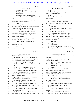# Case 1:13-cv-03675-WBH Document 108-4 Filed 12/30/16 Page 156 of 586

|          | Page 118                                                                                              | Page 119                                                                                                              |
|----------|-------------------------------------------------------------------------------------------------------|-----------------------------------------------------------------------------------------------------------------------|
| 1        | AMY K. EICHNER, PH.D.                                                                                 | 1<br>AMY K. EICHNER, PH.D.                                                                                            |
| 2        | A. Yes, on May 27th, 2011.                                                                            | 2<br>A. Yes.                                                                                                          |
| 3        | Thank you. Do you remember this email?<br>Q.                                                          | 3<br>Q. And he does say that these samples do                                                                         |
| 4        | A. Not in particular.                                                                                 | 4<br>contain low levels of DMAA, correct?                                                                             |
| 5        | It continues over onto page 2, and please<br>Q.                                                       | 5<br>A. Yes.                                                                                                          |
| 6        | read the sentence beginning with, quote, "The LC/MS/MS                                                | 6<br>Q. Were these findings reflected in the                                                                          |
| 7        | method."                                                                                              | 7<br>resulting paper?                                                                                                 |
| 8        | "The LC/MS/MS method is 1000 times more<br>А.                                                         | A. I don't remember.<br>8                                                                                             |
| 9        | sensitive than the GC/MS method."                                                                     | 9<br>Q. Do you have any idea whether these                                                                            |
| 10       | Q. Continue?                                                                                          | 10<br>findings were reflected in the supplemental materials                                                           |
| 11       | A. "We analyzed the samples you just sent to                                                          | 11<br>for the paper?                                                                                                  |
| 12       | me by the LC/MS/MS method and they do continue low                                                    | 12<br>A. I don't know.                                                                                                |
| 13       | levels of DMP in the nanogram per mL range."                                                          | 13<br>MR. MARCK: Sorry, Claude, did you have an                                                                       |
| 14       | Q. Now, which samples had you sent?                                                                   | 14<br>objection?                                                                                                      |
| 15       | A. I don't remember, but perhaps those are                                                            | 15<br>MR. SCOTT: Yes, as to form.                                                                                     |
| 16       | commercially available samples. I just don't know.                                                    | 16<br>Q. (By Mr. Marck) This detection of DMAA                                                                        |
| 17       | Q. Now, does this indicate that DMAA was                                                              | 17<br>arose after you had emailed Dr. Moore at the FDA on                                                             |
| 18       | detected during the study?                                                                            | 18<br>April 6th and told him that the study had failed to                                                             |
| 19       | A. I don't know. That would require the                                                               | 19<br>detect DMAA. How long did it take you to share these                                                            |
| 20<br>21 | expertise of Dr. ElSohly or Dr. Khan.                                                                 | 20<br>results with the FDA?<br>21                                                                                     |
| 22       | Q. But the statement they do contain low                                                              | A. I don't know.<br>22                                                                                                |
| 23       | levels of DMP, do you understand Dr. ElSohly to be<br>referring to DMAA?                              | Q. Did you share these results with the FDA?<br>23<br>A. I don't remember.                                            |
| 24       | A. Yes.                                                                                               | 24<br>Q. Besides Dr. Moore, is there anyone else at                                                                   |
| 25       | Q. When you're saying that?                                                                           | 25<br>the FDA that you would have been in contact with during                                                         |
|          |                                                                                                       |                                                                                                                       |
|          |                                                                                                       |                                                                                                                       |
|          | Page 120                                                                                              | Page 121                                                                                                              |
| 1        | AMY K. EICHNER, PH.D.                                                                                 | 1<br>AMY K. EICHNER, PH.D.                                                                                            |
| 2        | this period of time?                                                                                  | 2<br>mass spec data is Greek to me, I just formed no part of                                                          |
| 3        | A. Possibly, but if he was my primary person                                                          | 3<br>the analysis.                                                                                                    |
| 4        | that I was communicating with at the time, I probably                                                 | $\overline{4}$<br>Q. Can you move to the email at the top of                                                          |
| 5        | would have communicated directly with him.                                                            | 5<br>the page. Who sent that?                                                                                         |
| 6        | Q. And let's flip up to your responsive                                                               | 6<br>A. Dr. ElSohly to myself and Dr. Bowers and                                                                      |
| 7        | email, which is -- did you send that on May 30th, 2011?                                               | 7<br>Dr. Khan, Waseem Gul were copied.                                                                                |
| 8        | Yes.<br>А.                                                                                            | 8<br>And June 1st, 2011?<br>Q.                                                                                        |
| 9        | And the recipient's Mahmoud ElSohly?<br>Q <sub>r</sub>                                                | 9<br>Correct.<br>А.                                                                                                   |
| 10       | And Dr. Bowers, Dr. Khan, Dr. Gul.<br>А.                                                              | 10<br>Dr. ElSohly is stating that his lab is<br>Q.                                                                    |
| 11       | What did you mean by "measurable level"?<br>Q.                                                        | 11<br>able to detect DMAA in some samples but it's in the                                                             |
| 12       | I would have meant that if it was detected<br>А.                                                      | $1\,2$<br>parts per billion range. Again, were these results                                                          |
| 13       | at a level that you could be certain that your                                                        | 13<br>included in the final published paper?<br>14                                                                    |
| 14<br>15 | measurement was correct.                                                                              | A. I don't know.<br>15                                                                                                |
| 16       | Q. Do you know what the level that was chosen                                                         | MR. SCOTT: Objection to form.<br>16                                                                                   |
| 17       | to be reported in the study ultimately?                                                               | Q. (By Mr. Marck) Were they disclosed in<br>17                                                                        |
| 18       | A. I'm sure it's reported in the study, but I<br>don't recall offhand.                                | supplemental data?<br>18<br>A. I don't know.                                                                          |
| 19       | Q. Do you know whose decision it was to                                                               | 19<br>Do you know the level of detection for the<br>Q.                                                                |
| 20       |                                                                                                       | 20<br>LC/MS/MS method that was in the paper?                                                                          |
| 21       | determine what the appropriate level of detection was?<br>A. No.                                      | 21<br>A. No.                                                                                                          |
| 22       | Q. Do you remember having any discussions                                                             | 22<br>Q.<br>Would it help if you looked back at the                                                                   |
| 23       | with anyone about that?                                                                               | 23<br>exhibit?                                                                                                        |
| 24<br>25 | A. I'm sure it was discussed and I may have<br>been present, but as I'm not a chemist and much of the | 24<br>A.<br>Sure. And I'm not trying to be difficult,<br>25<br>I just -- I don't -- I'm not an aspect person, and I'm |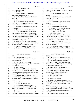|              | Page 122                                                                                                 | Page 123                                                                                  |
|--------------|----------------------------------------------------------------------------------------------------------|-------------------------------------------------------------------------------------------|
| 1            | AMY K. EICHNER, PH.D.                                                                                    | $\mathbf{1}$<br>AMY K. EICHNER, PH.D.                                                     |
| $\sqrt{2}$   | not a good person to ask --                                                                              | $\boldsymbol{2}$<br>that Dr. ElSohly was referring to were above or below                 |
| 3            | Q. That's fine.                                                                                          | 3<br>that level?                                                                          |
| 4            | A. -- about these types of questions, but                                                                | $\overline{4}$<br>A. I don't recall and I wasn't a part of the                            |
| 5            | what would you like me to look at?                                                                       | 5<br>analysis.                                                                            |
| 6            | Q. Flip to the Conclusion on page 14 of what                                                             | 6<br>MR. MARCK: I think right now is a perfect                                            |
| 7            | is Eichner 11.                                                                                           | $\boldsymbol{7}$<br>time to take a lunch break.                                           |
| 8            | A. Okay.                                                                                                 | 8<br>(Break)                                                                              |
| 9            | Q. And the part that I had you read last                                                                 | 9<br>Q. (By Mr. Marck) I'm going to mark exhibit                                          |
| 10           | time, could you read that where it starts with, "showed                                                  | 10<br>Eichner 13.                                                                         |
| 11           | any detectable level of MHA"?                                                                            | 11<br>(Exhibit 13 was marked).                                                            |
| 12           | A. The whole sentence or would you just like                                                             | 12<br>Q. (By Mr. Marck) Please review that.                                               |
| 13           | me to read the --                                                                                        | 13<br>MR. SCOTT: What is the document number?                                             |
| 14           | Q. Do the whole sentence for the record.                                                                 | 14<br>MR. MARCK: ElSohly 4330.                                                            |
| 15           | A. Okay. "None of the analyzed oils or the                                                               | 15<br>MR. SCOTT: Okay. Thank you.                                                         |
| 16           | plant material (young and mature, fresh and dried                                                        | 16<br>THE WITNESS: Okay.                                                                  |
| $17\,$       | leaves and stems) showed any detectable level MHA (less                                                  | 17<br>Q. (By Mr. Marck) All right. Can you please                                         |
| 18           | than 0.1 part per million by GC-MS, less than 2.5 parts                                                  | 18<br>focus on the email that's at the beginning, middle of                               |
| 19           | per billion by LC-MS-MS and 10 parts per billion by the                                                  | 19<br>the top of page 1? It's actually the second email                                   |
| 20<br>21     | high resolution LC-QTOF)."                                                                               | 20<br>down. Do you know, can you tell me who sent that?<br>21                             |
| 22           | Q. Thank you. You can put that back to the                                                               | A. Dr. Bowers to Dr. ElSohly.<br>22                                                       |
| 23           | side. But do you agree that for the LC-MS-MS method,                                                     | Q. Sorry, I mean the second one down from the<br>23<br>top, the one that starts --        |
| 24           | the limited section was 2.5 parts per billion?<br>A. 2.5 parts per billion by LC-MS-MS, yes.             | 24<br>A. Oh, yes, from Dr. ElSohly to Dr. Bowers                                          |
| 25           | Q. Do you have any idea if the test results                                                              | 25<br>and myself and Ikhlas Khan and Waseem Gul on June 1st,                              |
|              |                                                                                                          |                                                                                           |
|              |                                                                                                          |                                                                                           |
|              |                                                                                                          |                                                                                           |
|              | Page 124                                                                                                 | Page 125                                                                                  |
| $\mathbf{1}$ | AMY K. EICHNER, PH.D.                                                                                    | $\mathbf 1$<br>AMY K. EICHNER, PH.D.                                                      |
| $\sqrt{2}$   | 2011.                                                                                                    | $\overline{\mathbf{c}}$<br>geraniums or --                                                |
| 3            | Q. Do you remember this email?                                                                           | 3<br>A. That's always cleaner, but science is not                                         |
| 4            | A. I don't have any particular memories of                                                               | 4<br>always clean. Our primary concern was being accurate.                                |
| 5<br>6       | this particular one.                                                                                     | 5<br>Q. And I think you testified before, but                                             |
| 7            | Q. And in this email, Dr. ElSohly is                                                                     | 6<br>correct me if I'm wrong, that when it came to the<br>7                               |
| 8            | discussing the limited detection regarding the LC-MS-MS                                                  | limited detection, you defer to Drs. Bowers, ElSohly<br>8                                 |
| 9            | testing method, correct?<br>А.                                                                           | and Khan regarding these issues?<br>9                                                     |
| 10           | That is correct.<br>Q <sub>r</sub>                                                                       | That's correct. I was primarily an<br>А.<br>10<br>observer of those conversations.        |
| 11           | Do you know if this was the point during<br>the study in the drafting of the paper generally where       | 11<br>Q.                                                                                  |
| 12           | you as a group came to the conclusion that you cannot                                                    | Okay. We can put this one to the side.<br>12<br>Going to mark as Eichner 14 ElSohly 3768. |
| 13           | or you need to -- strike that. Sorry.                                                                    | 13<br>(Exhibit 14 was marked)                                                             |
| 14           | Was this the point during the study that                                                                 | 14<br>Q. Let me -- if you're ready.                                                       |
| 15           | you decided that you needed to adopt the language or                                                     | 15<br>Yes, I'm ready.<br>А.                                                               |
| 16           | the nomenclature that cannot detect within a specified                                                   | 16<br>Who sent this email?<br>O.                                                          |
| 17           | limit?                                                                                                   | 17<br>I sent this email on January 4th, 2012 to<br>А.                                     |
| 18           | A. I don't know.                                                                                         | 18<br>Dr. ElSohly and Dr. Bowers and I copied Waseem Gul.                                 |
| 19           | MR. SCOTT: Object to form.                                                                               | 19<br>And can you read the last sentence aloud,<br>Q.                                     |
| 20           | (By Mr. Marck) Did the fact that you<br>Q.                                                               | 20<br>please?                                                                             |
| 21           | actually needed to use the "could not detect within a                                                    | 21<br>"Establishing its history of use as a drug<br>А.                                    |
| 22           | certain limit" language or proviso disappoint you?                                                       | 22<br>further alienates DMAA from the supplement category."                               |
| 23           | A. No.                                                                                                   | 23<br>What did you mean when you used the word<br>Q.                                      |
| 24<br>25     | Would you like to have been able to make a<br>Q.<br>more declarative statement that DMAA was not present | 24<br>"alienate"?<br>25<br>A. So according to my understanding of                         |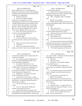|                | Page 126                                                                                                         |                | Page 127                                                                            |
|----------------|------------------------------------------------------------------------------------------------------------------|----------------|-------------------------------------------------------------------------------------|
| 1              | AMY K. EICHNER, PH.D.                                                                                            | $\mathbf{1}$   | AMY K. EICHNER, PH.D.                                                               |
| 2              | dietary supplementary law, if an ingredient was                                                                  | $\sqrt{2}$     | or communicated with him?                                                           |
| 3              | approved as a drug, then it remains a drug throughout                                                            | 3              | A. I believe there are some emails back and                                         |
| $\overline{4}$ | its lifetime unless some other process takes place that                                                          | $\overline{4}$ | forth between the two of us and it could have related                               |
| 5              | establishes it as something else.                                                                                | 5              | to geranium oil, although I don't recall.                                           |
| 6              | Q. What type of process?                                                                                         | $\epsilon$     | Q. Okay. I'm going to mark as 15 ElSohly                                            |
| 7              | A. Such as a new dietary ingredient                                                                              | $\sqrt{ }$     | 4163.                                                                               |
| 8              | notification. I'm assuming that -- but my                                                                        | 8              | (Exhibit 15 was marked)                                                             |
| 9              | understanding is that there are some compounds that are                                                          | 9              | Q. (By Mr. Marck) Could you please focus on                                         |
| 10             | available in drugs and they're sold as drugs, but they                                                           | $10$           | the email at the bottom of page 1 that is sent by James                             |
| 11             | can also be sold as other categories. For example,                                                               | 11             | Neal-Kababick?                                                                      |
| 12             | green tea. There is a product on the market, which                                                               | 12             | A. Yes.                                                                             |
| 13             | green tea is the primary ingredient and it is a drug,                                                            | 13             | Who is that sent to?<br>O.                                                          |
| 14             | but it is also a supplement and it is also a food.                                                               | 14             | A. It appears that it was sent to himself, so                                       |
| 15             | Q. Okay. We can move off of this one. Do                                                                         | 15             | he must have had some kind of a Listserv.                                           |
| 16             | you know who James Neal-Kababick is?                                                                             | 16             | Q. And do you know if you were bcc'd or part                                        |
| 17             | A. Yes, only from afar.                                                                                          | 17             | of that Listserv for that email?                                                    |
| 18             | Q. Elaborate, please.                                                                                            | 18             | A. I don't believe I was.                                                           |
| 19             | A. I'm aware of him and I've met him before                                                                      | 19             | And can you see the email directly above<br>Q.                                      |
| 20             | at conferences and he, I believe, has his own research                                                           | 20             | that?                                                                               |
| 21             | lab.                                                                                                             | 21             | A. Yes, that was from Dr. Khan to Dr. ElSohly                                       |
| 22             | Q. Did he ever work for FDA, do you know?                                                                        | 22             | and myself on January 10th. And so from this chain, I                               |
| 23             | A. I don't know.                                                                                                 | 23             | would conclude that Ikhlas forwarded that to me.                                    |
| 24             | What is your relationship with him or<br>O.                                                                      | 24             | Q. Can you read just the Dr. Khan statement?                                        |
| 25             | interactions with him? Have you ever emailed with him                                                            | 25             | "FYI, looks like geranium will be part of<br>A.                                     |
|                |                                                                                                                  |                |                                                                                     |
|                |                                                                                                                  |                |                                                                                     |
|                | Page 128                                                                                                         |                | Page 129                                                                            |
| $\mathbf{1}$   |                                                                                                                  | $1\,$          |                                                                                     |
| 2              | AMY K. EICHNER, PH.D.                                                                                            | $\sqrt{2}$     | AMY K. EICHNER, PH.D.                                                               |
| 3              | a discussion on Dateline while our manuscript's still                                                            | 3              | was, to quote, "DOH." I think that's the Homer Simpson                              |
| 4              | waiting to be submitted."                                                                                        | $\overline{4}$ | phraseology if I know pop culture.<br>A. Well done.                                 |
| 5              | Q. How would your paper be impacted by the<br>fact that it would be published after NBC aired a                  | 5              |                                                                                     |
| 6              |                                                                                                                  | 6              | Q. Why that reaction?<br>A. I don't know. I just probably thought it                |
| 7              | special about dietary supplements?<br>A. It wouldn't be impacted in my view.                                     | $\sqrt{ }$     | was a goofy thing to say.                                                           |
| 8              |                                                                                                                  | 8              | Q. But you didn't really feel like the fact                                         |
| 9              | Q. Do you know anyone who was involved in<br>this NBC special? Do you know anything about it?                    | 9              | that your paper was making it to publication after this                             |
| 10             | A. Well, as I said before, I'm aware and I                                                                       | 10             | other-                                                                              |
| 11             | sort of know Dr. Kababick. I know Dr. Pieter Cohen. I                                                            | 11             | A. No, my primary concern were the items that                                       |
| 12             | haven't the pleasure of meeting Dr. Oz.                                                                          | 12             | I listed, 1 through 4, and it didn't really mean that                               |
| 13             | Q. Neither have I. Do you have any idea if                                                                       | 13             | much to me.                                                                         |
| 14             | anyone at USADA was involved?                                                                                    | 14             | Q. You can put this one to the side, too.                                           |
| 15             | A. I don't think we were involved. I would                                                                       | 15             | (Exhibit 16 was marked)                                                             |
| 16             | be surprised if we were involved because I would have                                                            | 16             | (By Mr. Marck) Can you look at the email<br>Q.                                      |
| 17             | heard about it. Certainly this wouldn't have been a                                                              | 17             | all the way at the bottom of page 1 dated February 9th.                             |
| 18             | surprise, the Dr. Oz Show.                                                                                       | 18             | You wrote that                                                                      |
| 19             | And the email at the top, you sent that,<br>Q.                                                                   | 19             | A. Yes, I did.                                                                      |
| 20             | correct?                                                                                                         | 20             | And do you know -- see again another one<br>Q.                                      |
| 21             | Yes, to Dr. Khan and Dr. ElSohly and<br>А.                                                                       | 21             | of these emails that is lacking a full header. Can you                              |
| 22             | Waseem Gul on January 10th, 2012.                                                                                | 22             | tell who you drafted it to?                                                         |
| 23             | Q. And obviously that was in response to Dr.                                                                     | 23             | A. Well, Mahmoud was addressed, Dr. ElSohly.                                        |
| 24<br>25       | Khan sending you the email saying that the paper would<br>be published after the Dateline special. Your reaction | 24<br>25       | Gotcha. Can you read that entire email<br>Q.<br>aloud? It's only a line and a half. |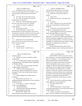|          | Page 130                                                                      |                         | Page 131                                                                                                      |
|----------|-------------------------------------------------------------------------------|-------------------------|---------------------------------------------------------------------------------------------------------------|
| 1        | AMY K. EICHNER, PH.D.                                                         | $\mathbf{1}$            | AMY K. EICHNER, PH.D.                                                                                         |
| 2        | A. "Hi Mahmoud, did we test Auricacia or                                      | $\,2$                   | with his dad, but don't quote me. I'm sure the                                                                |
| 3        | Plant Life brands of geranium oil for the paper? These                        | 3                       | business structure is documented somewhere.                                                                   |
| 4        | are the brands that Catlin tested and says he found                           | 4                       | Q. That's fine. Do you know where it's                                                                        |
| 5        | MHA."                                                                         | 5                       | located?                                                                                                      |
| 6        | Q. And it goes onto the next page, one line.                                  | 6                       | A. I don't recall.                                                                                            |
| 7        | A. Oh. "Also, do you object if we share the                                   | 7                       | Q. Maybe even the state. If you don't know,                                                                   |
| 8        | submitted draft with the FDA?"                                                | 8                       | that's fine?                                                                                                  |
| 9        | Q. Thank you. What prompted these questions                                   | 9                       | A. I just don't.                                                                                              |
| 10       | from you to Dr. Khan, excuse me, Dr. ElSohly?                                 | 10                      | Q. Okay. And have you ever met with Oliver                                                                    |
| 11       | A. So all of our Catlin has a supplement                                      | 11                      | or was your correspondence with him by email,                                                                 |
| 12       | testing company.                                                              | 12                      | telephone?                                                                                                    |
| 13       | Q. His first name is Oliver?                                                  | 13                      | A. At this time it was only by email and/or                                                                   |
| 14       | A. Uh-huh (affirmative). And it's called                                      | 14                      | telephone. I subsequently have met him.                                                                       |
| 15       | Banned Substance Control Group, BSCG, and I've had                            | 15                      | Q. What prompted his email to you to indicate                                                                 |
| 16       | communications with him on and off over the years about                       | 16                      | that he had found DMAA in certain oils?                                                                       |
| 17       | various dietary supplements topics and he disclosed to                        | 17                      | A. We were communicating on a variety of                                                                      |
| 18       | me that he detected methylhexaneamine in some geranium                        | 18                      | other topics, so at the time, USADA was developing our                                                        |
| 19       | oils.                                                                         | 19                      | position on third party supplement certifiers, how we                                                         |
| 20       | Q. Going back just to your relationship                                       | 20                      | were going to educate athletes. As he has one of those                                                        |
| 21       | between the two of you and even before that, you said                         | 21                      | companies, we wanted to learn about what his company                                                          |
| 22       | BSCG is the initials, right?                                                  | 22                      | did, and he was interested in our process for                                                                 |
| 23       | A. Correct.                                                                   | 23                      | evaluating those.                                                                                             |
| 24       | Q. Is it a private lab?                                                       | 24                      | He also had some questions about various                                                                      |
| 25       | A. I think it's private. I think he owns it                                   | 25                      | prohibited substances and we would go back and forth                                                          |
|          |                                                                               |                         |                                                                                                               |
|          | Page 132                                                                      |                         | Page 133                                                                                                      |
| 1        |                                                                               | $\mathbf{1}$            |                                                                                                               |
| 2        | AMY K. EICHNER, PH.D.<br>and discuss those.                                   | $\overline{\mathbf{c}}$ | AMY K. EICHNER, PH.D.                                                                                         |
| 3        |                                                                               | 3                       | THE WITNESS: There was no rush. We just                                                                       |
| 4        | Q. Did he ever become a USADA certified                                       | $\,4$                   | share information. So another example during the same<br>time is if we detected -- or if we became aware of a |
| 5        | analytical lab?<br>A. No. USADA doesn't endorse any third party               | 5                       | dietary supplement that contained a prohibited                                                                |
| 6        | certifying agency to like approve dietary supplements                         | 6                       | substance, we would share all of those test results as                                                        |
| 7        | for Olympic athletes.                                                         | $\overline{7}$          | well even though they were just screens. So for                                                               |
| 8        | Q. Gotcha. Now, do you normally share draft                                   | 8                       | example, we would test other dietary supplements, not                                                         |
| 9        | academic papers with the FDA?                                                 | 9                       | with ElSohly, this was separate, and we would just                                                            |
| 10       | A. Well, this is the first paper that I've                                    | 10                      | detect the presence of something, but we wouldn't                                                             |
| 11       | ever been in a position to share because it was the                           | 11                      | confirm it. There's like, you know, detection and then                                                        |
| 12       | first paper I've ever been on that has any relevance                          | $1\,2$                  | confirmation, which are different, but we would share                                                         |
| 13       | whatsoever.                                                                   | 13                      | all of those with the FDA with the understanding that                                                         |
| 14       | Q. What prompted you to think to share it                                     | $1\,4$                  | the FDA as we understood it, that they look at                                                                |
| 15       | with them?                                                                    | 15                      | information and then they conduct their own studies                                                           |
| 16       | A. Because this was an area -- so                                             | 16                      | anyway.                                                                                                       |
| 17       | methylhexaneamine and geranium oil were under their                           | $17\,$                  | Q. (By Mr. Marck) Who was doing the testing                                                                   |
| 18       | regulatory purview.                                                           | $1\,8$                  | of the supplements you just referred to?                                                                      |
| 19       | Q. Now, did you -- if this is a draft paper,                                  | 19                      | We used a variety of labs.<br>А.                                                                              |
| 20       | correct, we're talking about?                                                 | 20                      | Such as?<br>Q.                                                                                                |
| 21       | A. Uh-huh (affirmative).                                                      | 21                      | The NSF International. We also would<br>А.                                                                    |
| 22       | What's the rush to share the draft paper<br>O.                                | 22                      | occasionally send products to one of the WADA labs, for                                                       |
| 23       | rather than the finalized manuscript?                                         | 23                      | example, SMRTL or UCLA.                                                                                       |
| 24<br>25 | MR. KOONS: Object to the<br>characterization, but go ahead answer if you can. | 24<br>25                | Q. Gotcha. Can you focus on the email on<br>page 1 sent by Dr. ElSohly? And who did he send that              |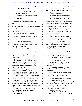|                | Page 134                                                                                                       | Page 135                                                                                                      |
|----------------|----------------------------------------------------------------------------------------------------------------|---------------------------------------------------------------------------------------------------------------|
| 1              | AMY K. EICHNER, PH.D.                                                                                          | $\mathbf 1$<br>AMY K. EICHNER, PH.D.                                                                          |
| $\overline{a}$ | to?                                                                                                            | $\overline{\mathbf{c}}$<br>where DMAA was discussed regardless of the presence of                             |
| 3              | A. He sent it to me, Dr. Khan, Waseem Gul and                                                                  | 3<br>other people?                                                                                            |
| 4              | Dr. Bowers on February 9th, 2012.                                                                              | $\overline{4}$<br>A. Probably only one or two.                                                                |
| 5              | Q. What is the SNIP conference he's referring                                                                  | 5<br>Q. Do you remember which conferences they                                                                |
| 6              | to, $S-N-I-P?$                                                                                                 | 6<br>were at or --                                                                                            |
| 7              | A. I don't know.                                                                                               | 7<br>A. So I remember going to Ole Miss, but I                                                                |
| 8              | Q. I think we talked about this before, but                                                                    | 8<br>don't remember if I was on a panel or whether I                                                          |
| 9              | how many conferences have you presented at with Dr.                                                            | 9<br>presented like my own deal. I've been to, you know, a                                                    |
| 10             | Khan?                                                                                                          | 10<br>number of athletic educational things that were put on                                                  |
| 11             | A. With Dr. Khan where he was on a panel with                                                                  | 11<br>by various boards and I would have been on panels with                                                  |
| 12             | me? Or where he was present? Or where he was running                                                           | 12<br>coaches and medical professionals or, you know, other                                                   |
| 13             | the show?                                                                                                      | 13<br>things to educate athletes.                                                                             |
| 14             | Q. Let's break it down. Any conferences that                                                                   | 14<br>Q. Okay. And we'll move to the email that                                                               |
| 15             | he was the organizer?                                                                                          | 15<br>Dr. Bowers sent directly above that. It's another one                                                   |
| 16             | A. I think I've presented at two Ole Miss                                                                      | 16<br>of our very fun missing the header. It seems to be                                                      |
| 17             | conferences.                                                                                                   | 17<br>sent to you; is that correct?                                                                           |
| 18             | Q. And you have appeared with him on panels,                                                                   | 18<br>A. Well, it's certainly addressed to me, yes.                                                           |
| 19             | not that he had organized overall, but even aside from                                                         | 19<br>Q. Do you happen to know what he's referring                                                            |
| 20             | Ole Miss?                                                                                                      | 20<br>to when he says "corrected draft"?                                                                      |
| 21             | A. Possibly, but I don't, I just don't                                                                         | 21<br>A. Well, in the process of creating                                                                     |
| 22             | remember. I would have to look back through all of my                                                          | 22<br>manuscripts, you have notes and comments and errors                                                     |
| 23             | presentations. It's certainly possible that I was on a                                                         | 23<br>that other people pick up. Are you sure this is right?                                                  |
| 24             | panel with him at some point.                                                                                  | 24<br>This is a better word. So that whole process of                                                         |
| 25             | Do you know how many panels you've been on<br>О.                                                               | 25<br>revising the draft, you know, ultimately you make a                                                     |
|                |                                                                                                                |                                                                                                               |
|                | Page 136                                                                                                       | Page 137                                                                                                      |
|                |                                                                                                                | $\mathbf{1}$                                                                                                  |
| 1              | AMY K. EICHNER, PH.D.                                                                                          | AMY K. EICHNER, PH.D.<br>2                                                                                    |
| 2<br>3         | collective decision and then you come up with a                                                                | Q. -- nearly a year after the testing was<br>3                                                                |
| 4              | corrected draft.                                                                                               | done by Dr. Khan and Dr. ElSohly. Is that a normal<br>4                                                       |
| 5              | That means final draft in your mind?<br>Q.                                                                     | amount of time in your experience?<br>5                                                                       |
| 6              | Probably. So if we have a corrected draft<br>А.                                                                | MR. SCOTT: Object as to form.<br>6                                                                            |
| 7              | that we stand behind that this is our best effort at                                                           | THE WITNESS: Well, let's see, 2012 and<br>7                                                                   |
| 8              | accurate information and it's ready to submit, then                                                            | then, you know, it's not unusual, if you look at my<br>8                                                      |
| 9              | corrected draft might be pointing to that. I just                                                              | thesis papers.<br>9                                                                                           |
| 10             | don't know in this instance.                                                                                   | Q. (By Mr. Marck) I just want to get your<br>$10$                                                             |
| 11             | Q. So but it's safe to say the draft article                                                                   | input. I wasn't sure; that's why I asked. You can put<br>11                                                   |
| 12             | was still being edited in February 2012?                                                                       | that one to the side.<br>12                                                                                   |
| 13             | A. Let me have a look here. Okay. So what                                                                      | Do you know what an FDA warning letter is?<br>13<br>A. Yes.                                                   |
| 14             | Larry wanted to do, he says, "Once the final draft is                                                          | 14                                                                                                            |
| 15             | submitted and accepted, I have no problem sharing it                                                           | Can you describe to me what your<br>Q.<br>15                                                                  |
| 16             | with anyone." Because once it's submitted and                                                                  | understanding of that is?<br>16                                                                               |
| $17\,$         | accepted, it's gone through peer review and it's gone                                                          | A. My understanding is that an FDA warning<br>17                                                              |
| 18             | through scrutiny sufficiently that any errors can be<br>corrected, we know it's right. So we didn't want to -- | letter is something that is sent to a dietary<br>18<br>supplements company because they failed to comply with |
| 19             |                                                                                                                | 19<br>a variety of regulations. And if I'm not mistaken, not                                                  |
| 20             | so Larry didn't want to at that time, send something                                                           | 20<br>all warning letters are made public and not every                                                       |
| 21             | that we weren't 100 percent certain that we could stand<br>behind.                                             | 21<br>enforcement action involves a warning letter.                                                           |
| 22             | Q. Okay. But so at least at this point in                                                                      | 22<br>Q. I'm going to mark Eichner 17.                                                                        |
| 23             | time where the article is still being edited in                                                                | 23<br>(Exhibit 17 was marked).                                                                                |
| 24             | February 2012, which is --                                                                                     | 24<br>Q. (By Mr. Marck) It is Ole Miss document                                                               |
| 25             | A. Appears so.                                                                                                 | 25<br>1000, sorry, 10886. Let me know when you've had a                                                       |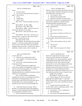|                         | Page 138                                                                            |                     | Page 139                                                                                                   |
|-------------------------|-------------------------------------------------------------------------------------|---------------------|------------------------------------------------------------------------------------------------------------|
| 1                       | AMY K. EICHNER, PH.D.                                                               | $1\,$               | AMY K. EICHNER, PH.D.                                                                                      |
| $\overline{\mathbf{c}}$ | chance.                                                                             | $\boldsymbol{2}$    | 0001191-1 and now turning to the document in front of                                                      |
| 3                       | A. I've had a chance.                                                               | 3                   | you, Miss Eichner, the email at the bottom of the page                                                     |
| 4                       | Can we focus on the email from Dr. Khan on<br>Q.                                    | $\overline{4}$      | from Ikhlas Khan, is that sent to you?                                                                     |
| 5                       | page 1? Who is that to?                                                             | 5                   | A. It is on April 27, 2012.                                                                                |
| 6                       | To me.<br>А.                                                                        | 6                   | Q. What does this email describe?                                                                          |
| 7                       | And the date?<br>O.                                                                 | $\sqrt{ }$          | A. What does it describe? Dr. Khan sent to                                                                 |
| 8                       | A. April 27, 2012.                                                                  | 8                   | me the FDA news release of warning letters that were                                                       |
| 9                       | MR. SCOTT: What's the number for this one                                           | 9                   | sent to dietary supplements companies selling                                                              |
| 10                      | again?                                                                              | $10$                | methylhexaneamine for geranium extract.                                                                    |
| 11                      | MR. MARCK: Ole Miss 10886.                                                          | $1\,1$              | Q. Were you involved in drafting any of these                                                              |
| 12                      | MR. SCOTT: Okay. 886 or 866?                                                        | 12                  | DMAA warning letters?                                                                                      |
| 13                      | MR. MARCK: 10886. I may have sent you a                                             | 13                  | A. No.                                                                                                     |
| 14                      | typo because the typo is in my outline.                                             | 14                  | Do you know who was?<br>Q.                                                                                 |
| 15                      | MR. SCOTT: I don't have that one in front                                           | 15                  | No.<br>A.                                                                                                  |
| 16                      | of me.                                                                              | 16                  | Do you know if anybody at USADA was?<br>Q <sub>r</sub>                                                     |
| 17                      | MR. MARCK: That's okay. We'll give you a                                            | 17                  | No.<br>А.                                                                                                  |
| 18                      | minute to find it. Just give us a chat when you have                                | 18                  | O.<br>Do you know how those letters are                                                                    |
| 19                      | your copy. Let's go off the record.                                                 | 19                  | typically drafted, what the FDA process is for that?                                                       |
| 20                      | (Discussion off the record).                                                        | 20                  | A. No.                                                                                                     |
| 21                      | MR. MARCK: We just marked Eichner Exhibit                                           | 21                  | Focus on the email back at the top. Who<br>Q.                                                              |
| 22                      | Number 17, counsel for the government has indicated                                 | 22                  | sent it?                                                                                                   |
| 23                      | they do not have a full copy of that exact same Bates                               | 23                  | The very top?<br>А.                                                                                        |
| 24                      | stamped version that we have. Counsel for Dr. Eichner                               | 24<br>25            | Yes, please.<br>Q.                                                                                         |
| 25                      | mailed him a similar version, which is marked AE                                    |                     | Mine. I sent it in response to Dr. Khan's<br>А.                                                            |
|                         |                                                                                     |                     |                                                                                                            |
|                         |                                                                                     |                     | Page 141                                                                                                   |
|                         | Page 140                                                                            |                     |                                                                                                            |
| $1\,$<br>$\overline{a}$ | AMY K. EICHNER, PH.D.                                                               | $1\,$<br>$\sqrt{2}$ | AMY K. EICHNER, PH.D.                                                                                      |
| 3                       | on April 27th, 2012.                                                                | 3                   | doesn't have a huge impact, this series. It's just                                                         |
| 4                       | Q. What was your comment back to him?                                               | $\,4$               | clarity for us that at this time, the FDA didn't                                                           |
| 5                       | A. I said, "Happier. Not 100 percent though.<br>Still more to be done."             | 5                   | consider DMAA to be a dietary ingredient, that they                                                        |
| 6                       |                                                                                     | $\epsilon$          | needed additional information about it before they                                                         |
| 7                       | Q. In your view, what still needed to be done<br>at that point in time?             | $\overline{7}$      | could market it as safe. But it was the first step<br>because what we were really seeking in order to best |
| 8                       | A. So these warning letters provided some                                           | 8                   | help athletes is an answer as to whether it's in                                                           |
| 9                       | clarity that we needed, as an organization, to know how                             | 9                   | geranium oil because that does have an impact. We can                                                      |
| 10                      | to go forward with advising athletes. Up until that                                 | 10                  | tell athletes for sure that methylhexaneamine is                                                           |
| 11                      | point, we simply advised athletes that                                              | 11                  | prohibited, but we didn't know whether or not it was in                                                    |
| 12                      | methylhexaneamine was a prohibited stimulant and they                               | 12                  | some other plant and that's what we needed to know.                                                        |
| 13                      | couldn't use it in competition.                                                     | 13                  | (Exhibit 18 was marked)                                                                                    |
| 14                      | Now, we had some dietary supplements                                                | 14                  | MR. MARCK: Claude, this is 10807.                                                                          |
| 15                      | companies that we knew were marketing this product as                               | 15                  | Q. (By Mr. Marck) Let's focus on the email                                                                 |
| 16                      | their products as having geranium extract, so it                                    | 16                  | beginning in the middle of page 1. It says from                                                            |
| 17                      | provided some clarity that the FDA at that time did not                             | 17                  | Physical Science News. Can you actually tell me who                                                        |
| 18                      | consider DMAA to be a dietary ingredient or -- I'll                                 | $1\,8$              | sent this email? Do you know what Physical Science                                                         |
| 19                      | stop there because I haven't really read through all of                             | 19                  | News is?                                                                                                   |
| 20                      | $\cdots$                                                                            | 20                  | A. It appears from the email address, that                                                                 |
| 21                      | Q. I understand what you're saying. What is                                         | 21                  | it's from Wiley, which is a publishing company. That's                                                     |
| 22                      | the effect of a warning letter being issued regarding a                             | 22                  | the extent of my knowledge.                                                                                |
| 23<br>24                | substance or dietary supplements upon the athletes that                             | 23<br>24            | Do you know -- who is it addressed to?<br>Q.                                                               |
| 25                      | your organization has jurisdiction over?<br>A. Well, this particular warning letter | 25                  | Mark Blumenthal.<br>А.<br>Do you know who Mark Blumenthal is?<br>Q <sub>r</sub>                            |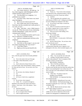|                  | Page 142                                                                    |                  | Page 143                                                                                            |
|------------------|-----------------------------------------------------------------------------|------------------|-----------------------------------------------------------------------------------------------------|
| 1                | AMY K. EICHNER, PH.D.                                                       | $\mathbf{1}$     | AMY K. EICHNER, PH.D.                                                                               |
| $\boldsymbol{2}$ | A. Yes, I know who he is. He leads up -- he                                 | $\boldsymbol{2}$ | second line down.                                                                                   |
| 3                | has a little magazine called Herbalgram and he's                            | 3                | A. Thank you. "Trace levels of the stimulant                                                        |
| 4                | another botanical expert in the U.S.                                        | $\overline{4}$   | were detected in only 2 geranium products, with the                                                 |
| 5                | Q. You described it as a magazine. Is it                                    | 5                | concentrations lower than 10 parts per million."                                                    |
| 6                | published every month?                                                      | 6                | Q. Continue.                                                                                        |
| 7                | A. You know what, I don't know very much                                    | $\sqrt{ }$       | A. "The two geranium oils contained a very                                                          |
| 8                | about Herbalgram.                                                           | 8                | small amount of DMAA with 7 milligram per kilogram in                                               |
| 9                | Q. Have you ever read an issue of it?                                       | 9                | one and 3 milligram per kilogram in the other."                                                     |
| 10               | A. Not a whole issue, but I've seen articles                                | 10               | Q. Do you know what study or results this                                                           |
| 11               | from there, but they normally don't really pertain to                       | 11               | email is referring to?                                                                              |
| 12               | my work, so I just --                                                       | 12               | A. Well, if I scan down to the lower part of                                                        |
| 13               | Q. Okay. And what -- sorry, I didn't mean to                                | 13               | the exhibit, it appears that it is from a paper by --                                               |
| 14               | cut you off. What's the extent of your relationship                         | 14               | I'm looking for the name, Armstrong, et al.                                                         |
| 15               | with Mr. Blumenthal? I mean, have you ever                                  | 15               | Q. Were you aware of this finding, of Dr.                                                           |
| 16               | communicated with him?                                                      | 16               | Armstrong's finding?                                                                                |
| 17               | A. Yes, I've emailed him before and I've seen                               | 17               | A. Yes, at some point.                                                                              |
| 18               | him at conferences a handful of times.                                      | 18               | MR. SCOTT: Form.                                                                                    |
| 19               | Q. And ever communicated with him on the                                    | 19               | THE WITNESS: At some point, I did become                                                            |
| 20               | telephone?                                                                  | 20               | aware of his study.                                                                                 |
| 21               | Uh-huh (affirmative).<br>A.                                                 | 21               | Q. (By Mr. Marck) Okay. Do you know what                                                            |
| 22               | And when we flip to page 2, can you read<br>Q.                              | 22               | point you became aware?                                                                             |
| 23               | the sentence beginning with "trace levels"?                                 | 23               | A. This might have been the earliest                                                                |
| 24               | I will when I find it.<br>А.                                                | 24               | communication especially since it appears it was                                                    |
| 25               | Right up at the top and should be the<br>Q.                                 | 25               | embargoed at this time, which normally happens, you                                                 |
|                  |                                                                             |                  |                                                                                                     |
|                  |                                                                             |                  |                                                                                                     |
|                  | Page 144                                                                    |                  | Page 145                                                                                            |
| $\mathbf{1}$     | AMY K. EICHNER, PH.D.                                                       | $\mathbf{1}$     | AMY K. EICHNER, PH.D.                                                                               |
| 2                | know, when the paper hasn't been formally published                         | 2                | Q. Okay. You can put this one to the side.                                                          |
| 3                | yet.                                                                        | 3                | Actually, I'm just trying to work out,<br>А.                                                        |
| 4                | Q. Turn to the email at the top of the page                                 | $\,4$            | where is this produced? Was I a recipient of this                                                   |
| 5                | 1. The sender is Mark Blumenthal, correct?                                  | 5                | through a Listserv of some type?                                                                    |
| 6                | A. Yes.                                                                     | 6                | MR. KOONS: Production.                                                                              |
| 7                | Q. And it's directed to Elaine Watson with a                                | 7                | Q. This is Ole Miss production.                                                                     |
| ୪                | cc to Tyler Smith, James Neal-Kababick, Anthony Almada,                     | 8                | A. All right. So earlier when I said I                                                              |
| 9                | Dr. Khan and Steven Foster. Do you know who Tyler                           | 9                | became aware and this may have been the earliest time                                               |
| 10               | Smith is?                                                                   | $10$             | point, I was assuming that I was on this, but as I'm                                                |
| 11               | A. No.                                                                      | 11               | not, I can't give you a time estimate of when I became                                              |
| 12               | Do you know who Anthony Almada is?<br>Q.                                    | 12               | aware of study.                                                                                     |
| 13               | Yes.<br>А.                                                                  | 13               | Q. That's fine. I'm going to mark 19.                                                               |
| 14               | Who is he?<br>Q.                                                            | 14               | (Exhibit 19 was marked)                                                                             |
| 15               | All I know is that he has a supplement<br>А.                                | 15               | THE WITNESS: Is it important that those                                                             |
| 16               | company.                                                                    | 16               | are commercial oils?                                                                                |
| 17               | Q. Do you know what company?                                                | 17               | MR. KOONS: Bring that up if you want.                                                               |
| 18               | A. I think. No -- or maybe he brought an                                    | 18               | MR. MARCK: We'll talk about things, but                                                             |
| 19               | ingredient to the market like maybe some kind of                            | 19               | let's keep on going the way I want to go. Claude, this                                              |
| 20<br>21         | creatine. I don't know. He's in the industry. That's                        | 20               | is ElSohly 2181.                                                                                    |
|                  | all I know.                                                                 | 21               | Q. (By Mr. Marck) Just let me know when                                                             |
| 22               | And Steven Foster?<br>Q.                                                    | 22               | you've had a chance to review it.                                                                   |
| 23<br>24         | I don't recognize that name.<br>А.                                          | 23<br>24         | MR. SCOTT: Before we go on to the next                                                              |
| 25               | Do you recognize Elaine Watson?<br>Q.<br>I don't recognize that name.<br>А. | 25               | exhibit, let me note an objection on the record.<br>Exhibit 18 is designated as confidential by the |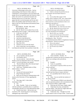|              | Page 146                                                                                    |                  | Page 147                                                                                            |
|--------------|---------------------------------------------------------------------------------------------|------------------|-----------------------------------------------------------------------------------------------------|
| $\mathbf{1}$ | AMY K. EICHNER, PH.D.                                                                       | $\mathbf{1}$     | AMY K. EICHNER, PH.D.                                                                               |
| 2            | University of Mississippi in this action. And my                                            | 2                | it was forwarded to me and Patti Deuster.                                                           |
| 3            | understanding of the Protective Order, subject to                                           | 3                | Q. I think we already discussed this, but you                                                       |
| 4            | confirmation is, this document is not to be shared with                                     | 4                | aren't familiar with who Elaine Watson is?                                                          |
| 5            | people who are not qualified under the Protective Order                                     | 5                | A. No.                                                                                              |
| 6            | and/or who weren't on a particular document and                                             | 6                | Q. Can we please flip to page 5 of the                                                              |
| $\sqrt{ }$   | therefore had access to it at the time. It does not                                         | $\boldsymbol{7}$ | exhibit, which is marked as 2185. Now, I guess before                                               |
| 8            | appear that she is on the document and I'm not, don't                                       | 8                | we talk about it in detail, do you have any reason to                                               |
| 9            | believe she qualifies under the Protective Order, so I                                      | 9                | believe that this is not the attachment to these cover                                              |
| 10           | object to the use of this document and testimony based                                      | 10               | emails that come before it?                                                                         |
| 11           | on that basis.                                                                              | 11               | MR. SCOTT: Object as to form.                                                                       |
| 12           | MR. MARCK: All right. Duly noted.                                                           | 12               | THE WITNESS: No, I don't have any reason.                                                           |
| 13           | THE WITNESS: Okay.                                                                          | 13               | Q. (By Mr. Marck) Do you see on the cover                                                           |
| 14           | Q. (By Mr. Marck) Can we please focus on the                                                | 14               | email on the first page of this exhibit, it lists as                                                |
| 15           | email midway down on page 2. Who sent this email?                                           | 15               | one of the attachments DTA-Embargoed?                                                               |
| 16<br>17     | At the top or the down?<br>А.                                                               | 16               | A. May 30, 2012, yes, I see that.                                                                   |
| 18           | Midway down, yeah.<br>Q <sub>r</sub>                                                        | 17               | Can you tell me the name of this article?<br>Q.                                                     |
| 19           | From Elaine Watson.<br>А.                                                                   | 18               | A. Hold on one second. I'm just reviewing                                                           |
| 20           | And who is that directed to?<br>Q <sub>r</sub>                                              | 19               | something else. Okay. The title is                                                                  |
| 21           | Ed Wyszumiala from the NSF.<br>А.<br>What date was it sent on?                              | 20<br>21         | "1,3-Dimethylamylamine DMAA in Supplements Geranium                                                 |
| 22           | Q <sub>r</sub>                                                                              | 22               | Plants/Products: Natural Or Synthetic?                                                              |
| 23           | May 22nd, 2012.<br>А.<br>And have you ever seen this email?                                 | 23               | Q. Who are the authors?                                                                             |
| 24           | Q.<br>Well, it looks like it was forwarded to<br>А.                                         | 24               | Zhang, Woods and Armstrong.<br>А.                                                                   |
| 25           | Lori Bestervelt and John Travis and then it looks like                                      | 25               | Do you know any of them?<br>Q.<br>A. No.                                                            |
|              |                                                                                             |                  |                                                                                                     |
|              |                                                                                             |                  |                                                                                                     |
|              | Page 148                                                                                    |                  | Page 149                                                                                            |
| $\mathbf{1}$ |                                                                                             | $\mathbf 1$      |                                                                                                     |
| 2            | AMY K. EICHNER, PH.D.                                                                       | 2                | AMY K. EICHNER, PH.D.                                                                               |
| 3            | Are you familiar with this article?<br>Q.<br>I am familiar with it.<br>А.                   | 3                | A. I don't remember. Possibly. It's                                                                 |
| 4            |                                                                                             | $\bf 4$          | possible that if someone else had an awareness of this,                                             |
| 5            | Can you read me -- look at the date<br>Q.                                                   | 5                | that he was working on this and told me,<br>then $\ldots$                                           |
| 6            | headers at the top underneath where it says "Research                                       | 6                | Q. Possibly?                                                                                        |
| 7            | article." Can you read those to me, please?<br>A. "Received March 20th, 2012; Revised April | 7                |                                                                                                     |
| 8            | 6, 2012; Accepted April 9, 2012."                                                           | 8                | A. Yeah, it's a possibility.<br>Q. Do you know if anyone at FDA was ever in                         |
| 9            | Q. And it says, "Published online in Wiley                                                  | 9                | contact with him?                                                                                   |
| 10           | Online Library," correct?                                                                   | 10               | A. I don't know.                                                                                    |
| 11           | Correct.<br>А.                                                                              | 11               | Q. Do you know if anyone at USADA besides                                                           |
| 12           | Can you tell what journal this is?<br>Q <sub>r</sub>                                        | 12               | yourself may have been in contact with him?                                                         |
| 13           | Drug Testing and Analysis.<br>А.                                                            | 13               | A. It's a possibility that Dr. Bowers was at                                                        |
| 14           | Have you ever had any communications with<br>Q <sub>r</sub>                                 | 14               | some point.                                                                                         |
| 15           | anyone at the University of Texas regarding this                                            | $15\,$           | Q. Okay. Can you read the last sentence of                                                          |
| 16           | article?                                                                                    | 16               | the abstract aloud?                                                                                 |
| 17           | That rings a bell. Is that where<br>А.                                                      | 17               | "Trace amounts of DMAA were detected in<br>А.                                                       |
| 18           | Armstrong is from?                                                                          | 18               | only two geranium products with concentrations lower                                                |
| 19           | Yes.<br>Q.                                                                                  | 19               | than 10 part per million, weight weight.                                                            |
| 20           | Okay. Possibly. Yeah, so I am familiar<br>А.                                                | 20               | Q. What does the WW mean, weight weight?                                                            |
| 21           | with him and there's a possibility that we would have                                       | 21               | A. I think that's how they calculated the                                                           |
| 22           | corresponded with him to try and understand his paper.                                      | 22               | parts per million. They did it by weight rather than                                                |
| 23           | Q. Would it have been -- did you have any                                                   | 23               | volume or rather than molecules.                                                                    |
| 24<br>25     | awareness of Dr. Armstrong prior to receiving this<br>embargoed copy of this article?       | 24<br>25         | Q. Understood, okay. I thought if you had<br>maybe meant it wait as in stop or hold. I want to make |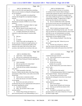|                         | Page 150                                                                                              |                | Page 151                                                                               |
|-------------------------|-------------------------------------------------------------------------------------------------------|----------------|----------------------------------------------------------------------------------------|
| $1\,$                   | AMY K. EICHNER, PH.D.                                                                                 | $\mathbf 1$    | AMY K. EICHNER, PH.D.                                                                  |
| $\overline{\mathbf{c}}$ | sure we were all on the same page about something.                                                    | $\overline{2}$ | The one thing I will say is if, you know,                                              |
| 3                       | What was your reaction to seeing this embargoed paper,                                                | 3              | we continue to have concerns about working on                                          |
| 4                       | do you remember?                                                                                      | $\,4$          | commercially prepared oils and so I don't know from his                                |
| 5                       | A. Well, I was probably very pleased that                                                             | 5              | study and I just haven't evaluated it enough to know                                   |
| 6                       | someone else thought this was important enough to                                                     | $\epsilon$     | very clearly whether he got his own or whether he did                                  |
| 7                       | research.                                                                                             | $\sqrt{ }$     | commercially available. It appears here in Table 1                                     |
| 8                       | Q. Did you find it strange that they had                                                              | 8              | that he may have done his own extractions.                                             |
| 9                       | detected trace amounts of DMAA in two of their                                                        | 9              | Q. Do you consider these results, especially                                           |
| 10                      | products?                                                                                             | 10             | that last line you just read, to be inconsistent with                                  |
| 11                      | MR. KOONS: I'm going to object as vague                                                               | 11             | the results of your study along with Dr. ElSohly and                                   |
| 12                      | and ambiguous as the term of art.                                                                     | 12             | Khan?                                                                                  |
| 13                      | Q. (By Mr. Marck) I'm just using the word                                                             | 13             | A. Well, it's hard to say because it really                                            |
| 14                      | they used in be abstract, so if I knew more, I would --                                               | 14             | depends on the methodology that they used. We could                                    |
| 15                      | A. I wouldn't characterize my reaction as                                                             | 15             | only say and base any conclusions based on what we had                                 |
| 16                      | surprised or really that strong of a reaction either                                                  | 16             | and what we saw, our instrumentation, our limits,                                      |
| 17                      | way.                                                                                                  | 17             | limits of detection, so it's always possible that other                                |
| 18                      | Q. Did you --                                                                                         | 18             | organizations can have different results.                                              |
| 19                      | A. I--                                                                                                | 19             | Q. Who is Zachary Breitbach? Does that ring                                            |
| 20                      | Q. Go ahead.                                                                                          | 20             | a bell?                                                                                |
| 21                      | A. Yeah, let me walk you through this. So                                                             | 21             | Doesn't ring a bell. Where do you see<br>А.                                            |
| 22                      | for me, I am not a chemist or an aspect person, as I                                                  | 22             | that name?                                                                             |
| 23                      | mentioned before, so analyzing the quality of the                                                     | 23             | Q. Not here, but we'll get to it. Did you                                              |
| 24                      | research or the results, that's not my forte, that's,                                                 | 24             | share this version of like this article that was                                       |
| 25                      | you know, that's hard for me to do that in this case.                                                 | 25             | attached to these emails with anyone else at the FDA?                                  |
|                         |                                                                                                       |                |                                                                                        |
|                         | Page 152                                                                                              |                | Page 153                                                                               |
| 1                       | AMY K. EICHNER, PH.D.                                                                                 | 1              | AMY K. EICHNER, PH.D.                                                                  |
| 2                       | A. I don't know. I don't remember.                                                                    | 2              | would have been peer reviewed.                                                         |
| 3                       | Did you ever communicate with anyone at<br>Q.                                                         | 3              | Q. And you did not serve as a peer reviewer                                            |
| 4                       | the Journal of Drug Testing and Analysis regarding this                                               | $\overline{4}$ | for this article, right?                                                               |
| 5                       | article?                                                                                              | 5              | A. That is correct.                                                                    |
| 6                       | I don't remember.<br>А.                                                                               | 6              | Q. Put this one to the side.                                                           |
| 7                       | Did you typically ever contact them?<br>O.                                                            | 7              | (Exhibit 20 was marked)                                                                |
| 8                       | A. Drug Testing and Analysis?                                                                         | 8              | Q. (By Mr. Marck) Once you've had a chance to                                          |
| 9                       | Yeah, did you have another relationship in<br>Q.                                                      | 9              | review it, just                                                                        |
| 10                      | some other --                                                                                         | 10             | A. Okay.                                                                               |
| 11                      | A. I didn't personally at that time.                                                                  | 11             | What's the title of this article?<br>Q.                                                |
| 12                      | However, I believe that the editor of the Drug Testing                                                | 12             | "1,3-Dimethylamylamine DMAA In Supplements<br>А.                                       |
| 13                      | and Analysis is Mario Thevis, who works in one of the                                                 | 13             | and Geranium Products: Natural and Synthetic."                                         |
| 14                      | WADA labs.                                                                                            | 14             | Q. The same title as the article we just                                               |
| 15                      | Q. And you have a connection to him?                                                                  | 15             | discussed, the embargoed version that we just shared                                   |
| 16                      | Well, only because we're both in the field<br>A.                                                      | 16             | with you?                                                                              |
| 17                      | of anti-doping.                                                                                       | 17             | A. Yes, looks like it. Slightly. Missing                                               |
| 18                      | Q. But as far as you said, you have no                                                                | 18             | "plants/products."                                                                     |
| 19                      | recollections that you ever communicated with anyone at                                               | 19             | Q. Who are the authors?                                                                |
| 20                      | the journal regarding this article?                                                                   | 20             | Zhang, Woods, Breitbach and Armstrong.<br>А.                                           |
| 21                      | A. I just don't remember.                                                                             | 21             | And can you read the last sentence of the<br>Q.                                        |
| 22                      | Okay. Do you know if this is a peer<br>Q.                                                             | 22             | abstract out loud?                                                                     |
| 23                      | reviewed article?                                                                                     | 23<br>24       | A. "No DMAA was detected in any of the 8                                               |
| 24<br>25                | A. I believe Drug Testing and Analysis is a<br>peer-reviewed journal, so my understanding is, yes, it | 25             | geranium products with a limit of detection of 10 parts<br>per billion weight weight." |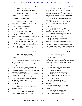|                | Page 154                                                                                            | Page 155                                                                             |
|----------------|-----------------------------------------------------------------------------------------------------|--------------------------------------------------------------------------------------|
| $\mathbf{1}$   | AMY K. EICHNER, PH.D.                                                                               | $\mathbf{1}$<br>AMY K. EICHNER, PH.D.                                                |
| 2              | Q. Can you read for me the dates at the                                                             | $\sqrt{2}$<br>part of that seems to be your term regarding what the                  |
| 3              | header of this article?                                                                             | 3<br>number represents and with a question following with                            |
| 4              | "Received March 20th, 2012; Revised April<br>A.                                                     | $\overline{4}$<br>that being assumed as part of the question, which is               |
| 5              | 6, 2012; Accepted April 9th, 2012."                                                                 | 5<br>improper in many ways, so object to the form of the                             |
| 6              | Q. Are those the same dates as the version I                                                        | 6<br>question.                                                                       |
| 7              | showed you as a previous exhibit?                                                                   | 7<br>MR. MARCK: Understood, and I appreciate                                         |
| 8              | A. Yes.                                                                                             | 8<br>that, Claude.                                                                   |
| 9              | Q. And underneath that, it says, "Drug                                                              | 9<br>Q. (By Mr. Marck) After the letters D-O-I, do                                   |
| 10             | testing www.DrugTestingAnaylsis.com and has a DOI                                                   | $10$<br>the numbers match up between this exhibit and the                            |
| 11             | number. Do you know what a DOI number is?                                                           | 11<br>previous one?                                                                  |
| 12             | A. Department of Information.                                                                       | 12<br>A. Yes.                                                                        |
| 13             | MR. KOONS: Where are you? Oh, I see.                                                                | 13<br>Thank you. Is it safe to say that the<br>Q.                                    |
| 14             | Thank you.                                                                                          | 14<br>finding that DMAA was detected in two samples is not                           |
| 15             | THE WITNESS: I don't know.                                                                          | 15<br>present in this version of the article?                                        |
| 16             | Q. (By Mr. Marck) I'll tell you that DOI                                                            | 16<br>MR. SCOTT: Object as to form. Are you                                          |
| 17             | number is a number they use to classify research,                                                   | 17<br>asking her to read the entire article and tell you that                        |
| 18             | almost think about it like a more complicated version                                               | $18\,$<br>or just out of the first portion there.                                    |
| 19             | $of -$                                                                                              | 19<br>Q. (By Mr. Marck) Out of the abstract.                                         |
| 20             | MR. KOONS: Dewey Decimal?                                                                           | 20<br>A. Well, I can tell you that in the second                                     |
| 21             | MR. MARCK: Thank you. Blanked out on                                                                | 21<br>article that you presented, I can read that sentence to                        |
| 22             | that part, but you knew where I was going.                                                          | 22<br>you, but I am not in a position to draw any conclusions                        |
| 23             | Q. (By Mr. Marck) Do the numbers match up                                                           | 23<br>for you on this article. But I'll read it anyway. "No                          |
| 24             | between this exhibit and that one?                                                                  | 24<br>DMAA was detected in any of the 8 geranium products                            |
| 25             | MR. SCOTT: Let me object to form because                                                            | 25<br>with a limit of detection of 10 parts per billion."                            |
|                |                                                                                                     |                                                                                      |
|                | Page 156                                                                                            | Page 157                                                                             |
| 1              |                                                                                                     | $\mathbf{1}$                                                                         |
| 2              | AMY K. EICHNER, PH.D.                                                                               | AMY K. EICHNER, PH.D.<br>$\,2$                                                       |
| 3              | An author was added to this article,<br>Q.<br>correct?                                              | in this version than in Exhibit 19, correct?<br>3<br>А.                              |
| $\overline{4}$ | Yes.<br>А.                                                                                          | That's plain.<br>$\overline{4}$<br>Q. Now, I think you mentioned you may have        |
| 5              | O.                                                                                                  | had some contact with Dr. Armstrong. Did you have any<br>5                           |
| 6              | And again, you said before you do not know                                                          | 6<br>contact with him regarding what seems to be a different                         |
| 7              | who Zachary Breitbach is?<br>A. Well, I don't recognize the name. I don't                           | $\overline{7}$<br>version of the article?                                            |
| 8              | remember.                                                                                           | 8<br>A. No.                                                                          |
| 9              | In your experience, is it typical for an<br>Q.                                                      | 9<br>You have no recollection of the details of<br>Q.                                |
| 10             | article to have a new author added and reach a                                                      | 10<br>your communications with him?                                                  |
| 11             | completely different conclusion without the dates of                                                | 11<br>A. (Witness shakes head.)                                                      |
| 12             | the manuscript being edited?                                                                        | 12<br>MR. SCOTT: Objection, compound.                                                |
| 13             | MR. SCOTT: Objection to form, objection,                                                            | 13<br>THE WITNESS: I just don't recall.                                              |
| 14             | assumes facts not in evidence.                                                                      | 14<br>(By Mr. Marck) Did you share this version<br>Q.                                |
| 15             | (By Mr. Marck) You can still answer.<br>Q.                                                          | 15<br>of the article with anyone at FDA?                                             |
| 16             | I don't have enough experience to say<br>А.                                                         | 16<br>A. I don't remember.                                                           |
| 17             | whether that's normal or not.                                                                       | 17<br>Do you know who John Travis is?<br>Q.                                          |
| 18             | Q. Did you have any role at all in editing                                                          | 18<br>John Travis worked for the NSF<br>А.                                           |
| 19             | this article?                                                                                       | International.<br>19                                                                 |
| 20             | A. No.                                                                                              | 20<br>Q. Do you know what his role is there?                                         |
| 21             | Did you have any role in editing any<br>Q.                                                          | 21<br>He's a technician. He's an analyst, a<br>А.                                    |
| 22             | version of this article?                                                                            | 22<br>chemist.                                                                       |
| 23             | No.<br>A.                                                                                           | 23<br>How long have you known him?<br>Q.                                             |
| 24<br>25       | But you would agree that the final<br>Q.<br>sentence of the abstract is different than -- different | 24<br>I probably met him in 2010.<br>А.<br>25<br>I'm going to mark Eichner 21.<br>Q. |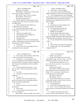|                | Page 158                                                            |                                  | Page 159                                                                                         |
|----------------|---------------------------------------------------------------------|----------------------------------|--------------------------------------------------------------------------------------------------|
| $\mathbf{1}$   | AMY K. EICHNER, PH.D.                                               | $\mathbf{1}$                     | AMY K. EICHNER, PH.D.                                                                            |
| $\overline{a}$ | (Exhibit 21 was marked)                                             | $\overline{a}$                   | A. I don't know. I don't remember.                                                               |
| 3              | MR. MARCK: Claude, this is USADA 2303.                              | 3                                | Q. Do you know if anyone at NSF did any                                                          |
| 4              | Do you need A minute to find that?                                  | 4                                | additional testing to verify Dr. Armstrong's findings?                                           |
| 5              | MR. SCOTT: Okay. Give me a minute.                                  | 5                                | A. I have a feeling that they were conducting                                                    |
| 6              | MR. MARCK: Off the record.                                          | 6                                | some research on their own on various oils and I don't                                           |
| 7              | (Discussion off the record)                                         | 7                                | recall whether there were outcomes from those                                                    |
| 8              | Q. (By Mr. Marck) The email midway on the                           | 8                                | particular tests or whether they were sent to us. I                                              |
| 9              | first page sent by John Travis, do you know who that                | 9<br>don't remember.             |                                                                                                  |
| 10             | was addressed to?                                                   | 10<br>Q. Okay.                   |                                                                                                  |
| 11             | A. Don't recognize the email address, but                           | 11                               | A. But if they were, they should be in all                                                       |
| 12             | it's addressed to Dr. Armstrong.                                    | 12                               | the records that were provided.                                                                  |
| 13             | Q. It seems that this email was then                                | 13<br>O.                         | You can put this one to the side.                                                                |
| 14             | forwarded to you by John Travis; is that correct?                   | 14                               | Q. I'm going to mark Eichner 22.                                                                 |
| 15             | A. Yes.                                                             | 15                               | (Exhibit 22 was marked)                                                                          |
| 16             | Who else was copied on that?<br>Q.                                  | 16                               | Q. (By Mr. Marck) Who's Paul Greene?                                                             |
| 17             | Ed Wyszumiala and Lori Bestervelt.<br>А.                            | 17                               | A. Good question. I don't know. Clearly I                                                        |
| 18             | When did that occur?<br>O.                                          | 18                               | must have talked to this person and clearly this person                                          |
| 19             | May 24th, 2012.<br>А.                                               | 19                               | is familiar with Dr. Armstrong. That's all I recall.                                             |
| 20             | In addition to Mr. Travis's communications<br>O.                    | 20                               | Q. Do you remember the conversation alluded                                                      |
| 21             | with Dr. Armstrong, do you know if he had any further               | 21<br>to here?                   |                                                                                                  |
| 22             | communication with Dr. Armstrong?                                   | 22<br>А.                         | No.                                                                                              |
| 23             | A. I don't know.                                                    | 23<br>Q.                         | Do you know what report he's referring to?                                                       |
| 24             | Do you know if Dr. Armstrong sent the oil<br>Q.                     | 24<br>A.                         | He only calls it "Dr. Armstrong Report                                                           |
| 25             | lot numbers that were requested?                                    | 25                               | Complete With CV."                                                                               |
|                | Page 160                                                            |                                  | Page 161                                                                                         |
|                |                                                                     |                                  |                                                                                                  |
|                |                                                                     |                                  |                                                                                                  |
| $\mathbf{1}$   | AMY K. EICHNER, PH.D.                                               | $1\,$                            | AMY K. EICHNER, PH.D.                                                                            |
| 2              | Q. Do you know what he meant by "Please keep                        | 2                                | (Exhibit 23 was marked)                                                                          |
| 3              | it in house at USADA for the time being"?                           | 3                                | Q. (By Mr. Marck) Please focus on the email                                                      |
| $\overline{4}$ | A. I don't know. I can only speculate. But                          | $\overline{4}$                   | on the middle of page 1 sent by Dr. Khan. I may have                                             |
| 5              | if it was something that wasn't published yet and they              | 5                                | grabbed the wrong one. I did. Sorry about that.                                                  |
| 6              | had reason to keep it, you know, continue working on it             | 6                                | We'll just keep that marked as it is, just                                                       |
| 7              | until it's ready to be published, then that wouldn't be             | 7                                | put it to the side for one second. Sorry about that.                                             |
| 8<br>9         | unheard of.                                                         | 8<br>This we'll mark as 24.<br>9 |                                                                                                  |
| 10             | Q. And in the email below, did you -- it says                       | 10                               | (Exhibit 24 was marked)                                                                          |
| 11             | May 31st, 2011. Did you send that email to Paul J.                  | 11                               | MR. MARCK: Marking another Exhibit. I                                                            |
| 12             | Greene?                                                             | 12                               | had my things out of order, so I'm going to mark                                                 |
| 13             | A. Yes, I did.                                                      | 13                               | Eichner 24. You can just put 23 on the side for a                                                |
| 14             | And again, no recollection about what you<br>Q.                     | 14                               | second and this one is Ole Miss 8909.                                                            |
| 15             | might have --                                                       | 15                               | MR. SCOTT: 8909 is 24?                                                                           |
| 16             | A. I'm sorry, no.                                                   | 16                               | MR. MARCK: Correct.                                                                              |
| 17             | And this is, what you forwarded to him,<br>O.                       | 17                               | Q. (By Mr. Marck) Please focus on the email                                                      |
| 18             | seems to be a portion of your conversation with Dr.                 | 18                               | on the middle of page 1 sent by Dr. Khan, which you                                              |
| 19             | Moore at the FDA regarding NDIs?                                    | 19                               | should be able to find this time.                                                                |
| 20             | Correct.<br>А.                                                      | 20<br>Q.                         | A. Uh-huh (affirmative).                                                                         |
| 21             | And no idea why you may have sent this to<br>Q.                     | 21<br>А.                         | And who did Dr. Khan send this email to?                                                         |
| 22             | Paul Greene?                                                        | 22                               | To me -- oh, to Dr. ElSohly and me, and he                                                       |
| 23             | A. I don't recall.<br>O.                                            | 23<br>Amar.                      | copied Waseem Gul and another individual from Ole Miss,                                          |
| 24             | You can put that one to the side and we'll                          | 24                               |                                                                                                  |
| 25             | move on to Eichner 23.<br>MR. MARCK: Which is ElSohly 2144, Claude. | 25                               | Q. I'm going to put the last name into the<br>record so it's there, Gopal Chittiboyina. When was |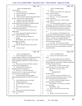|        | Page 162                                                                                            | Page 163                                                                                                      |
|--------|-----------------------------------------------------------------------------------------------------|---------------------------------------------------------------------------------------------------------------|
| 1      | AMY K. EICHNER, PH.D.                                                                               | 1<br>AMY K. EICHNER, PH.D.                                                                                    |
| 2      | this email sent?                                                                                    | 2<br>Q. Correct.                                                                                              |
| 3      | A. February 14th, 2014.                                                                             | 3<br>A. From me, Amy Eichner, to Dr. ElSohly, Dr.                                                             |
| 4      | Now, do you know Mr. Chittiboyina?<br>Q.                                                            | $\overline{4}$<br>Bowers and Annie Skinner.                                                                   |
| 5      | Doesn't ring a bell.<br>A.                                                                          | 5<br>Q. Who is Annie Skinner?                                                                                 |
| 6      | And do you know what Dr. Khan meant when<br>Q.                                                      | 6<br>A.<br>She is our -- was our communications                                                               |
| 7      | he said, "You were busy with Armstrong"?                                                            | $\boldsymbol{7}$<br>director at that time.                                                                    |
| 8      | A. I believe he was referencing Lance.                                                              | 8<br>Q. And it's a short email. Could you read it                                                             |
| 9      | Q. I figured. I had to ask. And your                                                                | 9<br>all aloud, please?                                                                                       |
| 10     | achievements that he was proud of would have been?                                                  | 10<br>A. "We should probably be prepared to comment                                                           |
| 11     | The successful doping cases.<br>A.                                                                  | 11<br>on this paper. I'm a little offended but not surprised                                                  |
| 12     | Now, what were the next steps for you to<br>Q.                                                      | 12<br>that NutraIngredients has not requested our comment.                                                    |
| 13     | take DMAA off the shelves?                                                                          | 13<br>I'm sure they're terrified at what Larry would say."                                                    |
| 14     | A. Can you please point me to what you're                                                           | 14<br>Q. Do you know which paper they're referring                                                            |
| 15     | talking about.                                                                                      | 15<br>to?                                                                                                     |
| 16     | Q. Sorry, question that should have been in                                                         | 16<br>The attachment is ACI Identification and<br>А.                                                          |
| 17     | there. Strike that question. Sorry.                                                                 | 17<br>Quantification of Dimethylamylamine in geranium. And I                                                  |
| 18     | Let's now move back to Eichner 23.                                                                  | 18<br>would have to refer to the actual paper, but I believe                                                  |
| 19     | A. Ready.                                                                                           | 19<br>that was -- I believe it was a paper by Bloomer. I                                                      |
| 20     | MR. MARCK: This is 2144. You're on the                                                              | 20<br>would need to -- I'd like to confirm what we're talking                                                 |
| 21     | same page as us, Claude?                                                                            | 21<br>about here, though, if possible.                                                                        |
| 22     | MR. SCOTT: Yes.                                                                                     | 22<br>Q. That's fine. Then I'm going to skip past                                                             |
| 23     | Q. (By Mr. Marck) At the top, who sent the                                                          | 23<br>that and we can move by it. Do you know what prompted                                                   |
| 24     | email?                                                                                              | 24<br>you to say that you were a little offended by not being                                                 |
| 25     | At the very top?<br>А.                                                                              | 25<br>contacted by them?                                                                                      |
|        |                                                                                                     |                                                                                                               |
|        | Page 164                                                                                            | Page 165                                                                                                      |
|        |                                                                                                     |                                                                                                               |
| 1<br>2 | AMY K. EICHNER, PH.D.                                                                               | $\,1\,$<br>AMY K. EICHNER, PH.D.<br>$\sqrt{2}$                                                                |
| 3      | A. Well, NutraIngredients is a trade                                                                | Q. Do you know the final results of that<br>3                                                                 |
| 4      | association paper, so I guess we would hope that USADA                                              | study?<br>4                                                                                                   |
| 5      | would be considered an important enough voice in                                                    | A. My understanding is that they confirmed it<br>5                                                            |
| 6      | dietary supplements safety that we would be worthy of                                               | was consistent with our 2012 study and that they didn't<br>6                                                  |
| 7      | contacting.                                                                                         | find any evidence for the presence of DMAA and geranium<br>$\boldsymbol{7}$                                   |
| 8      | Q. Were you aware that Dr. ElSohly conducted                                                        | oil within the limits of detection.<br>$\,$ 8 $\,$                                                            |
| 9      | a second study regarding DMAA?<br>А.                                                                | MR. MARCK: I'm done with this witness.<br>9                                                                   |
| 10     | I became aware of it after it was                                                                   | Claude, I'm not sure if you want to take a break.<br>10<br>MR. SCOTT: Let's take a break.                     |
| 11     | published and nearly completed, yes.                                                                | 11<br>(Break)                                                                                                 |
| 12     | Q. Were you -- so you were not really                                                               | 12<br><b>EXAMINATION</b>                                                                                      |
| 13     | involved in at all? You said you only just became                                                   | 13<br>BY MR. SCOTT:                                                                                           |
| 14     | aware of it just prior to publication?                                                              | 14                                                                                                            |
| 15     | A. Yeah, I heard about that they might be<br>doing something additional, but I didn't have any role | Q. Dr. Eichner, my name is Claude Scott. I'm<br>15<br>with the United States Department of Justice and I just |
| 16     | in it.                                                                                              | 16<br>have a few questions for you this afternoon.                                                            |
| 17     | And USADA had no role in it either?<br>Q.                                                           | 17<br>First of all, could you rummage around the                                                              |
| 18     | (Witness shakes head.)<br>А.                                                                        | 18<br>pile there and pull out Exhibit 10?                                                                     |
| 19     | You didn't design it or anything?<br>Q.                                                             | 19<br>MR. KOONS: Can I show her my exhibits                                                                   |
| 20     | No.<br>А.                                                                                           | 20<br>that were marked?                                                                                       |
| 21     | And USADA didn't fund it?<br>Q.                                                                     | 21<br>MR. MARCK: Yeah.                                                                                        |
| 22     | No.<br>А.                                                                                           | 22<br>Q. (By Mr. Scott) Do you have that in front                                                             |
| 23     | Did you review any drafts of the paper<br>Q.                                                        | 23<br>of you now?                                                                                             |
| 24     | before it was published?                                                                            | 24<br>A. Yes.                                                                                                 |
| 25     | A. No.                                                                                              | 25<br>Q. All right. You have in front of you an                                                               |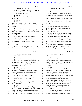|              | Page 166                                                      | Page 167                                                                                                                 |  |
|--------------|---------------------------------------------------------------|--------------------------------------------------------------------------------------------------------------------------|--|
| $\mathbf{1}$ | AMY K. EICHNER, PH.D.                                         | $\mathbf{1}$<br>AMY K. EICHNER, PH.D.                                                                                    |  |
| 2            | exhibit marked as Exhibit 10 by counsel for claimants.        | $\overline{a}$<br>correct?                                                                                               |  |
| 3            | It's a multi-paged exhibit with identification numbers        | 3<br>Yes.<br>А.                                                                                                          |  |
| 4            | GOV 7430 through 7435, correct?                               | 4<br>And in response to your email, Dr. Moore<br>0.                                                                      |  |
| 5            | A. Correct.                                                   | 5<br>says that, "The only reference that we have seen cited                                                              |  |
| 6            | Q. And you recall being shown this by counsel                 | 6<br>as showing its presence in geranium oil is this one:                                                                |  |
| 7            | for claimants?                                                | $\boldsymbol{7}$<br>Ping, Z.; June, Q. & Qing, L., 1996, 'A Study on the                                                 |  |
| 8            | A. Correct.                                                   | 8<br>Chemical Constituents of Geranium Oil,' Journal of                                                                  |  |
| 9            | Q. Now, if you want to look at the first page                 | 9<br>Guizhow Institute of Technology 25 (1):82-85." Do you                                                               |  |
| 10           | of the exhibit down at the bottom there is the email          | 10<br>see that?                                                                                                          |  |
| 11           | that you sent to Robert Moore on April 6, 2011. Do you        | 11<br>A. Yes.                                                                                                            |  |
| 12           | see that?                                                     | 12<br>Q. And do you understand whether or not                                                                            |  |
| 13           | A. Yes, I do.                                                 | 13<br>that's the Ping article that you discussed earlier in                                                              |  |
| 14           | Q. And you recall that counsel asked you what                 | 14<br>the deposition?                                                                                                    |  |
| 15           | if any type of response you had expected to that email.       | 15<br>A. That is the same.                                                                                               |  |
| 16           | Do you recall that?                                           | 16<br>And in your view as USADA regarding the<br>Q.                                                                      |  |
| 17           | A. Yes, I do.                                                 | 17<br>scientific significance of the Ping article was what?                                                              |  |
| 18           | Q. Now, in the email you said, "Dear Dr.                      | 18<br>A. When we evaluated the paper and the                                                                             |  |
| 19           | Moore, following up from this email, could you provide        | 19<br>methodology, we determined that the results were not                                                               |  |
| 20           | any references that show methylhexaneamine is in a            | 20<br>sufficiently conclusive. We felt that the paper did                                                                |  |
| 21           | geranium oil?" Do you see that question that you              | 21<br>not in fact establish methylhexaneamine as a part of                                                               |  |
| 22           | posed?                                                        | 22<br>geranium oil.                                                                                                      |  |
| 23           | A. Yes.                                                       | 23<br>Q. And in your earlier testimony you pointed                                                                       |  |
| 24<br>25     | Now, the email above that is Mr. Moore, or<br>O.              | out several issues that you found with the article<br>24<br>25                                                           |  |
|              | Dr. Moore, I'm not sure which, responds to your email,        | itself that you thought undercut its importance. Do                                                                      |  |
|              |                                                               |                                                                                                                          |  |
|              |                                                               |                                                                                                                          |  |
|              | Page 168                                                      | Page 169                                                                                                                 |  |
| $\mathbf{1}$ | AMY K. EICHNER, PH.D.                                         | $\mathbf{1}$<br>AMY K. EICHNER, PH.D.                                                                                    |  |
| 2            | you recall those?                                             | $\sqrt{2}$<br>that?                                                                                                      |  |
| 3            | A. Yes.                                                       | 3<br>Yes.<br>А.                                                                                                          |  |
| 4            | Q. And further down in response to your email                 | 4<br>Q. You understood this to be the state of                                                                           |  |
| 5            | of April 6, 2011, Dr. Moore goes on to state, "We have        | 5<br>what he was describing of the scientific information                                                                |  |
| 6            | not conducted any independent scientific studies to           | 6<br>regarding DMAA and its presence in geraniums that was                                                               |  |
| 7<br>8       | confirm or refute the findings alleging its presence in       | 7<br>available to FDA as of April 13th, 2011 when he wrote<br>8                                                          |  |
| 9            | geranium oil." Do you see that?                               | the email?<br>9                                                                                                          |  |
| 10           | A. Yes.                                                       | A. Yes.<br>10                                                                                                            |  |
| 11           | And by refuting its presence in geranium<br>O.                | Then it goes on to say below that, "Any<br>О.<br>11                                                                      |  |
| 12           | oil, confirming or refuting its presence in geranium          | person/party can submit information to FDA that they<br>12                                                               |  |
| 13           | oil, did you understand he was talking about DMAA?            | believe may be relevant to FDA's regulation of a<br>13                                                                   |  |
| 14           | A. Yes.                                                       | substance or that bears on the legal status of a<br>14                                                                   |  |
| 15           | Then he goes on to say, "Moreover, no<br>O.                   | substance/product under the Act. As with any complaint<br>$15\,$                                                         |  |
| 16           | party has submitted to FDA concerning its occurrence in       | of submission made to FDA by an FDA-regulated product,<br>16                                                             |  |
| 17           | any natural product." Do you see that?                        | we will consider that information as well as the<br>17                                                                   |  |
| 18           | A. Yes.<br>O.                                                 | totality of all the information available to the agency<br>18<br>and whether a violation of the Act has occurred and, if |  |
| 19           | And again, was he referring to DMAA to<br>your understanding? | 19<br>so, whether regulatory action may be warranted, in                                                                 |  |
| 20           | Yes.<br>А.                                                    | 20<br>light of FDA's present enforcement priorities and                                                                  |  |
| 21           | Then he goes on to say, "Accordingly, we<br>O.                | 21<br>available resources." Do you see that?                                                                             |  |
| 22           | have not reviewed any scientific information that would       | 22<br>A. Yes, I do.                                                                                                      |  |
| 23           | enable the agency to conclude that the substance is or        | 23<br>And that was part of Dr. Moore's response<br>O.                                                                    |  |
| 24           | is not a legitimate dietary ingredient under section          | 24<br>to your inquiry regarding what information was                                                                     |  |
| 25           | 201 (ff)(1) of the FD&C Act, at this time." Do you see        | 25<br>available to FDA and the process by which people could                                                             |  |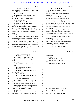|          | Page 170                                                        |              | Page 171                                               |
|----------|-----------------------------------------------------------------|--------------|--------------------------------------------------------|
| 1        | AMY K. EICHNER, PH.D.                                           | $\mathbf{1}$ | AMY K. EICHNER, PH.D.                                  |
| 2        | bring information regarding whether geranium plants             | 2            | Q. All right. And did Dr. -- I mean did                |
| 3        | produced DMAA or not to their attention?                        | 3            | Mr. Kaplan ever provide you with any documentation     |
| 4        | A. That is correct.                                             | $\bf 4$      | regarding these findings of geranium oil, DMAA in      |
| 5        | Q. Now, earlier in your testimony you said                      | 5            | geranium oil?                                          |
| 6        | that you had some discussions with, I don't know if             | 6            | A. No, he did not. After I pressed him, he             |
| 7        | it's a Mr. or Dr. Catlin. Do you recall that?                   | 7            | did reveal the brands of geranium oil that he had      |
| 8        | A. I recall that, yes.                                          | 8            | obtained, but despite my encouragements that he should |
| 9        | Do you know if it's Mr. or Dr.?<br>Q.                           | 9            | publish his findings, to my knowledge, he never did,   |
| 10       | A. I think it's Mr. but I don't know.                           | 10           | and to my knowledge, he never supplied USADA or anyone |
| 11       | In the testimony, correct me if I'm wrong<br>0.                 | 11           | else that I know of his results. And in a later email  |
| 12       | here, I'm not trying to put any words in your mouth, I          | 12           | he also said himself that he was not 100 percent sure  |
| 13       | believe you indicated in some conversation or                   | 13           | about his results.                                     |
| 14       | communication with Mr. Catlin, he told you that he had          | 14           | Q. All right. And to your knowledge, did he            |
| 15       | found low levels of DMAA in geranium oil that he                | 15           | ever publish anything regarding the findings that he   |
| 16       | tested?                                                         | 16           | reported to you that he found DMAA in small amounts in |
| 17       | A.<br>Yes.                                                      | 17           | some geranium oils?                                    |
| 18       | Q. Now, did he indicate to you whether or not                   | 18           | A. To my knowledge, he has not published in            |
| 19       | that geranium oil was pure or was blended with some             | 19           | that area at all.                                      |
| 20       | other product?                                                  | 20           | Q. I think that's all I have. Oh, wait a               |
| 21       | A. No, he didn't. In fact, I had to press                       | 21           | minute. I forgot. Doctor, are you being compensated    |
| 22       | him on several occasions to tell us what product, what          | 22           | by claimants for your time in preparing for this       |
| 23<br>24 | geranium oil he actually tested because obviously we            | 23           | deposition and in attending it to testify?             |
| 25       | wanted to validate that, we wanted to test it ourselves         | 24<br>25     | THE WITNESS: Are you claimants?                        |
|          | and see if we could come up with a same conclusion.             |              | MR. MARCK: Yes.                                        |
|          | Page 172                                                        |              | Page 173                                               |
| 1        | AMY K. EICHNER, PH.D.                                           | $\,1\,$      | AMY K. EICHNER, PH.D.                                  |
| 2        | THE WITNESS: Yes, then I am.                                    | $\sqrt{2}$   | vacation time?                                         |
| 3        | Q. (By Mr. Scott) What are the financial                        | 3            | A. No.                                                 |
| 4        | arrangements? How much are you being paid to for your           | 4            | MR. SCOTT: That's all I have.                          |
| 5        | time?                                                           | 5<br>6       | MR. MARCK: Nothing further from                        |
| 6        | A. I don't know.                                                | 7            | claimants.<br>(Proceedings concluded 2:35 p.m.)        |
| 7        | MR. MARCK: Don't look at me. You're                             | 8            |                                                        |
| 8        | under oath.                                                     | 9            |                                                        |
| 9        | MR. KOONS: You don't know?                                      | 10           |                                                        |
| 10       | THE WITNESS: I don't know.                                      | 11           |                                                        |
| 11<br>12 | MR. MARCK: Do you need to go off the<br>record and talk to her? | 12           |                                                        |
| 13       | MR. KOONS: If we can.                                           | 13           |                                                        |
| 14       | MR. SCOTT: If that's what we need to do,                        | 14           |                                                        |
| 15       | that's fine.                                                    | 15           |                                                        |
| 16       | (Discussion off the record)                                     | 16           |                                                        |
| 17       | Q. (By Mr. Scott) Doctor, while we were off                     | 17<br>18     |                                                        |
| 18       | the record, there was a discussion that indicated that          | 19           |                                                        |
| 19       | you're being paid \$450 an hour for your time in                | 20           |                                                        |
| 20       | preparing and testifying at the deposition and that a           | 21           |                                                        |
| 21       | retainer of \$7500 had been put on the table by                 | 22           |                                                        |
| 22       | claimants. Is that your understanding?                          |              | SUBSCRIBED AND SWORN BEFORE ME                         |
| 23       | A. Yes, it is.                                                  | 23           | THIS _____ DAY OF __________, 2016.                    |
| 24       | Now, in appearing today, did you have to<br>O.                  | 24           |                                                        |
| 25       | take off from work or lose any salary or lose any               | 25           | (Notary Public) MY COMMISSION EXPIRES:                 |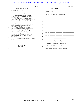|              | Page 174                                                                                                         |                | Page 175                               |
|--------------|------------------------------------------------------------------------------------------------------------------|----------------|----------------------------------------|
| $\mathbf{1}$ | REPORTER'S CERTIFICATE                                                                                           | $\mathbf 1$    | <b>ERRATA SHEET</b>                    |
| $\sqrt{2}$   | <b>STATE OF UTAH</b><br>$\mathcal{E}$                                                                            | $\overline{a}$ | Case Name:                             |
| 3            | SS.                                                                                                              | 3              | <b>Deposition Date:</b>                |
|              | COUNTY OF SALT LAKE )                                                                                            | $\bf 4$        | Deponent:                              |
| 4<br>5       | I, Ann Fleming, Registered Professional                                                                          | 5              | Pg. No. Now Reads Should Read Reason   |
|              | Reporter and Notary Public in and for the State of                                                               | 6              |                                        |
| 6<br>7       | Utah, do hereby certify:                                                                                         | 7              | __ ___ __                              |
|              | That prior to being examined, the witness,<br>Amy K. Eichner, Ph.D., was by me duly sworn to tell the            | $\,$ 8 $\,$    |                                        |
| 8            | truth, the whole truth, and nothing but the truth;                                                               | 9              |                                        |
| 9            | That said deposition was taken down by me                                                                        | 10             |                                        |
| 10           | in stenotype on December 14, 2016, at the place therein<br>named, and was thereafter transcribed and that a true | 11             | ___ ____ _____________                 |
|              | and correct transcription of said testimony is set                                                               | 12             |                                        |
| 11<br>12     | forth in the preceding pages;<br>I further certify that, in accordance with                                      | 13<br>14       |                                        |
|              | Rule $30(e)$ , a request having been made to review the                                                          | 15             | __ _______________                     |
| 13           | transcript, a reading copy was sent to the witness to                                                            | 16             |                                        |
| 14           | read and sign, and the original transcript will be<br>delivered to Mr. Marck for safekeeping.                    | 17             | ____ ____ _____                        |
| 15           | I further certify that I am not kin or                                                                           | 18             | ___ ____ ______________                |
|              | otherwise associated with any of the parties to said                                                             | 19             |                                        |
| 16           | cause of action and that I am not interested in the<br>outcome thereof.                                          | 20             |                                        |
| 17           |                                                                                                                  |                |                                        |
|              | WITNESS MY HAND this 19th day of December,                                                                       | 21             |                                        |
| 18<br>19     | 2016.                                                                                                            |                | Signature of Deponent                  |
| 20           |                                                                                                                  | 22             |                                        |
| 21           |                                                                                                                  |                | <b>SUBSCRIBED AND SWORN BEFORE ME</b>  |
| 22<br>23     | Ann Fleming, RPR                                                                                                 | 23             | THIS _____ DAY OF ___________, 2016.   |
|              | Notary Public                                                                                                    | 24             |                                        |
| 24<br>25     |                                                                                                                  | 25             | (Notary Public) MY COMMISSION EXPIRES: |
|              |                                                                                                                  |                |                                        |
|              |                                                                                                                  |                |                                        |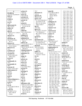| A                                  | actions (2)               | 76:7                  | aloud $(8)$             | 113:1 114:1 115:1   |
|------------------------------------|---------------------------|-----------------------|-------------------------|---------------------|
| \$25,000(4)                        | 59:20,22                  | afternoon (1)         | 87:25 88:23 100:22      | 116:1 117:1 118:1   |
| 33:25 61:19,20 66:19               | active(2)                 | 165:16                | 104:8 125:19            | 119:1 120:1 121:1   |
| \$450(1)                           | 40:19 44:10               | agencies (3)          | 129:25 149:16           | 122:1 123:1 124:1   |
| 172:19                             | activities (3)            | 49:6,9 57:18          | 163:9                   | 125:1 126:1 127:1   |
| \$7500(1)                          | 60:19,24 61:6             | agency $(13)$         | Amar $(1)$              | 128:1 129:1 130:1   |
| 172:21                             | activity <sub>(1)</sub>   | 7:11 12:25 24:8,10,11 | 161:23                  | 131:1 132:1 133:1   |
| a.m(1)                             | 36:4                      | 24:14 49:3 57:20      | ambiguous (2)           | 134:1 135:1 136:1   |
| 1:18                               | actual(5)                 | 89:5 111:18 132:6     | 22:4 150:12             | 137:1 138:1 139:1   |
| abbreviated (3)                    | 20:6 44:19 53:22          | 168:23 169:17         | America (2)             | 140:1 141:1 142:1   |
| 98:17,19,22                        | 112:24 163:18             | ago(2)                | 1:45:13                 | 143:1 144:1 145:1   |
| ability $(2)$                      | add(2)                    | 18:5 64:2             | America's (2)           | 146:1 147:1 148:1   |
| 6:10,14                            | 69:3,5                    | agree $(11)$          | 42:2,5                  | 149:1 150:1 151:1   |
| able $(4)$                         | added $(6)$               | 46:12 66:17 75:16,19  | American (2)            | 152:1 153:1 154:1   |
| 106:20 121:11 124:24               | 26:11,19,20 102:3         | 77:6 78:8 86:13       | 58:22 114:18            | 155:1 156:1 157:1   |
| 161:18                             | 156:2,10                  | 88:11 98:14 122:22    | amines(1)               | 158:1 159:1 160:1   |
| Absence (1)                        | addition $(2)$            | 156:24                | 69:10                   | 161:1 162:1 163:1,3 |
| 109:15                             | 8:17 158:20               | agreed $(1)$          | amino(1)                | 164:1 165:1 166:1   |
| absolutely (4)                     | additional (4)            | 33:21                 | 84:3                    | 167:1 168:1 169:1   |
| 16:12 73:21 85:3                   | 100:25 141:5 159:4        | agreement (12)        | amount(7)               | 170:1 171:1 172:1   |
| 101:13                             | 164:15                    | 3:10 33:25 66:7,10,11 | 68:12 69:2,3,4,17       | 173:1 174:7         |
| abstract $(5)$                     | address $(4)$             | 67:4 69:20 70:11      | 137:4 143:8             | analog $(1)$        |
| 149:16 150:14 153:22               | 7:7,10 141:20 158:11      | 85:17,21 96:22 98:4   | amounts $(3)$           | 11:21               |
| 155:19 156:25                      | addressed (5)             | ahead $(6)$           | 149:17 150:9 171:16     | analysis (12)       |
|                                    | 129:23 135:18 141:23      | 30:6 55:2 96:24       | amphetamine (3)         | 4:15,18 17:14 45:19 |
| abstracts (1)<br>51:3              | 158:10,12                 | 111:15 132:25         | 68:18,20,23             | 101:7 121:3 123:5   |
| academic (2)                       | <b>Administration (3)</b> | 150:20                | Amy (177)               | 148:13 152:4,8,13   |
| 19:14 132:9                        | 14:15 49:13,17            | AHPA(7)               | 1:5 3:2 5:1,4 6:1 7:1,6 | 152:24              |
|                                    | admittance (1)            | 58:18,21,23,24        | 8:1 9:1 10:1 11:1       | analyst $(2)$       |
| accepted (5)<br>101:16 136:14,16   | 28:17                     | 114:14,17 116:22      | 12:1 13:1 14:1 15:1     | 110:12 157:21       |
| 148:8 154:5                        | $\text{adopt}(1)$         | Air(1)                | 16:1 17:1 18:1 19:1     | analytical (4)      |
|                                    | 124:15                    | 4:5                   | 20:1 21:1 22:1 23:1     | 98:18 109:15,21     |
| access(1)<br>146:7                 | adverse $(2)$             | aired $(1)$           | 24:1 25:1 26:1 27:1     | 132:4               |
|                                    | 44:15,18                  | 128:5                 | 28:1 29:1 30:1 31:1     | analyzed (4)        |
| accidentally (1)<br>35:4           | advice $(2)$              | al $(2)$              | 32:1 33:1 34:1 35:1     | 101:9 112:3 118:11  |
| accountable (1)                    | 13:4 14:3                 | 4:15 143:14           | 36:1 37:1 38:1 39:1     | 122:15              |
| 88:4                               | advise $(3)$              | alerting (1)          | 40:1 41:1 42:1 43:1     | analyzing (2)       |
|                                    | 37:2 74:22 78:12          | 88:24                 | 44:1 45:1 46:1 47:1     | 12:19 150:23        |
| accurate (3)<br>105:21 125:4 136:7 | advised (1)               | alienate (1)          | 48:1 49:1 50:1 51:1     | anatomical (1)      |
| achievements (1)                   | 140:11                    | 125:24                | 52:1 53:1 54:1 55:1     | 18:22               |
| 162:10                             | advising $(1)$            | alienates $(1)$       | 56:1 57:1 58:1 59:1     | and/or $(4)$        |
| ACI(1)                             | 140:10                    | 125:22                | 60:1 61:1 62:1 63:1     | 31:13 96:6 131:13   |
| 163:16                             | advisor(1)                | alleged (1)           | 64:1 65:1 66:1 67:1     | 146:6               |
| acid(1)                            | 12:24                     | 38:14                 | 68:1 69:1 70:1 71:1     | Andrea (2)          |
| 84:3                               | AE(1)                     | alleging $(1)$        | 72:1 73:1 74:1 75:1     | 48:15,19            |
| Acknowledgments (                  | 138:25                    | 168:7                 | 76:1 77:1 78:1 79:1     | Ann $(3)$           |
| 110:21 111:16                      | afar(1)                   | allocate (1)          | 80:1 81:1 82:1,19       | 1:24 174:5,23       |
|                                    | 126:17                    | 34:16                 | 83:1 84:1 85:1 86:1     | Annie $(2)$         |
| $\arctan(1)$                       | affirmative (18)          | allocation (1)        | 87:1 88:1 89:1 90:1     | 163:4,5             |
| 69:11                              | 10:20 11:12 47:4 66:5     | 36:11                 | 91:1,20 92:1 93:1       | annual $(1)$        |
| act(4)<br>23:16 168:25 169:14      | 66:8 72:9 74:6 75:5       | allowed (1)           | 94:1 95:1 96:1 97:1     | 96:6                |
|                                    | 75:7 77:18 80:12          | 106:21                | 98:1 99:1 100:1         | answer $(26)$       |
| 169:18                             | 85:21 99:2 102:2          | alluded $(1)$         | 101:1 102:1 103:1       | 6:18,21 19:24 22:5  |
| action(6)                          | 130:14 132:21             | 159:20                | 104:1 105:1 106:1       | 30:6 41:11 49:14    |
| 52:18,23 137:21<br>146:2 169:19    | 142:21 161:19             | Almada (2)            | 107:1 108:1 109:1       | 50:21 51:7 52:2,3,7 |
| 174:16                             | afraid $(1)$              | 144:8,12              | 110:1 111:1 112:1       | 52:11,15,25 53:22   |
|                                    |                           |                       |                         |                     |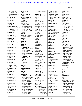|                                      |                                 |                                        |                                    | Page 2                        |
|--------------------------------------|---------------------------------|----------------------------------------|------------------------------------|-------------------------------|
|                                      |                                 |                                        |                                    |                               |
| 55:4 71:15 79:4                      | approved (1)                    | 157:7,15 167:13,17                     | 76:10 78:12 90:7,13                | authority (1)                 |
| 84:22 95:13,14<br>96:18 132:25 141:8 | 126:3                           | 167:24                                 | 91:4 94:17 95:23                   | 35:14                         |
|                                      | approximate (1)                 | articles (3)<br>18:17 45:8 142:10      | 96:2,9,10 131:20                   | authorized (1)                |
| 156:15                               | 104:12                          |                                        | 132:7 135:13                       | 34:9                          |
| answering (1)                        | approximately (5)               | Arts $(1)$                             | 140:10,11,23 141:8                 | authors $(3)$                 |
| 71:16                                | 18:2 23:22 56:9 93:8            | 10:9                                   | 141:10                             | 110:16 147:22 153:19          |
| answers $(1)$                        | 95:8                            | aside $(5)$                            | athletic $(2)$                     | automatically (1)             |
| 5:24                                 | April (20)                      | 36:3 61:19 62:17                       | 33:3 135:10                        | 20:16                         |
| Anthony (2)                          | 3:9 4:8 70:7 85:22              | 110:17 134:19                          | <b>ATLANTA(1)</b><br>1:2           | available (15)                |
| 144:8,12                             | 100:19 103:24                   | asked $(5)$                            |                                    | 74:25 96:5 99:7               |
| anti-doping $(10)$                   | 104:16,22 108:10                | 23:21 64:7,15 137:10                   | attached (5)                       | 104:11 105:5,7,12             |
| 7:11 12:25 13:15 16:4                | 119:18 138:8 139:5              | 166:14                                 | 100:24 102:18,23                   | 105:14 118:16                 |
| 24:8 25:17 74:19                     | 140:2 148:7,8 154:4             | asking $(5)$                           | 109:11 151:25                      | 126:10 151:7 169:7            |
| 77:4 111:18 152:17                   | 154:5 166:11 168:5              | 20:7,8 30:24 111:10                    | attachment (3)                     | 169:17,21,25                  |
| antigen $(1)$                        | 169:7                           | 155:17                                 | 103:9 147:9 163:16                 | average $(1)$                 |
| 32:4                                 | area(6)                         | aspect $(2)$                           | attachments (2)                    | 13:9                          |
| anybody (4)                          | 35:19 45:6 64:8 68:4            | 121:25 150:22                          | 103:4 147:15                       | avoid(1)                      |
| 7:24 8:3,7 139:16                    | 132:16 171:19                   | aspects $(1)$                          | attacks(1)                         | 18:24                         |
| Anytime (2)                          | areas(1)                        | 71:22                                  | 52:10                              | award $(2)$                   |
| 6:19 56:11                           | 112:17                          | assess $(1)$                           | attempted (1)                      | 23:22,25                      |
| anyway $(3)$                         | area (1)                        | 17:16                                  | 109:23                             | awarded (1)                   |
| 91:8 133:16 155:23                   | 95:16                           | assist $(2)$                           | attend $(1)$                       | 24:23                         |
| AOAC(1)                              | argue(1)                        | 13:13 66:21                            | 54:23                              | aware $(44)$                  |
| 71:3                                 | 80:22                           | assistance (1)                         | attended (1)                       | 8:6,8,11 27:10,13,25          |
| apparently (1)                       | Armstrong (13)                  | 35:19                                  | 62:7                               | 31:25 32:15 34:21             |
| 27:20                                | 143:14 147:23 148:18            | assisting $(2)$                        | attending (1)                      | 35:6,8,12 39:7 41:6           |
| appear $(1)$                         | 148:24 153:20                   | 13:25 14:2                             | 171:23                             | 43:22 44:3,9 47:9             |
| 146:8                                | 157:5 158:12,21,22              | associated (1)                         | attention (4)                      | 49:21 52:25 57:8              |
| appearance (1)                       | 158:24 159:19,24                | 174:15                                 | 36:14,17 69:24 170:3               | 59:8 61:3,7 62:25             |
| 37:24                                | 162:7                           | association (8)                        | attorney $(1)$                     | 69:21 75:24 76:4              |
| appeared $(1)$                       | Armstrong's (2)<br>143:16 159:4 | 53:18,20 57:24 58:16                   | 65:15                              | 88:18 97:2 98:6               |
| 134:18                               | Army $(1)$                      | 58:22 114:19                           | attorneys (7)<br>7:25 8:3 38:14,21 | 106:12 113:5<br>126:19 128:10 |
| appearing $(3)$<br>2:5 8:4 172:24    | 39:5                            | 117:11 164:3                           | 39:16 82:7 107:11                  | 133:4 143:15,20,22            |
|                                      | Arnold (2)                      | associations (5)<br>58:15 114:19 117:9 |                                    | 145:9,12 164:7,9,13           |
| appears (9)                          | 76:13,21                        | 117:10,12                              | attributed (1)<br>39:12            | awareness (2)                 |
| 92:10,23 95:9 127:14                 | $\arose(1)$                     |                                        |                                    | 148:24 149:3                  |
| 136:25 141:20                        | 119:17                          | assume $(3)$<br>6:5 10:7 34:11         | auditory (1)<br>15:2               |                               |
| 143:13,24 151:7<br>application (1)   | arrangements (1)                |                                        |                                    | B                             |
| 79:10                                | 172:4                           | assumed $(1)$<br>155:4                 | August $(1)$<br>4:18               | B(2)                          |
| applied (1)                          | art(1)                          | assumes $(2)$                          | Auricacia (1)                      | 3:7 117:6                     |
| 79:8                                 | 150:12                          | 107:21 156:14                          | 130:2                              | BA(1)                         |
| applies (1)                          | article (51)                    | assuming $(4)$                         | Australia (5)                      | 10:10                         |
| 14:4                                 | 3:24 4:13 17:22 19:22           | 88:9 102:24 126:8                      | 10:19,21 14:18,25                  | <b>Bachelor</b> (1)           |
| appreciate (3)                       | 21:18 22:3,11,14,23             | 145:10                                 | 15:8                               | 10:9                          |
| 31:4 90:2 155:7                      | 23:5 25:3 44:13                 | athlete $(5)$                          | Australian (4)                     | back $(36)$                   |
| appreciated (1)                      | 51:13,14 58:13                  | 25:21 27:25 33:9                       | 10:12 15:13 18:9                   | 14:25 18:20 23:9 30:9         |
| 31:6                                 | 62:17 67:8 68:24                | 68:19 90:14                            | 49:15                              | 39:25 44:24 46:11             |
| approach (1)                         | 108:24 109:13,20                | athlete's $(2)$                        | authentic (1)                      | 55:17 57:23,25 58:6           |
| 30:18                                | 111:24 112:18                   | 25:24,24                               | 83:8                               | 69:23 73:15,17,17             |
| Approaches (1)                       | 136:10,23 147:17                | athletes (39)                          | authenticate (1)                   | 85:15,16 86:3 89:7            |
| 109:15                               | 148:2,6,16,25                   | 13:4,9,16 14:3 25:20                   | 99:10                              | 101:14 102:6,13               |
| appropriate $(2)$                    | 151:24 152:5,20,23              | 25:25 26:3,21,22                       | authenticated (2)                  | 104:4 105:10,22               |
| 97:24 120:20                         | 153:4, 11, 14 154: 3            | 28:5 31:9 34:22                        | 99:8 109:16                        | 107:10,17 121:22              |
| approve $(1)$                        | 155:15,17,21,23                 | 35:3,4 36:23 37:2,6                    | author $(2)$                       | 122:21 127:3                  |
| 132:6                                | 156:2, 10, 19, 22               | 37:13,22 48:8 74:23                    | 156:2,10                           | 130:20 131:25                 |
|                                      |                                 |                                        |                                    |                               |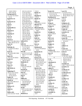| 134:22 139:21         | 20:3 21:2,16 25:3     | 154:21                | break $(12)$          | case $(11)$          |
|-----------------------|-----------------------|-----------------------|-----------------------|----------------------|
| 140:3 162:18          | 31:16 32:18,23        | blanks $(1)$          | 6:19,22,23 54:4 91:12 | 5:12 8:19 27:9,11    |
| background (5)        | 33:13 39:12 40:11     | 79:12                 | 91:14 123:7,8         | 28:10 44:9,14 47:19  |
| 9:3 12:6 16:2 44:23   | 42:17 43:5 44:14      | blended (1)           | 134:14 165:9,10,11    | 50:19 150:25 175:2   |
| 97:19                 | 46:22 47:5,11 50:15   | 170:19                | Breitbach (3)         | cases $(1)$          |
| backstory (1)         | 51:16,19 53:20 55:4   | blends $(1)$          | 151:19 153:20 156:6   | 162:11               |
| 77:3                  | 56:25 59:12,12        | 76:7                  | Brief $(1)$           | cast(1)              |
| backtrack (1)         | 61:20 64:9 65:16      | blogs $(3)$           | 54:3                  | 30:22                |
| 36:16                 | 66:14 68:16 69:19     | 76:15 84:12 115:18    | bring $(2)$           | categories (3)       |
| bad(1)                | 70:3 71:12 72:25      | Bloomer $(1)$         | 145:17 170:2          | 26:13,14 126:11      |
| 69:11                 | 74:13 76:19 77:2      | 163:19                | brings $(1)$          | category (2)         |
| bandwidth (1)         | 83:7 84:21 89:10,19   | <b>Blumenthal</b> (4) | 77:13                 | 84:5 125:22          |
| 85:18                 | 92:8,24 99:13 102:4   | 141:24,25 142:15      | broadly(1)            | Catlin $(4)$         |
| <b>Banned</b> (1)     | 102:21 103:9          | 144:5                 | 74:24                 | 130:4,11 170:7,14    |
| 130:15                | 104:23 110:11         | boards $(1)$          | brought (2)           | causative (1)        |
| banning $(1)$         | 116:18 126:20         | 135:11                | 14:12 144:18          | 28:17                |
| 117:4                 | 127:3,18 146:9        | bodies $(1)$          | BS(1)                 | cause $(3)$          |
| base $(1)$            | 147:9 152:12,24       | 48:23                 | 10:7                  | 52:19,24 174:16      |
| 151:15                | 162:8 163:18,19       | body $(2)$            | BSCG(2)               | causes (8)           |
| based $(7)$           | 169:12 170:13         | 25:24 32:9            | 130:15,22             | 49:22 50:5,10,17,24  |
| 24:17 76:2 80:23 85:2 | believed (1)          | born $(1)$            | bucket (1)            | 52:5,9,13            |
| 88:8 146:10 151:15    | 84:9                  | 15:7                  | 84:11                 | cc(1)                |
| basic $(1)$           | bell $(12)$           | boss(1)               | budget $(1)$          | 144:8                |
| 18:19                 | 39:6 44:8 49:11 61:13 | 16:15                 | 34:10                 | cellular $(1)$       |
| basically (5)         | 71:4 72:23,25         | botanical (5)         | bunch $(1)$           | 24:3                 |
| 11:16,20 13:5 40:22   | 113:20 148:17         | 55:11,12 70:18 95:3   | 76:15                 | Center (4)           |
| 67:11                 | 151:20,21 162:5       | 142:4                 | business $(4)$        | 2:9 7:12 61:9,18     |
| basis $(5)$           | best $(8)$            | botanicals (1)        | 7:10 65:3 90:5 131:3  | CEO(1)               |
| 48:14 49:4 80:5 90:8  | 31:9 35:17,22 51:20   | 95:16                 | busy(1)               | 16:24                |
| 146:11                | 68:9 117:13 136:6     | botany $(2)$          | 162:7                 | certain (11)         |
| Bates $(3)$           | 141:7                 | 12:7 84:19            |                       | 17:16 19:21 20:20    |
| 73:9 111:24 138:23    | <b>Bestervelt</b> (5) | bottom $(14)$         | $\mathbf C$           | 55:22 59:19 89:5     |
| $b$ attle $(1)$       | 45:9 86:19 115:9      | 69:24 74:4 78:16      | C(2)                  | 105:20 120:13        |
| 87:2                  | 146:25 158:17         | 79:21 82:18,20        | 2:15:2                | 124:22 131:16        |
| bcc'd(1)              | Bethesda (1)          | 98:12 103:22 114:7    | calculated (1)        | 136:20               |
| 127:16                | 42:2                  | 117:24 127:10         | 149:21                | certainly $(3)$      |
| bears $(1)$           | better $(4)$          | 129:17 139:3          | call $(3)$            | 128:17 134:23 135:18 |
| 169:13                | 16:19 21:10 93:18     | 166:10                | 13:17 29:4,5          | certainty (1)        |
| <b>BECKER</b> (1)     | 135:24                | Bowers (33)           | called (7)            | 25:8                 |
| 2:9                   | beyond $(3)$          | 8:8 15:16,17 32:24    | 5:5 38:4 44:9 71:2    | certificate (2)      |
| beginning $(7)$       | 22:22 46:7 67:2       | 33:14 35:6 66:14      | 112:23 130:14         | 11:8 174:1           |
| 43:16 112:2 116:22    | bias $(2)$            | 68:6 81:2,8 87:20     | 142:3                 | certification (2)    |
| 118:6 123:18          | 18:24 19:3            | 88:6 89:2,3 90:21     | calls $(1)$           | 45:15,22             |
| 141:16 142:23         | big(1)                | 97:13 99:5 106:25     | 159:24                | certified (1)        |
| begins $(3)$          | 45:6                  | 107:5,6 108:6,24      | Canada (2)            | 132:3                |
| 92:19 97:11 115:6     | billion $(9)$         | 110:18 120:10         | 49:3,11               | certifiers (1)       |
| behalf $(4)$          | 112:7,8 121:12        | 121:6 123:21,24       | captioned (1)         | 131:19               |
| 90:13 91:4 96:13,13   | 122:19,19,23,24       | 125:7,18 134:4        | 5:12                  | certify $(3)$        |
| behest $(1)$          | 153:25 155:25         | 135:15 149:13         | cardiac (1)           | 174:6,12,15          |
| 24:3                  | biological (2)        | 163:4                 | 52:14                 | certifying $(1)$     |
| behoove (1)           | 52:18,23              | Branch (2)            | career $(3)$          | 132:6                |
| 83:19                 | bit(8)                | 46:23 47:3            | 11:4 19:15 90:14      | cetera $(2)$         |
| belief $(1)$          | 10:25 11:18 12:10,12  | brands $(3)$          | careful $(2)$         | 65:5 76:17           |
| 27:6                  | 21:8 41:20 61:25      | 130:3,4 171:7         | 31:7 88:24            | CG/MS(1)             |
| believe (65)          | 88:21                 | breach $(1)$          | carefully $(1)$       | 101:6                |
| 8:10 15:4 16:7 19:20  | <b>Blanked</b> (1)    | 23:4                  | 81:16                 | chain $(22)$         |
|                       |                       |                       |                       |                      |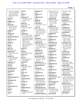| 3:9,11,12,14,19,20<br>3:22,25 4:1,4,6,8,9<br>4:12,15,16,18,19 |
|---------------------------------------------------------------|
| 80:8 102:24 103:3<br>127:22                                   |
| chains (1)<br>73:14                                           |
| challenge (1)<br>86:16                                        |
| chance (8)<br>73:16 82:15 92:17                               |
| 103:12 138:2,3<br>145:22 153:8                                |
| change (1)<br>105:9                                           |
| changed (2)<br>13:22,24                                       |
| characterization (1)<br>132:25                                |
| characterize (1)<br>150:15<br>charge (1)                      |
| 81:10<br>$chat (1)$                                           |
| 138:18<br>check (3)                                           |
| 8:23 13:21 15:5<br>chemical (5)                               |
| 5:14 12:16,19 13:8<br>167:8                                   |
| chemist (7)<br>12:11,18 16:3 68:2                             |
| 120:25 150:22<br>157:22                                       |
| chemistry (3)<br>12:9,10,17<br>chief (2)                      |
| 15:17,22<br>Chittiboyina (2)                                  |
| 161:25 162:4<br>choosing (1)                                  |
| 35:10<br>chosen (1)                                           |
| 120:15<br>Chromatograms (1)                                   |
| 103:6<br>Chromodex (2)                                        |
| 38:5,9<br>Circle (1)<br>2:14                                  |
| circumstances (1)<br>20:13                                    |
| cited (1)<br>167:5                                            |
| City(1)<br>1:22                                               |

**Civil (1)** 1:6 **claim (1)** 93:16 **claimants (7)** 1:13 166:2,7 171:22 171:24 172:22 173:6 **claims (4)** 9:9 43:13,17,19 **clarity (5)** 31:9 117:5 140:9,17 141:3 **classify (1)** 154:17 **Claude (26)** 2:3 21:7 55:2 65:18 73:11 82:12,14 87:7 91:6,18 92:14 93:25 100:8 103:18 108:3 108:23 114:2 119:13 141:14 145:19 155:8 158:3 160:25 162:21 165:9,14 **clause (1)** 64:15 **clean (4)** 24:9,13 25:20 125:4 **cleaner (1)** 125:3 **clear (5)** 29:12 49:14 74:23 103:8 108:9 **cleared (1)** 59:2 **clearly (4)** 39:25 151:6 159:17 159:18 **clients (1)** 31:5 **Closer (1)** 80:9 **co-authors (1)** 109:23 **co-presented (1)** 55:19 **coaches (1)** 135:12 **Cohen (1)** 128:11 **collaboration (1)** 33:22 **colleague (5)** 41:21 62:14,15 63:21 110:2

**colleagues (1)** 65:3 **collective (1)** 136:2 **collectively (1)** 33:21 **college (3)** 9:8,17,18 **Colorado (5)** 7:12,13 14:7 111:18 111:18 **come (11)** 12:17 14:6 25:13 29:10 33:23 59:11 84:12 96:21 136:2 147:10 170:25 **comes (1)** 34:3 **coming (6)** 28:3 35:2 36:25 46:4 68:14 94:22 **comment (11)** 19:21 20:6 28:8 75:16 77:7 78:6 79:21 81:19 140:3 163:10 163:12 **comments (2)** 79:20 135:22 **commercial (2)** 4:6 145:16 **commercially (9)** 99:7 104:11 105:5,7 105:12,13 118:16 151:4,7 **commission (3)** 98:21 173:25 175:25 **commissioned (1)** 44:3 **common (6)** 11:3 19:6,9,12,16 67:12 **Commonly (1)** 18:2 **communicate (1)** 152:3 **communicated (9)** 38:13 40:9 104:4 110:5 120:5 127:2 142:16,19 152:19 **communicating (2)** 120:4 131:17 **communication (8)** 42:10 46:2 54:13 92:9 104:25 143:24 158:22 170:14 **communications (12)**

39:23 53:10 57:14 72:8 81:7 104:23 113:15 130:16 148:14 157:10 158:20 163:6 **companies (8)** 19:10 76:15 84:13 95:19 115:16 131:21 139:9 140:15 **company (12)** 20:5 38:4,12 45:17 76:23 84:6 130:12 131:21 137:18 141:21 144:16,17 **compelled (1)** 64:12 **compensated (1)** 171:21 **competent (2)** 88:4,12 **competition (3)** 24:9,13 140:13 **complaint (1)** 169:14 **complete (3)** 111:7,9 159:25 **completed (1)** 164:10 **completely (1)** 156:11 **compliance (2)** 45:19,20 **compliant (1)** 29:3 **complicated (1)** 154:18 **comply (1)** 137:18 **component (1)** 55:12 **compound (2)** 20:8 157:12 **compounds (4)** 12:19 13:8 36:3 126:9 **computer (1)** 50:13 **concentrations (2)** 143:5 149:18 **concepts (1)** 79:2 **concern (8)** 25:18 26:4 29:20 31:22 32:7 116:8 125:4 129:11 **concerned (4)**

9:12 34:21 36:23 94:16 **concerning (2)** 38:24 168:15 **concerns (3)** 60:13 89:23 151:3 **conclude (4)** 28:16 103:2 127:23 168:23 **concluded (1)** 173:7 **concludes (8)** 49:22 50:4,10,17 51:23 52:5,9,13 **concluding (1)** 30:14 **conclusion (10)** 29:13 77:14 101:4,15 102:17 111:25 122:6 124:12 156:11 170:25 **conclusions (13)** 17:17,19,21 23:14 46:13 67:14,23 68:17 76:2 85:2 105:20 151:15 155:22 **conclusive (2)** 94:21 167:20 **conclusively (1)** 105:18 **conditions (1)** 85:3 **conduct (6)** 22:19 33:15 66:24 88:12 98:17 133:15 **conducted (6)** 104:10 105:4 113:8 113:11 164:7 168:6 **conducting (6)** 18:11,24 21:15 83:11 84:16 159:5 **conference (19)** 37:18,19 38:2 43:6 54:21,23 55:9,14,18 60:11,18 62:7 63:20 70:13,15,17 94:23 95:3 134:5 **conferences (17)** 33:18 37:22,25 54:17 54:19,20 55:6,11,16 62:18 113:17 126:20 134:9,14,17 135:5 142:18 **conferring (2)** 82:7 107:11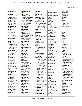|                         |                                     |                                        |                                | Page 5                           |
|-------------------------|-------------------------------------|----------------------------------------|--------------------------------|----------------------------------|
| confidential (1)        | consumption $(1)$                   | Control (1)                            | 148:22                         | 11:24 12:23 84:2                 |
| 145:25                  | 39:13                               | 130:15                                 | correspondence (1)             | currently $(5)$                  |
| confirm $(5)$           | contact $(25)$                      | controlled (1)                         | 131:11                         | 45:24 57:21 59:6                 |
| 32:19 59:3 133:11       | 38:8 42:17,18 45:23                 | 97:4                                   | correspondences (1)            | 72:19 77:6                       |
| 163:20 168:7            | 46:5,21 48:22 49:10                 | conversation (4)                       | 113:16                         | curve $(1)$                      |
| confirmation (2)        | 53:3,6,9 54:10                      | 3:18 159:20 160:17                     | cough(1)                       | 45:7                             |
| 133:12 146:4            | 57:11 58:5,11 62:16                 | 170:13                                 | 37:10                          | cut(5)                           |
| confirmed (4)           | 62:18 64:4 113:12                   | conversations (15)                     | Council (1)                    | 69:15 76:22 96:20                |
| 52:17,22 101:20         | 119:25 149:9,12                     | 7:24 34:18,21,24,25                    | 58:21                          | 97:5 142:14                      |
| 165:4                   | 152:7 157:5,6                       | 39:15 42:12 56:3,7                     | counsel (9)                    | CV(4)                            |
| confirming $(1)$        | contacted (2)                       | 62:22 63:23 82:3                       | 6:16,17,197:21                 | 13:21 15:5 37:21                 |
| 168:11                  | 39:19 163:25                        | 85:14,24 125:10                        | 138:22,24 166:2,6              | 159:25                           |
| confused (3)            | contacting (1)                      | converter $(1)$                        | 166:14                         |                                  |
| 15:15 73:23 108:2       | 164:6                               | 11:21                                  | count(4)                       | D                                |
| Congress (1)            | contain $(7)$                       | convicted (1)                          | 9:11,12 10:4,6                 | D(2)                             |
| 34:3                    | 29:4 37:8,10 47:9                   | 9:15                                   | country $(1)$                  | 3:15:2                           |
| Congressional (1)       | 59:12 118:21 119:4                  | Coody $(5)$                            | 33:15                          | $D-O-I(1)$                       |
| 34:7                    | contained (5)                       | 71:9 73:5 74:10 75:3                   | <b>COUNTY (1)</b>              | 155:9                            |
| connection (2)          | 56:24 57:8 68:22                    | 77:25                                  | 174:3                          | dad(1)                           |
| 12:4 152:15             | 133:5 143:7                         | Coody's (2)                            | couple $(5)$                   | 131:2                            |
| consider (16)           | Containing (1)                      | 75:16 77:7                             | 13:22 30:14 62:19              | daily $(1)$                      |
| 16:11,21 17:6 23:3,15   | 44:11                               | coordination (2)                       | 71:20 113:16                   | 90:7                             |
| 55:24,25 60:19          | contains(1)                         | 46:15,17                               | course $(2)$                   | damage (1)                       |
| 62:12 63:11,21          | 35:24                               | copied $(7)$                           | 33:7 113:10                    | 50:24                            |
| 64:21 140:18 141:4      | contemplating (1)                   | 77:25 83:3 86:8 121:7                  | course(1)                      | Dan $(5)$                        |
| 151:9 169:16            | 33:14                               | 125:18 158:16                          | 12:15                          | 60:12,17 73:6 82:25              |
| considered (5)          | content $(2)$                       | 161:22                                 | $\text{court} (5)$             | 88:9                             |
| 10:10 29:21 40:12       | 56:16 65:25                         | copy(5)                                | 1:1 5:25 9:9 23:11             | Daniel (7)                       |
| 84:7 164:4              | context(5)<br>20:24 28:4 88:8 92:10 | 64:10 138:19,23<br>148:25 174:13       | 30:11                          | 53:13 54:6 62:8,10               |
| consist(1)<br>13:2      | 112:19                              | correct(61)                            | cover(3)                       | 72:24 81:24 86:4                 |
| consisted (1)           | continuation (1)                    | 8:2,24 10:13,14 12:22                  | 38:3 147:9,13<br>created $(1)$ | data(20)<br>17:15,18 21:17,20,22 |
| 68:5                    | 82:9                                | 16:18,20 17:9 26:8                     | 99:18                          | 21:23 22:10,12,12                |
| consistent (3)          | continue (8)                        | 27:7 28:22 29:7                        | creatine $(1)$                 | 22:18,22,23 23:2,12              |
| 91:2 101:23 165:5       | 95:25 96:24 97:3                    | 36:12 41:18 47:3                       | 144:20                         | 23:13 85:3 115:18                |
| consists (1)            | 118:10,12 143:6                     | 50:19 69:8 80:15                       | creating $(1)$                 | 116:11 121:2,17                  |
| 45:16                   | 151:3 160:6                         | 86:8,20,23 87:17                       | 135:21                         | database $(1)$                   |
| constituent (4)         | continued (3)                       | 89:6,20,21 101:25                      | $\text{credit}(1)$             | 13:14                            |
| 69:14 84:3 93:17        | 11:16 31:25 115:16                  | 105:8 108:15 109:9                     | 10:2                           | date $(22)$                      |
| 106:17                  | continues (5)                       | 111:5 116:16                           | crime(1)                       | 27:23 58:4 70:6 74:11            |
| constituents (2)        | 31:11 78:4 90:7                     | 117:18,25 119:4                        | 9:15                           | 75:11 78:2,21 83:5               |
| 66:22 167:8             | 114:11 118:5                        | 120:14 121:9 124:8                     | criteria (1)                   | 85:12 86:23 87:23                |
| consult $(5)$           | continuing $(2)$                    | 124:9 125:6,9                          | 36:6                           | 90:22 92:4 93:2,6                |
| 8:25 37:20 51:20        | 75:2 90:8                           | 128:20 130:23                          | critical (1)                   | 94:9 97:14 104:15                |
| 53:22 59:4              | contract $(4)$                      | 132:20 135:17                          | 117:2                          | 138:7 146:21 148:4               |
| consultant $(5)$        | 32:18 61:20,20 64:15                | 144:5 148:10,11                        | CRN(2)                         | 175:3                            |
| 38:20,23 66:18,19,21    | contracted (2)                      | 153:5 156:3 157:2                      | 58:18,20                       | Date-Dangerous (1)               |
| consulting $(5)$        | 68:11 69:17                         | 158:14 160:19                          | culminates (1)                 | 4:5                              |
| 3:9 66:10,22 70:10      | contracts (1)                       | 161:15 163:2 166:4                     | 45:22                          | dated $(3)$                      |
| 85:17                   | 97:25                               | 166:5,8 167:2 170:4                    | culmination (1)                | 86:5 105:24 129:17               |
| Consumer (2)            | contrary $(1)$                      | 170:11 174:10                          | 30:13                          | Dateline (2)                     |
| 46:22 47:2              | 115:22                              | corrected (5)                          | culture (2)                    | 128:2,25                         |
| consumers $(2)$         | contribute (1)                      | 135:20 136:3,5,8,18<br>correctly $(1)$ | 28:6 129:3                     | dates(6)<br>70:19 76:5 85:16     |
| 31:17 117:13            | 44:25<br>contribution (1)           | 76:8                                   | cumbersome (1)<br>73:19        | 154:2,6 156:11                   |
| consuming $(1)$<br>33:9 | 45:8                                | corresponded (1)                       | current $(3)$                  | Dave $(3)$                       |
|                         |                                     |                                        |                                |                                  |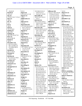43:4,9,10 **David (2)** 2:8 5:11 **day (3)** 173:23 174:17 175:23 **days (1)** 18:21 **DC (1)** 2:4 **de (1)** 28:25 **deal (2)** 31:13 135:9 **dealing (2)** 99:11,24 **dealings (4)** 58:15 61:14,16 73:2 **Dear (2)** 92:19 166:18 **Death (1)** 44:10 **December (13)** 1:18 3:12,14 83:5 85:11,23 86:5,23 87:24 89:9 90:23 174:9,17 **decided (2)** 85:12 124:15 **Decimal (1)** 154:20 **decision (6)** 34:15 36:13,17 90:3 120:19 136:2 **decisions (3)** 31:4,8 48:5 **declarative (1)** 124:25 **decongestant (1)** 44:25 **Deer (1)** 7:8 **defendant (3)** 1:9 2:7 9:7 **defendants (1)** 5:18 **Defense (2)** 44:3 46:11 **defer (1)** 125:7 **definitely (1)** 85:2 **definition (1)** 84:2 **definitive (4)** 84:16,18,22 85:9 **definitively (1)**

85:12 **degree (4)** 9:23 10:3 11:7,19 **degrees (1)** 10:22 **deliberately (1)** 35:5 **delivered (1)** 174:14 **department (9)** 2:3 15:24 16:16 44:3 46:11,16 65:14 154:12 165:15 **depend (1)** 20:13 **depending (1)** 38:2 **depends (3)** 18:16 46:18 151:14 **Deponent (3)** 2:12 175:4,21 **deposed (1)** 5:19 **deposition (8)** 1:4 7:18 8:11 167:14 171:23 172:20 174:9 175:3 **derivation (1)** 35:7 **describe (5)** 60:4 94:14 137:14 139:6,7 **described (1)** 142:5 **describes (2)** 52:17,22 **describing (1)** 169:5 **description (2)** 3:8 44:16 **descriptions (2)** 18:22 78:23 **descriptive (1)** 18:18 **design (1)** 164:19 **designated (1)** 145:25 **despite (2)** 29:9 171:8 **detail (6)** 5:23 40:14 65:23 79:14 86:11 147:8 **details (1)** 157:9 **detect (8)**

35:9 68:20 101:21 119:19 121:11 124:16,21 133:10 **detectable (4)** 101:9 112:5 122:11 122:17 **detected (11)** 69:4 118:18 120:12 130:18 133:4 143:4 149:17 150:9 153:23 155:14,24 **detection (10)** 119:16 120:20 121:19 124:7 125:7 133:11 151:17 153:24 155:25 165:7 **determine (8)** 35:9,24 46:3 50:14 57:5 68:9 72:15 120:20 **determined (6)** 8:21 25:23,25 28:25 60:6 167:19 **Deuster (7)** 41:14,16 42:10 43:15 48:15,17 147:2 **developed (1)** 101:7 **developing (1)** 131:18 **Dewey (1)** 154:20 **dictated (1)** 36:21 **died (1)** 39:12 **dietary (72)** 25:25 29:2,3 31:13,18 31:21 32:2,2,6 35:15,19 38:24 44:11 45:2,3,15,17 45:20 46:9 47:9,12 48:5,6,23 53:21 56:23 57:2,4,8,12 59:6,11,13 69:5 71:22 72:14,18 76:9 78:25 79:6,6 80:20 81:15 83:18,21,25 84:2,4 95:15,18 96:19 97:2 106:19 112:19,20 115:16 117:7 126:2,7 128:6 130:17 132:6 133:5 133:8 137:17 139:9 140:14,18,23 141:4 164:5 168:24

**different (18)** 16:16,17 18:19 29:20 37:8 45:13 55:10 71:22 72:15 76:15 76:15 97:6 133:12 151:18 156:11,25 156:25 157:6 **difficult (2)** 107:25 121:24 **digital (1)** 11:21 **Dimethylamylamin...** 163:17 **direct (2)** 16:15 48:13 **directed (2)** 144:7 146:19 **directly (8)** 13:16 14:19 79:20 86:18 110:6 120:5 127:19 135:15 **director (1)** 163:7 **disappoint (1)** 124:22 **disclose (1)** 63:25 **disclosed (4)** 64:5 114:25 121:16 130:17 **disclosure (1)** 64:3 **discuss (9)** 43:13,15,20 46:8 56:14,19 60:8,15 132:2 **discussed (17)** 32:13 43:17 55:10 88:10 93:18 94:14 97:17 104:2 105:6 116:6,21 117:17 120:24 135:2 147:3 153:15 167:13 **discussing (6)** 42:21 46:12 81:7 85:24 94:25 124:7 **discussion (6)** 107:16 128:2 138:20 158:7 172:16,18 **discussions (8)** 33:21 34:13 40:15 46:7 56:17 84:13 120:22 170:6 **dishonesty (1)** 23:16 **disprove (1)**

18:14 **disproves (1)** 23:13 **Distribution (1)** 4:2 **DISTRICT (2)** 1:1,1 **DIVISION (1)** 1:2 **DMAA (102)** 1:8 4:13,18 5:14,17 25:10 26:6,15 27:6 27:13,17,18,25 28:9 28:12,17,21,25 29:4 29:6,9 30:16,18 32:14 34:16,19 35:7 35:9,25 36:3,14 37:5,15,19,19 39:2 42:13 44:4,11,17,23 46:7 47:8 49:5,7,22 50:5,10,17 51:23 52:5,9,13 56:4,8,12 56:17,20 59:25 60:6 60:8,14 61:6 67:9 75:16 77:8 78:6 79:22 93:16 96:2 117:4 118:17,23 119:4,16,19 121:11 124:25 125:22 131:16 135:2 139:12 140:18 141:4 143:8 147:20 149:17 150:9 153:12,23 155:14 155:24 162:13 164:8 165:6 168:12 168:18 169:6 170:3 170:15 171:4,16 **DMAA's (1)** 33:2 **DMAA-containing ...** 36:18 38:15 43:14,18 52:19,24 **DMAA-related (1)** 38:21 **DMP (5)** 101:7,9 103:4 118:13 118:22 **Doctor (4)** 65:21 96:24 171:21 172:17 **document (12)** 5:16 65:22 67:2 91:18 103:17 123:13 137:24 139:2 146:4 146:6,8,10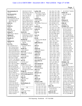| documentation (1)       | 130:10,10 133:25      | earlier $(10)$        | 35:1 36:1 37:1 38:1   | 41:22 95:17 126:18      |
|-------------------------|-----------------------|-----------------------|-----------------------|-------------------------|
| 171:3                   | 134:3,4,9,11 135:15   | 36:22 42:11 72:10     | 39:1 40:1 41:1 42:1   | Elaine $(4)$            |
| documented (2)          | 137:3,3 138:4,24      | 75:25 88:17 94:25     | 43:1 44:1 45:1 46:1   | 144:7,24 146:18         |
| 27:4 131:3              | 139:7,25 143:15       | 145:8 167:13,23       | 47:1 48:1 49:1 50:1   | 147:4                   |
| documents (11)          | 144:9 148:24          | 170:5                 | 51:1 52:1 53:1 54:1   | Eli(1)                  |
| 8:12,16,18 9:3 32:19    | 149:13 151:11         | earliest $(2)$        | 54:5 55:1 56:1 57:1   | 44:24                   |
| 32:20 40:2 64:11        | 157:5 158:12,21,22    | 143:23 145:9          | 58:1 59:1 60:1 61:1   | Eliason $(2)$           |
| 96:6,7 101:14           | 158:24 159:4,19,24    | early $(6)$           | 62:1,8,10 63:1 64:1   | 50:19 51:13             |
| DOD(1)                  | 160:17 161:4,17,20    | 42:19 49:4 72:9,11,12 | 65:1,20 66:1 67:1     | Ellis $(3)$             |
| 51:13                   | 161:21 162:6 163:3    | 73:5                  | 68:1 69:1 70:1 71:1   | 43:4,9,10               |
| DOH(1)                  | 163:3 164:7 165:14    | easier $(3)$          | 72:1 73:1,8 74:1      | ElSohly (71)            |
| 129:2                   | 166:18,25 167:4       | 5:17 6:8 87:8         | 75:1 76:1 77:1 78:1   | 9:5 25:3 29:12 30:15    |
| DOI (3)                 | 168:5 169:23 170:7    | easily $(1)$          | 79:1 80:1 81:1 82:1   | 32:13,17,22,23          |
| 154:10,11,16            | 170:9 171:2           | 61:15                 | 82:17,19 83:1 84:1    | 33:12,20 54:24          |
| doing $(3)$             | draft $(14)$          | East $(1)$            | 85:1,20 86:1,7 87:1   | 61:15 63:15,24          |
| 98:9 133:17 164:15      | 112:22,23 130:8       | 7:8                   | 87:10,13 88:1 89:1    | 64:17 65:5,9,18         |
| doping $(2)$            | 132:8, 19, 22 135: 20 | easy $(1)$            | 90:1 91:1,16,20       | 66:7,15 68:6 69:23      |
| 90:14 162:11            | 135:25 136:3,4,5,8    | 32:11                 | 92:1,13 93:1,25       | 85:13 98:13,16 99:4     |
| Double (1)              | 136:10,13             | Ed(4)                 | 94:1 95:1 96:1 97:1   | 100:8,12,19 101:12      |
| 10:5                    | drafted $(4)$         | 114:10 115:8 146:20   | 97:7 98:1 99:1        | 105:11 107:19           |
| doubted $(1)$           | 112:16,17 129:22      | 158:17                | 100:1 101:1 102:1     | 108:24 110:2,13,17      |
| 75:25                   | 139:19                | edification (1)       | 103:1,16 104:1        | 112:15 113:12           |
| Dr(173)                 | drafting $(4)$        | 7:14                  | 105:1,23 106:1,8      | 114:3,5 115:7,23        |
| 4:5 5:10 8:8 15:17      | 112:13,18 124:11      | edit $(1)$            | 107:1 108:1,20,24     | 116:14 117:24           |
| 32:17,23,23 33:12       | 139:11                | 44:21                 | 109:1 110:1 111:1     | 118:20,22 120:9         |
| 33:14,16,20,20,25       | drafts $(2)$          | edited $(3)$          | 112:1 113:1 114:1     | 121:6,10 123:2,14       |
| 35:641:1448:15,17       | 19:22 164:23          | 136:11,23 156:12      | 115:1 116:1 117:1     | 123:21,24 124:6         |
| 54:5, 14, 24, 24 55: 19 | draw(3)               | editing $(2)$         | 118:1 119:1 120:1     | 125:7, 12, 18 127:6     |
| 57:21 62:3,12,22,25     | 85:2 102:17 155:22    | 156:18,21             | 121:1 122:1,7 123:1   | 127:21 128:21           |
| 63:4, 14, 18, 23 64: 17 | dried $(2)$           | editor $(1)$          | 123:10 124:1 125:1    | 129:23 130:10           |
| 65:5,5,7,9 66:14,15     | 112:4 122:16          | 152:12                | 125:12 126:1 127:1    | 133:9,25 137:3          |
| 66:15 67:17 68:6        | Drive $(2)$           | educate $(3)$         | 128:1 129:1 130:1     | 145:20 151:11           |
| 72:19 77:16 78:6,23     | 7:8,12                | 37:3 131:20 135:13    | 131:1 132:1 133:1     | 160:25 161:21           |
| 79:2,11,19,25 80:10     | Drs(2)                | education (1)         | 134:1 135:1 136:1     | 163:3 164:7             |
| 80:15 81:2,8,24         | 113:12 125:7          | 37:6                  | 137:1,22 138:1,21     | ElSohly's (3)           |
| 82:17 85:13,13 86:7     | drug(15)              | educational (2)       | 138:24 139:1,3        | 61:21 100:23 113:8      |
| 86:13 87:13 88:6        | 4:3,15 13:13 14:2     | 48:3 135:10           | 140:1 141:1 142:1     | email (175)             |
| 89:3 91:20 92:3,9       | 25:11 125:21 126:3    | Edward $(2)$          | 143:1 144:1 145:1     | 3:9,11,12,14,15,16,17   |
| 92:19,25 94:8 97:13     | 126:3,13 148:13       | 113:19 114:20         | 146:1 147:1 148:1     | 3:19,20,22,25 4:1,3     |
| 97:13 98:3,13,16        | 152:4,8,12,24 154:9   | effect $(1)$          | 149:1 150:1 151:1     | 4:4,6,8,9,12,15,16      |
| 99:4,4,4 100:19,23      | drugs $(4)$           | 140:22                | 152:1 153:1 154:1     | 4:18,19 13:12 39:23     |
| 101:12 104:23           | 12:24 32:5 126:10,10  | effective $(1)$       | 155:1 156:1 157:1     | 42:14,15 53:11,12       |
| 106:7, 10, 25 107:5, 6  | DTA-Embargoed (1)     | 31:17                 | 157:25 158:1 159:1    | 54:15 58:18 69:24       |
| 107:7,19,19 108:6       | 147:15                | effort(1)             | 159:14 160:1,24       | 69:25 70:6,8 71:21      |
| 108:24 110:17,18        | duly $(2)$            | 136:6                 | 161:1,12 162:1,18     | 72:16 73:14 74:3,7      |
| 113:7,12 115:23         | 146:12 174:7          | efforts $(2)$         | 163:1,3 164:1 165:1   | 74:14,16 75:3,6,12      |
| 116:15 117:24           | Duty $(1)$            | 29:9 35:7             | 165:14 166:1 167:1    | 75:15 77:16,17 78:4     |
| 118:20,20,22            | 44:10                 | Eichner $(210)$       | 168:1 169:1 170:1     | 78:16,17,24 79:3,20     |
| 119:17,24 120:10        | dysrhythmia (1)       | 1:5 3:2 5:1,4,10 6:1  | 171:1 172:1 173:1     | 80:7,10,13,17 81:23     |
| 120:10,10 121:6,6,7     | 52:14                 | 7:1,6 8:1 9:1 10:1    | 174:7                 | 82:9,18,23 83:7         |
| 121:10 123:2,21,21      |                       | 11:1 12:1 13:1 14:1   | either $(9)$          | 85:11,23 86:4,18,23     |
| 123:24,24 124:6         | ${\bf E}$             | 15:1 16:1 17:1 18:1   | 22:2,14 23:23 37:7,14 | 87:17,19 88:8,9,22      |
| 125:18,18 127:21        | E(6)                  | 19:1 20:1 21:1 22:1   | 47:18 101:20          | 89:8, 10, 10, 19 90: 15 |
| 127:21,24 128:11        | $2:1,1$ 3:1,7 5:2,2   | 23:1 24:1 25:1 26:1   | 150:16 164:17         | 91:24 92:6,10,19,21     |
| 128:11,12,18,21,21      | eager $(2)$           | 27:1 28:1 29:1 30:1   | elaborate (6)         | 93:5 94:4,11 97:10      |
| 128:23 129:23           | 104:17,20             | 31:1 32:1 33:1 34:1   | 10:25 11:18 12:12     | 97:11,13,18 98:12       |
|                         |                       |                       |                       |                         |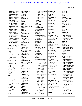|                                       |                             |                                 |                                      | Page 8                               |
|---------------------------------------|-----------------------------|---------------------------------|--------------------------------------|--------------------------------------|
| 98:24 100:17,18,20                    | enforcement (4)             | 50:23,24 56:25 76:3             | existence (2)                        | factor $(2)$                         |
|                                       | 32:9 59:19 137:21           |                                 | 16:5 64:2                            | 28:17 117:2                          |
| 100:23 102:9,18,24                    | 169:20                      | 77:11,13 78:13<br>94:22 104:12  | exists (1)                           |                                      |
| 103:3,21,22 104:8<br>104:15,22 105:23 | engage $(1)$                | 105:15,18 107:22                | 51:11                                | facts $(3)$<br>18:19 107:22 156:14   |
| 106:5 107:24 108:5                    | 35:14                       | 108:11 115:14                   |                                      |                                      |
| 108:9,16 113:16                       | engaged $(1)$               | 156:14 165:6                    | expanded (1)<br>31:12                | failed $(4)$<br>104:12 108:11 119:18 |
| 114:7,8 115:6,7                       | 37:17                       | exact(2)                        | expands (1)                          | 137:18                               |
| 116:6, 14, 19 117: 17                 | enter $(1)$                 | 58:3 138:23                     | 37:5                                 | fair $(6)$                           |
| 117:23 118:3 120:7                    | 98:4                        | exactly $(4)$                   | expect (3)                           | 32:21 73:4 96:12,14                  |
| 121:4 123:18,19                       | entire $(3)$                | 33:16 53:23 111:11              | 107:20 108:13,15                     | 108:18 115:21                        |
| 124:3,6 125:16,17                     | 65:22 129:24 155:17         | 113:17                          | expected (1)                         | fall $(2)$                           |
| 127:10,17,19                          | entities (1)                | <b>Examination (4)</b>          | 166:15                               | 84:4,11                              |
| 128:19,24 129:16                      | 65:3                        | 3:3,4 5:8 165:12                | expecting (1)                        | falsify $(2)$                        |
| 129:24 131:11,13                      | entity $(1)$                | examined (2)                    | 107:2                                | 23:16,18                             |
| 131:15 133:24                         | 61:14                       | 5:6 174:7                       | expedite(1)                          | familiar $(17)$                      |
| 135:14 138:4 139:3                    | <b>EPSTEIN</b> (1)          | example (9)                     | 61:22                                | 5:22 13:8 17:8 38:4,6                |
| 139:6,21 141:15,18                    | 2:9                         | 18:20 26:11,16,19               | experience (6)                       | 39:4 62:3 63:14                      |
| 141:20 143:11                         | equivalent (2)              | 54:18 126:11 133:3              | 19:14 68:19 76:25                    | 64:24 71:2 108:20                    |
| 144:4 146:15,15,23                    | 14:17 48:2                  | 133:8,23                        | 137:4 156:9,16                       | 109:10 147:4 148:2                   |
| 147:14 158:8,11,13                    | <b>ERRATA (1)</b>           | examples $(2)$                  | experiments (1)                      | 148:3,20 159:19                      |
| 160:9,10 161:3,16                     | 175:1                       | 20:15 79:15                     | 17:13                                | family $(2)$                         |
| 161:20 162:2,24                       | erroneous(1)                | exclude (1)                     | expert $(3)$                         | 8:4 39:16                            |
| 163:8 166:10,15,18                    | 68:24                       | 23:5                            | 47:19 63:2 142:4                     | far $(11)$                           |
| 166:19,24,25 167:4                    | errors(2)                   | excuse (8)                      | expertise (5)                        | 10:16 11:7 15:14                     |
| 168:4 169:8 171:11                    | 135:22 136:17               | 6:25 67:17 70:9 73:17           | 33:15 45:6 55:13 68:4                | 30:17 69:21 89:24                    |
| emailed (4)                           | especially $(3)$            | 107:6,7 115:10                  | 118:20                               | 98:6 100:25 106:12                   |
| 58:8 119:17 126:25                    | 61:25 143:24 151:9          | 130:10                          | <b>EXPIRES (2)</b>                   | 113:5 152:18                         |
| 142:17                                | establish (2)               | executed $(2)$                  | 173:25 175:25                        | FD&C(1)                              |
| emails (9)                            | 18:18 167:21                | 70:10 85:22                     | explain $(2)$                        | 168:25                               |
| 73:9,19 79:19 92:20                   | established (2)             | exemptions (1)                  | 47:24 58:20                          | FDA (76)                             |
| 114:24 127:3                          | 50:2 67:8                   | 13:25                           | expressed (1)                        | 4:8 14:17 30:23 31:3                 |
| 129:21 147:10                         | establishes (1)             | exhibit (76)                    | 86:15                                | 31:9,12 35:18,23                     |
| 151:25                                | 126:5                       | 3:9,11,12,14,15,16,17           | extent (5)                           | 49:16 53:3 54:8,11                   |
| embargoed (5)                         | establishing (3)            | 3:19,20,22,23,25                | 24:11 34:23 56:2                     | 56:7,21 57:6,10,12                   |
| 4:12 143:25 148:25                    | 80:20 97:25 125:21          | 4:1,3,4,6,8,9,12,13             | 141:22 142:14                        | 57:14,19 59:15,24                    |
| 150:3 153:15                          | estimate $(1)$              | 4:15,16,18,19 65:17             | extract(6)                           | 60:8,12,23 61:5                      |
| emergency (1)                         | 145:11                      | 65:19,20 73:10 82:6             | 66:23,24,25 68:10                    | 71:12,13,19,25 72:4                  |
| 28:11                                 | et(4)                       | 85:20 86:3 87:11                | 139:10 140:16                        | 72:17,20 73:2 79:6                   |
| employee $(2)$                        | 4:15 65:5 76:17             | 91:16,17 92:15                  | extracted (1)                        | 81:9 87:3 88:11,18                   |
| 65:12 72:4                            | 143:14                      | 93:24 94:2 97:8                 | 102:5                                | 88:19,24 89:22,25                    |
| employees (2)                         | evaluate $(1)$              | 100:10 102:15                   | extracting (1)                       | 90:3 104:2,19,21,24                  |
| 38:9 53:4                             | 51:2                        | 105:22 107:12                   | 84:16                                | 107:2,20,20 108:6                    |
| enable $(1)$<br>168:23                | evaluated (4)               | 108:21 109:7 111:6              | extractions (1)                      | 116:25 119:17,20<br>119:22,25 126:22 |
| encounter(1)                          | 45:18 81:15 151:5           | 113:25 121:23                   | 151:8                                | 130:8 132:9 133:13                   |
| 13:10                                 | 167:18                      | 123:9,11 125:13<br>127:8 129:15 | $\mathbf F$                          | 133:14 137:12,16                     |
| encourage (1)                         | evaluating (4)              | 137:23 138:21                   |                                      | 139:8,19 140:17                      |
| 21:3                                  | 11:22 76:14 88:20<br>131:23 | 141:13 143:13                   | Fabricant (7)<br>53:14 54:6,14 55:20 | 141:3 149:8 151:25                   |
| encouragements (1)                    | evaluation (1)              | 145:14,24,25 147:7              | 57:21 60:12,17                       | 157:15 160:18                        |
| 171:8                                 | 80:23                       | 147:14 153:7 154:7              | fact $(12)$                          | 168:15 169:7,11,15                   |
| ended $(2)$                           | event $(1)$                 | 154:24 155:10                   | 26:22 31:6,20 42:22                  | 169:25                               |
| 35:11 105:11                          | 64:16                       | 157:2 158:2 159:15              | 59:10 80:22 90:3                     | FDA's(7)                             |
| endorse $(1)$                         | events $(3)$                | 161:2,9,10 165:18               | 124:20 128:5 129:8                   | 30:18 59:6 80:5                      |
| 132:5                                 | 6:14 44:16,18               | 166:2,2,3,10                    | 167:21 170:21                        | 108:15 117:14                        |
| enemy $(1)$                           | evidence (19)               | exhibits $(3)$                  | facto $(1)$                          | 169:12,20                            |
| 55:25                                 | 29:8 30:16 47:11            | 62:2 91:7 165:19                | 28:25                                | FDA-regulated (1)                    |
|                                       |                             |                                 |                                      |                                      |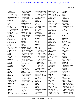|                               |                                        |                                       |                           | Page 9                        |
|-------------------------------|----------------------------------------|---------------------------------------|---------------------------|-------------------------------|
|                               |                                        |                                       |                           |                               |
| 169:15                        | 70:10 77:11 87:7                       | 11:13 36:13,17 75:2                   | forward $(3)$             | 111:20                        |
| February (6)                  | 100:24 104:12                          | 77:16 99:8 123:18                     | 19:6 21:9 140:10          | funds $(1)$                   |
| 4:6 129:17 134:4              | 105:17 108:11                          | 127:9 133:24 138:4                    | forwarded $(5)$           | 34:14                         |
| 136:11,24 162:3               | 115:14 116:10                          | 139:21 141:15                         | 127:23 146:24 147:2       | funny $(1)$                   |
| February-March (1)            | 138:18 142:24                          | 146:14 161:3,16                       | 158:14 160:16             | 70:25                         |
| 4:19                          | 150:8 158:4 161:18                     | focused $(1)$                         | Foster $(2)$              | Furmann (4)                   |
| federal(1)                    | 165:6                                  | 11:19                                 | 144:9,22                  | 46:22,24,25 47:13             |
| 34:3                          | finding $(4)$                          | focusing (1)                          | found $(13)$              | further $(10)$                |
| fee $(1)$                     | 115:22 143:15,16                       | 15:3                                  | 17:23 29:7 78:7,11,12     | 11:10 22:20 64:4              |
| 66:19                         | 155:14                                 | follow $(3)$                          | 79:22,23 114:15           | 88:22 125:22                  |
| feel $(8)$                    | findings $(7)$                         | 78:14 82:20 116:10                    | 130:4 131:16              | 158:21 168:4 173:5            |
| 11:24 18:23 21:25             | 119:6,10 159:4 168:7                   | follow-up $(2)$                       | 167:24 170:15             | 174:12,15                     |
| 31:12 89:22 90:11             | 171:4,9,15                             | 3:17 114:24                           | 171:16                    | FYI(2)                        |
| 113:13 129:8                  | fine $(13)$                            | followed (2)                          | foundations (1)           | 114:12 127:25                 |
| feeling $(5)$                 | 6:20,23 9:10 40:5<br>51:7 65:23 103:11 | 47:17 89:12                           | 19:17                     | $\mathbf G$                   |
| 37:11 49:12 83:12,14          |                                        | following $(6)$<br>44:10 64:2 78:5,15 | founded $(1)$             |                               |
| 159:5                         | 122:3 131:4,8<br>145:13 163:22         | 155:3 166:19                          | 16:7                      | G(1)<br>5:2                   |
| feelings $(1)$                | 172:15                                 |                                       | four $(1)$                |                               |
| 68:4                          |                                        | follows $(1)$                         | 10:18                     | <b>GARDIS</b> (1)             |
| fellowship (1)                | finish $(2)$<br>96:18,20               | 5:6                                   | fourth $(2)$              | 2:14                          |
| 11:2                          | finished $(1)$                         | food $(1)$<br>126:14                  | 87:25 114:11              | Gary $(5)$                    |
| fellowships (1)<br>14:23      | 68:13                                  |                                       | fragrance $(1)$<br>69:12  | 71:9 73:5 74:10 75:3<br>77:25 |
| felt(8)                       | first(30)                              | forgot $(1)$<br>171:21                |                           | Gateway (1)                   |
| 88:18 90:24 91:2 99:9         | 5:5 22:25 25:9,15                      | form $(42)$                           | frequently $(1)$<br>45:23 | 2:9                           |
| 99:21 101:20                  | 44:23 53:6 62:6                        | 19:23 20:11,21 21:6                   | fresh $(2)$               | $GC-MS(2)$                    |
| 105:18 167:20                 | 63:19 68:7,13 74:18                    | 21:19 22:6,16 23:7                    | 112:4 122:16              | 112:7 122:18                  |
|                               | 83:11 91:21 92:8                       | 23:14 27:8 28:23                      |                           | GC/MS(1)                      |
| $\mathbf{ff}$ $(1)$<br>168:25 | 100:18 101:5 102:6                     | 29:15,17,19 30:20                     | Friday $(1)$<br>115:8     | 118:9                         |
| field $(4)$                   | 103:22 112:22,23                       | 31:19 41:12 49:24                     | friend $(3)$              | Gee $(2)$                     |
| 12:17 18:4 90:8               | 115:21 130:13                          | 50:11 55:3 60:2,21                    | 40:12 55:24 62:12         | 28:19,20                      |
| 152:16                        | 132:10,12 141:6                        | 80:4 83:23 84:24                      | $\textbf{FRL}$ (1)        | general (6)                   |
| figure $(5)$                  | 147:14 155:18                          | 88:14 100:5 101:18                    | 4:5                       | 28:6 37:11 46:9,10            |
| 5:25 6:7 28:2 35:7            | 158:9 165:17 166:9                     | 107:4,21 115:25                       | front $(7)$               | 47:772:13                     |
| 73:19                         | five $(4)$                             | 116:2 119:15                          | 50:13 73:16,17            | generally (6)                 |
| figured $(2)$                 | 15:5 18:4,7 25:2                       | 121:15 124:19                         | 138:15 139:2              | 25:16 27:16 34:25             |
| 14:13 162:9                   | flaws $(1)$                            | 137:5 143:18                          | 165:22,25                 | 57:18 58:12 124:11            |
| figuring $(1)$                | 17:23                                  | 147:11 154:25                         | fulfilled (1)             | generate (2)                  |
| 36:7                          | Fleming $(3)$                          | 155:5,16 156:13                       | 69:19                     | 22:18,21                      |
| fill(1)                       | 1:24 174:5,23                          | formal $(6)$                          | full $(5)$                | generated $(3)$               |
| 79:11                         | flip $(20)$                            | 37:15 57:15,17 59:24                  | 7:4 68:11 69:16           | 21:25 22:13,24                |
| filled $(1)$                  | 66:6 69:22 77:15 78:5                  | 60:3,14                               | 129:21 138:23             | genuine(1)                    |
| 13:7                          | 78:15 87:16 89:7                       | formalized (6)                        | fully $(1)$               | 116:21                        |
| filters $(1)$                 | 101:3 102:6,13                         | 85:25 97:16,19,20,22                  | 6:21                      | <b>GEORGIA</b> (1)            |
| 45:14                         | 105:22 110:19                          | 97:25                                 | fun $(2)$                 | 1:1                           |
| final $(5)$                   | 111:23 114:4                           | formally $(1)$                        | 70:13 135:16              | geranium (88)                 |
| 121:13 136:4,13               | 116:13 117:23                          | 144:2                                 | function $(1)$            | 3:15,16,18,194:7,13           |
| 156:24 165:2                  | 120:6 122:6 142:22                     | formed $(1)$                          | 17:11                     | 29:7,9 33:5,8,9 35:9          |
| finalized $(2)$               | 147:6                                  | 121:2                                 | fund $(2)$                | 35:24 37:5,7,8,10             |
| 117:20 132:23                 | Flipping $(2)$                         | forte $(1)$                           | 37:24 164:21              | 37:12,13 56:12 67:9           |
| finance $(1)$                 | 86:3 90:15                             | 150:24                                | funded $(3)$              | 68:19,21,22 69:7,11           |
| 34:13                         | flower $(4)$                           | forth $(4)$                           | 32:13,14 48:10            | 69:14 74:25 75:17             |
| financial (3)                 | 75:17,20 77:9,13                       | 101:14 127:4 131:25                   | funding $(14)$            | 75:20 77:9,12 80:23           |
| 60:24 61:5 172:3              | flush $(1)$                            | 174:11                                | 19:7,9,17,21 20:4,5       | 90:9 93:15 95:20,22           |
| find $(19)$                   | 19:5                                   | Forthane (1)                          | 20:19 21:3 33:23          | 95:23 99:7 101:22             |
| 29:8 30:15 53:21,23           | focus $(15)$                           | 4:3                                   | 34:4 61:4,18 63:4         | 104:11,13 105:5,7             |
|                               |                                        |                                       |                           |                               |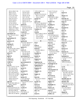|                                 |                            |                                |                                   | 10<br>Page                              |
|---------------------------------|----------------------------|--------------------------------|-----------------------------------|-----------------------------------------|
| 105:14 106:17,18                | 111:2 113:19               | 159:16 160:11,21               | 5:24 17:5 51:4,5                  | 7:8                                     |
| 106:21,22,22                    | 116:24 123:9               | group(9)                       | 76:14 157:11                      | home $(1)$                              |
| 108:12 114:15                   | 125:12 127:6               | 33:22 37:15,15 61:21           | 164:18                            | 7:7                                     |
| 115:15,19 116:9                 | 130:20 131:20              | 68:5 71:2 112:16               | header $(6)$                      | Homer $(1)$                             |
| 117:6 127:5,25                  | 135:7 137:22               | 124:12 130:15                  | 89:10 92:21 106:6                 | 129:2                                   |
| 130:3,18 132:17                 | 145:13,19 150:11           | groups (1)                     | 129:21 135:16                     | honestly $(3)$                          |
| 139:10 140:16                   | 154:22 157:25              | 34:4                           | 154:3                             | 15:5 38:10 55:16                        |
| 141:9 143:4,7                   | 159:14 161:11,24           | guess (15)                     | headers $(1)$                     | hope $(1)$                              |
| 147:20 149:18                   | 163:22                     | 21:24 27:3 46:18 62:7          | 148:5                             | 164:3                                   |
| 153:13,24 155:24                | good (11)                  | 65:6 89:4 90:24,25             | heading $(1)$                     | Hopping $(1)$                           |
| 163:17 165:6                    | 5:10 18:12 21:11           | 93:9,9 102:14 105:6            | 101:4                             | 46:11                                   |
| 166:21 167:6,8,22               | 33:22 41:10 45:19          | 107:3 147:7 164:3              | health $(4)$                      | hospital $(1)$                          |
| 168:8,10,11 170:2               | 48:5 85:15 113:21          | Guizhow (1)                    | 27:7 49:2,11 90:4                 | 28:18                                   |
| 170:15,19,23 171:4              | 122:2 159:17               | 167:9                          | hear $(2)$                        | host $(1)$                              |
| 171:5,7,17<br>geraniums(5)      | Goods(3)<br>14:14 49:13,17 | Gul(9)<br>108:25 109:25 120:10 | 7:23 108:3                        | 55:6<br>hotel $(1)$                     |
| 33:2 79:22,23 125:2             | $g$ oofy $(1)$             | 121:7 123:25                   | heard $(9)$<br>6:5 25:9 38:6 61:8 | 38:3                                    |
| 169:6                           | 129:7                      | 125:18 128:22                  | 73:11 78:7 81:20                  | hotline $(1)$                           |
| germanium (1)                   | $G$ opal $(1)$             | 134:3 161:22                   | 128:17 164:14                     | 48:7                                    |
| 30:16                           | 161:25                     |                                | heart $(2)$                       | hour $(3)$                              |
| gestures(1)                     | gotcha (8)                 | H                              | 52:10 117:13                      | 6:23 91:11 172:19                       |
| 5:24                            | 8:25 10:7 59:5 61:17       | H(1)                           | heat $(3)$                        | house $(1)$                             |
| getting(2)                      | 112:24 129:24              | 3:7                            | 50:17,18,24                       | 160:3                                   |
| 20:23 87:3                      | 132:8 133:24               | half $(2)$                     | held(2)                           | huge $(1)$                              |
| give (9)                        | gotten(1)                  | 6:23 129:25                    | 59:24 88:4                        | 141:2                                   |
| 54:18 76:5 82:12 96:3           | 97:6                       | hand $(5)$                     | help(9)                           | human $(1)$                             |
| 97:18 138:17,18                 | GOV(7)                     | 31:8 69:12 88:2,3              | 13:6,9 40:22 48:3                 | 51:24                                   |
| 145:11 158:5                    | 73:9 74:4 77:16            | 174:17                         | 57:19 72:17 78:24                 | humans $(7)$                            |
| given (1)                       | 103:18 108:22              | handful $(1)$                  | 121:22 141:8                      | 50:5,10,17 52:6,10,19                   |
| 96:3                            | 110:20 166:4               | 142:18                         | helped $(1)$                      | 52:24                                   |
| glad(1)                         | government (7)             | handy $(1)$                    | 79:11                             | husband $(5)$                           |
| 58:25                           | 6:17 19:13 20:5 31:16      | 102:13                         | helps $(1)$                       | 14:10,24 15:10,13                       |
| Global (2)<br>13:13 14:2        | 108:23 111:25<br>138:22    | happen $(1)$                   | 65:14                             | 62:10                                   |
| GMP(1)                          | governmental (1)           | 135:19<br>happened $(4)$       | Herbal $(2)$<br>58:22 114:18      | hypothesis (4)<br>18:11,13 23:6,13      |
| 45:19                           | 24:14                      | 39:7,10 64:9 70:19             | Herbalgram (2)                    |                                         |
| go (29)                         | grabbed (1)                | happening $(2)$                | 142:3,8                           | I                                       |
| 5:23 7:15 9:17 15:14            | 161:5                      | 40:20 95:15                    | Herman $(1)$                      | i.e $(1)$                               |
| 19:5 30:6 39:25                 | grant(1)                   | happens $(1)$                  | 46:24                             | 86:14                                   |
| 45:18 50:25 53:2                | 34:2                       | 143:25                         | Hexaneamine (2)                   | idea $(13)$                             |
| 55:2 73:22 79:16                | granted (1)                | Happier (1)                    | 3:23 109:14                       | 26:25 42:8 79:9 93:2                    |
| 81:12 83:19 85:12               | 24:11                      | 140:4                          | Hi(1)                             | 93:5 96:3 102:23                        |
| 96:24 107:14 109:6              | granting(1)                | happy $(1)$                    | 130:2                             | 105:6 112:10 119:9                      |
| 111:11,15 131:25                | 24:9                       | 6:7                            | $Hi-Tech(3)$                      | 122:25 128:13                           |
| 132:25 138:19                   | grants(3)                  | hard $(4)$                     | $1:11\ 5:11,18$                   | 160:20                                  |
| 140:10 145:19,23                | 23:25 24:10,24             | 79:4 113:13 150:25             | high $(2)$                        | identification (2)                      |
| 150:20 172:11                   | graveolens(6)              | 151:13                         | 112:8 122:20                      | 163:16 166:3                            |
| goes(6)<br>82:20 130:6 168:5,14 | 66:23,24 99:12,23,25       | harder $(1)$                   | highest $(1)$                     | identify $(10)$                         |
| 168:21 169:10                   | 109:17<br>$gr(1)$          | 87:4                           | 15:23<br>hindsight $(1)$          | 50:3,9,16 51:22 52:4                    |
| going(39)                       | 79:14                      | harm $(2)$<br>52:19,24         | 97:23                             | 52:8, 12, 16, 21 66: 23<br>Ikhlas $(6)$ |
| 5:14,15,16 6:4 21:7,9           | Greek (1)                  | Harvard (4)                    | history $(2)$                     | 62:3 70:14 84:17                        |
| 65:24 67:4,16 84:10             | 121:2                      | 10:25 11:14 14:23,24           | 27:3 125:21                       | 123:25 127:23                           |
| 84:18 87:9 89:24                | green(3)                   | HCL(1)                         | hold(2)                           | 139:4                                   |
| 92:12 96:16,17 97:7             | 2:9 126:12,13              | 1:8                            | 147:18 149:25                     | illegal $(3)$                           |
| 98:9 101:14 108:19              | Greene (3)                 | head $(7)$                     | Hollow (1)                        | 32:4 97:3,4                             |
|                                 |                            |                                |                                   |                                         |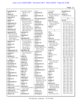| immediately (1)      | 83:19 99:17 106:14    | 42:6,7              | 35:14 39:5           | jurisdiction (1)      |
|----------------------|-----------------------|---------------------|----------------------|-----------------------|
| 98:25                | 106:19 112:19         | instructed (1)      | issue(8)             | 140:24                |
|                      |                       |                     |                      |                       |
| impact (4)           | 144:20                | 6:18                | 56:12 85:24 95:21,24 | Justice (3)           |
| 37:2 90:4 141:2,9    | informal (1)          | instructions (1)    | 96:4,25 142:9,10     | 2:3 46:16 165:15      |
| impacted (2)         | 37:14                 | 7:2                 | issued $(2)$         |                       |
| 128:4,7              | information (27)      | instrumentation (1) | 57:6 140:22          | $\mathbf K$           |
| impairs $(1)$        | 18:19 22:3 31:2 42:25 | 151:16              | issues $(9)$         | K(173)                |
| 51:23                | 44:23 47:7 48:15      | integrity $(2)$     | 46:10 73:6 88:19     | 1:5 3:2 5:1,4 6:1 7:1 |
| implications (2)     | 57:10,19 81:16,17     | 63:12 64:22         | 95:15,17,18 96:18    | 8:1 9:1 10:1 11:1     |
| 106:13 117:16        | 96:5 101:2,11         | interactions (1)    | 125:8 167:24         | 12:1 13:1 14:1 15:1   |
| implying $(1)$       | 104:21 133:3,15       | 126:25              | items $(1)$          | 16:1 17:1 18:1 19:1   |
| 107:24               | 136:7 141:5 154:12    | interest $(2)$      | 129:11               | 20:1 21:1 22:1 23:1   |
| importance (2)       | 168:22 169:5,11,16    | 65:7 117:13         |                      | 24:1 25:1 26:1 27:1   |
| 117:15 167:25        | 169:17,24 170:2       | interested (2)      | ${\bf J}$            | 28:1 29:1 30:1 31:1   |
| important $(15)$     | informed (1)          | 131:22 174:16       | J(1)                 | 32:1 33:1 34:1 35:1   |
| 18:24 37:4 40:18     | 115:22                | interesting $(2)$   | 160:10               | 36:1 37:1 38:1 39:1   |
| 74:21 78:11,14       | ingesting (1)         | 13:19 93:13         | Jack3d(1)            | 40:1 41:1 42:1 43:1   |
| 88:18 90:10 99:9,21  | 35:4                  | interfere (2)       | 4:2                  | 44:1 45:1 46:1 47:1   |
| 104:20 106:13        | ingredient (24)       | 6:10,13             | James $(3)$          | 48:1 49:1 50:1 51:1   |
| 145:15 150:6 164:4   | 28:12 29:2 35:5 47:12 | interim $(1)$       | 126:16 127:10 144:8  | 52:1 53:1 54:1 55:1   |
| improper(1)          | 57:2,4,7,9 60:16      | 105:9               | January (9)          | 56:1 57:1 58:1 59:1   |
| 155:5                | 72:16 80:20 81:15     |                     | 3:19 4:3,4 97:15     | 60:1 61:1 62:1 63:1   |
|                      |                       | interject (1)       |                      | 64:1 65:1 66:1 67:1   |
| improve (1)          | 83:18 84:2,4,6        | 27:22               | 98:13 99:5 125:17    |                       |
| 17:20                | 117:7 126:2,7,13      | international (8)   | 127:22 128:22        | 68:1 69:1 70:1 71:1   |
| in-person $(1)$      | 140:18 141:4          | 45:10,11 48:23 71:3 | Jared $(3)$          | 72:1 73:1 74:1 75:1   |
| 60:6                 | 144:19 168:24         | 105:13 113:24       | 1:12 5:12,19         | 76:1 77:1 78:1 79:1   |
| inappropriate (4)    | ingredients (8)       | 133:21 157:19       | Jersey $(1)$         | 80:1 81:1 82:1 83:1   |
| 19:20 20:4,18 21:2   | 28:13 35:15 59:13,13  | interpose (1)       | 2:10                 | 84:1 85:1 86:1 87:1   |
| include $(1)$        | 78:25 79:6 83:21      | 6:16                | Jill(3)              | 88:1 89:1 90:1 91:1   |
| 34:12                | 97:4                  | interpret $(1)$     | 46:22,24 47:13       | 92:1 93:1 94:1 95:1   |
| included $(5)$       | initial $(2)$         | 14:3                | $\text{Jim} (1)$     | 96:1 97:1 98:1 99:1   |
| 22:2,13 29:11 32:6   | 33:19 41:5            | interruption (1)    | 4:4                  | 100:1 101:1 102:1     |
| 121:13               | initially $(2)$       | 54:3                | job $(7)$            | 103:1 104:1 105:1     |
| including $(2)$      | 33:19 93:11           | intriguing (1)      | 1:16 11:9,10 14:19   | 106:1 107:1 108:1     |
| 60:7 88:12           | initials $(2)$        | 78:9                | 53:8 117:14,14       | 109:1 110:1 111:1     |
| inconsistent (2)     | 59:3 130:22           | introduction (1)    | Jobs(1)              | 112:1 113:1 114:1     |
| 23:6 151:10          | Injection (1)         | 112:18              | 14:13                | 115:1 116:1 117:1     |
| Incorporated (1)     | 44:11                 | invalidated (1)     | John(5)              | 118:1 119:1 120:1     |
| 64:25                | injured (2)           | 115:16              | 146:25 157:17,18     | 121:1 122:1 123:1     |
| increase (1)         | 38:14 44:15           | investigational (1) | 158:9,14             | 124:1 125:1 126:1     |
| 26:4                 | injury $(2)$          | 32:5                | Johncie (1)          | 127:1 128:1 129:1     |
| independent (1)      | 50:5,10               | involve (1)         | 65:11                | 130:1 131:1 132:1     |
| 168:6                | input $(1)$           | 64:11               | join(1)              | 133:1 134:1 135:1     |
| independently (1)    | 137:10                | involved (16)       | 14:6                 | 136:1 137:1 138:1     |
| 17:17                | inquiries $(2)$       | 16:4 24:7,21 35:10  | joined $(1)$         | 139:1 140:1 141:1     |
| Indiana (1)          | 13:12 49:8            | 36:9 38:21 41:4     | 13:23                | 142:1 143:1 144:1     |
| 2:15                 | inquiring $(1)$       | 44:19 66:15 112:24  | joining $(1)$        | 145:1 146:1 147:1     |
|                      | 72:17                 |                     |                      | 148:1 149:1 150:1     |
| Indianapolis (1)     |                       | 128:8, 14, 15, 16   | 14:13                | 151:1 152:1 153:1     |
| 2:15                 | inquiry $(1)$         | 139:11 164:12       | journal (11)         | 154:1 155:1 156:1     |
| indicate $(3)$       | 169:24                | involvement (4)     | 51:16,20,21 109:20   | 157:1 158:1 159:1     |
| 118:17 131:15 170:18 | instance $(6)$        | 35:18,23 48:12,13   | 109:21,22 148:12     |                       |
| indicated $(3)$      | 25:15 30:13 31:5 40:4 | involvements (1)    | 152:4, 20, 25 167:8  | 160:1 161:1 162:1     |
| 138:22 170:13 172:18 | 83:22 136:9           | 77:3                | judgment $(3)$       | 163:1 164:1 165:1     |
| individual (3)       | Institute $(1)$       | involves (2)        | 30:22 63:9 64:19     | 166:1 167:1 168:1     |
| 36:21 53:13 161:22   | 167:9                 | 93:15 137:21        | June $(3)$           | 169:1 170:1 171:1     |
| industry $(6)$       | institution $(2)$     | involving $(2)$     | 121:8 123:25 167:7   | 172:1 173:1 174:7     |
|                      |                       |                     |                      |                       |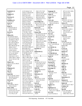| Kababick (1)                   | 22:19 24:6,6,7,10     | 156:5 157:17,20       | language $(3)$       | 107:14 115:5 120:6   |
|--------------------------------|-----------------------|-----------------------|----------------------|----------------------|
| 128:11                         | 24:16,17 26:9,10,18   | 158:9,21,23,24        | 44:12 124:15,22      | 134:14 137:6         |
| Kaplan (1)                     | 26:18,22 27:3,5       | 159:2,3,17,23 160:2   | large $(2)$          | 138:19 141:15        |
| 171:3                          | 28:15,16 32:16        | 160:4,6 162:4,6       | 55:11 113:13         | 145:19 162:18        |
| Kareem (1)                     | 33:17 34:5,6,8,9,11   | 163:14,23 165:2       | larger $(1)$         | 165:10               |
| 110:13                         | 34:14,17 35:2,13,16   | 170:6,9,10 171:11     | 68:5                 | letter $(7)$         |
| Kathleen (2)                   | 36:5,6,15,19 38:11    | 172:6,9,10            | Larry $(6)$          | 4:8 53:11 137:12,17  |
| 72:22 75:4                     | 38:16,17 39:18        | knowledge (11)        | 15:16 87:20 90:19    | 137:21 140:22,25     |
| keen $(1)$                     | 40:23 41:5,8,20       | 24:12,21 35:17,22     | 136:13,19 163:13     | letters $(7)$        |
| 94:13                          | 42:24 44:24 45:16     | 48:21 59:14 141:22    | lastly $(1)$         | 57:6 137:20 139:8,12 |
| keep(7)                        | 47:14,21 48:10 50:2   | 171:9,10,14,18        | 69:9                 | 139:18 140:8 155:9   |
| 21:8 91:8 102:13               | 50:13 51:10,10        | known $(4)$           | late $(1)$           | level $(10)$         |
| 145:19 160:2,6                 | 53:13,24 54:2,7       | 32:5 55:12 67:10      | 73:4                 | 101:9 112:5 120:11   |
| 161:6                          | 56:2,5,12 57:13,21    | 157:23                | law(2)               | 120:13,15,20         |
| Kevin $(1)$                    | 57:25 58:17 59:5      | Koons $(30)$          | 29:3 126:2           | 121:19 122:11,17     |
| 2:13                           | 61:2,17,19,23 63:4    | 2:13 19:25 22:4 29:18 | laws $(2)$           | 123:3                |
| Khan $(55)$                    | 64:9,12,14 65:3,4,7   | 29:24 30:5 65:24      | 45:2 72:14           | levels $(6)$         |
| 33:16,20,25 54:24              | 65:8,9,10,13 66:13    | 68:13 73:21,25 75:9   | lawsuit $(1)$        | 118:13,22 119:4      |
| 62:3,12,23,25 63:4             | 66:16 71:8,21,25      | 77:19 89:12 91:11     | 39:4                 | 142:23 143:3         |
| 63:18 65:5,7 66:15             | 72:3,5,19,21,22,24    | 103:14 105:25         | layers $(1)$         | 170:15               |
| 67:17 68:5 84:17               | 73:16,23,24 75:23     | 106:3 107:12 109:8    | 11:22                | Levy $(6)$           |
| 85:13 92:3,9,20,25             | 75:23 76:16,23,24     | 110:24 115:25         | $LC-MS-MS(5)$        | 72:24 73:6 81:24     |
| 94:8 97:13 98:3                | 77:5 78:10 79:25      | 132:24 145:6,17       | 112:7 122:19,22,24   | 82:25 86:4 88:9      |
| 99:4 106:10 107:19             | 80:5,18 81:5,10       | 150:11 154:13,20      | 124:7                | Levy's $(1)$         |
| 108:24 110:17                  | 82:14 83:15 88:6,15   | 165:19 172:9,13       | $LC-QTOF(1)$         | 86:13                |
| 113:7,12 116:15                | 88:19 89:2 91:7       | Kristine (1)          | 122:20               | Lewis $(2)$          |
| 118:20 120:10                  | 92:17 93:12 95:3,10   | 7:6                   | LC-QTOF-MS (1)       | 72:22 75:4           |
| 121:7 123:25 125:8             | 95:11,14 96:7 97:17   | <b>KROGER (1)</b>     | 112:9                | liaison $(1)$        |
| 127:21,24 128:21               | 97:20 98:10,18,23     | 2:14                  | $LC/MS/MS$ (4)       | 57:16                |
| 128:24 130:10                  | 99:17 100:4,25        |                       | 118:6,8,12 121:20    | library $(2)$        |
| 134:3,10,11 137:3              | 103:13 105:2,12       | L                     | leads $(1)$          | 68:8 148:10          |
| 138:4 139:4,7 144:9            | 108:17 109:5,18,22    | L(1)                  | 142:2                | lies $(3)$           |
| 151:12 161:4,17,20             | 110:9, 11, 13, 15, 16 | 167:7                 | learn $(2)$          | 115:11,12,24         |
| 162:6                          | 110:17 111:20         | lab(11)               | 27:17 131:21         | Life $(1)$           |
| Khan's $(3)$                   | 112:17,20 113:3,6     | 12:20 16:3 67:12,13   | learned $(2)$        | 130:3                |
| 61:21 112:15 139:25            | 113:17,23 114:20      | 114:15,20 115:22      | 12:14 42:24          | lifetime $(1)$       |
| kids(1)                        | 114:23 115:4          | 121:10 126:21         | learning $(3)$       | 126:4                |
| 14:10                          | 118:16,19 119:12      | 130:24 132:4          | 45:7 79:5 90:2       | light $(1)$          |
| kilogram $(2)$                 | 119:21 120:15,19      | label $(4)$           | learnings(1)         | 169:20               |
| 143:8,9                        | 121:14,18,19          | 95:21 106:19,20,21    | 45:2                 | Lilly $(1)$          |
| $\operatorname{kin}(1)$        | 123:20 124:10,18      | labeled $(1)$         | leaves $(4)$         | 44:24                |
| 174:15                         | 126:16,22,23          | 95:20                 | 101:8,25 112:4       | limit(4)             |
| $\boldsymbol{\text{kind}}(10)$ | 127:16 128:8,9,11     | laboratory (1)        | 122:17               | 124:17,22 153:24     |
| 9:3 11:3,8 24:7 30:21          | 128:11 129:3,6,20     | 15:2                  | led(1)               | 155:25               |
| 38:24 46:18 94:14              | 131:4,7 133:11        | $\text{labs}(7)$      | 28:16                | limitations (1)      |
| 127:15 144:19                  | 134:7,25 135:9,12     | 26:23 33:11 113:8     | legal(9)             | 87:4                 |
| Kirton $(1)$                   | 135:19,25 136:9,18    | 115:4 133:19,22       | 31:13,22,24 43:13,17 | limited $(3)$        |
| 1:20                           | 137:7,12,25 139:14    | 152:14                | 43:19 60:15 65:14    | 122:23 124:7 125:7   |
| knew $(5)$                     | 139:16,18 140:9       | lack $(2)$            | 169:13               | $\lim$ its (4)       |
| 74:22 99:22 140:15             | 141:11,12,18,23,25    | 16:19 94:21           | legalese $(1)$       | 85:2 151:16,17 165:7 |
| 150:14 154:22                  | 142:2,7,7 143:10,21   | lacking $(3)$         | 29:21                | Lindsey $(2)$        |
| know $(263)$                   | 144:2,9,12,15,17,20   | 89:9,18 129:21        | legitimate (7)       | 48:15,19             |
| 5:15 6:21 8:4,7,8              | 144:21 145:21         | Lake $(2)$            | 29:2 47:12 57:2,3    | line $(8)$           |
| 12:16 13:21 15:3,19            | 147:24 149:8,10,11    | 1:22 174:3            | 59:13 117:7 168:24   | 65:23 70:8 100:22    |
| 15:21,25 16:3,4,6              | 150:25 151:2,4,5      | Lance $(1)$           | let's $(13)$         | 115:10 129:25        |
| 17:2 19:2,11,19                | 152:2,22 154:11,15    | 162:8                 | 41:19 74:3 82:12     | 130:6 143:2 151:10   |
|                                |                       |                       |                      |                      |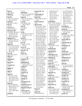| link(3)                         | 121:22                  | manuscript's (1)                           | 93:24 96:16 97:7                             | 31:23 38:18 46:17         |
|---------------------------------|-------------------------|--------------------------------------------|----------------------------------------------|---------------------------|
| 26:2 28:7,8                     | looking $(6)$           | 128:2                                      | 103:14 123:9                                 | 46:18 51:5,9 57:3         |
| linked $(2)$                    | 26:21 27:2 76:9 85:20   | manuscripts (2)                            | 125:12 127:6                                 | 67:7 69:15 72:11          |
| 26:2 44:17                      | 107:12 143:14           | 19:22 135:22                               | 137:22 141:24,25                             | 76:22 80:25 81:12         |
| list $(10)$                     | looks $(5)$             | March $(5)$                                | 144:5 145:13                                 | 86:22,25 97:5             |
| 13:6,7 14:4,4 26:7,9            | 86:25 127:25 146:24     | 105:24 106:3,4 148:7                       | 157:25 159:14                                | 105:16,19 117:3           |
| 26:11,12,12,13                  | 146:25 153:17           | 154:4                                      | 161:8,11                                     | 120:11 123:22             |
| listed $(3)$                    | Lori $(5)$              | March-April (1)                            | marked $(42)$                                | 125:23 129:12             |
| 26:16 67:2 129:12               | 45:9 86:19 115:9        | 3:20                                       | 65:17 73:10 74:4 82:6<br>87:9,11 91:17 92:15 | 142:13,15 149:20<br>171:2 |
| lists $(1)$                     | 146:25 158:17           | <b>Marck</b> (155)                         |                                              | meaning(3)                |
| 147:14                          | lose $(2)$<br>172:25,25 | 2:8 3:3 5:9,11 19:24<br>20:3,9,14,25 21:7  | 94:2 97:8,10 98:11<br>100:8,10 102:15        | 23:2 43:15 81:18          |
| Listserv (3)<br>127:15,17 145:5 | lost(1)                 |                                            | 108:19,21 110:20                             | means $(6)$               |
| literature (18)                 | 50:7                    | 21:11, 14, 15, 21 22: 9<br>23:3,9,15 27:11 | 111:11,13 113:25                             | 22:19,20 29:18 98:18      |
| 27:4 49:22 50:4,9,14            | lot(8)                  | 29:6,23 30:4,17,24                         | 114:2,5 116:13                               | 105:19 136:4              |
| 50:16,20 51:2,23                | 25:16 31:4 37:7 42:15   | 31:23 41:10 50:3,8                         | 123:11 125:13                                | meant(8)                  |
| 52:5,9,13,17,22                 | 45:6 58:15 113:15       | 50:15 54:5 55:2,8                          | 127:8 129:15                                 | 87:3 89:2 95:17 96:22     |
| 88:5,12,20 104:9                | 158:25                  | 60:4,23 65:18,20,21                        | 137:23 138:21,25                             | 120:12 149:25             |
| litigation (11)                 | loud $(4)$              | 66:2,4 69:15 73:11                         | 141:13 145:14                                | 160:2 162:6               |
| 9:6 38:21,24 39:7,8             | 21:8 110:21 111:16      | 73:14,18,22 74:3                           | 147:7 153:7 158:2                            | measureable (1)           |
| 43:20,21,23 62:23               | 153:22                  | 75:11 77:21 80:5                           | 159:15 161:2,6,9                             | 120:11                    |
| 63:2,24                         | low(4)                  | 82:8,14,1784:8                             | 165:20 166:2                                 | measurement (1)           |
| little $(16)$                   | 118:12,21 119:4         | 85:8 87:7,13 88:21                         | market $(4)$                                 | 120:14                    |
| 10:25 11:18 12:10,12            | 170:15                  | 89:14,17 91:6,13,15                        | 31:21 126:12 141:6                           | mechanism $(2)$           |
| 15:15 19:5 21:8,12              | lower $(3)$             | 91:18,20 92:14,16                          | 144:19                                       | 52:18,23                  |
| 41:20 61:25 87:8                | 143:5,12 149:18         | 93:24 94:4 96:21,23                        | marketed (4)                                 | med(1)                    |
| 88:21 108:2 142:3               | lucrative(1)            | 97:9 100:6,8,12,14                         | 4:3,10 32:2,6                                | 51:18                     |
| 163:11,24                       | 83:17                   | 100:17 101:24                              | marketing $(1)$                              | medical $(4)$             |
| liver $(4)$                     | lunch $(2)$             | 102:20 103:16,18                           | 140:15                                       | 42:2,5 44:17 135:12       |
| 49:23 50:5,10,24                | 91:12 123:7             | 103:21 106:2,4,7                           | marketplace (3)                              | medication (1)            |
| $\text{lobby}(1)$               |                         | 107:6, 10, 14, 17                          | 28:21 30:19 32:10                            | 6:9                       |
| 116:25                          | M                       | 108:3,5,19,22 109:9                        | marking(2)                                   | medications (2)           |
| lobbing(1)                      | magazine $(2)$          | 109:10 111:2,5,8,13                        | 73:20 161:10                                 | 13:15 37:10               |
| 60:20                           | 142:3,5                 | 111:15 114:2,4                             | mass(3)                                      | Medicine (1)              |
| located $(1)$                   | Mahmoud (6)             | 116:5 119:13,16                            | 66:25 68:3 121:2                             | 51:17                     |
| 131:5                           | 63:14,14 110:17         | 121:16 123:6,9,12                          | match(3)                                     | meet $(9)$                |
| Location $(1)$                  | 120:9 129:23 130:2      | 123:14,17 124:20                           | 68:8 154:23 155:10                           | 7:17 42:16 53:16,17       |
| 1:20                            | mailed $(1)$            | 127:9 129:16                               | material (8)                                 | 54:16 62:5,8 63:17        |
| logged $(1)$                    | 138:25                  | 133:17 137:9,24                            | 22:14 99:9,10,22                             | 83:25                     |
| 71:22                           | major $(2)$             | 138:11,13,17,21                            | 101:8 109:17 112:4                           | meeting $(3)$             |
| logic $(1)$                     | 10:5 69:13              | 141:14,15 143:21                           | 122:16                                       | 55:5 60:6 128:12          |
| 17:15                           | majority $(1)$          | 145:18,21 146:12                           | materials (1)                                | meetings (4)              |
| long(13)                        | 81:7                    | 146:14 147:13                              | 119:10                                       | 59:24 60:3,11,14          |
| 10:15 11:5 13:19                | making $(2)$            | 150:13 153:8                               | matter $(4)$                                 | member $(2)$              |
| 15:19 16:25 18:5                | 31:7 129:9              | 154:16,21,23 155:7                         | 6:24 35:5 55:9 60:5                          | 15:24 71:5                |
| 29:11 56:13 57:25               | manage $(1)$            | 155:9,19 156:15                            | mature $(2)$                                 | members $(2)$             |
| 91:9 93:20 119:19               | 48:7                    | 157:14 158:3,6,8                           | 112:4 122:16                                 | 57:14 60:12               |
| 157:23                          | management (2)          | 159:16 160:25                              | May-June $(2)$                               | memories (1)              |
| look $(14)$                     | 25:21,22                | 161:3, 10, 15, 16                          | 3:254:1                                      | 124:4                     |
| 55:16 73:19 82:18               | manufacturers (3)       | 162:20,23 165:8,21<br>171:25 172:7,11      | McConkie (1)                                 | memory $(7)$              |
| 98:24 105:10 122:5              | 19:10 43:14,17          |                                            | 1:20                                         | 9:4 32:20 39:14 40:3      |
| 129:16 133:14                   | Manufacturing (1)       | 173:5 174:14<br>Mario $(1)$                | mean $(42)$                                  | 40:5,671:18               |
| 134:22 136:12                   | 45:19                   | 152:13                                     | 6:22 7:22 8:22 15:22                         | mentioned (5)             |
| 137:7 148:4 166:9               | manuscript(5)           | mark $(19)$                                | 16:15 18:2,7 19:3                            | 72:10 74:20 114:14        |
| 172:7                           | 17:13 20:6 110:8        | 73:8 91:15 92:13                           | 21:21,23,24 22:21<br>27:19 28:6 29:17        | 150:23 157:4              |
| looked $(1)$                    | 132:23 156:12           |                                            |                                              | mentor $(1)$              |
|                                 |                         |                                            |                                              |                           |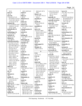|                                           |                                   |                               |                                        | Page 14                                   |
|-------------------------------------------|-----------------------------------|-------------------------------|----------------------------------------|-------------------------------------------|
| 16:21                                     | 143:5 149:19,22                   |                               |                                        |                                           |
|                                           |                                   | 166:24,25 167:4               | 4:10,14 33:2 53:18                     | never $(5)$                               |
| mess(1)                                   | mind(1)<br>136:4                  | 168:5<br>Moore's $(5)$        | 57:23 61:8 93:17                       | 28:7 49:2 73:2 171:9                      |
| 94:19                                     |                                   |                               | 147:21 153:13<br>168:16                | 171:10                                    |
| met(14)                                   | Mine $(1)$<br>139:25              | 72:19 78:23 79:3,11<br>169:23 |                                        | new(13)                                   |
| 7:20,24 53:17,25                          |                                   |                               | naturally $(3)$<br>77:12 104:13 108:12 | 2:10 27:13,20 28:4,5<br>28:10 80:20 81:15 |
| 54:19 60:8,15 63:18<br>71:20 110:3 126:19 | Minnesota (1)<br>9:19             | morning (1)<br>5:10           |                                        | 83:20 84:6 91:7                           |
|                                           |                                   |                               | naturally-occurrin                     | 126:7 156:10                              |
| 131:10,14 157:24                          | minor (2)<br>9:25 10:6            | mouth $(4)$                   | 75:17,20 77:8,9                        | Newark (1)                                |
| method $(10)$<br>17:9 23:4 98:18 118:7    |                                   | 50:22 51:9 81:22<br>170:12    | nature $(6)$<br>18:18 39:22 49:18      | 2:10                                      |
| 118:8,9,12 121:20                         | minute(5)<br>82:13 138:18 158:4,5 | mouthful(1)                   | 53:10 64:7 72:7                        | news(3)                                   |
| 122:22 124:8                              | 171:21                            | 15:2                          | navigate $(1)$                         | 139:8 141:17,19                           |
| methodically (1)                          | misinformation (1)                | move $(11)$                   | 48:4                                   | $\text{nodes}$ $(2)$                      |
| 73:23                                     | 115:20                            | 19:4 91:3 100:6               | NBC(2)                                 | 5:24 17:5                                 |
| methodology (2)                           | missed(1)                         | 102:16 115:5 121:4            | 128:5,9                                | nomenclature (1)                          |
| 151:14 167:19                             | 12:4                              | 126:15 135:14                 | NDI(4)                                 | 124:16                                    |
| methods $(2)$                             | missing $(4)$                     | 160:24 162:18                 | 81:11 83:13,22 84:10                   | Non-Disclosure (1)                        |
| 20:20 112:16                              | 92:21 106:5 135:16                | 163:23                        | NDI's(1)                               | 98:4                                      |
| Methyl $(2)$                              | 153:17                            | moved $(2)$                   | 3:11                                   | non-exhaustive (1)                        |
| 3:23 109:14                               | Mississippi (3)                   | 14:7,25                       | NDIs(6)                                | 26:12                                     |
| methylhexaneamin                          | 61:10,24 146:2                    | MPA(1)                        | 3:22 4:17 78:25 80:19                  | nonprofit (1)                             |
| 3:13, 14, 22 5:15 33:7                    | mistaken (1)                      | 58:19                         | 81:10 160:18                           | 24:14                                     |
| 34:22 36:24 39:14                         | 137:19                            | multi-paged (1)               | <b>Neal-Kababick (3)</b>               | nonprofits (1)                            |
| 42:23 46:4 68:21,23                       | mixed $(2)$                       | 166:3                         | 126:16 127:11 144:8                    | 19:17                                     |
| 69:3,4,7,13 74:19                         | 99:14,18                          | Murphy (2)                    | nearly (2)                             | normal $(3)$                              |
| 74:22,24 76:17                            | mL(1)                             | 108:25 110:15                 | 137:2 164:10                           | 34:12 137:3 156:17                        |
| 78:10 80:22 81:11                         | 118:13                            |                               | necessarily (5)                        | normally $(5)$                            |
| 83:13 86:15 90:9                          | mode(1)                           | N                             | 20:12,16,22 28:25                      | 18:13 98:21 132:8                         |
| 93:16 94:17 95:19                         | 54:13                             | N(3)                          | 117:12                                 | 142:11 143:25                             |
| 95:22 101:22                              | modulators (1)                    | 2:13:15:2                     | need(29)                               | <b>NORTHERN (1)</b>                       |
| 104:13 106:17,20                          | 32:4                              | N.W(1)                        | 5:24 6:5,22 7:22,23                    | 1:1                                       |
| 108:12 109:16                             | molecules (1)                     | 2:4                           | 20:24 21:9 29:20                       | Notary $(5)$                              |
| 114:16 115:14,19                          | 149:23                            | naive $(1)$                   | 31:7 37:6 53:22                        | 1:25 173:25 174:5,23                      |
| 116:9 117:6 130:18                        | mom(1)                            | 84:19                         | 59:4 65:23 74:23                       | 175:25                                    |
| 132:17 139:10                             | 39:19                             | name $(26)$                   | 79:16 87:14 95:22                      | note $(3)$                                |
| 140:12 141:10                             | moment $(1)$                      | 5:10 7:5 38:6,11 39:6         | 98:3 100:25 109:3                      | 10:24 102:25 145:24                       |
| 166:20 167:21                             | 107:23                            | 43:8 44:5 48:18               | 116:9,10,11,11                         | noted(1)                                  |
| MHA(4)                                    | money $(6)$                       | 61:13 72:23,25                | 124:13 158:4                           | 146:12                                    |
| 112:5 122:11,17                           | 23:22 34:2,2,3 70:14              | 76:13 90:20 91:21             | 163:20 172:11,14                       | notes $(1)$                               |
| 130:5                                     | 70:22                             | 95:4 113:20 130:13            | needed (8)                             | 135:22                                    |
| mic(1)                                    | month(1)                          | 143:14 144:23,25              | 37:11 91:3 124:15,21                   | notice $(1)$                              |
| 21:8                                      | 142:6                             | 147:17 151:22                 | 140:6,9 141:5,12                       | 81:18                                     |
| Michael (1)                               | months $(2)$                      | 156:7 161:24                  | needs(1)                               | notification (3)                          |
| 39:5                                      | 62:20 64:2                        | 165:14 175:2                  | 31:12                                  | 64:16 83:20 126:8                         |
| middle(7)                                 | Monument (1)                      | named $(4)$                   | negative(1)                            | November (3)                              |
| 97:12 115:6 116:14                        | 2:14                              | 53:13 72:24 81:24             | 86:14                                  | 3:17 80:10 94:10                          |
| 123:18 141:16                             | $\text{mod} (1)$                  | 174:10                        | negotiate(1)                           | November-October                          |
| 161:4,17                                  | 94:14                             | names $(1)$                   | 66:11                                  | 3:11                                      |
| midway (4)                                | Moore $(28)$                      | 13:8                          | negotiated (1)                         | NPA(7)                                    |
| 89:8 146:15,17 158:8                      | 72:3 73:6 75:3 77:16              | nanogram(1)                   | 67:17                                  | 53:19,22,24 54:7 56:6                     |
| military $(3)$                            | 77:23 78:6,20 79:19               | 118:13                        | Neither $(1)$                          | 58:6,10                                   |
| 39:13 48:3 51:17                          | 79:25 80:10,15 83:3               | nasal(1)                      | 128:13                                 | Nrococlaurine (1)                         |
| milligram $(2)$                           | 86:8 103:24,25                    | 44:25                         | neurons (1)                            | 4:19                                      |
| 143:8,9                                   | 104:23 107:7 108:7                | National (2)                  | 11:23                                  | NSF(9)                                    |
| million $(6)$                             | 108:10 119:17,24                  | 10:12 18:9                    | neuroscience (4)                       | 45:10,11,18 105:12                        |
| 101:10 112:6 122:18                       | 160:18 166:11,19                  | natural $(10)$                | 10:12 12:18 15:3 18:4                  | 113:23 133:21                             |
|                                           |                                   |                               |                                        |                                           |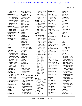| 146:20 157:18                            | 21:17 22:10 56:23                  | 117:6 127:5 130:3                | Olympic (1)                | outline (1)                        |
|------------------------------------------|------------------------------------|----------------------------------|----------------------------|------------------------------------|
| 159:3                                    | 69:7 98:8 171:8                    | 132:17 141:9                     | 132:7                      | 138:14                             |
| number $(21)$                            | obviously (6)                      | 158:24 165:7                     | once $(8)$                 | outside (2)                        |
| 3:8 20:13 26:5 29:19                     | 17:4 32:8,12 40:15                 | 166:21 167:6,8,22                | 4:3 58:17 62:19            | 34:4 64:8                          |
| 33:17 45:13 51:3                         | 128:23 170:23                      | 168:8,11,12 170:15               | 116:25 117:3               | overall (2)                        |
| 67:25 73:12 98:16                        | occasion (1)                       | 170:19,23 171:4,5,7              | 136:13,15 153:8            | 13:23 134:19                       |
| 103:14,17 123:13                         | 60:13                              | oils $(24)$                      | one-time $(1)$             | overseas $(1)$                     |
| 135:10 138:9,22                          | occasional (1)                     | 4:7 29:7 37:8 75:18              | 66:18                      | 37:9                               |
| 154:11,11,17,17                          | 62:18                              | 75:21 77:10,13 99:7              | ones $(2)$                 | oversight (1)                      |
| 155:3                                    | occasionally (2)                   | 99:14 101:8 104:11               | 105:7 115:23               | 34:7                               |
| numbers $(8)$                            | 71:21 133:22                       | 105:5,7,12,14 112:3              | Ongoing (2)                | owners $(1)$                       |
| 3:25 4:1 69:5 100:11                     | occasions (2)                      | 122:15 130:19                    | 59:9,10                    | 38:9                               |
| 154:23 155:10                            | 71:20 170:22                       | 131:16 143:7                     | online (5)                 | ownership (1)                      |
| 158:25 166:3                             | occur(1)                           | 145:16 151:4 159:6               | 13:13,14 14:2 148:9        | 65:7                               |
| <b>NutraIngredients (2)</b>              | 158:18                             | 171:17                           | 148:10                     | owns(1)                            |
| 163:12 164:2                             | occurred(1)                        | okay (77)                        | open $(1)$                 | 130:25                             |
| <b>Nutrition (1)</b>                     | 169:18                             | 5:22 6:16 8:12,20                | 76:3                       | Oz(3)                              |
| 58:21                                    | occurrence (1)                     | 9:14 10:11 12:3,6                | operating (1)              | 4:5 128:12,18                      |
| nutritionist (3)                         | 168:15                             | 14:11 15:12 20:18                | 98:7                       | ${\bf P}$                          |
| 43:5,11,12                               | occurring (2)                      | 20:25 21:13 24:17                | <b>Operation (2)</b>       |                                    |
| $\mathbf 0$                              | 33:2 77:12                         | 24:19 25:5,9 28:20               | 47:21 48:13                | P(3)                               |
|                                          | occurs(2)                          | 29:22 32:21 36:13                | opinion $(3)$              | 2:1,15:2                           |
| O(1)                                     | 104:13 108:12                      | 42:9 43:3 44:2                   | 30:25 31:15 67:18          | p.m(7)                             |
| 5:2                                      | October (10)                       | 50:15 51:8 61:13                 | OPPA $(1)$                 | 89:13 102:11,19                    |
| oath(1)                                  | 3:15,22 4:16 74:12                 | 66:3 69:15 71:16                 | 58:25                      | 105:24 106:5                       |
| 172:8                                    | 75:13 78:3,22 92:5                 | 73:25 74:2 75:11                 | opportunities (1)          | 107:13 173:7                       |
| object $(35)$                            | 104:5,25                           | 79:17 82:11,16                   | 56:14                      | package (1)                        |
| 19:23 20:10,21 21:6                      | odd(2)                             | 84:21 87:15 91:23                | opportunity (1)            | 54:3                               |
| 21:19 22:6,16 23:7                       | 96:8,8                             | 91:23 92:18 94:3                 | 84:5                       | page (71)                          |
| 27:8 28:23 29:15                         | offended (2)                       | 95:13 100:16 103:7               | oral(1)                    | 3:2,8 51:21 66:6                   |
| 30:20 31:19 49:24                        | 163:11,24                          | 103:20 108:18                    | 5:24                       | 69:22,24 74:4 75:2                 |
| 50:11 55:3 60:2,21                       | offhand (1)                        | 110:22 111:4,14                  | order(7)                   | 77:15 78:5,5,16,16                 |
| 80:4 83:23 84:24                         | 120:18                             | 113:22 115:5 122:8               | 31:9 61:22 141:7           | 79:6,21 80:9 82:19                 |
| 100:5 107:4,21                           | office $(2)$                       | 122:15 123:15,16                 | 146:3,5,9 161:11           | 82:21 86:3 87:9,16                 |
| 116:2 124:19 130:7                       | 7:15 59:7                          | 125:11 126:15                    | organization (11)          | 87:17 89:7,8 97:10                 |
| 132:24 137:5                             | oftentimes (1)                     | 127:6 131:10                     | 13:3 24:22 32:8 33:18      | 97:11,12 98:11,12                  |
| 146:10 147:11                            | 22:24                              | 135:14 136:12,22                 | 36:22 42:22 45:5,12        | 100:18 101:3 102:7                 |
| 150:11 154:25                            | oh (8)                             | 138:12,17 142:13<br>143:21 145:2 | 56:22 140:9,24             | 103:12,22 105:25                   |
| 155:5,16                                 | 46:9 70:13 72:12                   | 146:13 147:19                    | organizations (1)          | 106:2 110:19,23,24                 |
| objecting $(2)$                          | 123:24 130:7                       | 148:20 149:15,24                 | 151:18                     | 111:24,24 114:4,8                  |
| 29:18 111:8                              | 154:13 161:21                      | 152:22 153:10                    | organized (1)              | 114:11 115:6                       |
| objection $(13)$<br>20:7 29:16 41:9 60:9 | 171:20                             | 158:5 159:10                     | 134:19                     | 116:13,14 117:23                   |
|                                          | oil (71)                           | old(1)                           | organizer (1)              | 117:24 118:5 121:5                 |
| 88:14 101:18<br>115:25 119:14            | 3:15,16,18,19,23 29:9              | 16:6                             | 134:15                     | 122:6 123:19                       |
|                                          | 30:16 33:5,8,9 35:9                | <b>Ole</b> (22)                  | Origin $(1)$               | 127:10 129:17                      |
| 121:15 145:24<br>156:13,13 157:12        | 37:5,7,8,10,12,13                  | 55:5,12 60:19 61:23              | 4:11                       | 130:6 133:25 138:5<br>139:3 141:16 |
| objections (1)                           | 56:12 67:9 68:19,22                | 62:2 70:17 84:17                 | original $(1)$             | 142:22 144:4                       |
| 6:17                                     | 68:22 69:7,11,14                   | 91:18 92:14 93:25                | 174:13                     | 146:15 147:6,14                    |
| obligations (1)                          | 74:25 79:22,23<br>80:23 90:9 93:15 | 95:2 97:7 98:11                  | originally (2)             | 150:2 158:9 161:4                  |
| 69:20                                    | 95:20,22,23 101:8                  | 113:6 134:16,20                  | 53:17 87:5                 | 161:17 162:21                      |
| observer (1)                             | 101:22,25 102:3,4                  | 135:7 137:24                     | outcome (2)<br>49:7 174:16 | 166:9                              |
| 125:10                                   | 104:14 106:18,18                   | 138:11 145:7                     |                            | pages $(2)$                        |
| obtain $(1)$                             | 106:21,22,22                       | 161:13,22                        | outcomes (2)<br>49:8 159:7 | 111:3 174:11                       |
| 66:24                                    | 108:12 109:14,17                   | Oliver $(2)$                     |                            | paid(5)                            |
| obtained (6)                             | 115:15,19 116:9                    | 130:13 131:10                    | outcoming (1)<br>44:6      | 38:20,23 66:18 172:4               |
|                                          |                                    |                                  |                            |                                    |
|                                          |                                    |                                  |                            |                                    |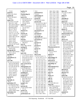| 172:19                      | parties $(1)$           | 33:3                  | 104:1 105:1 106:1          | place $(4)$            |
|-----------------------------|-------------------------|-----------------------|----------------------------|------------------------|
| panel $(3)$                 | 174:15                  | performed (2)         | 107:1 108:1 109:1          | 8:11 81:15 126:4       |
| 134:11,24 135:8             | Partnership (2)         | 113:4,5               | 110:1 111:1 112:1          | 174:9                  |
| panels $(4)$                | 24:9,13                 | performing (2)        | 113:1 114:1 115:1          | plain(1)               |
| 55:22 134:18,25             | parts $(13)$            | 67:11 88:4            | 116:1 117:1 118:1          | 157:3                  |
| 135:11                      | 112:6,7,8,18 121:12     | period(3)             | 119:1 120:1 121:1          | plaintext(3)           |
| paper $(51)$                | 122:18,19,23,24         | 72:13 81:19 120:2     | 122:1 123:1 124:1          | 1:52:29:7              |
| 4:12 9:4,5 17:13,20         | 143:5 149:22            | person(14)            | 125:1 126:1 127:1          | plant $(12)$           |
| 20:6 23:17 24:8             | 153:24 155:25           | 7:19 13:9 25:12 48:17 | 128:1 129:1 130:1          | 29:7 84:3,17 99:9,10   |
| 29:12 30:15 44:6,21         | party(7)                | 54:16 63:11 64:21     | 131:1 132:1 133:1          | 101:8 102:5 109:17     |
| 50:19 58:13 68:8            | 9:6 27:14,19 28:12      | 110:3 120:3 121:25    | 134:1 135:1 136:1          | 112:3 122:16 130:3     |
| 69:8 80:24 85:3             | 131:19 132:5            | 122:2 150:22          | 137:1 138:1 139:1          | 141:12                 |
| 88:13,17 99:23              | 168:15                  | 159:18,18             | 140:1 141:1 142:1          | plants (7)             |
| 105:11 112:14               | Patricia (1)            | person/party (1)      | 143:1 144:1 145:1          | 74:25 78:7,10,13       |
| 115:15,17 117:16            | 41:16                   | 169:11                | 146:1 147:1 148:1          | 104:10 105:4 170:2     |
| 119:7,11 121:13,20          | Patrick (3)             | personal (2)          | 149:1 150:1 151:1          | plants/products (2)    |
| 124:11 128:4,24             | 76:13,19,21             | 15:15 56:2            | 152:1 153:1 154:1          | 147:21 153:18          |
| 129:9 130:3 132:10          | Patti $(1)$             | personally (4)        | 155:1 156:1 157:1          | play(1)                |
| 132:12,19,22                | 147:2                   | 38:8 45:5 77:2 152:11 | 158:1 159:1 160:1          | 12:17                  |
| 143:13 144:2                | Paul $(6)$              | personnel (1)         | 161:1 162:1 163:1          | please $(57)$          |
| 148:22 150:3                | 9:20 28:19,20 159:16    | 48:4                  | 164:1 165:1 166:1          | 6:4,6,20 7:5 16:8 23:9 |
| 163:11,14,18,19             | 160:10,21               | persons(1)            | 167:1 168:1 169:1          | 29:17 30:8 52:20       |
| 164:3,23 167:18,20          | pay $(3)$               | 38:14                 | 170:1 171:1 172:1          | 65:22 66:6 69:23       |
| papers $(6)$                | 66:17 68:11 69:16       | pertain(1)            | 173:1 174:7                | 75:2 77:15,16 78:2     |
| 18:21 28:19,20 49:25        | paying (2)              | 142:11                | <b>Pharmaceuticals (2)</b> | 78:21 86:10 87:16      |
| 132:9 137:8                 | 20:5 66:20              | peruse(1)             | 1:12 5:11                  | 87:23,25 90:22         |
| $\mathbf{p}$ aragraph $(6)$ | pdf(1)                  | 73:16                 | phone(4)                   | 91:21 92:13,16 94:9    |
| 83:10,11 84:15 94:24        | 103:6                   | Pg(1)                 | 13:12,17 93:19             | 97:14 98:24 100:22     |
| 101:5 116:22                | peer $(24)$             | 175:5                 | 113:17                     | 100:24 101:3,5         |
| parallel(1)                 | 17:11, 14, 22, 24 19:22 | Ph.D (176)            | phrase(1)                  | 102:6 103:21 104:7     |
| 105:14                      | 21:17 22:2,11 49:21     | 1:5 3:2 5:1,4 6:1 7:1 | 105:15                     | 110:19 111:16,23       |
| parentheses (1)             | 50:3,9,16 51:14,19      | 8:1 9:1 10:1,11 11:1  | phraseology (2)            | 111:25 114:12          |
| 112:6                       | 51:22 52:4,8,12,16      | 11:3 12:1,13 13:1     | 29:23 129:3                | 116:22 117:23          |
| part(30)                    | 52:21 136:16            | 14:1 15:1 16:1 17:1   | physical (3)               | 118:5 123:12,17        |
| 12:13,15 23:14 24:19        | 152:22 153:2,3          | 18:1 19:1 20:1 21:1   | 11:20 141:17,18            | 125:20 126:18          |
| 24:22 25:20 28:6,8          | peer-reviewed (1)       | 22:1 23:1 24:1 25:1   | physiology (1)             | 127:9 139:24           |
| 47:6 50:7,18 53:18          | 152:25                  | 26:1 27:1 28:1 29:1   | 10:3                       | 146:14 147:6 148:6     |
| 61:15 81:18 101:10          | Pelargonium (11)        | 30:1 31:1 32:1 33:1   | Phytochemical (2)          | 160:2 161:3,16         |
| 111:17 113:14               | 3:21,23 66:23,24        | 34:1 35:1 36:1 37:1   | 61:11 64:24                | 162:14 163:9           |
| 121:2 122:9,18              | 99:11,23,24 101:7       | 38:1 39:1 40:1 41:1   | pick(1)                    | pleased(2)             |
| 123:4 127:16,25             | 101:24 109:14,16        | 42:1 43:1 44:1 45:1   | 135:23                     | 30:18 150:5            |
| 143:12 149:19               | pending(3)              | 46:1 47:1 48:1 49:1   | piece $(1)$                | pleasure (1)           |
| 154:22 155:2,4              | 6:20 43:20,23           | 50:1 51:1 52:1 53:1   | 49:5                       | 128:12                 |
| 167:21 169:23               | people $(12)$           | 54:1 55:1 56:1 57:1   | Pieter $(1)$               | point $(29)$           |
| partial(1)                  | 26:20 28:11,16 33:17    | 58:1 59:1 60:1 61:1   | 128:11                     | 26:18,19 31:8 39:19    |
| 14:14                       | 44:15 60:7 81:6         | 62:1 63:1 64:1 65:1   | pile $(1)$                 | 40:12 45:2 57:11       |
| partially (1)               | 88:25 135:3,23          | 66:1 67:1 68:1 69:1   | 165:18                     | 71:24 73:24 78:12      |
| 39:13                       | 146:5 169:25            | 70:1 71:1 72:1 73:1   | pills (4)                  | 79:14 80:6,7 81:6      |
| particular (17)             | people's $(1)$          | 74:1 75:1 76:1 77:1   | 27:14,19 28:12,14          | 84:8 98:16 117:21      |
| 21:4 36:20 55:18,23         | 69:10                   | 78:1 79:1 80:1 81:1   | Ping $(24)$                | 124:10,14 134:24       |
| 57:7 59:8 65:4 76:2         | percent(4)              | 82:1 83:1 84:1 85:1   | 67:5,7,18,22 68:8,16       | 136:22 140:7,11        |
| 82:3 101:13 102:18          | 42:20 136:20 140:4      | 86:1 87:1 88:1 89:1   | 68:17,24 69:2,8            | 143:17,19,22           |
| 118:4 124:4,5               | 171:12                  | 90:1 91:1 92:1 93:1   | 75:24 76:4,12 80:24        | 145:10 149:14          |
| 140:25 146:6 159:8          | perfect $(2)$           | 94:1 95:1 96:1 97:1   | 87:4 88:13,17 99:23        | 162:14                 |
| particulars (2)             | 91:13 123:6             | 98:1 99:1 100:1       | 101:21 115:15,17           | pointed $(1)$          |
| 56:18 58:8                  | performance (1)         | 101:1 102:1 103:1     | 167:7,13,17                | 167:23                 |
|                             |                         |                       |                            |                        |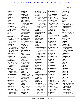**pointing (1)** 136:8 **points (1)** 68:24 **policy (1)** 59:17 **pop (2)** 28:5 129:3 **popping (2)** 74:19 76:14 **portion (5)** 23:10 30:10 111:20 155:18 160:17 **posed (1)** 166:22 **poses (1)** 27:6 **position (11)** 12:23 13:23 14:8,25 49:6 80:2,6 99:15 131:19 132:11 155:22 **positive (18)** 25:16,17,22 26:3,5,23 27:17 34:22 35:3 36:23 42:22 68:19 76:11 90:14 94:17 96:2,9,10 **possesses (1)** 37:13 **possibility (4)** 114:25 148:21 149:7 149:13 **possible (10)** 38:10,18 39:17 43:4 55:21 58:7 134:23 149:3 151:17 163:21 **Possibly (9)** 38:2 61:11 62:9 105:2 120:3 134:21 148:20 149:2,6 **post-doctoral (1)** 11:2 **practical (1)** 22:25 **Practice (1)** 45:20 **preceding (1)** 174:11 **preface (1)** 68:2 **preliminary (8)** 3:21 103:4 104:18 105:6 106:24 107:18 112:13,14

**prepare (2)** 7:18 40:3 **prepared (2)** 151:4 163:10 **preparing (2)** 171:22 172:20 **presence (12)** 67:9 68:18,20 115:18 133:10 135:2 165:6 167:6 168:7,10,11 169:6 **present (7)** 33:8 68:10 120:25 124:25 134:12 155:15 169:20 **presentation (1)** 55:17 **presentations (3)** 37:21,25 134:23 **presented (5)** 37:19 134:9,16 135:9 155:21 **press (2)** 41:7 170:21 **pressed (1)** 171:6 **presumably (1)** 81:14 **pretty (4)** 34:23 82:8 94:13 113:21 **preventing (1)** 40:19 **previous (7)** 57:6 78:24 82:9 105:22 111:23 154:7 155:11 **previously (3)** 97:17 104:24 105:5 **primarily (1)** 125:9 **primary (8)** 13:4 45:7 57:11 112:14 120:3 125:4 126:13 129:11 **principles (2)** 12:16,16 **printed (1)** 109:20 **prior (9)** 14:19 17:2 26:20 79:2 104:22 116:6 148:24 164:13 174:7 **priorities (1)** 169:20

**private (5)** 39:5,10 42:6 130:24 130:25 **probably (27)** 5:16 15:5 37:20 39:24 41:14 42:11 44:6 49:25 56:5,7 57:13 63:19 65:6 70:17,21 82:2 83:17 84:12 93:10 110:7 120:4 129:6 135:4 136:5 150:5 157:24 163:10 **problem (3)** 29:23 50:8 136:14 **problems (1)** 88:17 **procedure (3)** 5:23 98:7 101:6 **proceeding (1)** 17:16 **Proceedings (1)** 173:7 **process (27)** 17:12 25:21,22 29:11 31:3 50:25 51:25 53:2 80:19,20 81:11 81:14 88:19 89:25 97:16,18,19,21,22 97:25 126:4,6 131:22 135:21,24 139:19 169:25 **processes (1)** 34:12 **processing (1)** 11:20 **produce (1)** 23:2 **produced (4)** 8:16 44:24 145:4 170:3 **product (7)** 106:23 126:12 140:15 168:16 169:15 170:20,22 **production (2)** 145:6,7 **products (21)** 4:13 32:2,6 37:7 38:15 45:13 53:18 57:23 58:22 61:9 95:20 99:18 114:18 133:22 140:16 143:4 149:18 150:10 153:13,24 155:24

**Professional (1)** 174:5 **professionals (2)** 44:17 135:12 **program (3)** 45:15 48:20 86:2 **prohibited (22)** 13:5,6,7,10 14:4,4 26:7,11,12,13,17 33:10 37:23 45:21 47:10,10 56:24,24 131:25 133:5 140:12 141:11 **prohibits (1)** 26:13 **project (5)** 3:19 4:19 20:20 93:13 111:17 **projects (1)** 63:5 **prompted (7)** 74:16 94:15 96:12 130:9 131:15 132:14 163:23 **pronunciation (1)** 113:21 **proposal (1)** 32:22 **proposed (2)** 98:5,17 **prosecution (1)** 47:6 **protect (3)** 31:17 35:4 90:7 **protected (1)** 7:23 **protecting (1)** 25:20 **Protection (2)** 46:23 47:2 **Protective (3)** 146:3,5,9 **proud (1)** 162:10 **prove (1)** 18:13 **provide (9)** 13:4 44:22 56:21,22 60:23 61:5 81:17 166:19 171:3 **provided (8)** 46:20 61:18 102:24 103:2 111:21 140:8 140:17 159:12 **provides (1)** 13:14

**providing (4)** 14:2 47:5 112:19 117:5 **Proving (1)** 86:14 **proviso (1)** 124:22 **PSI (11)** 65:7 66:17,20,23 67:17 68:11 69:16 69:19 98:3 113:6,7 **psychology (3)** 9:24 10:8,9 **public (8)** 1:25 42:6 90:4 137:20 173:25 174:5,23 175:25 **publication (5)** 20:8,9 67:10 129:9 164:13 **publish (2)** 171:9,15 **published (14)** 27:4 58:13 109:23 121:13 128:5,25 142:6 144:2 148:9 160:5,7 164:10,24 171:18 **publishes (1)** 13:7 **publishing (1)** 141:21 **pull (1)** 165:18 **pulled (1)** 33:20 **pure (1)** 170:19 **purported (1)** 68:22 **purpose (2)** 18:18 80:17 **pursuant (1)** 67:4 **purview (1)** 132:18 **put (33)** 11:10 22:23 32:21 37:9 38:11 42:17,21 50:13,22 51:9 71:8 79:20 81:22 82:4 87:6 91:5 93:22 96:15 102:12 122:21 125:11 129:14 135:10 137:10 145:2 153:6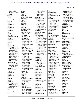| 159:13 160:23       | 2:15:2                | 116:24 129:8,12     | 152:19                | 56:4,8,17 57:7,12     |
|---------------------|-----------------------|---------------------|-----------------------|-----------------------|
| 161:7,12,24 170:12  | ran $(1)$             | 140:19 141:7        | recommend (2)         | 59:25 61:6 62:23      |
| 172:21              | 16:3                  | 142:11 150:16       | 59:19,22              | 63:24 67:18 98:4      |
| puzzle (1)          | range $(3)$           | 151:13 164:11       | recommendations (1)   | 124:7 125:8 140:22    |
| 90:10               | 27:23 118:13 121:12   | reason $(26)$       | 59:16                 | 148:15 152:4,20       |
|                     | ranking $(1)$         | 36:19 47:6,11 56:25 | record $(21)$         | 155:2 157:6 160:18    |
| $\mathbf 0$         | 15:23                 | 59:12 63:10,13      | 6:2 23:10 30:10 55:17 | 164:8 167:16 169:6    |
| Qing(1)             | rarely $(2)$          | 64:18 68:15,17,25   | 77:21 85:19 103:8     | 169:24 170:2 171:4    |
| 167:7               | 62:18,19              | 70:3 74:13 76:13    | 107:14,16,17          | 171:15                |
| qualified $(1)$     | rationale $(1)$       | 80:21 83:7 89:19    | 114:13 122:14         | regardless $(3)$      |
| 146:5               | 17:15                 | 99:13 102:3,21      | 138:19,20 145:24      | 26:15 38:25 135:2     |
| qualifies (1)       | reach $(3)$           | 103:9 116:18 147:8  | 158:6,7 161:25        | regards $(1)$         |
| 146:9               | 21:3 49:2 156:10      | 147:12 160:6 175:5  | 172:12,16,18          | 95:16                 |
| qualify $(1)$       | reached $(6)$         | reasons $(3)$       | records (1)           | <b>REGAS (1)</b>      |
| 25:6                | 33:19 40:7,23 41:4    | 56:14 67:25 75:25   | 159:12                | 2:14                  |
| quality (2)         | 49:12 115:23          | recall $(51)$       | refer $(8)$           | Registered (1)        |
| 45:18 150:23        | reaching $(3)$        | 18:6 25:15 27:24    | 5:14 65:2 85:15,16    | 174:5                 |
| Quantification (1)  | 49:5 73:5 93:11       | 33:13,16 34:20      | 95:3 97:16 115:17     | regular $(5)$         |
| 163:17              | reaction $(13)$       | 38:19 39:17 40:2,14 | 163:18                | 46:2 48:14 49:4 54:10 |
| Quantities (2)      | 101:17,20 106:25      | 42:19,21 43:7 49:4  | reference (7)         | 55:6                  |
| 1:75:13             | 107:20 108:14,16      | 49:7,13 50:12,18,20 | 8:25 13:13 14:2 25:11 | regulation $(3)$      |
| quasi (1)           | 115:21 116:4          | 51:6 53:7 55:5,21   | 76:6 93:15 167:5      | 35:20 79:7 169:12     |
| 24:15               | 128:25 129:5 150:3    | 55:23 58:8 60:10,14 | references $(1)$      | regulations (4)       |
| question (35)       | 150:15,16             | 62:6 63:19 71:14    | 166:20                | 31:17 72:15 83:20     |
| 6:3,20,21 15:7 19:4 | read $(44)$           | 72:2,16 76:8 82:2,3 | referencing $(1)$     | 137:19                |
| 23:8 29:19,25 30:7  | 23:9,11 30:8,11 65:23 | 84:14 112:22        | 162:8                 | regulators $(1)$      |
| 30:9,22 49:5 50:7   | 66:9 70:8 79:5,7,14   | 120:18 123:4 127:5  | referred (2)          | 31:7                  |
| 50:21,22,23 52:20   | 86:10 87:25 88:23     | 131:6 157:13 159:7  | 76:12 133:18          | regulatory (9)        |
| 55:5 71:15 75:19    | 100:22 101:5 104:7    | 159:19 160:22       | referring $(29)$      | 31:13 48:23 49:6      |
| 76:3 79:4 84:22     | 107:10 110:21         | 166:6, 14, 16 168:2 | 27:12 51:14 61:24     | 57:18,20 59:22 89:5   |
| 102:21 105:3 107:9  | 111:16 112:2          | 170:7,8             | 70:15,17,23 73:24     | 132:18 169:19         |
| 108:13 111:10       | 114:13 116:22         | receive $(4)$       | 74:5 78:24 80:19      | rejected $(1)$        |
| 155:3,4,6 159:17    | 118:6 122:9,10,13     | 19:6,9,12,16        | 88:6,9 93:14 94:19    | 17:22                 |
| 162:16,17 166:21    | 125:19 127:24         | received $(6)$      | 94:24 100:17          | related $(4)$         |
| questions (9)       | 129:24 140:19         | 64:3,10 106:24      | 114:21 115:12,20      | 8:19,21 47:8 127:4    |
| 6:11,25 65:25 71:22 | 142:9,22 148:4,6      | 107:18 148:7 154:4  | 116:5 117:10          | relationship (10)     |
| 90:8 122:4 130:9    | 149:15 151:10         | receiving $(4)$     | 118:23 123:2 134:5    | 41:19 54:6 56:3 59:5  |
| 131:24 165:16       | 153:21 154:2          | 49:14 100:20 101:11 | 135:19 143:11         | 59:9,10 126:24        |
| quick $(4)$         | 155:17,21,23 163:8    | 148:24              | 159:23 163:14         | 130:20 142:14         |
| 15:7 90:25 91:12    | 174:13 175:5          | receptor $(1)$      | 168:18                | 152:9                 |
| 107:15              | reading $(2)$         | 32:4                | refers $(2)$          | release $(1)$         |
| quicker $(1)$       | 74:17 174:13          | recipient $(2)$     | 81:23 95:15           | 139:8                 |
| 61:25               | Reads $(1)$           | 106:11 145:4        | reflect $(2)$         | relevance (1)         |
| quickly (1)         | 175:5                 | recipient's (1)     | 6:3 85:19             | 132:12                |
| 91:3                | ready $(9)$           | 120:9               | reflected $(2)$       | relevant $(3)$        |
| quite $(1)$         | 8:13 66:4 82:12 109:6 | recognize (8)       | 119:6,10              | 22:22 33:8 169:12     |
| 85:25               | 125:14,15 136:7       | 44:7,12 66:7 144:23 | refresh $(1)$         | reliable $(1)$        |
| quote $(10)$        | 160:7 162:19          | 144:24,25 156:7     | 9:4                   | 101:6                 |
| 16:8 75:16 77:7,8   | real $(1)$            | 158:11              | refute $(1)$          | reliably $(1)$        |
| 78:6 86:14 98:17    | 107:14                | recollect $(1)$     | 168:7                 | 101:21                |
| 118:6 129:2 131:2   | really $(25)$         | 36:20               | refuting $(2)$        | relied $(1)$          |
| quoting $(1)$       | 13:24 20:23 29:20     | recollection (7)    | 168:10,11             | 68:8                  |
| 5:16                | 37:16 39:24 40:21     | 34:24 39:11 40:6    | regarding (37)        | rely(1)               |
|                     | 43:6 50:21 53:2       | 83:16 85:17 157:9   | 32:14 34:19 37:15,18  | 105:18                |
| $\bf R$             | 65:3 70:14 85:15      | 160:13              | 37:19 42:12 44:4      | remains $(1)$         |
| R(2)                | 89:18 94:15 99:8,22   | recollections (1)   | 46:7 48:23 49:3       | 126:3                 |
|                     |                       |                     |                       |                       |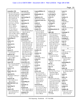|                                       |                                      |                                         |                                      | Page 19                          |
|---------------------------------------|--------------------------------------|-----------------------------------------|--------------------------------------|----------------------------------|
| remember (59)                         | represent $(3)$                      | responsibilities (1)                    | reviewer $(2)$                       | room $(1)$                       |
| 6:14 33:14 38:17,18                   | 5:11 53:23 65:4                      | 13:24                                   | 17:24 153:3                          | 28:11                            |
| 39:18,23,24 40:8,20                   | represented (1)                      | Responsible (1)                         | reviewing $(2)$                      | route $(1)$                      |
| 40:25 44:2 49:9,18                    | 39:16                                | 58:21                                   | 40:2 147:18                          | 97:6                             |
| 49:20 54:20 55:7,8                    | representing $(1)$                   | responsive $(3)$                        | revise $(1)$                         | routine $(1)$                    |
| 55:15 56:6,9,16                       | 38:14                                | 89:23 115:5 120:6                       | 85:7                                 | 89:18                            |
| 58:3 70:16,23,24                      | represents $(1)$                     | responsive/non-res                      | <b>Revised (2)</b>                   | RPR(2)                           |
| 71:13 72:7 81:24                      | 155:3                                | 8:22                                    | 148:7 154:4                          | 1:24 174:23                      |
| 92:6 94:11,23 95:6                    | reputation (1)                       | result(2)                               | revising $(1)$                       | ruin $(1)$                       |
| 95:12 100:20                          | 117:2                                | 21:4 67:14                              | 135:25                               | 90:14                            |
| 101:11 109:24                         | request $(2)$                        | resulting $(2)$                         | revolved (1)                         | rule $(3)$                       |
| 113:16 115:3                          | 24:4 174:12                          | 20:6 119:7                              | 35:2                                 | 116:25 117:3 174:12              |
| 117:22 118:3,15                       | requested $(6)$                      | results $(37)$                          | rhabdomyolysis (1)                   | rules $(1)$                      |
| 119:8,23 120:22                       | 23:10 30:10 35:18,23                 | 21:24 23:5,16,18                        | 52:6                                 | 117:9                            |
| 124:3 134:22 135:5                    | 158:25 163:12                        | 25:21,22 26:21                          | right(40)                            | rummage $(1)$                    |
| 135:7,8 149:2 150:4                   | require $(2)$                        | 44:21 46:20 47:6,13                     | 7:4,14 8:9 10:8 11:11                | 165:17                           |
| 152:2,6,21 156:8                      | 83:20 118:19                         | 47:15 56:22 100:24                      | 15:14 18:10,23                       | run $(2)$                        |
| 157:16 159:2,9,20                     | required $(3)$                       | 104:18 106:24                           | 20:10,15,25 26:6                     | 48:20 60:17                      |
| reminding $(1)$                       | 63:25 83:22 84:10                    | 107:5,18,18,23                          | 32:12 39:20 41:16                    | running $(2)$                    |
| 68:3                                  | research $(43)$                      | 112:16 115:22                           | 41:17 42:5 51:4,10                   | 13:13 134:12                     |
| remove(1)                             | 4:13 10:24 11:10                     | 117:20 119:20,22                        | 71:18 73:12 82:18                    | runs $(1)$                       |
| 32:10                                 | 18:16,20,20,25 19:7                  | 121:12 122:25                           | 85:22 90:15 94:4                     | 100:14                           |
| removed (1)                           | 19:21 20:20 22:20                    | 133:6 143:10                            | 95:25 107:8 111:11                   | rush(2)                          |
| 28:21                                 | 23:23,25 24:10,24                    | 150:24 151:9,11,18                      | 123:6,17 130:22                      | 132:22 133:2                     |
| removing $(1)$                        | 28:9 32:17,22,25                     | 165:2 167:19                            | 135:23 136:18                        |                                  |
| 30:18                                 | 33:2,7,16 34:2,6,16                  | 171:11,13                               | 142:25 145:8                         | S                                |
| repeat $(7)$                          | 35:14 36:4,11 61:9                   | retailers $(1)$                         | 146:12 153:4                         | S(4)                             |
| 6:4 22:8,9 23:8 50:6                  | 63:5 66:22 67:12                     | 53:21                                   | 165:25 171:2,14                      | 1:21 2:1 3:7 5:2                 |
| 52:20 107:9                           | 86:2 97:17,22 98:5                   | retainer $(1)$                          | ring(7)                              | $S-N-I-P(1)$                     |
| rephrase $(6)$<br>6:6 23:24 33:6 36:8 | 98:9 126:20 148:5<br>150:7,24 154:17 | 172:21<br>retina $(4)$                  | 44:8 61:13 72:23<br>113:20 151:19,21 | 134:6                            |
| 37:17 108:4                           | 159:6                                | 11:17,20,23 18:22                       | 162:5                                | safe $(6)$                       |
| replicate $(2)$                       | researcher $(2)$                     | retinal $(1)$                           | rings $(5)$                          | 48:5 84:9 104:17<br>136:10 141:6 |
| 67:5 116:12                           | 21:16 23:4                           | 18:20                                   | 39:6 49:11 71:4 72:25                | 155:13                           |
| report $(8)$                          | researchers (5)                      | retired $(1)$                           | 148:17                               | safekeeping (1)                  |
| 3:21 21:16 22:10 44:9                 | 21:3 22:10 33:11                     | 71:14                                   | risk(2)                              | 174:14                           |
| 96:7 116:8 159:23                     | 35:11 44:17                          | reveal $(1)$                            | 27:7 37:13                           | safer $(1)$                      |
| 159:24                                | researching $(2)$                    | 171:7                                   | risks(1)                             | 40:22                            |
| report's $(1)$                        | 30:14 98:21                          | revealed $(1)$                          | 48:4                                 | safety $(8)$                     |
| 46:13                                 | resolution (2)                       | 80:21                                   | Robert (11)                          | 27:7 46:9 47:22 48:14            |
| Report.docx (1)                       | 112:8 122:20                         | review $(22)$                           | 72:3 73:5 75:3 77:23                 | 81:16 90:4 104:21                |
| 103:4                                 | resources $(2)$                      | 8:12 17:11,14,15                        | 78:20 83:3 86:8                      | 164:5                            |
| reported $(5)$                        | 34:16 169:21                         | 39:25 65:22 76:11                       | 103:24,25 108:10                     | Saint $(1)$                      |
| 68:18 69:2 120:16,17                  | respect $(2)$                        | 87:14 88:4,12 91:21                     | 166:11                               | 9:20                             |
| 171:16                                | 63:7 64:17                           | 92:13,16 103:12,21                      | role $(31)$                          | salary $(1)$                     |
| reporter $(6)$                        | respected $(1)$                      | 109:5 123:12                            | 13:4,20 15:20 16:25                  | 172:25                           |
| 1:24 5:18,25 23:11                    | 90:5                                 | 136:16 145:22                           | 17:3 23:23,24 24:24                  | salient (1)                      |
| 30:11 174:5                           | responding $(1)$                     | 153:9 164:23                            | 24:25 25:7,11,13,20                  | 40:14                            |
| <b>REPORTER'S (1)</b>                 | 13:12                                | 174:12                                  | 30:22 36:9 44:22                     | Salt $(2)$                       |
| 174:1                                 | responds $(1)$                       | reviewed (22)                           | 53:24 57:15,17                       | 1:22 174:3                       |
| reporting $(1)$<br>76:10              | 166:25<br>response(6)                | 8:19 17:22 19:22<br>21:17 22:2,11 49:21 | 58:10 65:13 67:3<br>72:5 90:6 110:9  | sample $(1)$<br>25:24            |
| reports $(9)$                         | 128:23 139:25 166:15                 | 50:4,9,16 51:15,19                      | 112:17 156:18,21                     | samples $(8)$                    |
| 27:9,11 28:10 44:10                   | 167:4 168:4 169:23                   | 51:22 52:4,8,12,16                      | 157:20 164:15,17                     | 26:24 27:25 118:11               |
| 44:14 50:19 67:13                     | responses (2)                        | 52:21 86:10 152:23                      | roles $(2)$                          | 118:14,16 119:3                  |
| 69:10 71:23                           | 49:19 79:11                          | 153:2 168:22                            | 13:3 56:8                            | 121:11 155:14                    |
|                                       |                                      |                                         |                                      |                                  |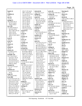|                                         |                                       |                               |                       | Page 20              |
|-----------------------------------------|---------------------------------------|-------------------------------|-----------------------|----------------------|
| Sandy $(1)$                             | 103:17 107:4,8,21                     | selected $(4)$                | series $(4)$          | showing $(1)$        |
| 7:8                                     | 109:7 110:22,25                       | 32:4 33:11,12,17              | 54:22 55:6 73:8 141:2 | 167:6                |
| SARMs(1)                                | 111:4,6,10,14 116:2                   | selling $(2)$                 | serious $(6)$         | shown $(1)$          |
| 32:5                                    | 119:15 121:15                         | 95:19 139:9                   | 27:6 95:15,17,21      | 166:6                |
| saw $(1)$                               | 123:13,15 124:19                      | send $(11)$                   | 96:18,25              | shred $(3)$          |
| 151:16                                  | 137:5 138:9,12,15                     | 69:25 74:7 78:19              | seriously $(1)$       | 104:12 105:15 108:11 |
| saying $(7)$                            | 143:18 145:23                         | 80:13 91:24 120:7             | 25:19                 | side (17)            |
| 58:25 68:2 91:11                        | 147:11 154:25                         | 133:22,25 136:19              | serve $(4)$           | 71:8 82:4 87:6 91:5  |
| 107:23 118:25                           | 155:16 156:13                         | 160:10 161:20                 | 31:9 40:4 47:19 153:3 | 93:23 96:15 102:12   |
| 128:24 140:21                           | 157:12 158:5                          | sender $(2)$                  | served $(4)$          | 122:22 125:11        |
| says $(18)$                             | 161:14 162:22                         | 106:10 144:5                  | 17:24 38:20,23 55:22  | 129:14 137:11        |
| 51:18 82:19 95:14                       | 165:10,13,14,22                       | sending $(1)$                 | serves $(1)$          | 145:2 153:6 159:13   |
| 101:4,24 103:3                          | 172:3,14,17 173:4                     | 128:24                        | 39:14                 | 160:23 161:7,12      |
| 105:3 106:4 107:24                      | scoured $(1)$                         | sense $(7)$                   | service $(1)$         | sign(1)              |
| 130:4 135:20                            | 104:9                                 | 12:19 33:24 69:2,6,13         | 64:5                  | 174:13               |
| 136:13 141:16                           | scrap(1)                              | 92:11 105:19                  | Services (5)          | Signature (1)        |
| 148:5,9 154:9 160:9                     | 22:23                                 | sensitive (2)                 | 41:15,24 48:2 64:25   | 175:21               |
| 167:5                                   | screens(1)                            | 101:6 118:9                   | 66:21                 | signed $(1)$         |
| scan(1)                                 | 133:7                                 | sensory $(1)$                 | serving $(1)$         | 71:7                 |
| 143:12                                  | screw(1)                              | 15:4                          | 62:25                 | significance (1)     |
| scene $(1)$                             | 113:19                                | sent (72)                     | set $(2)$             | 167:17               |
| 28:10                                   | scrutiny $(1)$                        | 71:23 74:14 75:12,15          | 79:19 174:10          | significant $(1)$    |
| scenes $(1)$                            | 136:17                                | 77:17,22 78:17                | sets $(1)$            | 85:18                |
| 64:9                                    | search $(2)$                          | 80:15 82:23 85:11             | 45:13                 | silo(1)              |
| school $(2)$                            | 50:14 51:2                            | 86:7 87:19 89:10,15           | setting $(2)$         | 16:17                |
| 42:2,6                                  | second $(22)$                         | 89:19 90:16 92:4,21           | 45:12 97:21           | similar $(2)$        |
| science $(5)$                           | 22:25 68:17 70:8,9,12                 | 92:24 93:2,8 94:5             | shakes $(2)$          | 48:7 138:25          |
| 15:24 85:4 125:3                        | 83:10 84:15 88:22                     | 97:11,12 98:13 99:3           | 157:11 164:18         | Simple $(1)$         |
| 141:17,18                               | 94:24 97:9 100:22                     | 100:18 102:9                  | share $(18)$          | 93:22                |
| scientific $(23)$                       | 104:7 112:2 116:22                    | 103:23 104:15                 | 57:9,20 59:15 64:12   | simply $(1)$         |
| 9:3 17:8,12 18:17                       | 123:19,22 143:2                       | 107:13 108:5,9                | 104:18,20 119:19      | 140:11               |
| 23:4,16,17 35:14                        | 147:18 155:20                         | 114:8,8 115:7                 | 119:22 130:7 132:8    | Simpson $(1)$        |
| 49:22 50:4,9,16                         | 161:7,13 164:8                        | 117:17,24 118:11              | 132:11,14,22 133:3    | 129:2                |
| 51:23 52:5,9,13,17                      | section $(3)$                         | 118:14 121:5                  | 133:6,12 151:24       | single $(2)$         |
| 52:22 67:12 167:17                      | 111:25 122:23 168:24                  | 123:20 125:16,17              | 157:14                | 30:13 87:16          |
| 168:6,22 169:5                          | see $(31)$                            | 127:10,13,14                  | shared $(7)$          | situation $(1)$      |
| scientist $(5)$                         | 24:5 49:6 51:3 54:17                  | 128:19 133:25                 | 47:13 106:25 107:4    | 90:12                |
| 15:17,22 17:6 63:7                      | 55:17 74:5 79:21                      | 134:3 135:15,17               | 107:19,23 146:4       | skin $(1)$           |
| 64:17                                   | 80:11 82:19 86:5                      | 137:17 138:13                 | 153:15                | 37:9                 |
| scientists (5)                          | 91:21 105:11,23                       | 139:4,7,9,22,25               | sharing $(2)$         | Skinner (2)          |
| 17:15 18:10,12 19:6                     | 106:7 116:11,12                       | 141:18 146:15,21              | 48:15 136:14          | 163:4,5              |
| 19:16                                   | 127:19 129:20                         | 158:9,24 159:8                | SHEET $(1)$           | skip $(2)$           |
| scope $(3)$                             | 137:6 147:13,16                       | 160:20 161:4,17               | 175:1                 | 23:21 163:22         |
| 10:16 22:23 96:3                        | 151:21 154:13                         | 162:2,23 166:11               | shelves (1)           | Skipping (2)         |
| <b>Scott (80)</b>                       | 166:12,21 167:10                      | 174:13                        | 162:13                | 88:21 97:9           |
| 2:3 3:4 19:23 20:7,10                   | 168:8, 16, 25 169:21                  | sentence (16)                 | short $(2)$           | Slightly $(1)$       |
| 20:21 21:6,10,12,19                     | 170:25                                | 70:9,12 88:2,23 112:2         | 10:2 163:8            | 153:17               |
| 22:6, 16 23:7 27:8                      | seeing $(5)$                          | 112:11 114:12                 | shortly $(1)$         | slow $(1)$           |
| 28:23 29:15 30:20                       | 27:17 28:5 42:22                      | 118:6 122:12,14               | 58:13                 | 31:7                 |
| 31:19 41:9 49:24                        | 96:19 150:3                           | 125:19 142:23                 | show $(7)$            | small $(3)$          |
| 50:6,11 55:3 60:2,9                     | seeking $(1)$                         | 149:15 153:21                 | 4:5 70:14,22 128:18   | 9:8 143:8 171:16     |
| 60:21 65:19 73:13                       | 141:7                                 | 155:21 156:25                 | 134:13 165:19         | smell $(1)$          |
| 80:4 82:16 83:23                        | seen $(7)$                            | sentences $(2)$               | 166:20                | 69:11                |
| 84:24 87:12 88:14                       | 75:6 77:13,17 142:10<br>142:17 146:23 | 95:14 104:7<br>separate $(1)$ | showed $(5)$          | Smith $(2)$          |
| 91:8 96:17 100:5,11<br>100:13,15 101:18 | 167:5                                 | 133:9                         | 101:9 112:5 122:10    | 144:8,10             |
|                                         |                                       |                               | 122:17 154:7          | SMRTL(1)             |
|                                         |                                       |                               |                       |                      |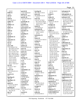|                       |                    |                       |                       | Page 21               |
|-----------------------|--------------------|-----------------------|-----------------------|-----------------------|
|                       |                    |                       |                       |                       |
| 133:23                | special $(4)$      | starting $(3)$        | 117:16 124:13         | subsequent $(2)$      |
| SNIP(1)               | 12:24 128:6,9,25   | 88:2 99:22 114:12     | 162:17                | 21:17 22:11           |
| 134:5                 | species $(3)$      | starts $(4)$          | string $(1)$          | subsequently $(3)$    |
| soft $(1)$            | 85:5 99:12 100:2   | 82:18 89:8 122:10     | 82:9                  | 76:10 95:11 131:14    |
| 21:13                 | specific $(4)$     | 123:23                | stroke (3)            | substance (12)        |
| sold $(3)$            | 26:19 34:20 60:14  | state $(13)$          | 50:17,18,24           | 13:5 25:23 26:24      |
| 97:3 126:10,11        | 61:14              | 1:21,25 7:4 78:23     | strong $(4)$          | 33:10 37:23 56:24     |
| soldier $(1)$         | specifically (2)   | 83:12 84:15 90:24     | 24:8 31:15 101:19     | 96:9 130:15 133:6     |
| 39:11                 | 26:10,16           | 115:10 131:7 168:5    | 150:16                | 140:23 168:23         |
| Soldiers (1)          | specified (2)      | 169:4 174:2,5         | stronger $(2)$        | 169:13                |
| 44:10                 | 99:23 124:16       | stated $(3)$          | 17:21 67:15           | substance/product (   |
| Solely $(1)$          | spectrometry $(2)$ | 75:25 88:16,17        | structure $(1)$       | 169:14                |
| 81:4                  | 66:25 68:3         | statement $(6)$       | 131:3                 | substances (6)        |
| solid $(1)$           | speculate $(1)$    | 81:9 86:13 102:17     | studies (7)           | 13:11 26:14 45:21     |
| 105:17                | 160:4              | 118:21 124:25         | 10:16 11:16 12:13     | 47:10 97:4 131:25     |
| solve $(1)$           | spending $(1)$     | 127:24                | 32:14 47:8 133:15     | successful $(1)$      |
| 90:10                 | 12:20              | statements (1)        | 168:6                 | 162:11                |
| somebody (1)          | spent $(1)$        | 89:6                  | study $(51)$          | sudden $(1)$          |
| 29:17                 | 32:16              | States (5)            | 18:11 21:15,25 22:13  | 26:4                  |
| somewhat (1)          | spike $(1)$        | 1:1,3 2:3 5:13 165:15 | 22:24 30:15 32:13     | sufficient (1)        |
| 102:13                | 96:10              | stating $(1)$         | 32:22 44:4,6,19       | 34:13                 |
| son $(1)$             | spoke $(2)$        | 121:10                | 46:12 67:6,7,11,16    | sufficiently $(3)$    |
| 40:16                 | 55:17 77:7         | status $(2)$          | 67:19 68:16,18        | 51:6 136:17 167:20    |
| sorry $(36)$          | spoken $(3)$       | 13:15 169:13          | 75:24 76:2,5,12       | suggest $(1)$         |
| 7:22 22:6,8 27:22     | 21:13 37:18 55:15  | statutory $(1)$       | 84:16,18 85:13 87:4   | 27:10                 |
| 36:16 40:3,25 42:8    | sport $(3)$        | 35:13                 | 101:21 104:18         | suggestions (1)       |
| 48:17 50:6 55:2       | 45:21 47:10 56:25  | steer $(1)$           | 106:14 110:10         | 20:19                 |
| 70:12 75:10 77:20     | sports $(2)$       | 74:23                 | 113:8, 11, 14 116:6   | Suite $(2)$           |
| 83:11 86:22 91:21     | 4:10 43:11         | stems $(2)$           | 117:20 118:18         | 1:21 7:12             |
| 96:21 103:18 106:2    | spring $(1)$       | 112:5 122:17          | 119:18 120:16,17      | summarize $(1)$       |
| 108:8,22 110:20,23    | 70:20              | stenotype (1)         | 124:11,14 143:10      | 68:4                  |
| 112:14 114:8          | Springs (3)        | 174:9                 | 143:20 145:12         | superior $(5)$        |
| 119:13 123:22         | 7:12 14:7 111:18   | step $(2)$            | 151:5,11 164:8        | 16:11,13,15 17:2,4    |
| 124:13 137:25         | ss(1)              | 11:4 141:6            | 165:3,5 167:7         | supplement $(24)$     |
| 142:13 160:15         | 174:3              | steps $(1)$           | study's $(1)$         | 4:10 35:15,19 45:3,15 |
| 161:5,7 162:16,17     | stage $(1)$        | 162:12                | 67:22                 | 45:17 47:21 48:2,14   |
| sort $(4)$            | 79:5               | steroids (2)          | stuff $(2)$           | 56:23 72:18 76:23     |
| 21:25 27:7 34:7       | stake $(1)$        | 32:4 97:3             | 9:13 11:8             | 83:18 84:6,13 95:16   |
| 128:11                | 31:4               | Steven $(2)$          | subject $(6)$         | 106:14,18 125:22      |
| source $(5)$          | stakeholders (1)   | 144:9,22              | 9:4 34:6 55:8 60:5    | 126:14 130:11         |
| 19:21 20:4,19 21:3    | 48:16              | stimulant $(4)$       | 98:21 146:3           | 131:19 133:5          |
| 74:21                 | stamp $(2)$        | 4:9 26:15 140:12      | subjected $(1)$       | 144:15                |
| sources $(1)$         | 73:9,11            | 143:3                 | 36:4                  | supplemental (3)      |
| 9:2                   | stamped $(2)$      | Stimulants (1)        | submission (1)        | 22:14 119:10 121:17   |
| Sparling $(2)$        | 111:24 138:24      | 26:14                 | 169:15                | supplementary $(1)$   |
| 39:5,10               | stand $(3)$        | stink $(1)$           | submit $(3)$          | 126:2                 |
| Sparling's $(1)$      | 59:3 136:6,20      | 69:10                 | 17:14 136:7 169:11    | supplements (54)      |
| 43:21                 | standard $(2)$     | stop $(5)$            | submitted (5)         | 4:5,13 12:25 26:2     |
| speak $(5)$           | 45:12 98:6         | 42:5 45:25 95:25      | 128:3 130:8 136:14    | 29:3 31:14,18,21      |
| 13:16 37:22 39:20     | standards (1)      | 140:19 149:25         | 136:15 168:15         | 32:2,3,7 36:18        |
| 55:14 117:15          | 45:13              | strange $(1)$         | submitting $(1)$      | 38:25 43:14,18        |
| speaking $(6)$        | start $(4)$        | 150:8                 | 83:12                 | 44:11 45:3,20 46:9    |
| 9:17 33:19 51:13 54:6 | 41:22 43:16 73:15  | Street $(2)$          | subpoena (7)          | 47:9 48:5,6,24        |
| 78:15 81:25           | 74:3               | 1:21 2:4              | 8:10 64:2,3,6,8,13,16 | 52:19,24 53:21 57:8   |
| spec $(1)$            | started $(1)$      | strike $(6)$          | <b>SUBSCRIBED (2)</b> | 57:12 59:7,11 69:5    |
| 121:2                 | 27:16              | 43:16 65:6 83:11      | 173:22 175:22         | 71:23 72:14 76:9      |
|                       |                    |                       |                       |                       |

TSG Reporting - Worldwide 877-702-9580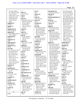| 79:7 95:19 96:19                | 3:7                   | ten(1)                                 | therapeutic (4)       | 56:13 62:6 63:19    |
|---------------------------------|-----------------------|----------------------------------------|-----------------------|---------------------|
| 97:3 106:19 112:19              | table(2)              | 18:7                                   | 13:25 14:14 49:12,17  | 65:4 67:10 69:2,6   |
| 112:21 115:16                   | 151:7 172:21          | tenure $(1)$                           | thereof $(1)$         | 71:13 72:13 74:18   |
| 128:6 130:17 132:6              | tag (1)               | 54:8                                   | 174:16                | 75:15,22,24 77:4    |
| 133:8,18 137:18                 | 70:14                 | term $(2)$                             | thermoregulation (1)  | 78:7 79:5 80:6,7,21 |
| 139:9 140:14,23                 | take (17)             | 150:12 155:2                           | 51:24                 | 84:8,20 85:14,18,24 |
| 147:20 153:12                   | 6:19,22,23 10:15 11:5 | terms <sub>(1)</sub>                   | thesis $(3)$          | 87:14 88:16 89:25   |
| 164:5                           | 60:13 87:13 90:25     | 44:7                                   | 11:16,21 137:8        | 90:25 93:10 94:18   |
| supplied $(1)$                  | 91:9,12 98:24         | terrified $(1)$                        | Thevis $(1)$          | 102:9,25 103:2      |
| 171:10                          | 119:19 123:7          | 163:13                                 | 152:13                | 105:13 110:7        |
| supply $(1)$                    | 162:13 165:9,10       | test $(19)$                            | thing $(7)$           | 113:10,24 115:13    |
| 31:25                           | 172:25                | 4:15 23:16,18 26:21                    | 40:19 70:18 79:7,8    | 117:21 120:2,4      |
| SupplySide (3)                  | taken (1)             | 45:20 46:20 47:5                       | 97:24 129:7 151:2     | 122:10 123:7        |
| 54:21,21 60:18                  | 174:9                 | 56:22 71:23 85:6                       | things $(19)$         | 131:13,18 133:4     |
| support $(6)$                   | takes $(2)$           | 90:14 96:9 99:6                        | 12:20 15:15 18:19     | 136:19,23 137:4     |
| 17:18 29:8 60:24 61:5           | 25:19 126:4           | 105:7 122:25 130:2                     | 29:20 37:9 45:14,22   | 140:7,17 141:3      |
| 104:13 108:11                   | talk (6)              | 133:6,8 170:24                         | 50:25 56:19 61:22     | 143:25 145:9,11     |
| supported (1)                   | 7:22 41:19 60:13      | tested $(6)$                           | 61:25 68:25 90:25     | 146:7 152:11 160:3  |
| 111:17                          | 145:18 147:8          | 36:7 101:25 114:15                     | 91:22 97:21 135:10    | 161:18 163:7        |
| supporter $(1)$                 | 172:12                | 130:4 170:16,23                        | 135:13 145:18         | 168:25 171:22       |
| 24:8                            | talked $(4)$          | testified (2)                          | 161:11                | 172:5,19 173:2      |
| supporting $(2)$                | 32:12 114:14 134:8    | 5:6 125:5                              | think $(57)$          | timeframe $(2)$     |
| 22:3 109:15                     | 159:18                | testify $(1)$                          | 19:5 20:12,15,16,18   | 16:14 104:5         |
| supportive $(1)$                | talking $(7)$         | 171:23                                 | 29:2 39:21 54:25      | timeline $(1)$      |
| 57:18                           | 13:11 22:7 61:23      | testifying $(1)$                       | 58:7,10,14,22 64:14   | 10:17               |
| sure $(28)$                     | 132:20 162:15         | 172:20                                 | 65:22 67:22 68:14     | times (5)           |
| 7:17 11:19 12:4 15:12           | 163:20 168:12         | testimony $(5)$                        | 71:6 76:14 81:5       | 18:3,4 22:21 118:8  |
| 34:20 50:8 51:12                | task(1)               | 146:10 167:23 170:5                    | 84:23,25 86:19 87:8   | 142:18              |
| 61:2 64:14 73:7                 | 32:11                 | 170:11 174:10                          | 88:3 89:15,24 91:16   | Timothy (1)         |
| 81:11,19,23 99:11               | tea $(2)$             | testing $(30)$                         | 92:20 94:14,25        | 110:15              |
| 99:24 111:11                    | 126:12,13             | 3:18 26:3,23,24 27:2                   | 101:15 106:5,14       | tiny(1)             |
| 120:17,24 121:24                | Tech $(1)$            | 34:22 35:3,24 36:23                    | 107:22 108:20         | 21:8                |
| 131:2 135:23                    | 7:12                  | 76:10 94:17 96:2,10                    | 110:4 115:6,24        | title $(8)$         |
| 137:10 141:10                   | technical (1)         | 104:10 105:4,11,13                     | 116:23,24 117:16      | 13:22 54:2 66:9     |
| 150:2 163:13 165:9              | 95:4                  | 112:25 113:3 124:8                     | 123:6 125:5 128:15    | 109:13,18 147:19    |
| 166:25 171:12                   | technically (1)       | 130:12 133:17                          | 129:2 130:25,25       | 153:11,14           |
| surprise $(1)$                  | 10:2                  | 137:2 148:13 152:4                     | 132:14 134:8,16       | today $(5)$         |
| 128:18                          | technician (1)        |                                        | 144:18 147:3          | 6:11 8:11,13 40:3   |
| surprised (4)                   | 157:21                | 152:8, 12, 24 154: 10<br>159:4         | 149:21 154:18         | 172:24              |
| 41:3 128:16 150:16              |                       | tests $(10)$                           | 157:4 170:10          | told $(5)$          |
|                                 | <b>Technology</b> (1) |                                        | 171:20                | 44:5 96:20 119:18   |
| 163:11                          | 167:9                 | 25:16,17,22 26:5                       | third $(3)$           | 149:4 170:14        |
| sworn $(4)$<br>5:5 173:22 174:7 | teleconference (1)    | 27:17 42:23 47:13<br>68:20 74:19 159:8 | 104:7 131:19 132:5    | tomorrow(1)         |
|                                 | 60:5                  |                                        | thought $(13)$        | 79:18               |
| 175:22                          | telephone (8)         | Texas $(1)$                            |                       |                     |
| synaptic $(1)$                  | 2:5 39:23 42:14,15    | 148:15                                 | 12:3 58:25 84:9,10    | tools(1)            |
| 11:22                           | 53:11 131:12,14       | TGA(2)                                 | 87:5 96:21 97:6       | 31:13               |
| synthesizing $(1)$              | 142:20                | 31:6 49:17                             | 103:19 110:22         | tooth(1)            |
| 12:19                           | tell $(16)$           | thank $(18)$                           | 129:6 149:24 150:6    | 93:21               |
| Synthetic (4)                   | 29:17 37:6 43:10      | 49:18 69:16 82:5,13                    | 167:25                | top(20)             |
| 4:10,14 147:21                  | 44:13 95:22 123:20    | 89:14 97:5 99:6                        | thoughts $(1)$        | 51:4,5 78:5 80:9    |
| 153:13                          | 129:22 141:10,17      | 100:13,15 108:8                        | 68:5                  | 81:23 90:15 100:18  |
| system $(1)$                    | 147:17 148:12         | 118:3 122:21                           | time (81)             | 103:3 121:4 123:19  |
| 15:4                            | 154:16 155:17,20      | 123:15 130:9 143:3                     | 12:20 18:5 25:9 27:21 | 123:23 128:19       |
|                                 | 170:22 174:7          | 154:14,21 155:13                       | 27:22,24 31:10 33:6   | 139:21,23 142:25    |
| T                               | tells $(1)$           | Thanks $(2)$                           | 39:13 40:18 44:16     | 144:4 146:16 148:5  |
| T(1)                            | 26:23                 | 18:10 21:14                            | 45:4 46:3,6 56:5,6    | 162:23,25           |
|                                 |                       |                                        |                       |                     |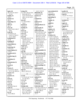|                                    |                                        |                                  |                                         | Page 23                              |
|------------------------------------|----------------------------------------|----------------------------------|-----------------------------------------|--------------------------------------|
|                                    |                                        | 142:21 161:19                    |                                         |                                      |
| topics $(4)$<br>46:10 55:10 130:17 | trying $(15)$<br>6:2 18:13 28:2,9 35:8 | ultimately $(2)$                 | unscrutinized (2)<br>81:12,13           | usually $(4)$<br>18:12,12 24:5 54:15 |
| 131:18                             | 36:24 46:3 67:5                        | 120:16 135:25                    | unusual $(2)$                           | Utah $(5)$                           |
| totality $(1)$                     | 72:14 74:18 107:25                     | unclear $(1)$                    | 96:11 137:7                             | 1:22,25 7:9 174:2,6                  |
| 169:17                             | 109:2 121:24 145:3                     | 6:6                              | upcoming $(1)$                          |                                      |
| toxicity $(1)$                     | 170:12                                 | Undated (1)                      | 95:10                                   | $\mathbf{V}$                         |
| 49:23                              | turn(4)                                | 3:16                             | Update $(1)$                            | vacation (1)                         |
| Toxicology (1)                     | 21:7 69:23 98:11                       | undercut $(1)$                   | 3:20                                    | 173:2                                |
| 109:21                             | 144:4                                  | 167:25                           | uphill $(1)$                            | vague $(2)$                          |
| TPA(1)                             | turned $(2)$                           | undergraduate (1)                | 87:2                                    | 22:4 150:11                          |
| 49:15                              | 33:641:3                               | 12:15                            | upset $(1)$                             | Vaguely $(1)$                        |
| trace(4)                           | turning $(1)$                          | underneath (2)                   | 40:16                                   | 45:17                                |
| 142:23 143:3 149:17                | 139:2                                  | 148:5 154:9                      | urgency $(2)$                           | valid $(11)$                         |
| 150:9                              | turns $(2)$                            | understand (36)                  | 94:15 96:13                             | 17:17 21:20,21 23:12                 |
| $\textbf{trade}(9)$                | 33:5 106:16                            | 6:8,11,25 10:11 13:6             | urgent(1)                               | 23:13 50:23 67:23                    |
| 53:20 58:15,16                     | twice $(2)$                            | 13:9 16:10 19:25                 | 90:11                                   | 68:16 105:17,19                      |
| 114:19 117:8,9,11                  | 58:17 95:5                             | 20:2,23 21:2 22:20               | <b>USADA (75)</b>                       | 115:18                               |
| 117:12 164:2                       | two(14)                                | 28:9 32:11 33:24                 | 2:12 8:7 13:20,23                       | validate (2)                         |
| traditional (1)                    | 40:10 44:14,15 57:16                   | 36:24,25 37:4,12                 | 14:6,13,20 15:18                        | 67:10 170:24                         |
| 12:18                              | 73:8 81:4 127:4                        | 48:4 64:10 72:14,17              | 16:6,24 19:18 23:23                     | validation (2)                       |
| training $(2)$                     | 130:21 134:16                          | 73:18 74:18,21                   | 23:25 24:3,19,24                        | 98:17,22                             |
| 15:25 16:2                         | 135:4 143:7 149:18                     | 78:25 79:8 87:3                  | 25:7,11,14,19 27:16                     | validity $(1)$                       |
| transcribed (1)                    | 150:9 155:14                           | 89:25 103:10                     | 32:12 33:24 34:2,10                     | 67:18                                |
| 174:10                             | Tygart $(2)$                           | 118:22 140:21                    | 34:12,16 35:13                          | valuable (1)                         |
| transcript $(2)$                   | 16:23 34:15                            | 148:22 167:12                    | 37:24 45:5 47:18                        | 83:18                                |
| 174:13,13                          | Tyler $(2)$                            | 168:12                           | 48:8 53:8 56:22                         | variations (1)                       |
| transcription (1)                  | 144:8,9                                | Understandable (1)               | 57:14,17 59:6 60:7                      | 100:2                                |
| 174:10                             | type(8)                                | 40:17                            | 60:24 61:6 63:25                        | varied (1)                           |
| transferred (1)                    | 18:16 22:12,12 27:11                   | understanding (19)               | 64:6,11,13 65:12                        | 13:3                                 |
| 79:9                               | 33:15 126:6 145:5                      | 39:9 47:25 67:3 68:7             | 66:17,20,21 68:11                       | variety $(4)$                        |
| transferring $(1)$<br>9:21         | 166:15                                 | 79:2 83:24 84:19<br>99:20 112:15 | 69:16 75:24 81:6<br>82:8 86:4 87:7 90:6 | 86:15 131:17 133:19                  |
|                                    | types $(1)$<br>122:4                   | 125:25 126:9                     | 97:18,23 98:3,7                         | 137:19<br>various $(6)$              |
| transition $(1)$<br>58:3           | typical $(2)$                          | 133:13 137:15,16                 | 106:14 111:21                           | 63:5 97:21 130:17                    |
| transmission $(1)$                 | 89:9 156:9                             | 146:3 152:25 165:4               | 128:14 131:18                           | 131:24 135:11                        |
| 11:22                              | typically (10)                         | 168:19 172:22                    | 132:3,5 139:16                          | 159:6                                |
| travel $(1)$                       | 18:11 23:24 42:13                      | understandings (1)               | 149:11 158:3 160:3                      | vendors $(2)$                        |
| 38:3                               | 53:11,12 54:14 98:8                    | 69:9                             | 164:3,17,21 167:16                      | 97:21 98:2                           |
| Travis (7)                         | 99:18 139:19 152:7                     | understood (9)                   | 171:10                                  | verify $(4)$                         |
| 16:23 34:15 146:25                 | type(3)                                | 6:3,5,24 81:23 109:4             | <b>USADA's <math>(9)</math></b>         | 51:20 67:13 99:16                    |
| 157:17,18 158:9,14                 | 108:23 138:14,14                       | 133:14 149:24                    | 29:5 35:18,23 36:14                     | 159:4                                |
| Travis's $(1)$                     |                                        | 155:7 169:4                      | 36:17 57:11 60:13                       | version $(12)$                       |
| 158:20                             | $\mathbf U$                            | Undetermined (2)                 | 61:17 96:13                             | 49:16 138:24,25                      |
| treatises $(1)$                    | US(6)                                  | 1:75:13                          | <b>USADA-sponsored </b>                 | 151:24 153:15                        |
| 9:2                                | 7:11 12:25 24:7 31:16                  | unheard $(1)$                    | 36:4                                    | 154:6,18 155:15                      |
| tried $(2)$                        | 111:18 142:4                           | 160:8                            | use $(13)$                              | 156:22 157:2,7,14                    |
| 9:3 27:17                          | U.S.A(1)                               | Uniformed (3)                    | 13:25 37:6 48:6 85:8                    | versus $(1)$                         |
| true(1)                            | 111:19                                 | 41:15,24 48:2                    | 91:9 94:13 95:23                        | 5:13                                 |
| 174:10                             | UCLA(1)                                | United (5)                       | 111:2 124:21                            | view $(9)$                           |
| trust $(3)$                        | 133:23                                 | 1:1,3 2:3 5:12 165:15            | 125:21 140:13                           | 28:20,24 29:6,10                     |
| 32:20 63:9 64:19                   | Uh-huh $(18)$                          | University (10)                  | 146:10 154:17                           | 115:15 117:12                        |
| truth $(5)$                        | 10:20 11:12 47:4 66:5                  | 9:19 10:12 18:9 41:15            | useful $(5)$                            | 128:7 140:6 167:16                   |
| 93:11 115:12 174:8,8               | 66:8 72:9 74:6 75:5                    | 41:24 48:2 61:9,24               | 31:10,10,11 48:16                       | violation $(1)$                      |
| 174:8                              | 75:7 77:18 80:12<br>85:21 99:2 102:2   | 146:2 148:15<br>unsafe $(1)$     | 59:14<br>uses $(1)$                     | 169:18                               |
| try(2)<br>73:22 148:22             | 130:14 132:21                          | 31:17                            | 34:2                                    | visit $(1)$<br>113:7                 |
|                                    |                                        |                                  |                                         |                                      |
|                                    |                                        |                                  |                                         |                                      |

TSG Reporting - Worldwide 877-702-9580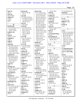| visits $(1)$            | Watson $(4)$         | witness $(62)$      | 150:15 160:7                          | 27:14,20 28:4,6,10    |
|-------------------------|----------------------|---------------------|---------------------------------------|-----------------------|
| 28:11                   | 144:7,24 146:18      | 5:5 17:5 20:2,12,22 | write $(2)$                           | Zhang $(3)$           |
| voice $(2)$             | 147:4                | 21:20 22:8,17 23:8  | 17:13 53:11                           | 4:15 147:23 153:20    |
| 81:19 164:4             | way (13)             | 23:12 27:9 28:24    | writing $(3)$                         |                       |
| volume $(1)$            | 6:7 29:24 51:20,24   | 29:16,22 30:2,8,12  | 72:16 110:8 117:9                     | $\bf{0}$              |
| 149:23                  | 57:5 68:9 73:19,20   | 30:21 31:20 47:19   | written $(2)$                         | 0.1(2)                |
| vs(1)                   | 79:19 82:20 129:17   | 49:25 50:12 55:4    | 75:22 84:5                            | 112:6 122:18          |
| 1:6                     | 145:19 150:17        | 60:3,10,22 63:2     | wrong $(4)$                           | $0001191 - 1(1)$      |
|                         | ways $(2)$           | 66:3 68:15 74:2     | 20:17 125:6 161:5                     | 139:2                 |
| W                       | 17:16 155:5          | 75:10 77:20 83:24   | 170:11                                | 07102(1)              |
| <b>WADA (10)</b>        | we'll $(15)$         | 84:25 85:20 88:15   | wrote $(5)$                           | 2:10                  |
| 13:7 16:5 26:11,12,13   | 5:23 19:4,5 61:25    | 89:15 94:3 100:16   | 109:18 112:10 115:10                  |                       |
| 26:23,25 96:6           | 62:2 73:22 79:18     | 101:19 102:16       | 129:18 169:7                          | 1                     |
| 133:22 152:14           | 95:25 135:14         | 103:20 107:9 116:3  | WW(1)                                 | 1(27)                 |
| WADA's $(1)$            | 138:17 145:18        | 123:16 133:2 137:6  | 149:20                                | 3:9 65:17,19,20 69:22 |
| 26:6                    | 151:23 160:23        | 143:19 145:15       | www.DrugTesting                       | 69:24 78:16 85:20     |
| wait $(2)$              | 161:6,8              | 146:13 147:12       | 154:10                                | 85:23 86:3 89:7,9     |
| 149:25 171:20           | we're $(8)$          | 154:15 157:11,13    | Wyszumiala (5)                        | 98:11 117:23          |
| waiting $(1)$           | 21:11 31:25 61:24    | 164:18 165:8        | 113:20 114:10 115:9                   | 123:19 127:10         |
| 128:3                   | 109:2 116:24         | 171:24 172:2,10     | 146:20 158:17                         | 129:12,17 133:25      |
| walk $(1)$              | 132:20 152:16        | 174:7,13,17         |                                       | 138:5 141:16 144:5    |
| 150:21                  | 163:20               | Woods $(2)$         | $\mathbf X$                           | 151:7 161:4,17        |
| want $(19)$             | we've(5)             | 147:23 153:20       | X(3)                                  | 167:9 168:25          |
| 6:19 25:6 67:25 73:15   | 32:12 64:3 94:14     | word $(5)$          | 3:1,751:11                            | 1,3(1)                |
| 79:13 81:22 89:5        | 116:21 117:16        | 16:19 85:8 125:23   |                                       | 4:13                  |
| 95:13 99:6 103:11       | web $(2)$            | 135:24 150:13       | $\mathbf Y$                           | 1,3-Dimethylamyla     |
| 117:8 136:18,19         | 51:21 79:6           | worded $(1)$        | Y(1)                                  | 1:8 147:20 153:12     |
| 137:9 145:17,19         | website $(3)$        | 29:24               | 51:11                                 | $1:13$ -cv-13675-WB   |
| 149:25 165:9 166:9      | 48:3 53:22 59:4      | words $(5)$         | yeah $(17)$                           | 1:7                   |
| wanted $(13)$           | websites $(3)$       | 50:22 51:9 81:22    | 10:6 17:12 34:20                      | 10(11)                |
| 36:25 40:21 51:10       | 76:11 96:6 115:17    | 94:13 170:12        | 43:25 51:19 73:13                     | 3:22 102:15 103:16    |
| 67:10 78:9 81:19        | week $(1)$           | work (14)           | 76:7,21 81:3 96:25                    | 112:8 122:19 143:5    |
| 99:10,24 103:10         | 42:11                | 11:24 24:7 37:21    | 146:17 148:20                         | 149:19 153:24         |
| 131:21 136:13           | weighed $(1)$        | 41:21,23 46:15,19   | 149:7 150:21 152:9                    | 155:25 165:18         |
| 170:24,24               | 81:6                 | 48:14 113:15        | 164:14 165:21                         | 166:2                 |
| wants $(1)$             | weight $(7)$         | 116:11 126:22       | year $(13)$                           | 100(5)                |
| 30:5                    | 149:19,19,20,20,22   | 142:12 145:3        | 11:6 14:14 23:22                      | 3:20 42:19 136:20     |
| warning $(11)$          | 153:25,25            | 172:25              | 24:23 39:18 55:7                      | 140:4 171:12          |
| 4:8 57:6 137:12,16,20   | weird $(1)$          | worked (7)          | 56:9 58:18 70:18                      | 1000(2)               |
| 137:21 139:8,12         | 30:21                | 7:17 70:14 71:12,13 | 95:9,12 96:3 137:2                    | 118:8 137:25          |
| 140:8,22,25             | went $(6)$           | 71:25 104:2 157:18  | years $(14)$                          | 102(1)                |
|                         | 9:8 26:9 55:7 95:6,9 | working $(9)$       |                                       | 3:22                  |
| warranted (1)<br>169:19 | 95:11                | 16:16 31:6 35:11    | 10:18 13:22 15:6,21<br>16:4 18:7 25:2 |                       |
| Waseem (7)              | weren't $(4)$        | 37:14,15 89:4 149:4 |                                       | 10794(1)              |
|                         | 8:21 116:5 136:20    | 151:3 160:6         | 30:14 40:10 55:22                     | 93:25                 |
| 109:25 121:7 123:25     |                      | works $(3)$         | 95:6 97:2,23 130:16                   | 108(1)                |
| 125:18 128:22           | 146:6                | 57:22 90:2 152:13   | yesterday $(2)$                       | 3:23                  |
| 134:3 161:22            | whatsoever (1)       | world $(3)$         | 7:19 9:21                             | 10807(1)              |
| <b>Washington</b> (1)   | 132:13               |                     | young $(2)$                           | 141:14                |
| 2:4                     | Wheat $(3)$          | 40:22 72:12 96:19   | 112:4 122:16                          | 10886(3)              |
| wasn't $(11)$           | 1:125:12,19          | worry $(1)$         | Z                                     | 137:25 138:11,13      |
| 7:17 12:4 15:12 30:13   | who-sent $(1)$       | 16:9                |                                       | 10th $(2)$            |
| 41:4 57:17 68:13        | 89:17                | worthy $(1)$        | Z(2)                                  | 127:22 128:22         |
| 102:22 123:4            | Wiley $(2)$          | 164:5               | 51:11 167:7                           | 11(8)                 |
| 137:10 160:5            | 141:21 148:9         | wouldn't (7)        | Zachary $(2)$                         | 3:23 74:12 94:10      |
| water $(1)$             | Wingard $(1)$        | 99:15 106:20 128:7  | 151:19 156:6                          | 97:15 108:20,21       |
| 45:14                   | 65:11                | 128:17 133:10       | Zealand $(5)$                         | 109:7 122:7           |
|                         |                      |                     |                                       |                       |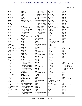| 111(1)                | 9:22                 | 114:10 115:8         | 2784(1)                 | 4163(1)               |
|-----------------------|----------------------|----------------------|-------------------------|-----------------------|
| 2:14                  | 1996(1)              | 116:15 117:18        | 110:20                  | 127:7                 |
| 113(1)                | 167:7                | 118:2 120:7 121:8    | 27840 (2)               | 4318(1)               |
| 3:25                  | 19th(1)              | 124:2 160:10         | 108:23 111:13           | 114:3                 |
| 116738(1)             | 174:17               | 166:11 168:5 169:7   | 27853(1)                | 4319(1)               |
| 1:16                  | 1st $(7)$            | 2012 (37)            | 111:25                  | 116:14                |
| 11th(1)               | 83:5 85:11 86:5,23   | 4:3,4,6,8,9,12,15,15 | 27854 (2)               | 4320(2)               |
| 75:13                 | 87:24 121:8 123:25   | 4:18 9:5 29:12,14    | 110:20 111:13           | 114:5 115:7           |
| 12(2)                 |                      | 30:15 56:11 58:13    | 27864(1)                | 4330(1)               |
| 3:25 113:25           | $\overline{2}$       | 58:14 62:17 108:23   | 110:25                  | 123:14                |
| 123(1)                | 2(11)                | 125:17 128:22        | 27th(4)                 | 4346(3)               |
| 4:1                   | 3:11 73:10 77:15     | 134:4 136:11,24      | 115:8 117:18 118:2      | 100:9,12 108:22       |
| 125(1)                | 87:16 98:16 106:2    | 137:6 138:8 139:5    | 140:2                   | 4351(1)               |
| 4:3                   | 116:13 118:5         | 140:2 146:22         | 29th(1)                 | 101:4                 |
| 127(1)                | 142:22 143:4         | 147:16 148:7,8,8     | 80:10                   | 4362(1)               |
| 4:4                   | 146:15               | 154:4,5,5 158:19     | 2nd(1)                  | 100:14                |
| 129(1)                | 2.5(4)               | 165:5                | 90:23                   | 450(1)                |
|                       | 112:7 122:18,23,24   | 2013(3)              |                         |                       |
| 4:6                   |                      | 4:19 56:11 58:14     | $\overline{\mathbf{3}}$ | 2:4                   |
| 13(4)                 | 2:35(1)              |                      |                         | 46204 (1)             |
| 4:1 92:5 123:10,11    | 173:7                | 2014(1)              | 3(8)                    | 2:15                  |
| 137(1)                | 20(2)                | 162:3                | 3:12 66:6 78:5 82:6     | 4th(1)                |
| 4:8                   | 4:13 153:7           | 2016(5)              | 108:10 114:4 115:6      | 125:17                |
| 13th $(3)$            | 200(1)               | 1:18 173:23 174:9,18 | 143:9                   |                       |
| 78:3,22 169:7         | 7:12                 | 175:23               | 3:33(2)                 | 5                     |
| 14(7)                 | 2000(1)              | 20530(1)             | 105:24 106:4            | 5(4)                  |
| 1:18 4:3 111:24 122:6 | 16:7                 | 2:4                  | 30(1)                   | 3:3,15 91:17 147:6    |
| 125:12,13 174:9       | 2001(1)              | 20th(3)              | 147:16                  | 52(1)                 |
| 141(1)                | 16:7                 | 70:7 148:7 154:4     | $30(e)$ (1)             | 108:10                |
| 4:9                   | 2009(2)              | 21(3)                | 174:12                  | 5555(1)               |
| 145(1)                | 13:22 53:8           | 4:15 157:25 158:2    | 3050(1)                 | 7:11                  |
| 4:12                  | 201(1)               | 2144(2)              | 7:8                     | 5th(1)                |
| 14th $(2)$            | 168:25               | 160:25 162:20        | 30th(1)                 | 2:4                   |
| 99:5 162:3            | 2010 (26)            | 2181(1)              | 120:7                   |                       |
| 15(3)                 | 3:11, 12, 14, 15, 17 | 145:20               | 31st(1)                 | 6                     |
| 4:4 127:6,8           | 42:19 45:4 72:13     | 2185(1)              | 160:10                  | 6(13)                 |
| 153(1)                | 73:4 74:12 75:14     | 147:7                | 3480(2)                 | 3:16 92:13,15 100:19  |
| 4:13                  | 78:3,22 83:5 85:11   | 22(3)                | 65:18 69:23             | 101:3 103:24          |
| 158(1)                | 85:23 86:5,23 87:24  | 4:16 159:14,15       | 3482(1)                 | 104:16,22 105:24      |
|                       | 89:9 90:23 92:5      | 22nd(1)              |                         |                       |
| 4:15                  | 94:10 95:11 104:5    | 146:22               | 66:7<br>36(1)           | 148:8 154:5 166:11    |
| 159(1)                | 157:24               | 23(5)                |                         | 168:5                 |
| 4:16                  |                      |                      | 1:21                    | 6:16(1)               |
| 16(2)                 | 2010-April (1)       | 4:18 160:24 161:2,12 | 3768(1)                 | 89:12                 |
| 4:6 129:15            | 3:22                 | 162:18               | 125:12                  | 65(1)                 |
| 161 $(2)$             | $2010$ -May $(1)$    | 2303(1)              |                         | 3:9                   |
| 4:18,19               | 4:16                 | 158:3                | $\overline{\mathbf{4}}$ | 6th(3)                |
| 165(1)                | 2010-to-2014 (1)     | 24(5)                | 4(6)                    | 106:4 108:10 119:18   |
| 3:4                   | 16:13                | 4:19 161:8,9,12,14   | 3:14 74:4 75:2 87:10    |                       |
| 17(4)                 | 2011 (38)            | 24th(1)              | 87:11 129:12            | 7                     |
| 4:8 137:22,23 138:22  | 3:9,19,20,22,25 4:1  | 158:19               | 4:31(3)                 | 7(4)                  |
| 18(3)                 | 4:16 42:20 45:4      | 25(1)                | 102:11,18 107:13        | 3:17 93:25 94:2 143:8 |
| 4:9 141:13 145:25     | 56:11 70:7,20 72:13  | 167:9                | 40(1)                   | 7070(1)               |
| 19(4)                 | 73:5 85:22 95:11     | 25,000(1)            | 73:20                   | 87:8                  |
| 4:12 145:13,14 157:2  | 97:15 98:13 99:5     | 32:18                | 40s(1)                  | 7072(2)               |
| 1900(1)               | 100:19 103:24        | 27(4)                | 44:25                   | 82:8 86:4             |
| 1:21                  | 104:16,22 105:24     | 114:10 116:15 138:8  | 411(1)                  | 73(1)                 |
| 1993(1)               | 106:4 108:10         | 139:5                | 48:3                    | 3:11                  |
|                       |                      |                      |                         |                       |